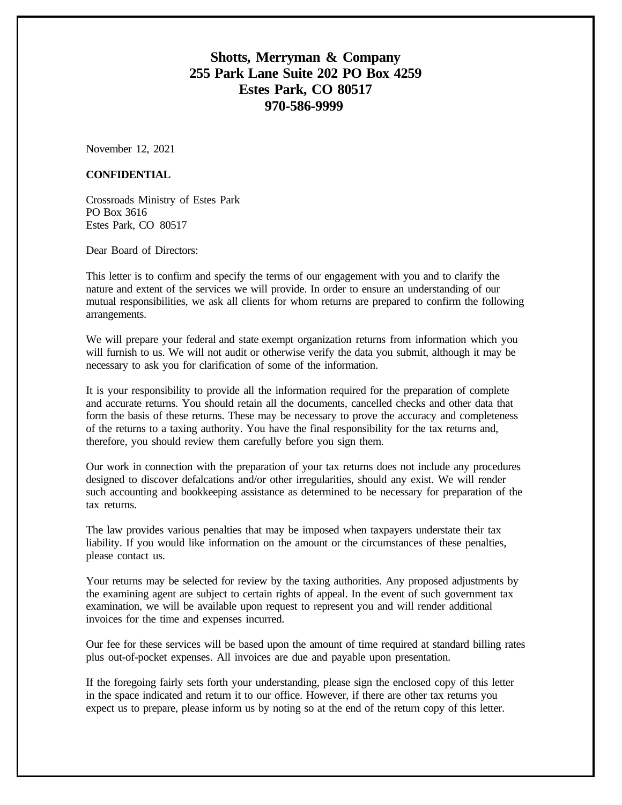## **Shotts, Merryman & Company 255 Park Lane Suite 202 PO Box 4259 Estes Park, CO 80517 970-586-9999**

November 12, 2021

#### **CONFIDENTIAL**

Crossroads Ministry of Estes Park PO Box 3616 Estes Park, CO 80517

Dear Board of Directors:

This letter is to confirm and specify the terms of our engagement with you and to clarify the nature and extent of the services we will provide. In order to ensure an understanding of our mutual responsibilities, we ask all clients for whom returns are prepared to confirm the following arrangements.

We will prepare your federal and state exempt organization returns from information which you will furnish to us. We will not audit or otherwise verify the data you submit, although it may be necessary to ask you for clarification of some of the information.

It is your responsibility to provide all the information required for the preparation of complete and accurate returns. You should retain all the documents, cancelled checks and other data that form the basis of these returns. These may be necessary to prove the accuracy and completeness of the returns to a taxing authority. You have the final responsibility for the tax returns and, therefore, you should review them carefully before you sign them.

Our work in connection with the preparation of your tax returns does not include any procedures designed to discover defalcations and/or other irregularities, should any exist. We will render such accounting and bookkeeping assistance as determined to be necessary for preparation of the tax returns.

The law provides various penalties that may be imposed when taxpayers understate their tax liability. If you would like information on the amount or the circumstances of these penalties, please contact us.

Your returns may be selected for review by the taxing authorities. Any proposed adjustments by the examining agent are subject to certain rights of appeal. In the event of such government tax examination, we will be available upon request to represent you and will render additional invoices for the time and expenses incurred.

Our fee for these services will be based upon the amount of time required at standard billing rates plus out-of-pocket expenses. All invoices are due and payable upon presentation.

If the foregoing fairly sets forth your understanding, please sign the enclosed copy of this letter in the space indicated and return it to our office. However, if there are other tax returns you expect us to prepare, please inform us by noting so at the end of the return copy of this letter.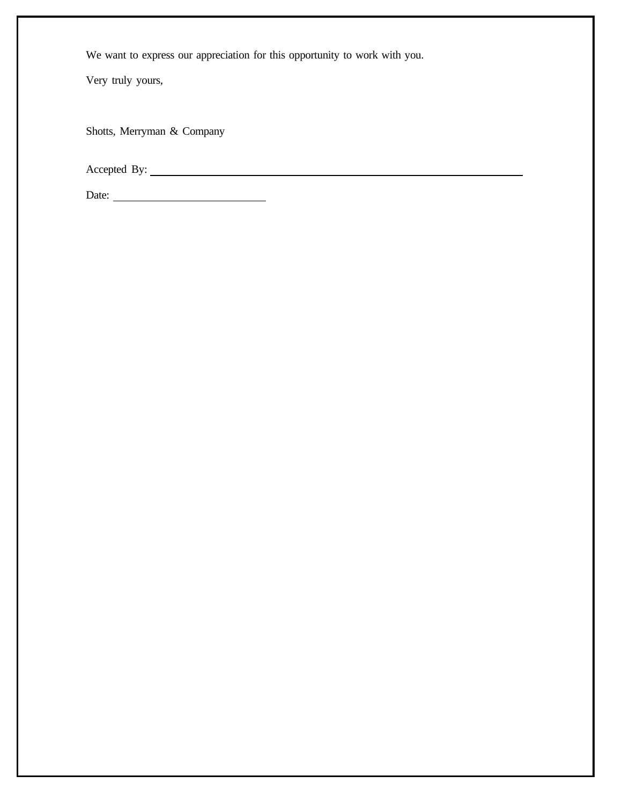We want to express our appreciation for this opportunity to work with you.

Very truly yours,

Shotts, Merryman & Company

Accepted By:  $\qquad \qquad$ 

| Date: |  |
|-------|--|
|       |  |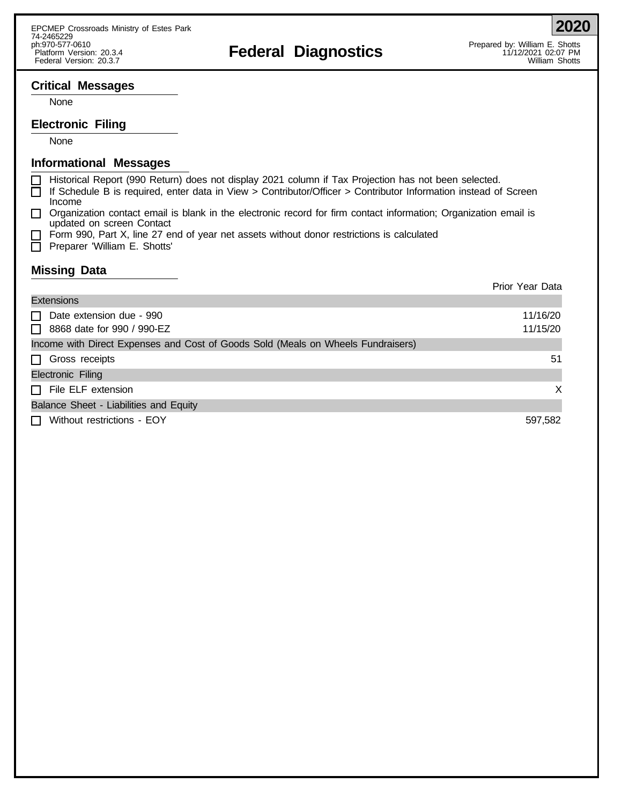**2020**

#### **Critical Messages**

None

#### **Electronic Filing**

None

#### **Informational Messages**

- Historical Report (990 Return) does not display 2021 column if Tax Projection has not been selected. П
- □ If Schedule B is required, enter data in View > Contributor/Officer > Contributor Information instead of Screen Income
- $\Box$  Organization contact email is blank in the electronic record for firm contact information; Organization email is updated on screen Contact
- Form 990, Part X, line 27 end of year net assets without donor restrictions is calculated
- **Preparer 'William E. Shotts'**

#### **Missing Data**

|                                                                                  | Prior Year Data |
|----------------------------------------------------------------------------------|-----------------|
| <b>Extensions</b>                                                                |                 |
| Date extension due - 990<br>$\perp$                                              | 11/16/20        |
| $\Box$ 8868 date for 990 / 990-EZ                                                | 11/15/20        |
| Income with Direct Expenses and Cost of Goods Sold (Meals on Wheels Fundraisers) |                 |
| $\Box$ Gross receipts                                                            | 51              |
| Electronic Filing                                                                |                 |
| $\Box$ File ELF extension                                                        | X               |
| Balance Sheet - Liabilities and Equity                                           |                 |
| Without restrictions - EOY<br>$\mathsf{L}$                                       | 597,582         |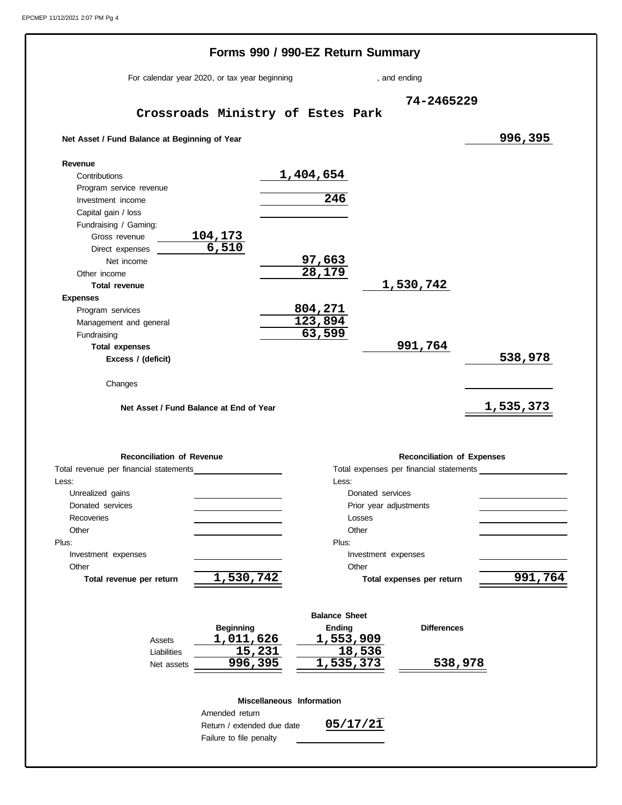|                                                                                                                  | Forms 990 / 990-EZ Return Summary |                                         |                                   |
|------------------------------------------------------------------------------------------------------------------|-----------------------------------|-----------------------------------------|-----------------------------------|
| For calendar year 2020, or tax year beginning                                                                    |                                   | , and ending                            |                                   |
| Crossroads Ministry of Estes Park                                                                                |                                   | 74-2465229                              |                                   |
| Net Asset / Fund Balance at Beginning of Year                                                                    |                                   |                                         | 996,395                           |
| Revenue                                                                                                          |                                   |                                         |                                   |
| Contributions                                                                                                    | 1,404,654                         |                                         |                                   |
| Program service revenue                                                                                          |                                   |                                         |                                   |
| Investment income                                                                                                | $\overline{246}$                  |                                         |                                   |
| Capital gain / loss                                                                                              |                                   |                                         |                                   |
| Fundraising / Gaming:                                                                                            |                                   |                                         |                                   |
| Gross revenue                                                                                                    |                                   |                                         |                                   |
| $\frac{104,173}{6,510}$<br>Direct expenses                                                                       |                                   |                                         |                                   |
| Net income                                                                                                       | <u>97,663</u>                     |                                         |                                   |
| Other income                                                                                                     | 28,179                            |                                         |                                   |
| <b>Total revenue</b>                                                                                             |                                   | 1,530,742                               |                                   |
| <b>Expenses</b>                                                                                                  |                                   |                                         |                                   |
| Program services                                                                                                 | <u>804,271</u>                    |                                         |                                   |
| Management and general                                                                                           | 123,894                           |                                         |                                   |
| Fundraising                                                                                                      | 63,599                            |                                         |                                   |
| <b>Total expenses</b>                                                                                            |                                   | 991,764                                 |                                   |
| Excess / (deficit)                                                                                               |                                   |                                         | 538,978                           |
|                                                                                                                  |                                   |                                         |                                   |
| Changes                                                                                                          |                                   |                                         |                                   |
| Net Asset / Fund Balance at End of Year                                                                          |                                   |                                         | <u>1,535,373</u>                  |
|                                                                                                                  |                                   |                                         |                                   |
| <b>Reconciliation of Revenue</b>                                                                                 |                                   |                                         | <b>Reconciliation of Expenses</b> |
|                                                                                                                  |                                   | Total expenses per financial statements |                                   |
|                                                                                                                  | Less:                             |                                         |                                   |
| Unrealized gains                                                                                                 |                                   | Donated services                        |                                   |
| Donated services                                                                                                 |                                   | Prior year adjustments                  |                                   |
| Recoveries                                                                                                       |                                   | Losses                                  |                                   |
| Other                                                                                                            |                                   | Other                                   |                                   |
|                                                                                                                  | Plus:                             |                                         |                                   |
| Investment expenses                                                                                              |                                   | Investment expenses                     |                                   |
| Other                                                                                                            |                                   | Other                                   |                                   |
| Total revenue per financial statements<br>Less:<br>Plus:<br>$\overline{1,}$ 530, 742<br>Total revenue per return |                                   | Total expenses per return               | 991,764                           |
|                                                                                                                  |                                   |                                         |                                   |
|                                                                                                                  | <b>Balance Sheet</b>              |                                         |                                   |
| <b>Beginning</b>                                                                                                 | <b>Ending</b>                     | <b>Differences</b>                      |                                   |
| 1,011,626<br>Assets                                                                                              | 1,553,909                         |                                         |                                   |
| 15,231<br>Liabilities                                                                                            |                                   | 18,536                                  |                                   |
| 996,395<br>Net assets                                                                                            | 1,535,373                         |                                         | 538,978                           |
|                                                                                                                  |                                   |                                         |                                   |
|                                                                                                                  | <b>Miscellaneous Information</b>  |                                         |                                   |
| Amended return<br>Return / extended due date                                                                     |                                   | 05/17/21                                |                                   |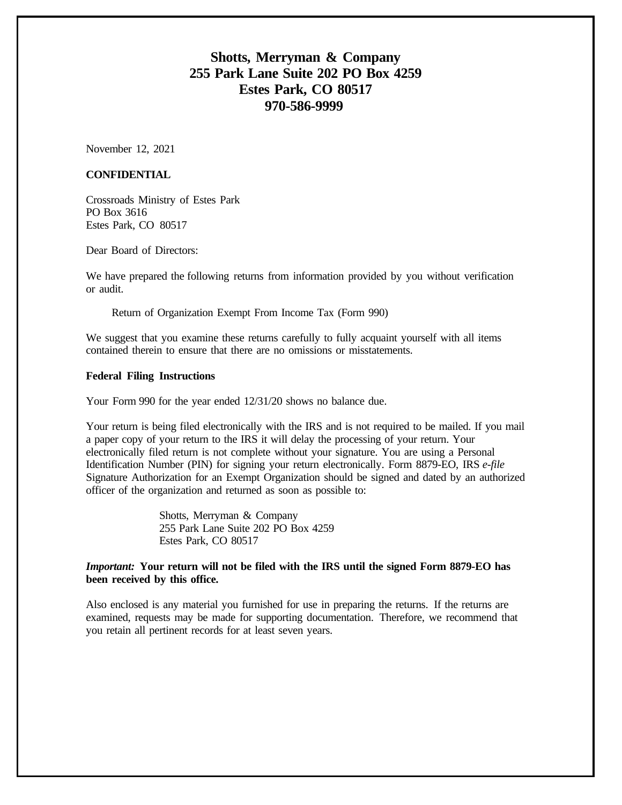## **Shotts, Merryman & Company 255 Park Lane Suite 202 PO Box 4259 Estes Park, CO 80517 970-586-9999**

November 12, 2021

#### **CONFIDENTIAL**

Crossroads Ministry of Estes Park PO Box 3616 Estes Park, CO 80517

Dear Board of Directors:

We have prepared the following returns from information provided by you without verification or audit.

Return of Organization Exempt From Income Tax (Form 990)

We suggest that you examine these returns carefully to fully acquaint yourself with all items contained therein to ensure that there are no omissions or misstatements.

#### **Federal Filing Instructions**

Your Form 990 for the year ended 12/31/20 shows no balance due.

Your return is being filed electronically with the IRS and is not required to be mailed. If you mail a paper copy of your return to the IRS it will delay the processing of your return. Your electronically filed return is not complete without your signature. You are using a Personal Identification Number (PIN) for signing your return electronically. Form 8879-EO, IRS *e-file* Signature Authorization for an Exempt Organization should be signed and dated by an authorized officer of the organization and returned as soon as possible to:

> Shotts, Merryman & Company 255 Park Lane Suite 202 PO Box 4259 Estes Park, CO 80517

#### *Important:* **Your return will not be filed with the IRS until the signed Form 8879-EO has been received by this office.**

Also enclosed is any material you furnished for use in preparing the returns. If the returns are examined, requests may be made for supporting documentation. Therefore, we recommend that you retain all pertinent records for at least seven years.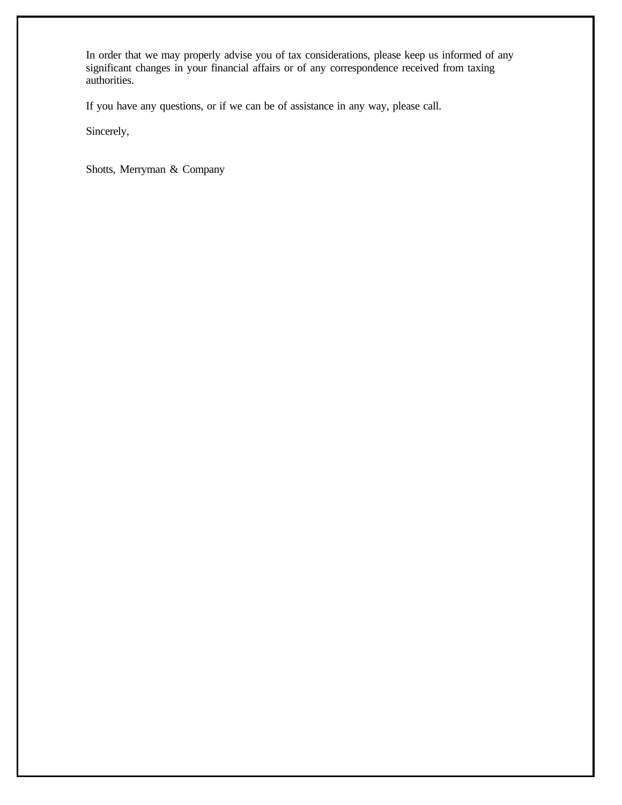In order that we may properly advise you of tax considerations, please keep us informed of any significant changes in your financial affairs or of any correspondence received from taxing authorities.

If you have any questions, or if we can be of assistance in any way, please call.

Sincerely,

Shotts, Merryman & Company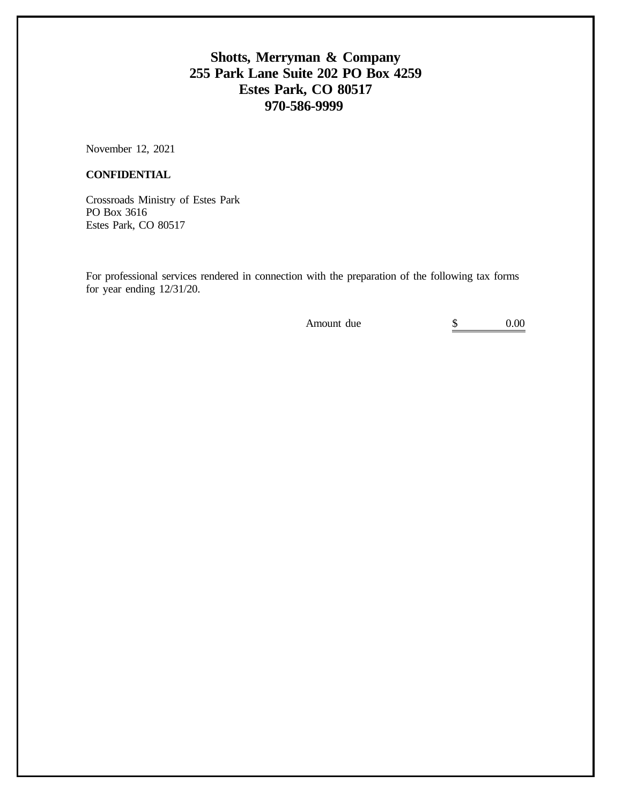## **Shotts, Merryman & Company 255 Park Lane Suite 202 PO Box 4259 Estes Park, CO 80517 970-586-9999**

November 12, 2021

#### **CONFIDENTIAL**

Crossroads Ministry of Estes Park PO Box 3616 Estes Park, CO 80517

For professional services rendered in connection with the preparation of the following tax forms for year ending 12/31/20.

Amount due  $\qquad \qquad$  \$ 0.00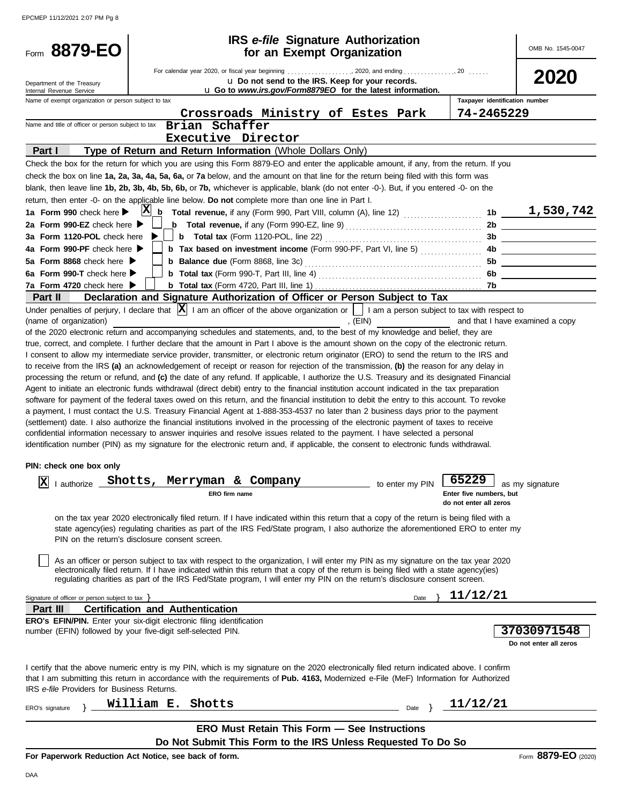EPCMEP 11/12/2021 2:07 PM Pg 8

| 8879-EO                                                                      |                                                                                                                                                                                                                                                                              | <b>IRS</b> e-file Signature Authorization        |                                                   | OMB No. 1545-0047                         |
|------------------------------------------------------------------------------|------------------------------------------------------------------------------------------------------------------------------------------------------------------------------------------------------------------------------------------------------------------------------|--------------------------------------------------|---------------------------------------------------|-------------------------------------------|
| Form                                                                         |                                                                                                                                                                                                                                                                              | for an Exempt Organization                       |                                                   |                                           |
|                                                                              | For calendar year 2020, or fiscal year beginning  2020, and ending  20                                                                                                                                                                                                       |                                                  |                                                   | 2020                                      |
| Department of the Treasury<br>Internal Revenue Service                       | u Go to www.irs.gov/Form8879EO for the latest information.                                                                                                                                                                                                                   | u Do not send to the IRS. Keep for your records. |                                                   |                                           |
| Name of exempt organization or person subject to tax                         |                                                                                                                                                                                                                                                                              |                                                  | Taxpayer identification number                    |                                           |
|                                                                              | Crossroads Ministry of Estes Park                                                                                                                                                                                                                                            |                                                  | 74-2465229                                        |                                           |
| Name and title of officer or person subject to tax                           | Brian Schaffer                                                                                                                                                                                                                                                               |                                                  |                                                   |                                           |
|                                                                              | Executive Director                                                                                                                                                                                                                                                           |                                                  |                                                   |                                           |
| Part I                                                                       | Type of Return and Return Information (Whole Dollars Only)                                                                                                                                                                                                                   |                                                  |                                                   |                                           |
|                                                                              | Check the box for the return for which you are using this Form 8879-EO and enter the applicable amount, if any, from the return. If you                                                                                                                                      |                                                  |                                                   |                                           |
|                                                                              | check the box on line 1a, 2a, 3a, 4a, 5a, 6a, or 7a below, and the amount on that line for the return being filed with this form was                                                                                                                                         |                                                  |                                                   |                                           |
|                                                                              | blank, then leave line 1b, 2b, 3b, 4b, 5b, 6b, or 7b, whichever is applicable, blank (do not enter -0-). But, if you entered -0- on the                                                                                                                                      |                                                  |                                                   |                                           |
|                                                                              | return, then enter -0- on the applicable line below. Do not complete more than one line in Part I.                                                                                                                                                                           |                                                  |                                                   |                                           |
| 1a Form 990 check here $\blacktriangleright$                                 |                                                                                                                                                                                                                                                                              |                                                  |                                                   |                                           |
| 2a Form 990-EZ check here $\blacktriangleright$                              | <b>b</b> Total revenue, if any (Form 990-EZ, line 9) $\ldots$ $\ldots$ $\ldots$ $\ldots$ $\ldots$ $\ldots$                                                                                                                                                                   |                                                  |                                                   | 2b                                        |
| 3a Form 1120-POL check here                                                  |                                                                                                                                                                                                                                                                              |                                                  |                                                   | 3b                                        |
| 4a Form 990-PF check here $\blacktriangleright$                              | <b>b</b> Tax based on investment income (Form 990-PF, Part VI, line 5)                                                                                                                                                                                                       |                                                  | 4b.                                               |                                           |
| 5a Form 8868 check here $\blacktriangleright$                                |                                                                                                                                                                                                                                                                              |                                                  | 5b                                                | the company of the company of the company |
| 6a Form 990-T check here $\blacktriangleright$                               |                                                                                                                                                                                                                                                                              |                                                  | 6b.                                               |                                           |
| 7a Form 4720 check here $\blacktriangleright$                                |                                                                                                                                                                                                                                                                              |                                                  |                                                   |                                           |
| Part II                                                                      | Declaration and Signature Authorization of Officer or Person Subject to Tax                                                                                                                                                                                                  |                                                  |                                                   |                                           |
|                                                                              | Under penalties of perjury, I declare that $ \mathbf{X} $ I am an officer of the above organization or $\ \cdot\ $ I am a person subject to tax with respect to                                                                                                              |                                                  |                                                   | and that I have examined a copy           |
| (name of organization)                                                       | of the 2020 electronic return and accompanying schedules and statements, and, to the best of my knowledge and belief, they are                                                                                                                                               | , (EIN)                                          |                                                   |                                           |
|                                                                              | true, correct, and complete. I further declare that the amount in Part I above is the amount shown on the copy of the electronic return.                                                                                                                                     |                                                  |                                                   |                                           |
|                                                                              | I consent to allow my intermediate service provider, transmitter, or electronic return originator (ERO) to send the return to the IRS and                                                                                                                                    |                                                  |                                                   |                                           |
|                                                                              | to receive from the IRS (a) an acknowledgement of receipt or reason for rejection of the transmission, (b) the reason for any delay in                                                                                                                                       |                                                  |                                                   |                                           |
|                                                                              | processing the return or refund, and (c) the date of any refund. If applicable, I authorize the U.S. Treasury and its designated Financial                                                                                                                                   |                                                  |                                                   |                                           |
|                                                                              | Agent to initiate an electronic funds withdrawal (direct debit) entry to the financial institution account indicated in the tax preparation                                                                                                                                  |                                                  |                                                   |                                           |
|                                                                              | software for payment of the federal taxes owed on this return, and the financial institution to debit the entry to this account. To revoke                                                                                                                                   |                                                  |                                                   |                                           |
|                                                                              | a payment, I must contact the U.S. Treasury Financial Agent at 1-888-353-4537 no later than 2 business days prior to the payment                                                                                                                                             |                                                  |                                                   |                                           |
|                                                                              | (settlement) date. I also authorize the financial institutions involved in the processing of the electronic payment of taxes to receive                                                                                                                                      |                                                  |                                                   |                                           |
|                                                                              | confidential information necessary to answer inquiries and resolve issues related to the payment. I have selected a personal                                                                                                                                                 |                                                  |                                                   |                                           |
|                                                                              | identification number (PIN) as my signature for the electronic return and, if applicable, the consent to electronic funds withdrawal.                                                                                                                                        |                                                  |                                                   |                                           |
| PIN: check one box only                                                      |                                                                                                                                                                                                                                                                              |                                                  |                                                   |                                           |
| $\overline{\mathbf{v}}$                                                      |                                                                                                                                                                                                                                                                              |                                                  |                                                   |                                           |
| ▵<br>I authorize                                                             | Shotts, Merryman & Company                                                                                                                                                                                                                                                   | to enter my PIN                                  | 65229 as my signature                             |                                           |
|                                                                              | ERO firm name                                                                                                                                                                                                                                                                |                                                  | Enter five numbers, but<br>do not enter all zeros |                                           |
|                                                                              |                                                                                                                                                                                                                                                                              |                                                  |                                                   |                                           |
|                                                                              | on the tax year 2020 electronically filed return. If I have indicated within this return that a copy of the return is being filed with a<br>state agency(ies) regulating charities as part of the IRS Fed/State program, I also authorize the aforementioned ERO to enter my |                                                  |                                                   |                                           |
| PIN on the return's disclosure consent screen.                               |                                                                                                                                                                                                                                                                              |                                                  |                                                   |                                           |
|                                                                              |                                                                                                                                                                                                                                                                              |                                                  |                                                   |                                           |
|                                                                              | As an officer or person subject to tax with respect to the organization, I will enter my PIN as my signature on the tax year 2020                                                                                                                                            |                                                  |                                                   |                                           |
|                                                                              | electronically filed return. If I have indicated within this return that a copy of the return is being filed with a state agency(ies)                                                                                                                                        |                                                  |                                                   |                                           |
|                                                                              | regulating charities as part of the IRS Fed/State program, I will enter my PIN on the return's disclosure consent screen.                                                                                                                                                    |                                                  |                                                   |                                           |
| Signature of officer or person subject to tax >                              |                                                                                                                                                                                                                                                                              | Date                                             | 11/12/21                                          |                                           |
| Part III                                                                     | <b>Certification and Authentication</b>                                                                                                                                                                                                                                      |                                                  |                                                   |                                           |
| <b>ERO's EFIN/PIN.</b> Enter your six-digit electronic filing identification |                                                                                                                                                                                                                                                                              |                                                  |                                                   |                                           |
| number (EFIN) followed by your five-digit self-selected PIN.                 |                                                                                                                                                                                                                                                                              |                                                  |                                                   | 37030971548                               |
|                                                                              |                                                                                                                                                                                                                                                                              |                                                  |                                                   | Do not enter all zeros                    |
|                                                                              |                                                                                                                                                                                                                                                                              |                                                  |                                                   |                                           |
|                                                                              | I certify that the above numeric entry is my PIN, which is my signature on the 2020 electronically filed return indicated above. I confirm                                                                                                                                   |                                                  |                                                   |                                           |
|                                                                              | that I am submitting this return in accordance with the requirements of Pub. 4163, Modernized e-File (MeF) Information for Authorized                                                                                                                                        |                                                  |                                                   |                                           |
| IRS e-file Providers for Business Returns.                                   |                                                                                                                                                                                                                                                                              |                                                  |                                                   |                                           |
| ERO's signature                                                              | William E. Shotts                                                                                                                                                                                                                                                            | Date }                                           | 11/12/21                                          |                                           |
|                                                                              |                                                                                                                                                                                                                                                                              |                                                  |                                                   |                                           |
|                                                                              | <b>ERO Must Retain This Form - See Instructions</b>                                                                                                                                                                                                                          |                                                  |                                                   |                                           |
|                                                                              | Do Not Submit This Form to the IRS Unless Requested To Do So                                                                                                                                                                                                                 |                                                  |                                                   |                                           |
| For Paperwork Reduction Act Notice, see back of form.                        |                                                                                                                                                                                                                                                                              |                                                  |                                                   | Form 8879-EO (2020)                       |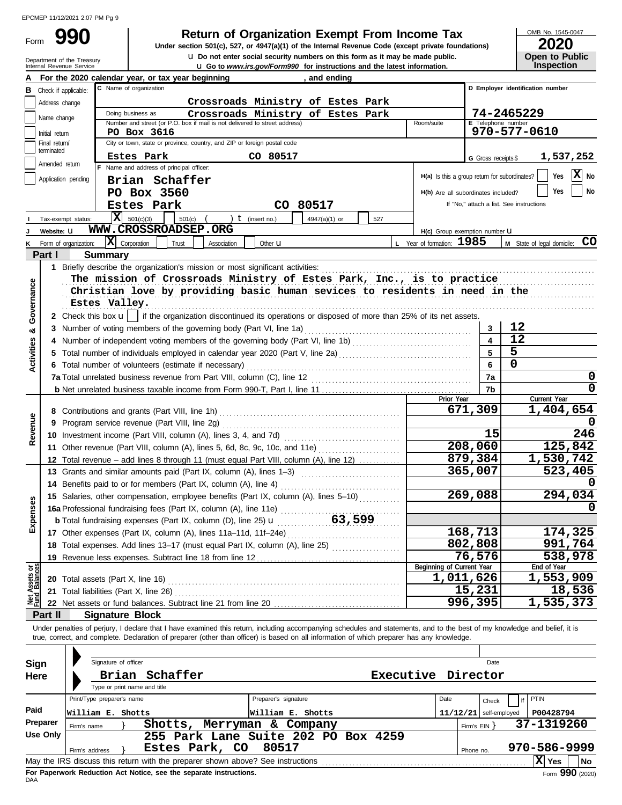Form

Department of the Treasury<br>Internal Revenue Service

# **990** Return of Organization Exempt From Income Tax <br>
Under section 501(c), 527, or 4947(a)(1) of the Internal Revenue Code (except private foundations) **2020**

**u** Go to *www.irs.gov/Form990* for instructions and the latest information. u **Do not enter social security numbers on this form as it may be made public. Open to Public Under section 501(c), 527, or 4947(a)(1) of the Internal Revenue Code (except private foundations)**

OMB No. 1545-0047

**Inspection**

|                                |                         | For the 2020 calendar year, or tax year beginning<br>and ending                                                                                                                                                                                                                                                          |                                               |                         |                                          |
|--------------------------------|-------------------------|--------------------------------------------------------------------------------------------------------------------------------------------------------------------------------------------------------------------------------------------------------------------------------------------------------------------------|-----------------------------------------------|-------------------------|------------------------------------------|
| в                              | Check if applicable:    | C Name of organization                                                                                                                                                                                                                                                                                                   |                                               |                         | D Employer identification number         |
|                                | Address change          | Crossroads Ministry of Estes Park                                                                                                                                                                                                                                                                                        |                                               |                         |                                          |
|                                | Name change             | Crossroads Ministry of Estes Park<br>Doing business as                                                                                                                                                                                                                                                                   |                                               |                         | 74-2465229                               |
|                                | Initial return          | Number and street (or P.O. box if mail is not delivered to street address)<br>PO Box 3616                                                                                                                                                                                                                                | Room/suite                                    | E Telephone number      | 970-577-0610                             |
|                                | Final return/           | City or town, state or province, country, and ZIP or foreign postal code                                                                                                                                                                                                                                                 |                                               |                         |                                          |
|                                | terminated              | Estes Park<br>CO 80517                                                                                                                                                                                                                                                                                                   |                                               |                         | 1,537,252                                |
|                                | Amended return          | F Name and address of principal officer:                                                                                                                                                                                                                                                                                 |                                               | G Gross receipts \$     |                                          |
|                                | Application pending     | Brian Schaffer                                                                                                                                                                                                                                                                                                           | H(a) Is this a group return for subordinates? |                         | $\mathbf{X}$ No<br>Yes                   |
|                                |                         | PO Box 3560                                                                                                                                                                                                                                                                                                              | H(b) Are all subordinates included?           |                         | No<br>Yes                                |
|                                |                         | CO 80517<br>Estes Park                                                                                                                                                                                                                                                                                                   |                                               |                         | If "No," attach a list. See instructions |
|                                |                         | $ \mathbf{X} $ 501(c)(3)                                                                                                                                                                                                                                                                                                 |                                               |                         |                                          |
|                                | Tax-exempt status:      | $501(c)$ $($<br>) $t$ (insert no.)<br>4947(a)(1) or<br>527<br>WWW.CROSSROADSEP.ORG                                                                                                                                                                                                                                       |                                               |                         |                                          |
|                                | Website: U              |                                                                                                                                                                                                                                                                                                                          | H(c) Group exemption number LI                |                         |                                          |
|                                | Form of organization:   | $ \mathbf{X} $ Corporation<br>Trust<br>Association<br>Other <b>u</b>                                                                                                                                                                                                                                                     | L Year of formation: 1985                     |                         | M State of legal domicile: CO            |
|                                | Part I                  | <b>Summary</b>                                                                                                                                                                                                                                                                                                           |                                               |                         |                                          |
|                                |                         |                                                                                                                                                                                                                                                                                                                          |                                               |                         |                                          |
|                                |                         | The mission of Crossroads Ministry of Estes Park, Inc., is to practice                                                                                                                                                                                                                                                   |                                               |                         |                                          |
|                                |                         | Christian love by providing basic human sevices to residents in need in the                                                                                                                                                                                                                                              |                                               |                         |                                          |
| Governance                     |                         | Estes Valley.                                                                                                                                                                                                                                                                                                            |                                               |                         |                                          |
|                                |                         | 2 Check this box $\mathbf{u}$ if the organization discontinued its operations or disposed of more than 25% of its net assets.                                                                                                                                                                                            |                                               |                         |                                          |
| ಯ                              |                         |                                                                                                                                                                                                                                                                                                                          |                                               | 3                       | 12                                       |
|                                | 4                       | Number of independent voting members of the governing body (Part VI, line 1b) [[[[[[[[[[[[[[[[[[[[[[[[[[[[[[[                                                                                                                                                                                                            |                                               | $\overline{\mathbf{4}}$ | 12                                       |
| Activities                     |                         |                                                                                                                                                                                                                                                                                                                          |                                               | 5                       | 5                                        |
|                                |                         | 6 Total number of volunteers (estimate if necessary)                                                                                                                                                                                                                                                                     |                                               | 6                       | $\mathbf 0$                              |
|                                |                         |                                                                                                                                                                                                                                                                                                                          |                                               | 7a                      | 0                                        |
|                                |                         |                                                                                                                                                                                                                                                                                                                          |                                               | 7b                      | $\mathbf 0$                              |
|                                |                         |                                                                                                                                                                                                                                                                                                                          | Prior Year                                    |                         | Current Year                             |
|                                |                         |                                                                                                                                                                                                                                                                                                                          |                                               | 671,309                 | 1,404,654                                |
| Revenue                        | 9                       |                                                                                                                                                                                                                                                                                                                          |                                               |                         |                                          |
|                                |                         |                                                                                                                                                                                                                                                                                                                          |                                               | 15                      | 246                                      |
|                                |                         | 11 Other revenue (Part VIII, column (A), lines 5, 6d, 8c, 9c, 10c, and 11e)                                                                                                                                                                                                                                              |                                               | 208,060                 | 125,842                                  |
|                                |                         | 12 Total revenue - add lines 8 through 11 (must equal Part VIII, column (A), line 12)                                                                                                                                                                                                                                    |                                               | 879,384                 | 1,530,742                                |
|                                |                         | 13 Grants and similar amounts paid (Part IX, column (A), lines 1-3)                                                                                                                                                                                                                                                      |                                               | 365,007                 | 523,405                                  |
|                                |                         |                                                                                                                                                                                                                                                                                                                          |                                               |                         |                                          |
|                                |                         | 15 Salaries, other compensation, employee benefits (Part IX, column (A), lines 5-10)                                                                                                                                                                                                                                     |                                               | 269,088                 | 294,034                                  |
| Expenses                       |                         | 16a Professional fundraising fees (Part IX, column (A), line 11e)                                                                                                                                                                                                                                                        |                                               |                         |                                          |
|                                |                         | 63,599<br><b>b</b> Total fundraising expenses (Part IX, column (D), line 25) $\mathbf{u}$                                                                                                                                                                                                                                |                                               |                         |                                          |
|                                |                         | 17 Other expenses (Part IX, column (A), lines 11a-11d, 11f-24e)                                                                                                                                                                                                                                                          |                                               | 168,713                 | 174,325                                  |
|                                |                         | 18 Total expenses. Add lines 13-17 (must equal Part IX, column (A), line 25)                                                                                                                                                                                                                                             |                                               | 802,808                 | 991,764                                  |
|                                |                         | 19 Revenue less expenses. Subtract line 18 from line 12                                                                                                                                                                                                                                                                  |                                               | 76, 576                 | 538,978                                  |
| Net Assets or<br>Fund Balances |                         |                                                                                                                                                                                                                                                                                                                          | Beginning of Current Year                     |                         | End of Year                              |
|                                |                         |                                                                                                                                                                                                                                                                                                                          | 1,011,626                                     |                         | 1,553,909                                |
|                                |                         | 21 Total liabilities (Part X, line 26)                                                                                                                                                                                                                                                                                   |                                               | 15,231                  | 18,536                                   |
|                                |                         | 22 Net assets or fund balances. Subtract line 21 from line 20                                                                                                                                                                                                                                                            |                                               | 996,395                 | 1,535,373                                |
|                                | Part II                 | <b>Signature Block</b>                                                                                                                                                                                                                                                                                                   |                                               |                         |                                          |
|                                |                         | Under penalties of perjury, I declare that I have examined this return, including accompanying schedules and statements, and to the best of my knowledge and belief, it is<br>true, correct, and complete. Declaration of preparer (other than officer) is based on all information of which preparer has any knowledge. |                                               |                         |                                          |
|                                |                         |                                                                                                                                                                                                                                                                                                                          |                                               |                         |                                          |
|                                |                         |                                                                                                                                                                                                                                                                                                                          |                                               |                         |                                          |
| Sign                           |                         | Signature of officer                                                                                                                                                                                                                                                                                                     |                                               | Date                    |                                          |
| Here                           |                         | Brian Schaffer                                                                                                                                                                                                                                                                                                           | Executive Director                            |                         |                                          |
|                                |                         | Type or print name and title                                                                                                                                                                                                                                                                                             |                                               |                         |                                          |
|                                |                         | Print/Type preparer's name<br>Preparer's signature                                                                                                                                                                                                                                                                       | Date                                          | Check                   | PTIN                                     |
| Paid                           |                         | William E. Shotts<br>William E. Shotts                                                                                                                                                                                                                                                                                   | 11/12/21                                      | self-employed           | P00428794                                |
|                                | Preparer<br>Firm's name | Shotts, Merryman & Company                                                                                                                                                                                                                                                                                               |                                               | Firm's EIN }            | 37-1319260                               |
|                                | <b>Use Only</b>         | 255 Park Lane Suite 202 PO Box 4259                                                                                                                                                                                                                                                                                      |                                               |                         |                                          |
|                                | Firm's address          | Estes Park, CO<br>80517<br><u> 1989 - Johann John Stein, mars et al. 1999 - John Stein, mars et al. 1999 - John Stein, mars et al. 1999 - Joh</u>                                                                                                                                                                        |                                               | Phone no.               | 970-586-9999                             |
|                                |                         |                                                                                                                                                                                                                                                                                                                          |                                               |                         | X Yes<br>  No                            |

| Sign<br>Here     | Signature of officer<br>Brian                                  | Schaffer<br>Type or print name and title |     |                                                                                                                                 | <b>Executive</b> | Director         | Date                                   |                                       |
|------------------|----------------------------------------------------------------|------------------------------------------|-----|---------------------------------------------------------------------------------------------------------------------------------|------------------|------------------|----------------------------------------|---------------------------------------|
| Paid<br>Preparer | Print/Type preparer's name<br>William E. Shotts<br>Firm's name | Shotts,                                  |     | Preparer's signature<br>William E. Shotts<br>Merryman & Company                                                                 |                  | Date<br>11/12/21 | Check<br>self-employed<br>Firm's $EIN$ | PTIN<br>P00428794<br>37-1319260       |
| Use Only         | Firm's address                                                 | Estes Park,                              | CO. | 255 Park Lane Suite 202 PO Box 4259<br>80517<br>May the IRS discuss this return with the preparer shown above? See instructions |                  | Phone no.        |                                        | 970-586-9999<br>x<br><b>No</b><br>Yes |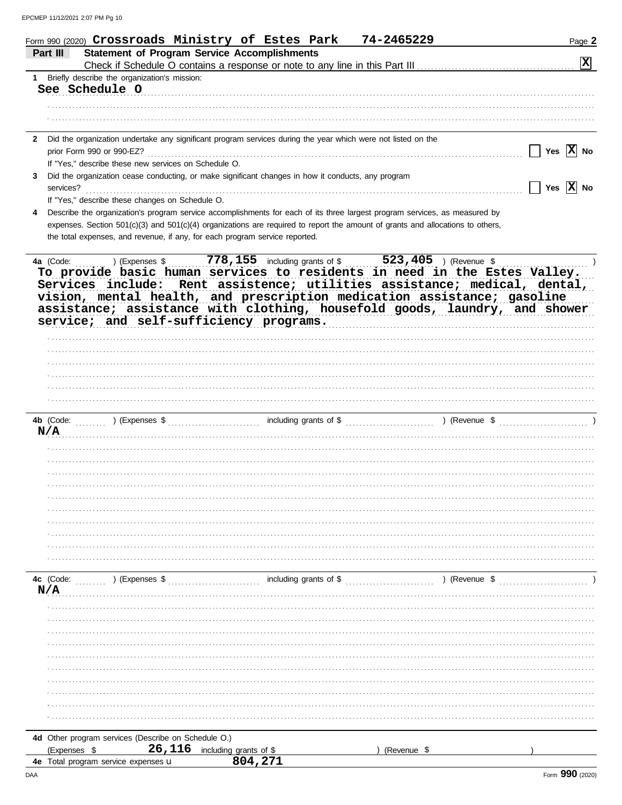|              | Form 990 (2020) $\bf Crossroads$ Ministry of Estes Park                                                                                                    |                                                     | 74-2465229  | Page 2                                                                     |
|--------------|------------------------------------------------------------------------------------------------------------------------------------------------------------|-----------------------------------------------------|-------------|----------------------------------------------------------------------------|
| Part III     |                                                                                                                                                            | <b>Statement of Program Service Accomplishments</b> |             | $\boxed{\mathbf{X}}$                                                       |
|              | 1 Briefly describe the organization's mission:                                                                                                             |                                                     |             |                                                                            |
|              | See Schedule O                                                                                                                                             |                                                     |             |                                                                            |
|              |                                                                                                                                                            |                                                     |             |                                                                            |
|              |                                                                                                                                                            |                                                     |             |                                                                            |
|              |                                                                                                                                                            |                                                     |             |                                                                            |
| 2            | Did the organization undertake any significant program services during the year which were not listed on the                                               |                                                     |             |                                                                            |
|              | prior Form 990 or 990-EZ?                                                                                                                                  |                                                     |             | Yes $ X $ No                                                               |
| 3            | If "Yes," describe these new services on Schedule O.<br>Did the organization cease conducting, or make significant changes in how it conducts, any program |                                                     |             |                                                                            |
| services?    |                                                                                                                                                            |                                                     |             | Yes $\overline{X}$ No                                                      |
|              | If "Yes," describe these changes on Schedule O.                                                                                                            |                                                     |             |                                                                            |
| 4            | Describe the organization's program service accomplishments for each of its three largest program services, as measured by                                 |                                                     |             |                                                                            |
|              | expenses. Section 501(c)(3) and 501(c)(4) organizations are required to report the amount of grants and allocations to others,                             |                                                     |             |                                                                            |
|              | the total expenses, and revenue, if any, for each program service reported.                                                                                |                                                     |             |                                                                            |
|              |                                                                                                                                                            |                                                     |             |                                                                            |
|              | 4a (Code:  ) (Expenses \$  778, 155 including grants of \$  523, 405 ) (Revenue \$                                                                         |                                                     |             | To provide basic human services to residents in need in the Estes Valley.  |
|              |                                                                                                                                                            |                                                     |             | Services include: Rent assistence; utilities assistance; medical, dental,  |
|              |                                                                                                                                                            |                                                     |             | vision, mental health, and prescription medication assistance; gasoline    |
|              |                                                                                                                                                            |                                                     |             | assistance; assistance with clothing, housefold goods, laundry, and shower |
|              | service; and self-sufficiency programs.                                                                                                                    |                                                     |             |                                                                            |
|              |                                                                                                                                                            |                                                     |             |                                                                            |
|              |                                                                                                                                                            |                                                     |             |                                                                            |
|              |                                                                                                                                                            |                                                     |             |                                                                            |
|              |                                                                                                                                                            |                                                     |             |                                                                            |
|              |                                                                                                                                                            |                                                     |             |                                                                            |
|              |                                                                                                                                                            |                                                     |             |                                                                            |
|              |                                                                                                                                                            |                                                     |             |                                                                            |
| N/A          |                                                                                                                                                            |                                                     |             |                                                                            |
|              |                                                                                                                                                            |                                                     |             |                                                                            |
|              |                                                                                                                                                            |                                                     |             |                                                                            |
|              |                                                                                                                                                            |                                                     |             |                                                                            |
|              |                                                                                                                                                            |                                                     |             |                                                                            |
|              |                                                                                                                                                            |                                                     |             |                                                                            |
|              |                                                                                                                                                            |                                                     |             |                                                                            |
|              |                                                                                                                                                            |                                                     |             |                                                                            |
|              |                                                                                                                                                            |                                                     |             |                                                                            |
|              |                                                                                                                                                            |                                                     |             |                                                                            |
|              |                                                                                                                                                            |                                                     |             |                                                                            |
| 4c (Code:    | (Express \$                                                                                                                                                |                                                     |             | ) (Revenue \$                                                              |
| N/A          |                                                                                                                                                            |                                                     |             |                                                                            |
|              |                                                                                                                                                            |                                                     |             |                                                                            |
|              |                                                                                                                                                            |                                                     |             |                                                                            |
|              |                                                                                                                                                            |                                                     |             |                                                                            |
|              |                                                                                                                                                            |                                                     |             |                                                                            |
|              |                                                                                                                                                            |                                                     |             |                                                                            |
|              |                                                                                                                                                            |                                                     |             |                                                                            |
|              |                                                                                                                                                            |                                                     |             |                                                                            |
|              |                                                                                                                                                            |                                                     |             |                                                                            |
|              |                                                                                                                                                            |                                                     |             |                                                                            |
|              |                                                                                                                                                            |                                                     |             |                                                                            |
|              | 4d Other program services (Describe on Schedule O.)                                                                                                        |                                                     |             |                                                                            |
| (Expenses \$ | 26,116                                                                                                                                                     | including grants of \$                              | (Revenue \$ |                                                                            |
|              | <b>4e</b> Total program service expenses <b>u</b>                                                                                                          | 804,271                                             |             |                                                                            |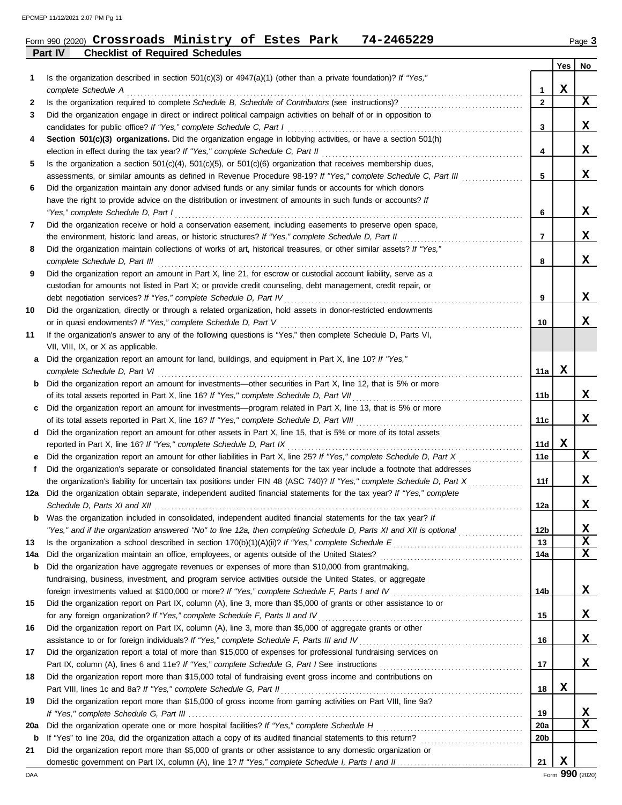**Part IV Checklist of Required Schedules**

### Form 990 (2020) Page **3 Crossroads Ministry of Estes Park 74-2465229**

|             |                                                                                                                                                                                                                        |                 | <b>Yes</b>  | No |
|-------------|------------------------------------------------------------------------------------------------------------------------------------------------------------------------------------------------------------------------|-----------------|-------------|----|
| 1           | Is the organization described in section $501(c)(3)$ or $4947(a)(1)$ (other than a private foundation)? If "Yes,"                                                                                                      |                 |             |    |
|             |                                                                                                                                                                                                                        | $\mathbf{1}$    | $\mathbf x$ |    |
| 2           |                                                                                                                                                                                                                        | $\mathbf{2}$    |             | X  |
| 3           | Did the organization engage in direct or indirect political campaign activities on behalf of or in opposition to                                                                                                       |                 |             |    |
|             |                                                                                                                                                                                                                        | 3               |             | х  |
| 4           | Section 501(c)(3) organizations. Did the organization engage in lobbying activities, or have a section 501(h)                                                                                                          |                 |             |    |
|             |                                                                                                                                                                                                                        | 4               |             | х  |
| 5           | Is the organization a section $501(c)(4)$ , $501(c)(5)$ , or $501(c)(6)$ organization that receives membership dues,                                                                                                   |                 |             |    |
|             | assessments, or similar amounts as defined in Revenue Procedure 98-19? If "Yes," complete Schedule C, Part III                                                                                                         | 5               |             | x  |
| 6           | Did the organization maintain any donor advised funds or any similar funds or accounts for which donors<br>have the right to provide advice on the distribution or investment of amounts in such funds or accounts? If |                 |             |    |
|             | "Yes," complete Schedule D, Part I                                                                                                                                                                                     | 6               |             | x  |
| 7           | Did the organization receive or hold a conservation easement, including easements to preserve open space,                                                                                                              |                 |             |    |
|             | the environment, historic land areas, or historic structures? If "Yes," complete Schedule D, Part II                                                                                                                   | 7               |             | X  |
| 8           | Did the organization maintain collections of works of art, historical treasures, or other similar assets? If "Yes,"                                                                                                    |                 |             |    |
|             |                                                                                                                                                                                                                        | 8               |             | x  |
| 9           | Did the organization report an amount in Part X, line 21, for escrow or custodial account liability, serve as a                                                                                                        |                 |             |    |
|             | custodian for amounts not listed in Part X; or provide credit counseling, debt management, credit repair, or                                                                                                           |                 |             |    |
|             |                                                                                                                                                                                                                        | 9               |             | x  |
| 10          | Did the organization, directly or through a related organization, hold assets in donor-restricted endowments                                                                                                           |                 |             |    |
|             |                                                                                                                                                                                                                        | 10              |             | x  |
| 11          | If the organization's answer to any of the following questions is "Yes," then complete Schedule D, Parts VI,                                                                                                           |                 |             |    |
|             | VII, VIII, IX, or X as applicable.                                                                                                                                                                                     |                 |             |    |
| а           | Did the organization report an amount for land, buildings, and equipment in Part X, line 10? If "Yes,"                                                                                                                 |                 |             |    |
|             |                                                                                                                                                                                                                        | 11a             | x           |    |
| b           | Did the organization report an amount for investments—other securities in Part X, line 12, that is 5% or more                                                                                                          |                 |             | x  |
|             |                                                                                                                                                                                                                        | 11b             |             |    |
| c           | Did the organization report an amount for investments—program related in Part X, line 13, that is 5% or more                                                                                                           | 11c             |             | x  |
| d           | Did the organization report an amount for other assets in Part X, line 15, that is 5% or more of its total assets                                                                                                      |                 |             |    |
|             | reported in Part X, line 16? If "Yes," complete Schedule D, Part IX                                                                                                                                                    | 11d             | x           |    |
|             | Did the organization report an amount for other liabilities in Part X, line 25? If "Yes," complete Schedule D, Part X                                                                                                  | 11e             |             | X  |
| f           | Did the organization's separate or consolidated financial statements for the tax year include a footnote that addresses                                                                                                |                 |             |    |
|             | the organization's liability for uncertain tax positions under FIN 48 (ASC 740)? If "Yes," complete Schedule D, Part X                                                                                                 | 11f             |             | x  |
| 12a         | Did the organization obtain separate, independent audited financial statements for the tax year? If "Yes," complete                                                                                                    |                 |             |    |
|             |                                                                                                                                                                                                                        | 12a             |             | x  |
| b           | Was the organization included in consolidated, independent audited financial statements for the tax year? If                                                                                                           |                 |             |    |
|             |                                                                                                                                                                                                                        | 12 <sub>b</sub> |             | x  |
| 13          |                                                                                                                                                                                                                        | 13              |             | х  |
| 14a         |                                                                                                                                                                                                                        | 14a             |             | x  |
| b           | Did the organization have aggregate revenues or expenses of more than \$10,000 from grantmaking,                                                                                                                       |                 |             |    |
|             | fundraising, business, investment, and program service activities outside the United States, or aggregate                                                                                                              |                 |             |    |
|             |                                                                                                                                                                                                                        | 14b             |             | X. |
| 15          | Did the organization report on Part IX, column (A), line 3, more than \$5,000 of grants or other assistance to or<br>for any foreign organization? If "Yes," complete Schedule F, Parts II and IV                      | 15              |             | X. |
| 16          | Did the organization report on Part IX, column (A), line 3, more than \$5,000 of aggregate grants or other                                                                                                             |                 |             |    |
|             | assistance to or for foreign individuals? If "Yes," complete Schedule F, Parts III and IV                                                                                                                              | 16              |             | X. |
| 17          | Did the organization report a total of more than \$15,000 of expenses for professional fundraising services on                                                                                                         |                 |             |    |
|             |                                                                                                                                                                                                                        | 17              |             | X. |
| 18          | Did the organization report more than \$15,000 total of fundraising event gross income and contributions on                                                                                                            |                 |             |    |
|             | Part VIII, lines 1c and 8a? If "Yes," complete Schedule G, Part II                                                                                                                                                     | 18              | X           |    |
| 19          | Did the organization report more than \$15,000 of gross income from gaming activities on Part VIII, line 9a?                                                                                                           |                 |             |    |
|             |                                                                                                                                                                                                                        | 19              |             | x  |
| 20a         |                                                                                                                                                                                                                        | 20a             |             | x  |
| $\mathbf b$ |                                                                                                                                                                                                                        | 20 <sub>b</sub> |             |    |
| 21          | Did the organization report more than \$5,000 of grants or other assistance to any domestic organization or                                                                                                            |                 |             |    |
|             |                                                                                                                                                                                                                        | 21              | X           |    |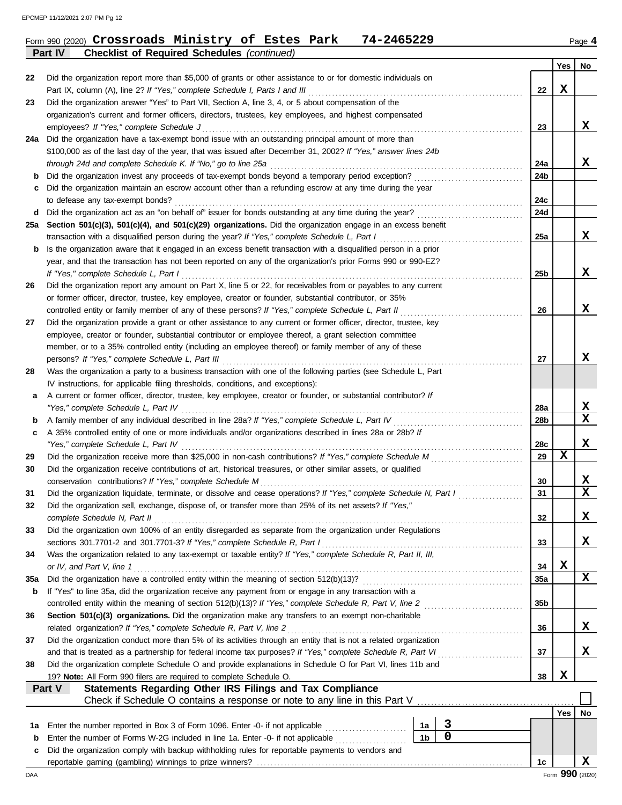|          | 74-2465229<br>Form 990 (2020) Crossroads Ministry of Estes Park                                                                                                                                                            |                |             |                 |             | Page 4 |
|----------|----------------------------------------------------------------------------------------------------------------------------------------------------------------------------------------------------------------------------|----------------|-------------|-----------------|-------------|--------|
|          | <b>Checklist of Required Schedules (continued)</b><br>Part IV                                                                                                                                                              |                |             |                 |             |        |
| 22       | Did the organization report more than \$5,000 of grants or other assistance to or for domestic individuals on                                                                                                              |                |             |                 | Yes         | No     |
|          | Part IX, column (A), line 2? If "Yes," complete Schedule I, Parts I and III                                                                                                                                                |                |             | 22              | X           |        |
| 23       | Did the organization answer "Yes" to Part VII, Section A, line 3, 4, or 5 about compensation of the                                                                                                                        |                |             |                 |             |        |
|          | organization's current and former officers, directors, trustees, key employees, and highest compensated                                                                                                                    |                |             |                 |             |        |
|          | employees? If "Yes," complete Schedule J                                                                                                                                                                                   |                |             | 23              |             | x      |
|          | 24a Did the organization have a tax-exempt bond issue with an outstanding principal amount of more than                                                                                                                    |                |             |                 |             |        |
|          | \$100,000 as of the last day of the year, that was issued after December 31, 2002? If "Yes," answer lines 24b                                                                                                              |                |             |                 |             |        |
|          | through 24d and complete Schedule K. If "No," go to line 25a                                                                                                                                                               |                |             | 24a             |             | x      |
| b        | Did the organization invest any proceeds of tax-exempt bonds beyond a temporary period exception?                                                                                                                          |                |             | 24b             |             |        |
|          | Did the organization maintain an escrow account other than a refunding escrow at any time during the year                                                                                                                  |                |             |                 |             |        |
|          | to defease any tax-exempt bonds?<br>Did the organization act as an "on behalf of" issuer for bonds outstanding at any time during the year?                                                                                |                |             | 24c<br>24d      |             |        |
| d<br>25a | Section 501(c)(3), 501(c)(4), and 501(c)(29) organizations. Did the organization engage in an excess benefit                                                                                                               |                |             |                 |             |        |
|          | transaction with a disqualified person during the year? If "Yes," complete Schedule L, Part I                                                                                                                              |                |             | 25a             |             | x      |
| b        | Is the organization aware that it engaged in an excess benefit transaction with a disqualified person in a prior                                                                                                           |                |             |                 |             |        |
|          | year, and that the transaction has not been reported on any of the organization's prior Forms 990 or 990-EZ?                                                                                                               |                |             |                 |             |        |
|          | If "Yes," complete Schedule L, Part I                                                                                                                                                                                      |                |             | 25b             |             | x      |
| 26       | Did the organization report any amount on Part X, line 5 or 22, for receivables from or payables to any current                                                                                                            |                |             |                 |             |        |
|          | or former officer, director, trustee, key employee, creator or founder, substantial contributor, or 35%                                                                                                                    |                |             |                 |             |        |
|          | controlled entity or family member of any of these persons? If "Yes," complete Schedule L, Part II                                                                                                                         |                |             | 26              |             | X      |
| 27       | Did the organization provide a grant or other assistance to any current or former officer, director, trustee, key                                                                                                          |                |             |                 |             |        |
|          | employee, creator or founder, substantial contributor or employee thereof, a grant selection committee                                                                                                                     |                |             |                 |             |        |
|          | member, or to a 35% controlled entity (including an employee thereof) or family member of any of these                                                                                                                     |                |             |                 |             |        |
|          |                                                                                                                                                                                                                            |                |             | 27              |             | x      |
| 28       | Was the organization a party to a business transaction with one of the following parties (see Schedule L, Part                                                                                                             |                |             |                 |             |        |
|          | IV instructions, for applicable filing thresholds, conditions, and exceptions):                                                                                                                                            |                |             |                 |             |        |
| а        | A current or former officer, director, trustee, key employee, creator or founder, or substantial contributor? If                                                                                                           |                |             |                 |             |        |
|          | "Yes," complete Schedule L, Part IV                                                                                                                                                                                        |                |             | 28a             |             | X      |
| b        | A family member of any individual described in line 28a? If "Yes," complete Schedule L, Part IV                                                                                                                            |                |             | 28 <sub>b</sub> |             | X      |
| c        | A 35% controlled entity of one or more individuals and/or organizations described in lines 28a or 28b? If                                                                                                                  |                |             |                 |             | X      |
| 29       | "Yes," complete Schedule L, Part IV<br>Did the organization receive more than \$25,000 in non-cash contributions? If "Yes," complete Schedule M                                                                            |                |             | 28c<br>29       | $\mathbf x$ |        |
| 30       | Did the organization receive contributions of art, historical treasures, or other similar assets, or qualified                                                                                                             |                |             |                 |             |        |
|          | conservation contributions? If "Yes," complete Schedule M                                                                                                                                                                  |                |             | 30              |             | х      |
| 31       | Did the organization liquidate, terminate, or dissolve and cease operations? If "Yes," complete Schedule N, Part I                                                                                                         |                |             | 31              |             | X      |
| 32       | Did the organization sell, exchange, dispose of, or transfer more than 25% of its net assets? If "Yes,"                                                                                                                    |                |             |                 |             |        |
|          | complete Schedule N, Part II                                                                                                                                                                                               |                |             | 32              |             | x      |
| 33       | Did the organization own 100% of an entity disregarded as separate from the organization under Regulations                                                                                                                 |                |             |                 |             |        |
|          | sections 301.7701-2 and 301.7701-3? If "Yes," complete Schedule R, Part I                                                                                                                                                  |                |             | 33              |             | x      |
| 34       | Was the organization related to any tax-exempt or taxable entity? If "Yes," complete Schedule R, Part II, III,                                                                                                             |                |             |                 |             |        |
|          | or IV, and Part V, line 1                                                                                                                                                                                                  |                |             | 34              | X           |        |
| 35a      |                                                                                                                                                                                                                            |                |             | 35a             |             | x      |
| b        | If "Yes" to line 35a, did the organization receive any payment from or engage in any transaction with a                                                                                                                    |                |             |                 |             |        |
|          |                                                                                                                                                                                                                            |                |             | 35 <sub>b</sub> |             |        |
| 36       | Section 501(c)(3) organizations. Did the organization make any transfers to an exempt non-charitable                                                                                                                       |                |             |                 |             |        |
|          | related organization? If "Yes," complete Schedule R, Part V, line 2                                                                                                                                                        |                |             | 36              |             | x      |
| 37       | Did the organization conduct more than 5% of its activities through an entity that is not a related organization                                                                                                           |                |             |                 |             | x      |
| 38       | and that is treated as a partnership for federal income tax purposes? If "Yes," complete Schedule R, Part VI<br>Did the organization complete Schedule O and provide explanations in Schedule O for Part VI, lines 11b and |                |             | 37              |             |        |
|          | 19? Note: All Form 990 filers are required to complete Schedule O.                                                                                                                                                         |                |             | 38              | X           |        |
|          | Statements Regarding Other IRS Filings and Tax Compliance<br>Part V                                                                                                                                                        |                |             |                 |             |        |
|          |                                                                                                                                                                                                                            |                |             |                 |             |        |
|          |                                                                                                                                                                                                                            |                |             |                 | Yes         | No     |
| 1a       | Enter the number reported in Box 3 of Form 1096. Enter -0- if not applicable                                                                                                                                               | 1a             | 3           |                 |             |        |
| b        | Enter the number of Forms W-2G included in line 1a. Enter -0- if not applicable                                                                                                                                            | 1 <sub>b</sub> | $\mathbf 0$ |                 |             |        |
| c        | Did the organization comply with backup withholding rules for reportable payments to vendors and                                                                                                                           |                |             |                 |             |        |
|          |                                                                                                                                                                                                                            |                |             | 1c              |             | X      |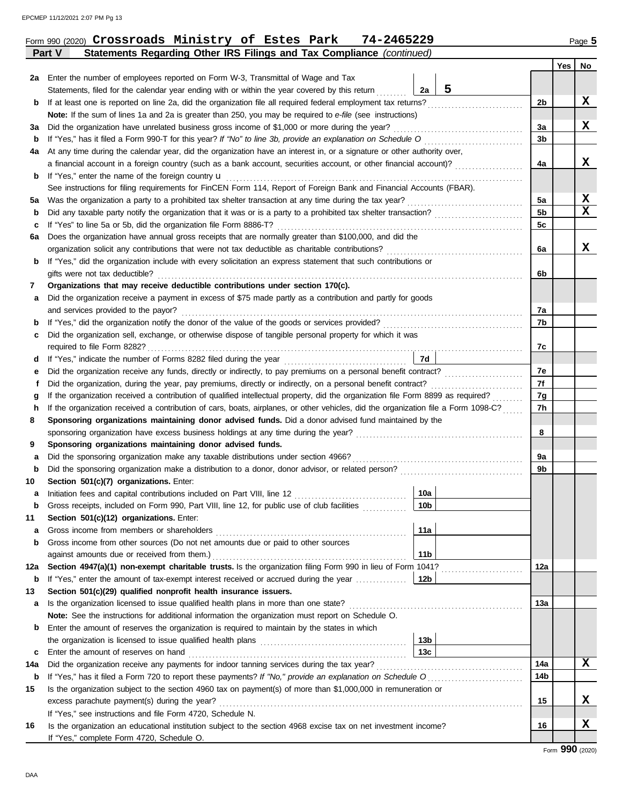|          | Form 990 (2020) Crossroads Ministry of Estes Park<br>74-2465229                                                                                                                                                           |                 |                      |     | Page 5 |
|----------|---------------------------------------------------------------------------------------------------------------------------------------------------------------------------------------------------------------------------|-----------------|----------------------|-----|--------|
|          | Statements Regarding Other IRS Filings and Tax Compliance (continued)<br>Part V                                                                                                                                           |                 |                      |     |        |
|          |                                                                                                                                                                                                                           |                 |                      | Yes | No     |
|          | 2a Enter the number of employees reported on Form W-3, Transmittal of Wage and Tax                                                                                                                                        |                 |                      |     |        |
|          | Statements, filed for the calendar year ending with or within the year covered by this return                                                                                                                             | 5<br>2a         |                      |     |        |
| b        | If at least one is reported on line 2a, did the organization file all required federal employment tax returns?                                                                                                            |                 | 2b                   |     | x      |
|          | <b>Note:</b> If the sum of lines 1a and 2a is greater than 250, you may be required to <i>e-file</i> (see instructions)                                                                                                   |                 |                      |     |        |
| за       | Did the organization have unrelated business gross income of \$1,000 or more during the year?                                                                                                                             |                 | За                   |     | X      |
| b        | If "Yes," has it filed a Form 990-T for this year? If "No" to line 3b, provide an explanation on Schedule O                                                                                                               |                 | 3 <sub>b</sub>       |     |        |
| 4a       | At any time during the calendar year, did the organization have an interest in, or a signature or other authority over,                                                                                                   |                 |                      |     |        |
|          | a financial account in a foreign country (such as a bank account, securities account, or other financial account)?                                                                                                        |                 | 4a                   |     | x      |
| b        | If "Yes," enter the name of the foreign country <b>u</b>                                                                                                                                                                  |                 |                      |     |        |
|          | See instructions for filing requirements for FinCEN Form 114, Report of Foreign Bank and Financial Accounts (FBAR).                                                                                                       |                 |                      |     | X      |
| 5a       | Was the organization a party to a prohibited tax shelter transaction at any time during the tax year?<br>Did any taxable party notify the organization that it was or is a party to a prohibited tax shelter transaction? |                 | 5a<br>5 <sub>b</sub> |     | X      |
| b        | If "Yes" to line 5a or 5b, did the organization file Form 8886-T?                                                                                                                                                         |                 | 5 <sub>c</sub>       |     |        |
| c        | Does the organization have annual gross receipts that are normally greater than \$100,000, and did the                                                                                                                    |                 |                      |     |        |
| 6а       | organization solicit any contributions that were not tax deductible as charitable contributions?                                                                                                                          |                 | 6a                   |     | X      |
| b        | If "Yes," did the organization include with every solicitation an express statement that such contributions or                                                                                                            |                 |                      |     |        |
|          | gifts were not tax deductible?                                                                                                                                                                                            |                 | 6b                   |     |        |
| 7        | Organizations that may receive deductible contributions under section 170(c).                                                                                                                                             |                 |                      |     |        |
| а        | Did the organization receive a payment in excess of \$75 made partly as a contribution and partly for goods                                                                                                               |                 |                      |     |        |
|          | and services provided to the payor?                                                                                                                                                                                       |                 | 7a                   |     |        |
| b        | If "Yes," did the organization notify the donor of the value of the goods or services provided?<br>If "Yes," did the organization notify the donor of the value of the goods or services provided?                        |                 | 7b                   |     |        |
| c        | Did the organization sell, exchange, or otherwise dispose of tangible personal property for which it was                                                                                                                  |                 |                      |     |        |
|          |                                                                                                                                                                                                                           |                 | 7c                   |     |        |
| d        |                                                                                                                                                                                                                           | 7d              |                      |     |        |
| е        | Did the organization receive any funds, directly or indirectly, to pay premiums on a personal benefit contract?                                                                                                           |                 | 7e                   |     |        |
| f        | Did the organization, during the year, pay premiums, directly or indirectly, on a personal benefit contract?                                                                                                              |                 | 7f                   |     |        |
| g        | If the organization received a contribution of qualified intellectual property, did the organization file Form 8899 as required?                                                                                          |                 | 7g                   |     |        |
| h        | If the organization received a contribution of cars, boats, airplanes, or other vehicles, did the organization file a Form 1098-C?                                                                                        |                 | 7h                   |     |        |
| 8        | Sponsoring organizations maintaining donor advised funds. Did a donor advised fund maintained by the                                                                                                                      |                 |                      |     |        |
|          | sponsoring organization have excess business holdings at any time during the year?                                                                                                                                        |                 | 8                    |     |        |
| 9        | Sponsoring organizations maintaining donor advised funds.                                                                                                                                                                 |                 |                      |     |        |
| а        | Did the sponsoring organization make any taxable distributions under section 4966?                                                                                                                                        |                 | 9а                   |     |        |
| b        | Did the sponsoring organization make a distribution to a donor, donor advisor, or related person?                                                                                                                         |                 | 9b                   |     |        |
| 10       | Section 501(c)(7) organizations. Enter:                                                                                                                                                                                   |                 |                      |     |        |
| а        | Initiation fees and capital contributions included on Part VIII, line 12                                                                                                                                                  | 10a             |                      |     |        |
| b        | Gross receipts, included on Form 990, Part VIII, line 12, for public use of club facilities                                                                                                                               | 10 <sub>b</sub> |                      |     |        |
| 11       | Section 501(c)(12) organizations. Enter:                                                                                                                                                                                  |                 |                      |     |        |
| а        | Gross income from members or shareholders                                                                                                                                                                                 | 11a             |                      |     |        |
| b        | Gross income from other sources (Do not net amounts due or paid to other sources                                                                                                                                          |                 |                      |     |        |
|          | against amounts due or received from them.)                                                                                                                                                                               | 11 <sub>b</sub> |                      |     |        |
| 12a      | Section 4947(a)(1) non-exempt charitable trusts. Is the organization filing Form 990 in lieu of Form 1041?                                                                                                                |                 | 12a                  |     |        |
| b        | If "Yes," enter the amount of tax-exempt interest received or accrued during the year                                                                                                                                     | 12b             |                      |     |        |
| 13       | Section 501(c)(29) qualified nonprofit health insurance issuers.                                                                                                                                                          |                 |                      |     |        |
| а        | Is the organization licensed to issue qualified health plans in more than one state?                                                                                                                                      |                 | 13а                  |     |        |
|          | Note: See the instructions for additional information the organization must report on Schedule O.                                                                                                                         |                 |                      |     |        |
| b        | Enter the amount of reserves the organization is required to maintain by the states in which                                                                                                                              | 13 <sub>b</sub> |                      |     |        |
|          | Enter the amount of reserves on hand                                                                                                                                                                                      | 13c             |                      |     |        |
| c<br>14a | Did the organization receive any payments for indoor tanning services during the tax year?                                                                                                                                |                 | 14a                  |     | x      |
| b        | If "Yes," has it filed a Form 720 to report these payments? If "No," provide an explanation on Schedule O                                                                                                                 |                 | 14 <sub>b</sub>      |     |        |
| 15       | Is the organization subject to the section 4960 tax on payment(s) of more than \$1,000,000 in remuneration or                                                                                                             |                 |                      |     |        |
|          | excess parachute payment(s) during the year?                                                                                                                                                                              |                 | 15                   |     | X.     |
|          |                                                                                                                                                                                                                           |                 |                      |     |        |

**X**

**16**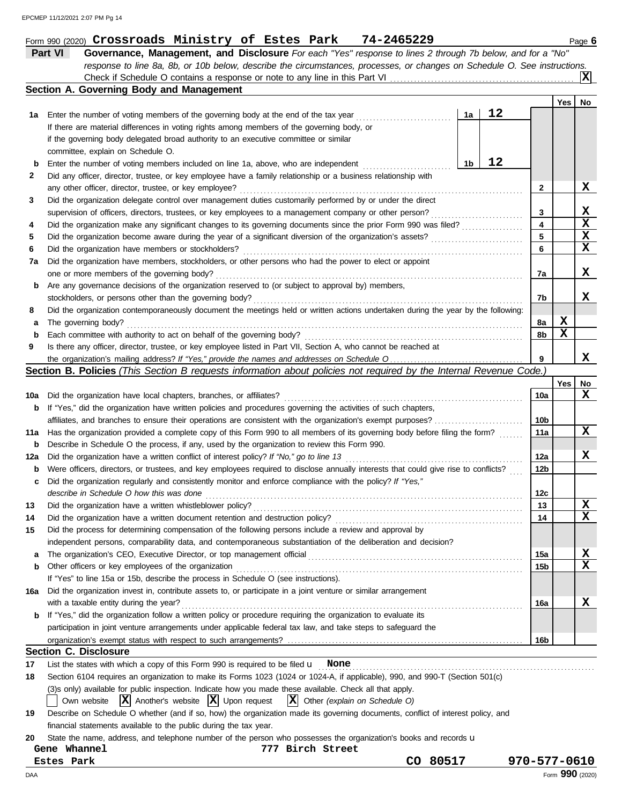|          |                                                                                                                                                                                                                               |                 |                 | $ \mathbf{x} $ |
|----------|-------------------------------------------------------------------------------------------------------------------------------------------------------------------------------------------------------------------------------|-----------------|-----------------|----------------|
|          | Section A. Governing Body and Management                                                                                                                                                                                      |                 |                 |                |
|          |                                                                                                                                                                                                                               |                 | Yes $ $         | No             |
| 1a       | 12<br>1a<br>Enter the number of voting members of the governing body at the end of the tax year                                                                                                                               |                 |                 |                |
|          | If there are material differences in voting rights among members of the governing body, or                                                                                                                                    |                 |                 |                |
|          | if the governing body delegated broad authority to an executive committee or similar                                                                                                                                          |                 |                 |                |
|          | committee, explain on Schedule O.                                                                                                                                                                                             |                 |                 |                |
| b        | 12<br>1b<br>Enter the number of voting members included on line 1a, above, who are independent                                                                                                                                |                 |                 |                |
| 2        | Did any officer, director, trustee, or key employee have a family relationship or a business relationship with                                                                                                                |                 |                 |                |
|          | any other officer, director, trustee, or key employee?                                                                                                                                                                        | $\mathbf{2}$    |                 | x              |
| 3        | Did the organization delegate control over management duties customarily performed by or under the direct                                                                                                                     |                 |                 |                |
|          | supervision of officers, directors, trustees, or key employees to a management company or other person?                                                                                                                       | 3               |                 | x              |
| 4        |                                                                                                                                                                                                                               | 4               |                 | $\mathbf x$    |
| 5        |                                                                                                                                                                                                                               | 5               |                 | X              |
| 6        | Did the organization have members or stockholders?                                                                                                                                                                            | 6               |                 | x              |
| 7a       | Did the organization have members, stockholders, or other persons who had the power to elect or appoint                                                                                                                       |                 |                 |                |
|          | one or more members of the governing body?                                                                                                                                                                                    | 7a              |                 | x              |
| b        | Are any governance decisions of the organization reserved to (or subject to approval by) members,                                                                                                                             |                 |                 |                |
|          | stockholders, or persons other than the governing body?                                                                                                                                                                       | 7b              |                 | x              |
| 8        | Did the organization contemporaneously document the meetings held or written actions undertaken during the year by the following:                                                                                             |                 |                 |                |
| а        | The governing body?                                                                                                                                                                                                           | 8a              | X<br>X          |                |
| b        |                                                                                                                                                                                                                               | 8b              |                 |                |
| 9        | Is there any officer, director, trustee, or key employee listed in Part VII, Section A, who cannot be reached at                                                                                                              |                 |                 | x              |
|          |                                                                                                                                                                                                                               | 9               |                 |                |
|          | Section B. Policies (This Section B requests information about policies not required by the Internal Revenue Code.)                                                                                                           |                 |                 |                |
|          |                                                                                                                                                                                                                               | 10a             | Yes             | No<br>x        |
| 10a      | Did the organization have local chapters, branches, or affiliates?                                                                                                                                                            |                 |                 |                |
| b        | If "Yes," did the organization have written policies and procedures governing the activities of such chapters,<br>affiliates, and branches to ensure their operations are consistent with the organization's exempt purposes? | 10b             |                 |                |
|          | Has the organization provided a complete copy of this Form 990 to all members of its governing body before filing the form?                                                                                                   | 11a             |                 | X              |
| 11a<br>b | Describe in Schedule O the process, if any, used by the organization to review this Form 990.                                                                                                                                 |                 |                 |                |
| 12a      |                                                                                                                                                                                                                               | 12a             |                 | x              |
| b        | Were officers, directors, or trustees, and key employees required to disclose annually interests that could give rise to conflicts?                                                                                           | 12 <sub>b</sub> |                 |                |
| c        | Did the organization regularly and consistently monitor and enforce compliance with the policy? If "Yes,"                                                                                                                     |                 |                 |                |
|          | describe in Schedule O how this was done                                                                                                                                                                                      | 12c             |                 |                |
| 13       |                                                                                                                                                                                                                               | 13              |                 | X              |
| 14       |                                                                                                                                                                                                                               | 14              |                 | $\mathbf x$    |
| 15       | Did the process for determining compensation of the following persons include a review and approval by                                                                                                                        |                 |                 |                |
|          | independent persons, comparability data, and contemporaneous substantiation of the deliberation and decision?                                                                                                                 |                 |                 |                |
| a        | The organization's CEO, Executive Director, or top management official                                                                                                                                                        | 15a             |                 | X              |
| b        | Other officers or key employees of the organization                                                                                                                                                                           | 15b             |                 | X              |
|          | If "Yes" to line 15a or 15b, describe the process in Schedule O (see instructions).                                                                                                                                           |                 |                 |                |
| 16a      | Did the organization invest in, contribute assets to, or participate in a joint venture or similar arrangement                                                                                                                |                 |                 |                |
|          | with a taxable entity during the year?                                                                                                                                                                                        | 16a             |                 | x              |
| b        | If "Yes," did the organization follow a written policy or procedure requiring the organization to evaluate its                                                                                                                |                 |                 |                |
|          | participation in joint venture arrangements under applicable federal tax law, and take steps to safeguard the                                                                                                                 |                 |                 |                |
|          |                                                                                                                                                                                                                               | 16b             |                 |                |
|          | <b>Section C. Disclosure</b>                                                                                                                                                                                                  |                 |                 |                |
| 17       | List the states with which a copy of this Form 990 is required to be filed $\mathbf u$ None                                                                                                                                   |                 |                 |                |
| 18       | Section 6104 requires an organization to make its Forms 1023 (1024 or 1024-A, if applicable), 990, and 990-T (Section 501(c)                                                                                                  |                 |                 |                |
|          | (3) sonly) available for public inspection. Indicate how you made these available. Check all that apply.                                                                                                                      |                 |                 |                |
|          | $ {\bf x} $<br>$ \mathbf{X} $ Another's website $ \mathbf{X} $ Upon request<br>Other (explain on Schedule O)<br>Own website                                                                                                   |                 |                 |                |
| 19       | Describe on Schedule O whether (and if so, how) the organization made its governing documents, conflict of interest policy, and                                                                                               |                 |                 |                |
|          | financial statements available to the public during the tax year.                                                                                                                                                             |                 |                 |                |
| 20       | State the name, address, and telephone number of the person who possesses the organization's books and records u                                                                                                              |                 |                 |                |
|          | Gene Whannel<br>777 Birch Street                                                                                                                                                                                              |                 |                 |                |
|          | CO 80517<br>Estes Park                                                                                                                                                                                                        | 970-577-0610    |                 |                |
| DAA      |                                                                                                                                                                                                                               |                 | Form 990 (2020) |                |

**Part VI Governance, Management, and Disclosure** *For each "Yes" response to lines 2 through 7b below, and for a "No"*

Form 990 (2020) Page **6 Crossroads Ministry of Estes Park 74-2465229**

*response to line 8a, 8b, or 10b below, describe the circumstances, processes, or changes on Schedule O. See instructions.* **X**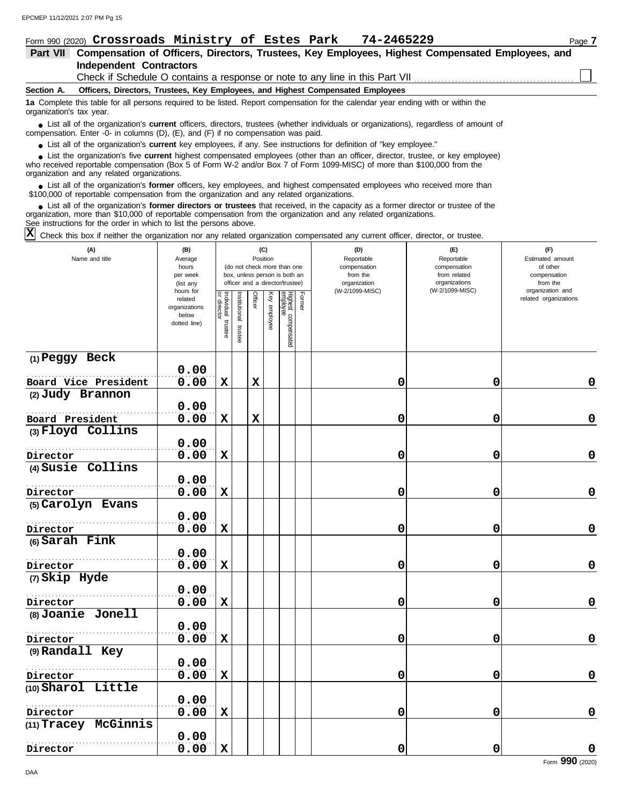|                          | Form 990 (2020) Crossroads Ministry of Estes Park 74-2465229                                                                                                                                                                | Page 7 |
|--------------------------|-----------------------------------------------------------------------------------------------------------------------------------------------------------------------------------------------------------------------------|--------|
| Part VII                 | Compensation of Officers, Directors, Trustees, Key Employees, Highest Compensated Employees, and                                                                                                                            |        |
|                          | Independent Contractors                                                                                                                                                                                                     |        |
|                          | Check if Schedule O contains a response or note to any line in this Part VII                                                                                                                                                |        |
| Section A.               | Officers, Directors, Trustees, Key Employees, and Highest Compensated Employees                                                                                                                                             |        |
| organization's tax year. | 1a Complete this table for all persons required to be listed. Report compensation for the calendar year ending with or within the                                                                                           |        |
|                          | • List all of the organization's current officers, directors, trustees (whether individuals or organizations), regardless of amount of<br>compensation. Enter -0- in columns (D), (E), and (F) if no compensation was paid. |        |

● List all of the organization's **current** key employees, if any. See instructions for definition of "key employee."

who received reportable compensation (Box 5 of Form W-2 and/or Box 7 of Form 1099-MISC) of more than \$100,000 from the organization and any related organizations. ■ List the organization's five **current** highest compensated employees (other than an officer, director, trustee, or key employee)<br> **•** received reportable compensation (Box 5 of Form W-2 and/or Box 7 of Form 1099-MISC) o

■ List all of the organization's **former** officers, key employees, and highest compensated employees who received more than<br> **00.000 of reportable compensation from the ergonization and any related ergonizations** \$100,000 of reportable compensation from the organization and any related organizations.

■ List all of the organization's **former directors or trustees** that received, in the capacity as a former director or trustee of the property is a former director or trustee of the property of the organization and any re organization, more than \$10,000 of reportable compensation from the organization and any related organizations.

See instructions for the order in which to list the persons above.

 $\overline{X}$  Check this box if neither the organization nor any related organization compensated any current officer, director, or trustee.

| (A)<br>Name and title         | (B)<br>Average<br>hours<br>per week<br>(list any               |                                   |                         | Position    | (C)           | (do not check more than one<br>box, unless person is both an<br>officer and a director/trustee) | (D)<br>Reportable<br>compensation<br>from the<br>organization | (E)<br>Reportable<br>compensation<br>from related<br>organizations |                                           |
|-------------------------------|----------------------------------------------------------------|-----------------------------------|-------------------------|-------------|---------------|-------------------------------------------------------------------------------------------------|---------------------------------------------------------------|--------------------------------------------------------------------|-------------------------------------------|
|                               | hours for<br>related<br>organizations<br>below<br>dotted line) | Individual trustee<br>or director | nstitutional<br>trustee | Officer     | ê<br>employee | Former<br>Highest compensated<br>employee                                                       | (W-2/1099-MISC)                                               | (W-2/1099-MISC)                                                    | organization and<br>related organizations |
| (1) Peggy Beck                |                                                                |                                   |                         |             |               |                                                                                                 |                                                               |                                                                    |                                           |
|                               | 0.00                                                           |                                   |                         |             |               |                                                                                                 |                                                               |                                                                    |                                           |
| Board Vice President          | 0.00                                                           | $\mathbf x$                       |                         | $\mathbf x$ |               |                                                                                                 | 0                                                             | 0                                                                  | $\mathbf 0$                               |
| (2) Judy Brannon              |                                                                |                                   |                         |             |               |                                                                                                 |                                                               |                                                                    |                                           |
|                               | 0.00                                                           |                                   |                         |             |               |                                                                                                 |                                                               |                                                                    |                                           |
| Board President               | 0.00                                                           | $\mathbf x$                       |                         | $\mathbf x$ |               |                                                                                                 | 0                                                             | 0                                                                  | $\mathbf 0$                               |
| (3) Floyd Collins             |                                                                |                                   |                         |             |               |                                                                                                 |                                                               |                                                                    |                                           |
|                               | 0.00<br>0.00                                                   | $\mathbf x$                       |                         |             |               |                                                                                                 | 0                                                             | 0                                                                  | 0                                         |
| Director<br>(4) Susie Collins |                                                                |                                   |                         |             |               |                                                                                                 |                                                               |                                                                    |                                           |
|                               | 0.00                                                           |                                   |                         |             |               |                                                                                                 |                                                               |                                                                    |                                           |
| Director                      | 0.00                                                           | $\mathbf x$                       |                         |             |               |                                                                                                 | 0                                                             | 0                                                                  | $\mathbf 0$                               |
| (5) Carolyn Evans             |                                                                |                                   |                         |             |               |                                                                                                 |                                                               |                                                                    |                                           |
|                               | 0.00                                                           |                                   |                         |             |               |                                                                                                 |                                                               |                                                                    |                                           |
| Director                      | 0.00                                                           | $\mathbf x$                       |                         |             |               |                                                                                                 | 0                                                             | 0                                                                  | $\mathbf 0$                               |
| (6) Sarah Fink                |                                                                |                                   |                         |             |               |                                                                                                 |                                                               |                                                                    |                                           |
|                               | 0.00                                                           |                                   |                         |             |               |                                                                                                 |                                                               |                                                                    |                                           |
| Director                      | 0.00                                                           | $\mathbf x$                       |                         |             |               |                                                                                                 | 0                                                             | 0                                                                  | $\pmb{0}$                                 |
| (7) Skip Hyde                 |                                                                |                                   |                         |             |               |                                                                                                 |                                                               |                                                                    |                                           |
|                               | 0.00                                                           |                                   |                         |             |               |                                                                                                 |                                                               |                                                                    |                                           |
| Director                      | 0.00                                                           | $\mathbf x$                       |                         |             |               |                                                                                                 | 0                                                             | 0                                                                  | $\mathbf 0$                               |
| (8) Joanie Jonell             |                                                                |                                   |                         |             |               |                                                                                                 |                                                               |                                                                    |                                           |
|                               | 0.00                                                           |                                   |                         |             |               |                                                                                                 |                                                               |                                                                    |                                           |
| Director                      | 0.00                                                           | $\mathbf x$                       |                         |             |               |                                                                                                 | 0                                                             | 0                                                                  | $\pmb{0}$                                 |
| (9) Randall Key               |                                                                |                                   |                         |             |               |                                                                                                 |                                                               |                                                                    |                                           |
|                               | 0.00                                                           |                                   |                         |             |               |                                                                                                 |                                                               |                                                                    |                                           |
| Director                      | 0.00                                                           | $\mathbf x$                       |                         |             |               |                                                                                                 | 0                                                             | 0                                                                  | $\pmb{0}$                                 |
| (10) Sharol Little            |                                                                |                                   |                         |             |               |                                                                                                 |                                                               |                                                                    |                                           |
|                               | 0.00                                                           |                                   |                         |             |               |                                                                                                 |                                                               |                                                                    | 0                                         |
| Director                      | 0.00                                                           | $\mathbf x$                       |                         |             |               |                                                                                                 | 0                                                             | 0                                                                  |                                           |
| (11) Tracey McGinnis          | 0.00                                                           |                                   |                         |             |               |                                                                                                 |                                                               |                                                                    |                                           |
| Director                      | 0.00                                                           | $\mathbf x$                       |                         |             |               |                                                                                                 | 0                                                             | 0                                                                  | $\mathbf 0$                               |
|                               |                                                                |                                   |                         |             |               |                                                                                                 |                                                               |                                                                    |                                           |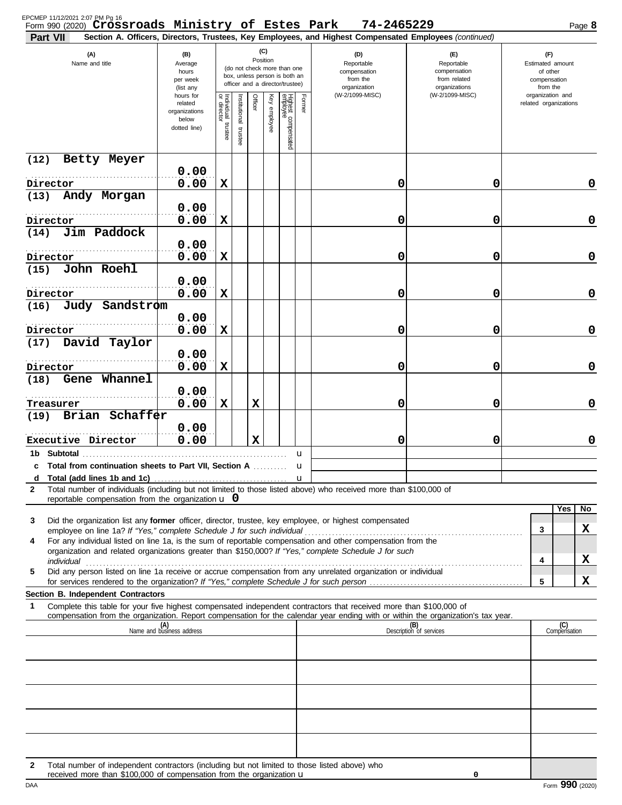| (C)<br>(A)<br>(D)<br>(B)<br>(E)<br>(F)<br>Position<br>Name and title<br>Reportable<br>Estimated amount<br>Average<br>Reportable<br>(do not check more than one<br>hours<br>compensation<br>of other<br>compensation<br>box, unless person is both an<br>per week<br>from the<br>from related<br>compensation<br>officer and a director/trustee)<br>organizations<br>organization<br>from the<br>(list any<br>(W-2/1099-MISC)<br>(W-2/1099-MISC)<br>organization and<br>hours for<br>Individual trustee<br>or director<br>Highest compensated<br>employee<br>Former<br>Key employee<br>Officer<br>nstitutional<br>related organizations<br>related<br>organizations<br>below<br>dotted line)<br>trustee<br>Betty Meyer<br>0.00<br>0.00<br>0<br>X<br>0<br>$\mathbf 0$<br>Andy Morgan<br>0.00<br>0.00<br>0<br>X<br>0<br>$\mathbf 0$<br>Director<br>Jim Paddock<br>(14)<br>0.00<br>0.00<br>0<br>X<br>0<br>$\mathbf 0$<br>John Roehl<br>(15)<br>0.00<br>0.00<br>0<br>X<br>0<br>$\mathbf 0$<br>Judy Sandstrom<br>(16)<br>0.00<br>0.00<br>0<br>X<br>0<br>$\mathbf 0$<br>David Taylor<br>(17)<br>0.00<br>0.00<br>0<br>X<br>0<br>$\mathbf 0$<br>Gene Whannel<br>(18)<br>0.00<br>0.00<br>0<br>X<br>X<br>0<br>$\mathbf 0$<br>Treasurer<br>Brian Schaffer<br>(19)<br>0.00<br>0.00<br>0<br>X<br>0<br>$\mathbf 0$<br>Executive Director<br>1b Subtotal<br>u<br>c Total from continuation sheets to Part VII, Section A<br>u<br>u<br>Total number of individuals (including but not limited to those listed above) who received more than \$100,000 of<br>2<br>reportable compensation from the organization $\mathbf u$ 0<br>Yes<br>No.<br>Did the organization list any former officer, director, trustee, key employee, or highest compensated<br>3<br>x<br>3<br>employee on line 1a? If "Yes," complete Schedule J for such individual<br>For any individual listed on line 1a, is the sum of reportable compensation and other compensation from the<br>4<br>organization and related organizations greater than \$150,000? If "Yes," complete Schedule J for such<br>x<br>4<br>individual<br>Did any person listed on line 1a receive or accrue compensation from any unrelated organization or individual<br>5<br>x<br>5<br>Section B. Independent Contractors<br>Complete this table for your five highest compensated independent contractors that received more than \$100,000 of<br>1<br>compensation from the organization. Report compensation for the calendar year ending with or within the organization's tax year.<br>(B)<br>Description of services<br>(C)<br>(A)<br>Name and business address<br>Compensation<br>Total number of independent contractors (including but not limited to those listed above) who<br>$\mathbf{2}$<br>received more than \$100,000 of compensation from the organization u | Part VII | Form 990 (2020) Crossroads Ministry of Estes Park |  |  |  | 74-2465229<br>Section A. Officers, Directors, Trustees, Key Employees, and Highest Compensated Employees (continued) |  | Page 8 |
|-------------------------------------------------------------------------------------------------------------------------------------------------------------------------------------------------------------------------------------------------------------------------------------------------------------------------------------------------------------------------------------------------------------------------------------------------------------------------------------------------------------------------------------------------------------------------------------------------------------------------------------------------------------------------------------------------------------------------------------------------------------------------------------------------------------------------------------------------------------------------------------------------------------------------------------------------------------------------------------------------------------------------------------------------------------------------------------------------------------------------------------------------------------------------------------------------------------------------------------------------------------------------------------------------------------------------------------------------------------------------------------------------------------------------------------------------------------------------------------------------------------------------------------------------------------------------------------------------------------------------------------------------------------------------------------------------------------------------------------------------------------------------------------------------------------------------------------------------------------------------------------------------------------------------------------------------------------------------------------------------------------------------------------------------------------------------------------------------------------------------------------------------------------------------------------------------------------------------------------------------------------------------------------------------------------------------------------------------------------------------------------------------------------------------------------------------------------------------------------------------------------------------------------------------------------------------------------------------------------------------------------------------------------------------------------------------------------------------------------------------------------------------------------------------------------|----------|---------------------------------------------------|--|--|--|----------------------------------------------------------------------------------------------------------------------|--|--------|
|                                                                                                                                                                                                                                                                                                                                                                                                                                                                                                                                                                                                                                                                                                                                                                                                                                                                                                                                                                                                                                                                                                                                                                                                                                                                                                                                                                                                                                                                                                                                                                                                                                                                                                                                                                                                                                                                                                                                                                                                                                                                                                                                                                                                                                                                                                                                                                                                                                                                                                                                                                                                                                                                                                                                                                                                             |          |                                                   |  |  |  |                                                                                                                      |  |        |
|                                                                                                                                                                                                                                                                                                                                                                                                                                                                                                                                                                                                                                                                                                                                                                                                                                                                                                                                                                                                                                                                                                                                                                                                                                                                                                                                                                                                                                                                                                                                                                                                                                                                                                                                                                                                                                                                                                                                                                                                                                                                                                                                                                                                                                                                                                                                                                                                                                                                                                                                                                                                                                                                                                                                                                                                             |          |                                                   |  |  |  |                                                                                                                      |  |        |
|                                                                                                                                                                                                                                                                                                                                                                                                                                                                                                                                                                                                                                                                                                                                                                                                                                                                                                                                                                                                                                                                                                                                                                                                                                                                                                                                                                                                                                                                                                                                                                                                                                                                                                                                                                                                                                                                                                                                                                                                                                                                                                                                                                                                                                                                                                                                                                                                                                                                                                                                                                                                                                                                                                                                                                                                             | (12)     |                                                   |  |  |  |                                                                                                                      |  |        |
|                                                                                                                                                                                                                                                                                                                                                                                                                                                                                                                                                                                                                                                                                                                                                                                                                                                                                                                                                                                                                                                                                                                                                                                                                                                                                                                                                                                                                                                                                                                                                                                                                                                                                                                                                                                                                                                                                                                                                                                                                                                                                                                                                                                                                                                                                                                                                                                                                                                                                                                                                                                                                                                                                                                                                                                                             | Director |                                                   |  |  |  |                                                                                                                      |  |        |
|                                                                                                                                                                                                                                                                                                                                                                                                                                                                                                                                                                                                                                                                                                                                                                                                                                                                                                                                                                                                                                                                                                                                                                                                                                                                                                                                                                                                                                                                                                                                                                                                                                                                                                                                                                                                                                                                                                                                                                                                                                                                                                                                                                                                                                                                                                                                                                                                                                                                                                                                                                                                                                                                                                                                                                                                             | (13)     |                                                   |  |  |  |                                                                                                                      |  |        |
|                                                                                                                                                                                                                                                                                                                                                                                                                                                                                                                                                                                                                                                                                                                                                                                                                                                                                                                                                                                                                                                                                                                                                                                                                                                                                                                                                                                                                                                                                                                                                                                                                                                                                                                                                                                                                                                                                                                                                                                                                                                                                                                                                                                                                                                                                                                                                                                                                                                                                                                                                                                                                                                                                                                                                                                                             |          |                                                   |  |  |  |                                                                                                                      |  |        |
|                                                                                                                                                                                                                                                                                                                                                                                                                                                                                                                                                                                                                                                                                                                                                                                                                                                                                                                                                                                                                                                                                                                                                                                                                                                                                                                                                                                                                                                                                                                                                                                                                                                                                                                                                                                                                                                                                                                                                                                                                                                                                                                                                                                                                                                                                                                                                                                                                                                                                                                                                                                                                                                                                                                                                                                                             | Director |                                                   |  |  |  |                                                                                                                      |  |        |
|                                                                                                                                                                                                                                                                                                                                                                                                                                                                                                                                                                                                                                                                                                                                                                                                                                                                                                                                                                                                                                                                                                                                                                                                                                                                                                                                                                                                                                                                                                                                                                                                                                                                                                                                                                                                                                                                                                                                                                                                                                                                                                                                                                                                                                                                                                                                                                                                                                                                                                                                                                                                                                                                                                                                                                                                             |          |                                                   |  |  |  |                                                                                                                      |  |        |
|                                                                                                                                                                                                                                                                                                                                                                                                                                                                                                                                                                                                                                                                                                                                                                                                                                                                                                                                                                                                                                                                                                                                                                                                                                                                                                                                                                                                                                                                                                                                                                                                                                                                                                                                                                                                                                                                                                                                                                                                                                                                                                                                                                                                                                                                                                                                                                                                                                                                                                                                                                                                                                                                                                                                                                                                             | Director |                                                   |  |  |  |                                                                                                                      |  |        |
|                                                                                                                                                                                                                                                                                                                                                                                                                                                                                                                                                                                                                                                                                                                                                                                                                                                                                                                                                                                                                                                                                                                                                                                                                                                                                                                                                                                                                                                                                                                                                                                                                                                                                                                                                                                                                                                                                                                                                                                                                                                                                                                                                                                                                                                                                                                                                                                                                                                                                                                                                                                                                                                                                                                                                                                                             | Director |                                                   |  |  |  |                                                                                                                      |  |        |
|                                                                                                                                                                                                                                                                                                                                                                                                                                                                                                                                                                                                                                                                                                                                                                                                                                                                                                                                                                                                                                                                                                                                                                                                                                                                                                                                                                                                                                                                                                                                                                                                                                                                                                                                                                                                                                                                                                                                                                                                                                                                                                                                                                                                                                                                                                                                                                                                                                                                                                                                                                                                                                                                                                                                                                                                             |          |                                                   |  |  |  |                                                                                                                      |  |        |
|                                                                                                                                                                                                                                                                                                                                                                                                                                                                                                                                                                                                                                                                                                                                                                                                                                                                                                                                                                                                                                                                                                                                                                                                                                                                                                                                                                                                                                                                                                                                                                                                                                                                                                                                                                                                                                                                                                                                                                                                                                                                                                                                                                                                                                                                                                                                                                                                                                                                                                                                                                                                                                                                                                                                                                                                             | Director |                                                   |  |  |  |                                                                                                                      |  |        |
|                                                                                                                                                                                                                                                                                                                                                                                                                                                                                                                                                                                                                                                                                                                                                                                                                                                                                                                                                                                                                                                                                                                                                                                                                                                                                                                                                                                                                                                                                                                                                                                                                                                                                                                                                                                                                                                                                                                                                                                                                                                                                                                                                                                                                                                                                                                                                                                                                                                                                                                                                                                                                                                                                                                                                                                                             |          |                                                   |  |  |  |                                                                                                                      |  |        |
|                                                                                                                                                                                                                                                                                                                                                                                                                                                                                                                                                                                                                                                                                                                                                                                                                                                                                                                                                                                                                                                                                                                                                                                                                                                                                                                                                                                                                                                                                                                                                                                                                                                                                                                                                                                                                                                                                                                                                                                                                                                                                                                                                                                                                                                                                                                                                                                                                                                                                                                                                                                                                                                                                                                                                                                                             |          |                                                   |  |  |  |                                                                                                                      |  |        |
|                                                                                                                                                                                                                                                                                                                                                                                                                                                                                                                                                                                                                                                                                                                                                                                                                                                                                                                                                                                                                                                                                                                                                                                                                                                                                                                                                                                                                                                                                                                                                                                                                                                                                                                                                                                                                                                                                                                                                                                                                                                                                                                                                                                                                                                                                                                                                                                                                                                                                                                                                                                                                                                                                                                                                                                                             |          |                                                   |  |  |  |                                                                                                                      |  |        |
|                                                                                                                                                                                                                                                                                                                                                                                                                                                                                                                                                                                                                                                                                                                                                                                                                                                                                                                                                                                                                                                                                                                                                                                                                                                                                                                                                                                                                                                                                                                                                                                                                                                                                                                                                                                                                                                                                                                                                                                                                                                                                                                                                                                                                                                                                                                                                                                                                                                                                                                                                                                                                                                                                                                                                                                                             |          |                                                   |  |  |  |                                                                                                                      |  |        |
|                                                                                                                                                                                                                                                                                                                                                                                                                                                                                                                                                                                                                                                                                                                                                                                                                                                                                                                                                                                                                                                                                                                                                                                                                                                                                                                                                                                                                                                                                                                                                                                                                                                                                                                                                                                                                                                                                                                                                                                                                                                                                                                                                                                                                                                                                                                                                                                                                                                                                                                                                                                                                                                                                                                                                                                                             |          |                                                   |  |  |  |                                                                                                                      |  |        |
|                                                                                                                                                                                                                                                                                                                                                                                                                                                                                                                                                                                                                                                                                                                                                                                                                                                                                                                                                                                                                                                                                                                                                                                                                                                                                                                                                                                                                                                                                                                                                                                                                                                                                                                                                                                                                                                                                                                                                                                                                                                                                                                                                                                                                                                                                                                                                                                                                                                                                                                                                                                                                                                                                                                                                                                                             |          |                                                   |  |  |  |                                                                                                                      |  |        |
|                                                                                                                                                                                                                                                                                                                                                                                                                                                                                                                                                                                                                                                                                                                                                                                                                                                                                                                                                                                                                                                                                                                                                                                                                                                                                                                                                                                                                                                                                                                                                                                                                                                                                                                                                                                                                                                                                                                                                                                                                                                                                                                                                                                                                                                                                                                                                                                                                                                                                                                                                                                                                                                                                                                                                                                                             |          |                                                   |  |  |  |                                                                                                                      |  |        |
|                                                                                                                                                                                                                                                                                                                                                                                                                                                                                                                                                                                                                                                                                                                                                                                                                                                                                                                                                                                                                                                                                                                                                                                                                                                                                                                                                                                                                                                                                                                                                                                                                                                                                                                                                                                                                                                                                                                                                                                                                                                                                                                                                                                                                                                                                                                                                                                                                                                                                                                                                                                                                                                                                                                                                                                                             |          |                                                   |  |  |  |                                                                                                                      |  |        |
|                                                                                                                                                                                                                                                                                                                                                                                                                                                                                                                                                                                                                                                                                                                                                                                                                                                                                                                                                                                                                                                                                                                                                                                                                                                                                                                                                                                                                                                                                                                                                                                                                                                                                                                                                                                                                                                                                                                                                                                                                                                                                                                                                                                                                                                                                                                                                                                                                                                                                                                                                                                                                                                                                                                                                                                                             |          |                                                   |  |  |  |                                                                                                                      |  |        |
|                                                                                                                                                                                                                                                                                                                                                                                                                                                                                                                                                                                                                                                                                                                                                                                                                                                                                                                                                                                                                                                                                                                                                                                                                                                                                                                                                                                                                                                                                                                                                                                                                                                                                                                                                                                                                                                                                                                                                                                                                                                                                                                                                                                                                                                                                                                                                                                                                                                                                                                                                                                                                                                                                                                                                                                                             |          |                                                   |  |  |  |                                                                                                                      |  |        |
|                                                                                                                                                                                                                                                                                                                                                                                                                                                                                                                                                                                                                                                                                                                                                                                                                                                                                                                                                                                                                                                                                                                                                                                                                                                                                                                                                                                                                                                                                                                                                                                                                                                                                                                                                                                                                                                                                                                                                                                                                                                                                                                                                                                                                                                                                                                                                                                                                                                                                                                                                                                                                                                                                                                                                                                                             |          |                                                   |  |  |  |                                                                                                                      |  |        |
|                                                                                                                                                                                                                                                                                                                                                                                                                                                                                                                                                                                                                                                                                                                                                                                                                                                                                                                                                                                                                                                                                                                                                                                                                                                                                                                                                                                                                                                                                                                                                                                                                                                                                                                                                                                                                                                                                                                                                                                                                                                                                                                                                                                                                                                                                                                                                                                                                                                                                                                                                                                                                                                                                                                                                                                                             |          |                                                   |  |  |  |                                                                                                                      |  |        |
|                                                                                                                                                                                                                                                                                                                                                                                                                                                                                                                                                                                                                                                                                                                                                                                                                                                                                                                                                                                                                                                                                                                                                                                                                                                                                                                                                                                                                                                                                                                                                                                                                                                                                                                                                                                                                                                                                                                                                                                                                                                                                                                                                                                                                                                                                                                                                                                                                                                                                                                                                                                                                                                                                                                                                                                                             |          |                                                   |  |  |  |                                                                                                                      |  |        |
|                                                                                                                                                                                                                                                                                                                                                                                                                                                                                                                                                                                                                                                                                                                                                                                                                                                                                                                                                                                                                                                                                                                                                                                                                                                                                                                                                                                                                                                                                                                                                                                                                                                                                                                                                                                                                                                                                                                                                                                                                                                                                                                                                                                                                                                                                                                                                                                                                                                                                                                                                                                                                                                                                                                                                                                                             |          |                                                   |  |  |  |                                                                                                                      |  |        |
|                                                                                                                                                                                                                                                                                                                                                                                                                                                                                                                                                                                                                                                                                                                                                                                                                                                                                                                                                                                                                                                                                                                                                                                                                                                                                                                                                                                                                                                                                                                                                                                                                                                                                                                                                                                                                                                                                                                                                                                                                                                                                                                                                                                                                                                                                                                                                                                                                                                                                                                                                                                                                                                                                                                                                                                                             |          |                                                   |  |  |  |                                                                                                                      |  |        |
|                                                                                                                                                                                                                                                                                                                                                                                                                                                                                                                                                                                                                                                                                                                                                                                                                                                                                                                                                                                                                                                                                                                                                                                                                                                                                                                                                                                                                                                                                                                                                                                                                                                                                                                                                                                                                                                                                                                                                                                                                                                                                                                                                                                                                                                                                                                                                                                                                                                                                                                                                                                                                                                                                                                                                                                                             |          |                                                   |  |  |  |                                                                                                                      |  |        |
|                                                                                                                                                                                                                                                                                                                                                                                                                                                                                                                                                                                                                                                                                                                                                                                                                                                                                                                                                                                                                                                                                                                                                                                                                                                                                                                                                                                                                                                                                                                                                                                                                                                                                                                                                                                                                                                                                                                                                                                                                                                                                                                                                                                                                                                                                                                                                                                                                                                                                                                                                                                                                                                                                                                                                                                                             |          |                                                   |  |  |  |                                                                                                                      |  |        |
|                                                                                                                                                                                                                                                                                                                                                                                                                                                                                                                                                                                                                                                                                                                                                                                                                                                                                                                                                                                                                                                                                                                                                                                                                                                                                                                                                                                                                                                                                                                                                                                                                                                                                                                                                                                                                                                                                                                                                                                                                                                                                                                                                                                                                                                                                                                                                                                                                                                                                                                                                                                                                                                                                                                                                                                                             |          |                                                   |  |  |  |                                                                                                                      |  |        |
|                                                                                                                                                                                                                                                                                                                                                                                                                                                                                                                                                                                                                                                                                                                                                                                                                                                                                                                                                                                                                                                                                                                                                                                                                                                                                                                                                                                                                                                                                                                                                                                                                                                                                                                                                                                                                                                                                                                                                                                                                                                                                                                                                                                                                                                                                                                                                                                                                                                                                                                                                                                                                                                                                                                                                                                                             |          |                                                   |  |  |  |                                                                                                                      |  |        |

received more than \$100,000 of compensation from the organization  $\mathbf u$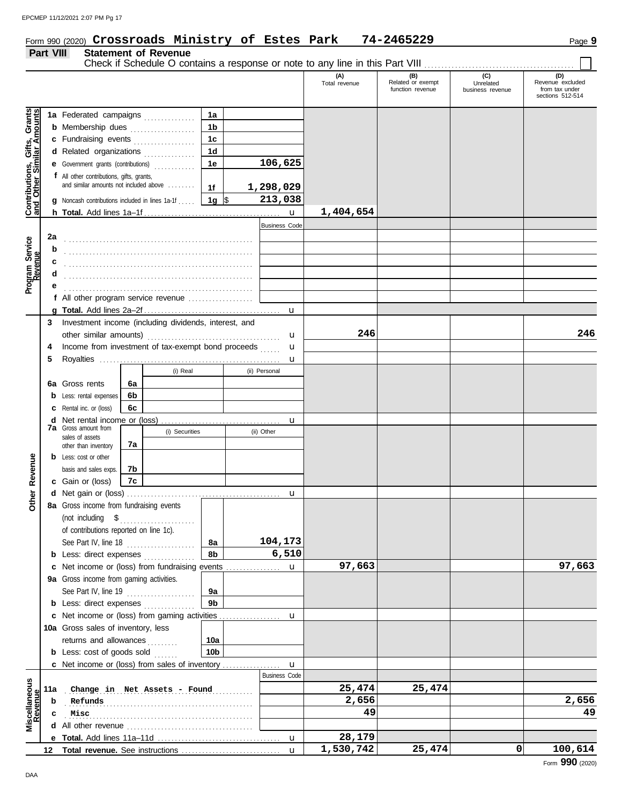## Form 990 (2020) Page **9 Crossroads Ministry of Estes Park 74-2465229**

#### **Part VIII Statement of Revenue**

|                                                                  | <b>Fail VIII</b> |                                                        |    | <b>ORIGITION OF PEACHING</b> |                  |   |                      | Check if Schedule O contains a response or note to any line in this Part VIII [11] [11] [11] [11] [11] [11] [1 |                                              |                                      |                                                               |
|------------------------------------------------------------------|------------------|--------------------------------------------------------|----|------------------------------|------------------|---|----------------------|----------------------------------------------------------------------------------------------------------------|----------------------------------------------|--------------------------------------|---------------------------------------------------------------|
|                                                                  |                  |                                                        |    |                              |                  |   |                      | (A)<br>Total revenue                                                                                           | (B)<br>Related or exempt<br>function revenue | (C)<br>Unrelated<br>business revenue | (D)<br>Revenue excluded<br>from tax under<br>sections 512-514 |
|                                                                  |                  | 1a Federated campaigns                                 |    |                              | 1a               |   |                      |                                                                                                                |                                              |                                      |                                                               |
| <b>Contributions, Gifts, Grants</b><br>and Other Similar Amounts |                  | <b>b</b> Membership dues                               |    |                              | 1 <sub>b</sub>   |   |                      |                                                                                                                |                                              |                                      |                                                               |
|                                                                  |                  | c Fundraising events                                   |    |                              | 1 <sub>c</sub>   |   |                      |                                                                                                                |                                              |                                      |                                                               |
|                                                                  |                  | d Related organizations                                |    |                              | 1 <sub>d</sub>   |   |                      |                                                                                                                |                                              |                                      |                                                               |
|                                                                  |                  | e Government grants (contributions)                    |    |                              | 1e               |   | 106,625              |                                                                                                                |                                              |                                      |                                                               |
|                                                                  |                  | f All other contributions, gifts, grants,              |    |                              |                  |   |                      |                                                                                                                |                                              |                                      |                                                               |
|                                                                  |                  | and similar amounts not included above                 |    |                              | 1f               |   | 1,298,029            |                                                                                                                |                                              |                                      |                                                               |
|                                                                  |                  | Noncash contributions included in lines 1a-1f [11, 12] |    |                              | 1g $\frac{1}{3}$ |   | 213,038              |                                                                                                                |                                              |                                      |                                                               |
|                                                                  |                  |                                                        |    |                              |                  |   |                      | 1,404,654                                                                                                      |                                              |                                      |                                                               |
|                                                                  |                  |                                                        |    |                              |                  |   | <b>Business Code</b> |                                                                                                                |                                              |                                      |                                                               |
|                                                                  | 2a               |                                                        |    |                              |                  |   |                      |                                                                                                                |                                              |                                      |                                                               |
| Program Service<br>Revenue                                       | b                |                                                        |    |                              |                  |   |                      |                                                                                                                |                                              |                                      |                                                               |
|                                                                  |                  |                                                        |    |                              |                  |   |                      |                                                                                                                |                                              |                                      |                                                               |
|                                                                  |                  |                                                        |    |                              |                  |   |                      |                                                                                                                |                                              |                                      |                                                               |
|                                                                  |                  |                                                        |    |                              |                  |   |                      |                                                                                                                |                                              |                                      |                                                               |
|                                                                  |                  | f All other program service revenue                    |    |                              |                  |   |                      |                                                                                                                |                                              |                                      |                                                               |
|                                                                  |                  |                                                        |    |                              |                  |   |                      |                                                                                                                |                                              |                                      |                                                               |
|                                                                  | 3                | Investment income (including dividends, interest, and  |    |                              |                  |   |                      |                                                                                                                |                                              |                                      |                                                               |
|                                                                  |                  | other similar amounts)                                 |    |                              |                  |   | u                    | 246                                                                                                            |                                              |                                      | 246                                                           |
|                                                                  | 4                | Income from investment of tax-exempt bond proceeds     |    |                              |                  |   | $\mathbf{u}$         |                                                                                                                |                                              |                                      |                                                               |
|                                                                  | 5                |                                                        |    |                              |                  |   | u                    |                                                                                                                |                                              |                                      |                                                               |
|                                                                  |                  |                                                        |    | (i) Real                     |                  |   | (ii) Personal        |                                                                                                                |                                              |                                      |                                                               |
|                                                                  |                  | <b>6a</b> Gross rents                                  | 6a |                              |                  |   |                      |                                                                                                                |                                              |                                      |                                                               |
|                                                                  |                  | Less: rental expenses                                  | 6b |                              |                  |   |                      |                                                                                                                |                                              |                                      |                                                               |
|                                                                  |                  | Rental inc. or (loss)                                  | 6с |                              |                  |   |                      |                                                                                                                |                                              |                                      |                                                               |
|                                                                  |                  |                                                        |    |                              |                  |   |                      |                                                                                                                |                                              |                                      |                                                               |
|                                                                  |                  | <b>7a</b> Gross amount from                            |    | (i) Securities               |                  |   | (ii) Other           |                                                                                                                |                                              |                                      |                                                               |
|                                                                  |                  | sales of assets<br>other than inventory                | 7а |                              |                  |   |                      |                                                                                                                |                                              |                                      |                                                               |
|                                                                  |                  | <b>b</b> Less: cost or other                           |    |                              |                  |   |                      |                                                                                                                |                                              |                                      |                                                               |
| Revenue                                                          |                  | basis and sales exps.                                  | 7b |                              |                  |   |                      |                                                                                                                |                                              |                                      |                                                               |
|                                                                  |                  | c Gain or (loss)                                       | 7c |                              |                  |   |                      |                                                                                                                |                                              |                                      |                                                               |
|                                                                  |                  |                                                        |    |                              |                  |   | u                    |                                                                                                                |                                              |                                      |                                                               |
| <b>Other</b>                                                     |                  | 8a Gross income from fundraising events                |    |                              |                  |   |                      |                                                                                                                |                                              |                                      |                                                               |
|                                                                  |                  | (not including \$                                      |    |                              |                  |   |                      |                                                                                                                |                                              |                                      |                                                               |
|                                                                  |                  | of contributions reported on line 1c).                 |    |                              |                  |   |                      |                                                                                                                |                                              |                                      |                                                               |
|                                                                  |                  | See Part IV, line 18                                   |    |                              | 8а               |   | 104,173              |                                                                                                                |                                              |                                      |                                                               |
|                                                                  |                  | <b>b</b> Less: direct expenses                         |    |                              | 8b               |   | 6,510                |                                                                                                                |                                              |                                      |                                                               |
|                                                                  |                  | Net income or (loss) from fundraising events           |    |                              |                  | . | u                    | 97,663                                                                                                         |                                              |                                      | 97,663                                                        |
|                                                                  |                  | 9a Gross income from gaming activities.                |    |                              |                  |   |                      |                                                                                                                |                                              |                                      |                                                               |
|                                                                  |                  | See Part IV, line 19                                   |    |                              | 9a               |   |                      |                                                                                                                |                                              |                                      |                                                               |
|                                                                  |                  | <b>b</b> Less: direct expenses                         |    |                              | 9b               |   |                      |                                                                                                                |                                              |                                      |                                                               |
|                                                                  |                  | c Net income or (loss) from gaming activities          |    |                              |                  |   | u                    |                                                                                                                |                                              |                                      |                                                               |
|                                                                  |                  | 10a Gross sales of inventory, less                     |    |                              |                  |   |                      |                                                                                                                |                                              |                                      |                                                               |
|                                                                  |                  | returns and allowances                                 |    |                              | 10a              |   |                      |                                                                                                                |                                              |                                      |                                                               |
|                                                                  |                  | <b>b</b> Less: $cost of goods sold$                    |    |                              | 10b              |   |                      |                                                                                                                |                                              |                                      |                                                               |
|                                                                  |                  | c Net income or (loss) from sales of inventory         |    |                              |                  |   | u                    |                                                                                                                |                                              |                                      |                                                               |
|                                                                  |                  |                                                        |    |                              |                  |   | <b>Business Code</b> |                                                                                                                |                                              |                                      |                                                               |
| Miscellaneous<br>Revenue                                         | 11a              |                                                        |    | Change in Net Assets - Found |                  |   |                      | 25,474                                                                                                         | 25,474                                       |                                      |                                                               |
|                                                                  | b                | Refunds                                                |    |                              |                  |   |                      | 2,656                                                                                                          |                                              |                                      | 2,656                                                         |
|                                                                  |                  | Misc                                                   |    |                              |                  |   |                      | 49                                                                                                             |                                              |                                      | 49                                                            |
|                                                                  |                  |                                                        |    |                              |                  |   |                      |                                                                                                                |                                              |                                      |                                                               |
|                                                                  |                  |                                                        |    |                              |                  |   | u                    | 28,179                                                                                                         |                                              |                                      |                                                               |
|                                                                  | 12               |                                                        |    |                              |                  |   | $\mathbf{u}$         | 1,530,742                                                                                                      | 25,474                                       | 0                                    | 100,614                                                       |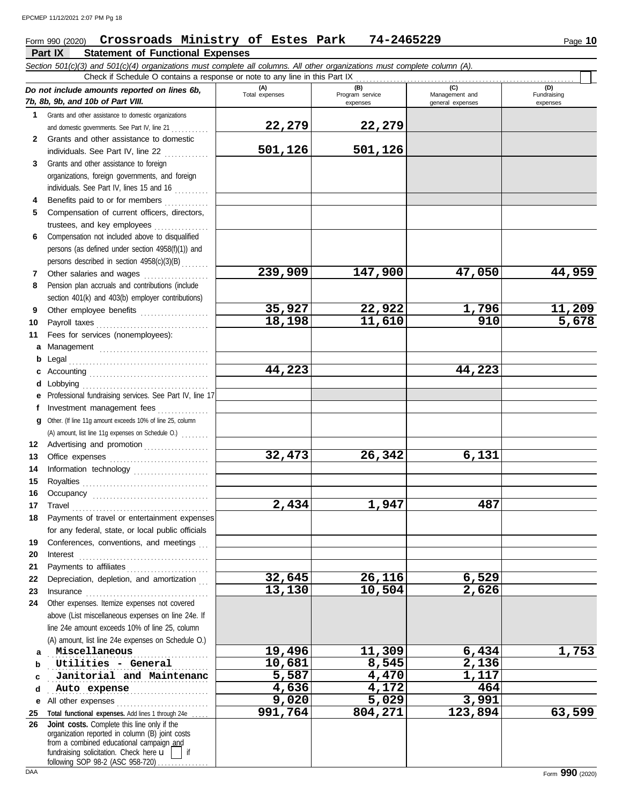#### Form 990 (2020) Page **10 Crossroads Ministry of Estes Park 74-2465229**

|          | Part IX<br><b>Statement of Functional Expenses</b>                                                                                                                                                                            |                              |                                    |                                           |                                |
|----------|-------------------------------------------------------------------------------------------------------------------------------------------------------------------------------------------------------------------------------|------------------------------|------------------------------------|-------------------------------------------|--------------------------------|
|          | Section 501(c)(3) and 501(c)(4) organizations must complete all columns. All other organizations must complete column (A).                                                                                                    |                              |                                    |                                           |                                |
|          | Check if Schedule O contains a response or note to any line in this Part IX                                                                                                                                                   |                              |                                    |                                           |                                |
|          | Do not include amounts reported on lines 6b,<br>7b, 8b, 9b, and 10b of Part VIII.                                                                                                                                             | (A)<br>Total expenses        | (B)<br>Program service<br>expenses | (C)<br>Management and<br>general expenses | (D)<br>Fundraising<br>expenses |
| 1        | Grants and other assistance to domestic organizations                                                                                                                                                                         |                              |                                    |                                           |                                |
|          | and domestic governments. See Part IV, line 21                                                                                                                                                                                | 22,279                       | 22,279                             |                                           |                                |
| 2        | Grants and other assistance to domestic                                                                                                                                                                                       |                              |                                    |                                           |                                |
|          | individuals. See Part IV, line 22                                                                                                                                                                                             | 501,126                      | 501,126                            |                                           |                                |
| 3        | Grants and other assistance to foreign                                                                                                                                                                                        |                              |                                    |                                           |                                |
|          | organizations, foreign governments, and foreign                                                                                                                                                                               |                              |                                    |                                           |                                |
|          | individuals. See Part IV, lines 15 and 16                                                                                                                                                                                     |                              |                                    |                                           |                                |
| 4        | Benefits paid to or for members                                                                                                                                                                                               |                              |                                    |                                           |                                |
| 5        | Compensation of current officers, directors,                                                                                                                                                                                  |                              |                                    |                                           |                                |
|          | trustees, and key employees                                                                                                                                                                                                   |                              |                                    |                                           |                                |
| 6        | Compensation not included above to disqualified                                                                                                                                                                               |                              |                                    |                                           |                                |
|          | persons (as defined under section 4958(f)(1)) and<br>persons described in section 4958(c)(3)(B)                                                                                                                               |                              |                                    |                                           |                                |
| 7        | Other salaries and wages                                                                                                                                                                                                      | 239,909                      | 147,900                            | 47,050                                    | 44,959                         |
| 8        | Pension plan accruals and contributions (include                                                                                                                                                                              |                              |                                    |                                           |                                |
|          | section 401(k) and 403(b) employer contributions)                                                                                                                                                                             |                              |                                    |                                           |                                |
| 9        | Other employee benefits                                                                                                                                                                                                       | 35,927                       | 22,922                             | 1,796                                     | 11,209                         |
| 10       |                                                                                                                                                                                                                               | 18,198                       | 11,610                             | 910                                       | 5,678                          |
| 11       | Fees for services (nonemployees):                                                                                                                                                                                             |                              |                                    |                                           |                                |
| а        | Management                                                                                                                                                                                                                    |                              |                                    |                                           |                                |
| b        | Legal                                                                                                                                                                                                                         |                              |                                    |                                           |                                |
| с        |                                                                                                                                                                                                                               | 44,223                       |                                    | 44,223                                    |                                |
| d        | Lobbying                                                                                                                                                                                                                      |                              |                                    |                                           |                                |
| е        | Professional fundraising services. See Part IV, line 17                                                                                                                                                                       |                              |                                    |                                           |                                |
| f        | Investment management fees                                                                                                                                                                                                    |                              |                                    |                                           |                                |
| g        | Other. (If line 11g amount exceeds 10% of line 25, column                                                                                                                                                                     |                              |                                    |                                           |                                |
|          | (A) amount, list line 11g expenses on Schedule O.)                                                                                                                                                                            |                              |                                    |                                           |                                |
| 12       | Advertising and promotion                                                                                                                                                                                                     |                              |                                    |                                           |                                |
| 13       |                                                                                                                                                                                                                               | 32,473                       | 26,342                             | 6,131                                     |                                |
| 14       |                                                                                                                                                                                                                               |                              |                                    |                                           |                                |
| 15       | Royalties                                                                                                                                                                                                                     |                              |                                    |                                           |                                |
| 16       |                                                                                                                                                                                                                               |                              |                                    |                                           |                                |
|          | 17 Travel                                                                                                                                                                                                                     | 2,434                        | 1,947                              | 487                                       |                                |
|          | 18 Payments of travel or entertainment expenses                                                                                                                                                                               |                              |                                    |                                           |                                |
|          | for any federal, state, or local public officials                                                                                                                                                                             |                              |                                    |                                           |                                |
| 19       | Conferences, conventions, and meetings                                                                                                                                                                                        |                              |                                    |                                           |                                |
| 20       |                                                                                                                                                                                                                               |                              |                                    |                                           |                                |
| 21       |                                                                                                                                                                                                                               |                              |                                    |                                           |                                |
| 22       | Depreciation, depletion, and amortization                                                                                                                                                                                     | 32,645                       | 26,116                             | 6,529                                     |                                |
| 23       | Insurance with a continuum and the continuum of the continuum of the continuum of the continuum of the continuum of the continuum of the continuum of the continuum of the continuum of the continuum of the continuum of the | 13,130                       | 10,504                             | 2,626                                     |                                |
| 24       | Other expenses. Itemize expenses not covered                                                                                                                                                                                  |                              |                                    |                                           |                                |
|          | above (List miscellaneous expenses on line 24e. If                                                                                                                                                                            |                              |                                    |                                           |                                |
|          | line 24e amount exceeds 10% of line 25, column                                                                                                                                                                                |                              |                                    |                                           |                                |
|          | (A) amount, list line 24e expenses on Schedule O.)                                                                                                                                                                            |                              |                                    |                                           |                                |
| a        | Miscellaneous                                                                                                                                                                                                                 | 19,496                       | 11,309                             | 6,434                                     | 1,753                          |
| b        | Utilities - General                                                                                                                                                                                                           | 10,681<br>$\overline{5,587}$ | 8,545<br>4,470                     | 2,136                                     |                                |
| c        | Janitorial and Maintenanc                                                                                                                                                                                                     |                              | 4,172                              | 1,117<br>464                              |                                |
| d        | Auto expense                                                                                                                                                                                                                  | 4,636<br>9,020               | 5,029                              | 3,991                                     |                                |
| е        | All other expenses                                                                                                                                                                                                            | 991,764                      | 804,271                            | 123,894                                   | 63,599                         |
| 25<br>26 | Total functional expenses. Add lines 1 through 24e<br>Joint costs. Complete this line only if the                                                                                                                             |                              |                                    |                                           |                                |
|          | organization reported in column (B) joint costs                                                                                                                                                                               |                              |                                    |                                           |                                |
|          | from a combined educational campaign and                                                                                                                                                                                      |                              |                                    |                                           |                                |
|          | fundraising solicitation. Check here u<br>if                                                                                                                                                                                  |                              |                                    |                                           |                                |

following SOP 98-2 (ASC 958-720) . . . . . . . . . . . . . . .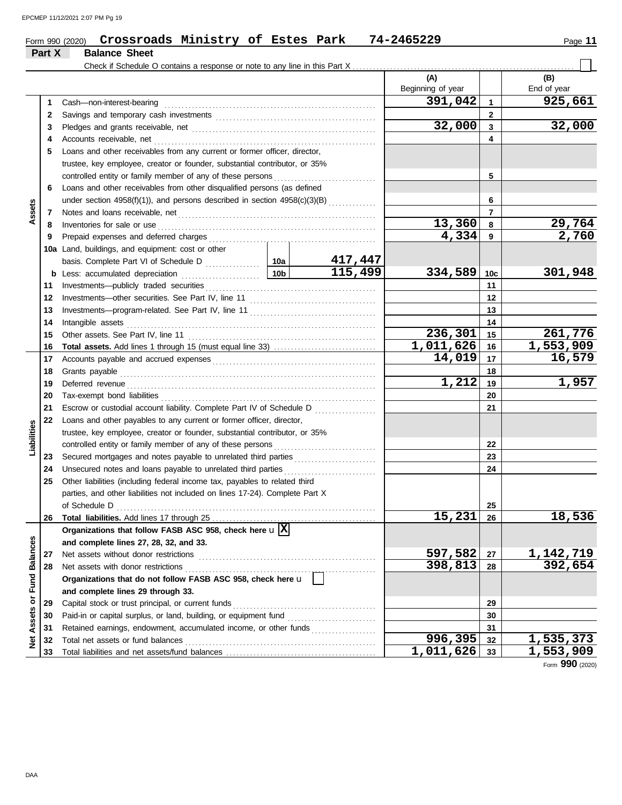|                 |              | Crossroads Ministry of Estes Park<br>Form 990 (2020)                                                                                                                                                                                |  |                                              | 74-2465229              |                | Page 11                |  |
|-----------------|--------------|-------------------------------------------------------------------------------------------------------------------------------------------------------------------------------------------------------------------------------------|--|----------------------------------------------|-------------------------|----------------|------------------------|--|
|                 | Part X       | <b>Balance Sheet</b><br>Check if Schedule O contains a response or note to any line in this Part X                                                                                                                                  |  |                                              |                         |                |                        |  |
|                 |              |                                                                                                                                                                                                                                     |  |                                              | (A)                     |                | (B)                    |  |
|                 |              |                                                                                                                                                                                                                                     |  |                                              | Beginning of year       |                | End of year            |  |
|                 | 1            | Cash-non-interest-bearing                                                                                                                                                                                                           |  |                                              | 391,042                 | $\mathbf{1}$   | 925,661                |  |
|                 | $\mathbf{2}$ |                                                                                                                                                                                                                                     |  |                                              |                         | $\overline{2}$ |                        |  |
|                 | 3            |                                                                                                                                                                                                                                     |  |                                              | 32,000                  | $\mathbf{3}$   | 32,000                 |  |
|                 | 4            | Accounts receivable, net                                                                                                                                                                                                            |  |                                              |                         | 4              |                        |  |
|                 | 5            | Loans and other receivables from any current or former officer, director,                                                                                                                                                           |  |                                              |                         |                |                        |  |
|                 |              | trustee, key employee, creator or founder, substantial contributor, or 35%                                                                                                                                                          |  |                                              |                         |                |                        |  |
|                 |              | controlled entity or family member of any of these persons                                                                                                                                                                          |  |                                              |                         | 5              |                        |  |
|                 | 6            | Loans and other receivables from other disqualified persons (as defined                                                                                                                                                             |  |                                              |                         |                |                        |  |
|                 |              | under section 4958(f)(1)), and persons described in section 4958(c)(3)(B)                                                                                                                                                           |  |                                              |                         | 6              |                        |  |
| Assets          | 7            | Notes and loans receivable, net <b>constructs</b> and in the loan of the series and loans receivable, net <b>constructs</b>                                                                                                         |  |                                              |                         | $\overline{7}$ |                        |  |
|                 | 8            | Inventories for sale or use                                                                                                                                                                                                         |  |                                              | 13,360                  | 8              | 29,764                 |  |
|                 | 9            | Prepaid expenses and deferred charges                                                                                                                                                                                               |  |                                              | 4,334                   | 9              | 2,760                  |  |
|                 |              | 10a Land, buildings, and equipment: cost or other                                                                                                                                                                                   |  |                                              |                         |                |                        |  |
|                 |              |                                                                                                                                                                                                                                     |  |                                              |                         |                |                        |  |
|                 |              |                                                                                                                                                                                                                                     |  | 115,499                                      | 334,589                 | 10c            | 301,948                |  |
|                 | 11           | Investments-publicly traded securities                                                                                                                                                                                              |  |                                              |                         | 11             |                        |  |
|                 | 12           |                                                                                                                                                                                                                                     |  |                                              |                         | 12             |                        |  |
|                 | 13           |                                                                                                                                                                                                                                     |  |                                              |                         | 13             |                        |  |
|                 | 14           | Intangible assets                                                                                                                                                                                                                   |  |                                              |                         | 14             |                        |  |
|                 | 15           | Other assets. See Part IV, line 11                                                                                                                                                                                                  |  |                                              | 236,301                 | 15             | 261,776                |  |
|                 | 16           |                                                                                                                                                                                                                                     |  |                                              | $\overline{1,011,626}$  | 16             | $\overline{1,553,909}$ |  |
|                 | 17           |                                                                                                                                                                                                                                     |  |                                              | 14,019                  | 17             | 16,579                 |  |
|                 | 18           | Grants payable                                                                                                                                                                                                                      |  | 18                                           |                         |                |                        |  |
|                 | 19           |                                                                                                                                                                                                                                     |  |                                              | 1,212                   | 19             | 1,957                  |  |
|                 | 20           | Tax-exempt bond liabilities                                                                                                                                                                                                         |  |                                              |                         |                |                        |  |
|                 | 21           | Escrow or custodial account liability. Complete Part IV of Schedule D                                                                                                                                                               |  | <u> 1999 - Johann Stoff, Amerikaansk kan</u> |                         | 21             |                        |  |
|                 | 22           | Loans and other payables to any current or former officer, director,                                                                                                                                                                |  |                                              |                         |                |                        |  |
|                 |              | trustee, key employee, creator or founder, substantial contributor, or 35%                                                                                                                                                          |  |                                              |                         |                |                        |  |
| Liabilities     |              | controlled entity or family member of any of these persons                                                                                                                                                                          |  |                                              |                         | 22             |                        |  |
|                 | 23           | Secured mortgages and notes payable to unrelated third parties                                                                                                                                                                      |  |                                              |                         | 23             |                        |  |
|                 | 24           | Unsecured notes and loans payable to unrelated third parties                                                                                                                                                                        |  |                                              |                         | 24             |                        |  |
|                 | 25           | Other liabilities (including federal income tax, payables to related third                                                                                                                                                          |  |                                              |                         |                |                        |  |
|                 |              | parties, and other liabilities not included on lines 17-24). Complete Part X                                                                                                                                                        |  |                                              |                         |                |                        |  |
|                 |              | of Schedule D                                                                                                                                                                                                                       |  |                                              |                         | 25             |                        |  |
|                 | 26           |                                                                                                                                                                                                                                     |  |                                              | 15,231                  | 26             | 18,536                 |  |
|                 |              | Organizations that follow FASB ASC 958, check here $\mathbf{u}$  X                                                                                                                                                                  |  |                                              |                         |                |                        |  |
| <b>Balances</b> |              | and complete lines 27, 28, 32, and 33.                                                                                                                                                                                              |  |                                              |                         |                |                        |  |
|                 | 27           | Net assets without donor restrictions                                                                                                                                                                                               |  |                                              | 597,582                 | 27             | 1, 142, 719            |  |
|                 | 28           | Net assets with donor restrictions                                                                                                                                                                                                  |  |                                              | 398,813                 | 28             | 392,654                |  |
| Fund            |              | Organizations that do not follow FASB ASC 958, check here u                                                                                                                                                                         |  |                                              |                         |                |                        |  |
|                 |              | and complete lines 29 through 33.                                                                                                                                                                                                   |  |                                              |                         |                |                        |  |
| ð               | 29           | Capital stock or trust principal, or current funds                                                                                                                                                                                  |  |                                              |                         | 29             |                        |  |
| Assets          | 30           | Paid-in or capital surplus, or land, building, or equipment fund                                                                                                                                                                    |  |                                              |                         | 30             |                        |  |
|                 | 31           | Retained earnings, endowment, accumulated income, or other funds                                                                                                                                                                    |  |                                              |                         | 31             |                        |  |
| ğ               | 32           | Total net assets or fund balances <b>constants</b> and the set of the set of the set of the set of the set of the set of the set of the set of the set of the set of the set of the set of the set of the set of the set of the set |  |                                              | 996,395                 | 32             | 1,535,373              |  |
|                 |              |                                                                                                                                                                                                                                     |  |                                              | 1.<br><b>011</b><br>525 | $\sim$         | 662<br>0 <sub>0</sub>  |  |

Total liabilities and net assets/fund balances

Form **990** (2020)

**33 32**

**996,395 1,535,373 1,011,626 1,553,909**

**33**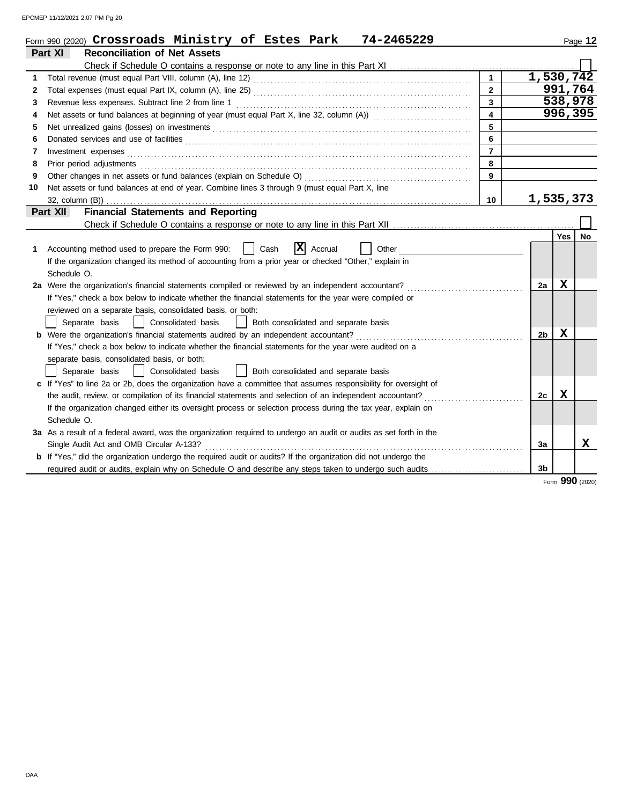EPCMEP 11/12/2021 2:07 PM Pg 20

|              | Form 990 (2020) Crossroads Ministry of Estes Park<br>74-2465229                                                       |                         |                |         | Page 12         |
|--------------|-----------------------------------------------------------------------------------------------------------------------|-------------------------|----------------|---------|-----------------|
|              | Part XI<br><b>Reconciliation of Net Assets</b>                                                                        |                         |                |         |                 |
|              |                                                                                                                       |                         |                |         |                 |
| 1            |                                                                                                                       |                         | 1,530,742      |         |                 |
| $\mathbf{2}$ |                                                                                                                       | $\overline{2}$          |                | 991,764 |                 |
| 3            |                                                                                                                       | 3                       |                | 538,978 |                 |
| 4            | Net assets or fund balances at beginning of year (must equal Part X, line 32, column (A))                             | $\overline{\mathbf{4}}$ |                | 996,395 |                 |
| 5            |                                                                                                                       | 5                       |                |         |                 |
| 6            | Donated services and use of facilities <b>constants and in the service of the service of facilities</b>               | 6                       |                |         |                 |
| 7            | Investment expenses                                                                                                   | $\overline{7}$          |                |         |                 |
| 8            | Prior period adjustments                                                                                              | 8                       |                |         |                 |
| 9            | Other changes in net assets or fund balances (explain on Schedule O)                                                  | 9                       |                |         |                 |
| 10           | Net assets or fund balances at end of year. Combine lines 3 through 9 (must equal Part X, line                        |                         |                |         |                 |
|              | 32, column (B))                                                                                                       | 10                      | 1,535,373      |         |                 |
|              | <b>Financial Statements and Reporting</b><br>Part XII                                                                 |                         |                |         |                 |
|              |                                                                                                                       |                         |                |         |                 |
|              |                                                                                                                       |                         |                | Yes     | No              |
| 1            | X <br>Accrual<br>Accounting method used to prepare the Form 990:<br>Cash<br>Other                                     |                         |                |         |                 |
|              | If the organization changed its method of accounting from a prior year or checked "Other," explain in                 |                         |                |         |                 |
|              | Schedule O.                                                                                                           |                         |                |         |                 |
|              | 2a Were the organization's financial statements compiled or reviewed by an independent accountant?                    |                         | 2a             | X       |                 |
|              | If "Yes," check a box below to indicate whether the financial statements for the year were compiled or                |                         |                |         |                 |
|              | reviewed on a separate basis, consolidated basis, or both:                                                            |                         |                |         |                 |
|              | Separate basis<br>Consolidated basis<br>Both consolidated and separate basis                                          |                         |                |         |                 |
|              |                                                                                                                       |                         | 2 <sub>b</sub> | X       |                 |
|              | If "Yes," check a box below to indicate whether the financial statements for the year were audited on a               |                         |                |         |                 |
|              | separate basis, consolidated basis, or both:                                                                          |                         |                |         |                 |
|              | Separate basis<br>Consolidated basis<br>Both consolidated and separate basis                                          |                         |                |         |                 |
|              | c If "Yes" to line 2a or 2b, does the organization have a committee that assumes responsibility for oversight of      |                         |                |         |                 |
|              | the audit, review, or compilation of its financial statements and selection of an independent accountant?             |                         | 2c             | X       |                 |
|              | If the organization changed either its oversight process or selection process during the tax year, explain on         |                         |                |         |                 |
|              | Schedule O.                                                                                                           |                         |                |         |                 |
|              | 3a As a result of a federal award, was the organization required to undergo an audit or audits as set forth in the    |                         |                |         |                 |
|              | Single Audit Act and OMB Circular A-133?                                                                              |                         | 3a             |         | x               |
|              | <b>b</b> If "Yes," did the organization undergo the required audit or audits? If the organization did not undergo the |                         |                |         |                 |
|              | required audit or audits, explain why on Schedule O and describe any steps taken to undergo such audits               |                         | 3b             |         |                 |
|              |                                                                                                                       |                         |                |         | Form 990 (2020) |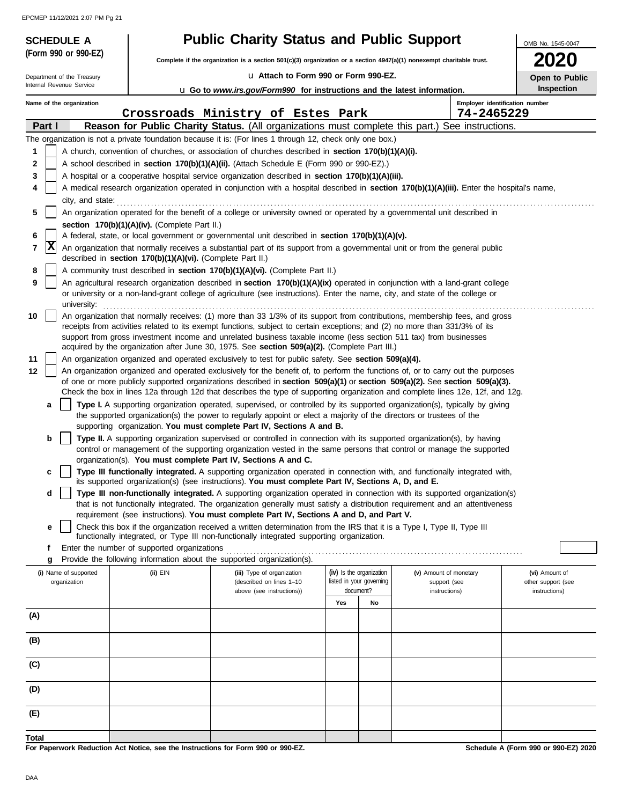EPCMEP 11/12/2021 2:07 PM Pg 21

| <b>SCHEDULE A</b>                                                                                                                                                                                                                                                                                                                                                                                                                                                                      |                                                            | <b>Public Charity Status and Public Support</b>                                                                                                                                                                                                                                                                                                       |                                                                   |    |                                        | OMB No. 1545-0047                    |
|----------------------------------------------------------------------------------------------------------------------------------------------------------------------------------------------------------------------------------------------------------------------------------------------------------------------------------------------------------------------------------------------------------------------------------------------------------------------------------------|------------------------------------------------------------|-------------------------------------------------------------------------------------------------------------------------------------------------------------------------------------------------------------------------------------------------------------------------------------------------------------------------------------------------------|-------------------------------------------------------------------|----|----------------------------------------|--------------------------------------|
| (Form 990 or 990-EZ)                                                                                                                                                                                                                                                                                                                                                                                                                                                                   |                                                            | Complete if the organization is a section 501(c)(3) organization or a section 4947(a)(1) nonexempt charitable trust.                                                                                                                                                                                                                                  |                                                                   |    |                                        | 020                                  |
| Department of the Treasury                                                                                                                                                                                                                                                                                                                                                                                                                                                             |                                                            | La Attach to Form 990 or Form 990-EZ.                                                                                                                                                                                                                                                                                                                 |                                                                   |    |                                        |                                      |
| Internal Revenue Service                                                                                                                                                                                                                                                                                                                                                                                                                                                               |                                                            | <b>u</b> Go to www.irs.gov/Form990 for instructions and the latest information.                                                                                                                                                                                                                                                                       |                                                                   |    |                                        | Open to Public<br>Inspection         |
| Name of the organization                                                                                                                                                                                                                                                                                                                                                                                                                                                               |                                                            |                                                                                                                                                                                                                                                                                                                                                       |                                                                   |    |                                        | Employer identification number       |
|                                                                                                                                                                                                                                                                                                                                                                                                                                                                                        |                                                            | Crossroads Ministry of Estes Park                                                                                                                                                                                                                                                                                                                     |                                                                   |    | 74-2465229                             |                                      |
| Part I                                                                                                                                                                                                                                                                                                                                                                                                                                                                                 |                                                            | Reason for Public Charity Status. (All organizations must complete this part.) See instructions.                                                                                                                                                                                                                                                      |                                                                   |    |                                        |                                      |
| 1                                                                                                                                                                                                                                                                                                                                                                                                                                                                                      |                                                            | The organization is not a private foundation because it is: (For lines 1 through 12, check only one box.)<br>A church, convention of churches, or association of churches described in section 170(b)(1)(A)(i).                                                                                                                                       |                                                                   |    |                                        |                                      |
| 2                                                                                                                                                                                                                                                                                                                                                                                                                                                                                      |                                                            | A school described in section 170(b)(1)(A)(ii). (Attach Schedule E (Form 990 or 990-EZ).)                                                                                                                                                                                                                                                             |                                                                   |    |                                        |                                      |
| 3                                                                                                                                                                                                                                                                                                                                                                                                                                                                                      |                                                            | A hospital or a cooperative hospital service organization described in section 170(b)(1)(A)(iii).                                                                                                                                                                                                                                                     |                                                                   |    |                                        |                                      |
| 4                                                                                                                                                                                                                                                                                                                                                                                                                                                                                      |                                                            | A medical research organization operated in conjunction with a hospital described in section 170(b)(1)(A)(iii). Enter the hospital's name,                                                                                                                                                                                                            |                                                                   |    |                                        |                                      |
| city, and state:                                                                                                                                                                                                                                                                                                                                                                                                                                                                       |                                                            |                                                                                                                                                                                                                                                                                                                                                       |                                                                   |    |                                        |                                      |
| 5                                                                                                                                                                                                                                                                                                                                                                                                                                                                                      |                                                            | An organization operated for the benefit of a college or university owned or operated by a governmental unit described in                                                                                                                                                                                                                             |                                                                   |    |                                        |                                      |
| 6                                                                                                                                                                                                                                                                                                                                                                                                                                                                                      | section 170(b)(1)(A)(iv). (Complete Part II.)              | A federal, state, or local government or governmental unit described in section 170(b)(1)(A)(v).                                                                                                                                                                                                                                                      |                                                                   |    |                                        |                                      |
| $ \mathbf{x} $<br>7                                                                                                                                                                                                                                                                                                                                                                                                                                                                    |                                                            | An organization that normally receives a substantial part of its support from a governmental unit or from the general public                                                                                                                                                                                                                          |                                                                   |    |                                        |                                      |
|                                                                                                                                                                                                                                                                                                                                                                                                                                                                                        | described in section 170(b)(1)(A)(vi). (Complete Part II.) |                                                                                                                                                                                                                                                                                                                                                       |                                                                   |    |                                        |                                      |
| 8                                                                                                                                                                                                                                                                                                                                                                                                                                                                                      |                                                            | A community trust described in section 170(b)(1)(A)(vi). (Complete Part II.)                                                                                                                                                                                                                                                                          |                                                                   |    |                                        |                                      |
| 9<br>university:                                                                                                                                                                                                                                                                                                                                                                                                                                                                       |                                                            | An agricultural research organization described in section 170(b)(1)(A)(ix) operated in conjunction with a land-grant college<br>or university or a non-land-grant college of agriculture (see instructions). Enter the name, city, and state of the college or                                                                                       |                                                                   |    |                                        |                                      |
| An organization that normally receives: (1) more than 33 1/3% of its support from contributions, membership fees, and gross<br>10<br>receipts from activities related to its exempt functions, subject to certain exceptions; and (2) no more than 331/3% of its<br>support from gross investment income and unrelated business taxable income (less section 511 tax) from businesses<br>acquired by the organization after June 30, 1975. See section 509(a)(2). (Complete Part III.) |                                                            |                                                                                                                                                                                                                                                                                                                                                       |                                                                   |    |                                        |                                      |
| 11                                                                                                                                                                                                                                                                                                                                                                                                                                                                                     |                                                            | An organization organized and operated exclusively to test for public safety. See section 509(a)(4).                                                                                                                                                                                                                                                  |                                                                   |    |                                        |                                      |
| 12                                                                                                                                                                                                                                                                                                                                                                                                                                                                                     |                                                            | An organization organized and operated exclusively for the benefit of, to perform the functions of, or to carry out the purposes                                                                                                                                                                                                                      |                                                                   |    |                                        |                                      |
|                                                                                                                                                                                                                                                                                                                                                                                                                                                                                        |                                                            | of one or more publicly supported organizations described in section 509(a)(1) or section 509(a)(2). See section 509(a)(3).<br>Check the box in lines 12a through 12d that describes the type of supporting organization and complete lines 12e, 12f, and 12g.                                                                                        |                                                                   |    |                                        |                                      |
| a                                                                                                                                                                                                                                                                                                                                                                                                                                                                                      |                                                            | Type I. A supporting organization operated, supervised, or controlled by its supported organization(s), typically by giving                                                                                                                                                                                                                           |                                                                   |    |                                        |                                      |
|                                                                                                                                                                                                                                                                                                                                                                                                                                                                                        |                                                            | the supported organization(s) the power to regularly appoint or elect a majority of the directors or trustees of the                                                                                                                                                                                                                                  |                                                                   |    |                                        |                                      |
|                                                                                                                                                                                                                                                                                                                                                                                                                                                                                        |                                                            | supporting organization. You must complete Part IV, Sections A and B.                                                                                                                                                                                                                                                                                 |                                                                   |    |                                        |                                      |
| b                                                                                                                                                                                                                                                                                                                                                                                                                                                                                      |                                                            | Type II. A supporting organization supervised or controlled in connection with its supported organization(s), by having                                                                                                                                                                                                                               |                                                                   |    |                                        |                                      |
|                                                                                                                                                                                                                                                                                                                                                                                                                                                                                        |                                                            | control or management of the supporting organization vested in the same persons that control or manage the supported<br>organization(s). You must complete Part IV, Sections A and C.                                                                                                                                                                 |                                                                   |    |                                        |                                      |
| c                                                                                                                                                                                                                                                                                                                                                                                                                                                                                      |                                                            | Type III functionally integrated. A supporting organization operated in connection with, and functionally integrated with,                                                                                                                                                                                                                            |                                                                   |    |                                        |                                      |
|                                                                                                                                                                                                                                                                                                                                                                                                                                                                                        |                                                            | its supported organization(s) (see instructions). You must complete Part IV, Sections A, D, and E.                                                                                                                                                                                                                                                    |                                                                   |    |                                        |                                      |
| d                                                                                                                                                                                                                                                                                                                                                                                                                                                                                      |                                                            | Type III non-functionally integrated. A supporting organization operated in connection with its supported organization(s)<br>that is not functionally integrated. The organization generally must satisfy a distribution requirement and an attentiveness<br>requirement (see instructions). You must complete Part IV, Sections A and D, and Part V. |                                                                   |    |                                        |                                      |
| е                                                                                                                                                                                                                                                                                                                                                                                                                                                                                      |                                                            | Check this box if the organization received a written determination from the IRS that it is a Type I, Type II, Type III                                                                                                                                                                                                                               |                                                                   |    |                                        |                                      |
|                                                                                                                                                                                                                                                                                                                                                                                                                                                                                        |                                                            | functionally integrated, or Type III non-functionally integrated supporting organization.                                                                                                                                                                                                                                                             |                                                                   |    |                                        |                                      |
| f<br>g                                                                                                                                                                                                                                                                                                                                                                                                                                                                                 | Enter the number of supported organizations                | Provide the following information about the supported organization(s).                                                                                                                                                                                                                                                                                |                                                                   |    |                                        |                                      |
| (i) Name of supported<br>organization                                                                                                                                                                                                                                                                                                                                                                                                                                                  | $(ii)$ $EIN$                                               | (iii) Type of organization<br>(described on lines 1-10<br>above (see instructions))                                                                                                                                                                                                                                                                   | (iv) Is the organization<br>listed in your governing<br>document? |    | (v) Amount of monetary<br>support (see | (vi) Amount of<br>other support (see |
|                                                                                                                                                                                                                                                                                                                                                                                                                                                                                        |                                                            |                                                                                                                                                                                                                                                                                                                                                       | Yes                                                               | No | instructions)                          | instructions)                        |
| (A)                                                                                                                                                                                                                                                                                                                                                                                                                                                                                    |                                                            |                                                                                                                                                                                                                                                                                                                                                       |                                                                   |    |                                        |                                      |
|                                                                                                                                                                                                                                                                                                                                                                                                                                                                                        |                                                            |                                                                                                                                                                                                                                                                                                                                                       |                                                                   |    |                                        |                                      |
| (B)                                                                                                                                                                                                                                                                                                                                                                                                                                                                                    |                                                            |                                                                                                                                                                                                                                                                                                                                                       |                                                                   |    |                                        |                                      |
| (C)                                                                                                                                                                                                                                                                                                                                                                                                                                                                                    |                                                            |                                                                                                                                                                                                                                                                                                                                                       |                                                                   |    |                                        |                                      |
| (D)                                                                                                                                                                                                                                                                                                                                                                                                                                                                                    |                                                            |                                                                                                                                                                                                                                                                                                                                                       |                                                                   |    |                                        |                                      |
| (E)                                                                                                                                                                                                                                                                                                                                                                                                                                                                                    |                                                            |                                                                                                                                                                                                                                                                                                                                                       |                                                                   |    |                                        |                                      |
| <b>Total</b>                                                                                                                                                                                                                                                                                                                                                                                                                                                                           |                                                            |                                                                                                                                                                                                                                                                                                                                                       |                                                                   |    |                                        |                                      |

**For Paperwork Reduction Act Notice, see the Instructions for Form 990 or 990-EZ.**

**Schedule A (Form 990 or 990-EZ) 2020**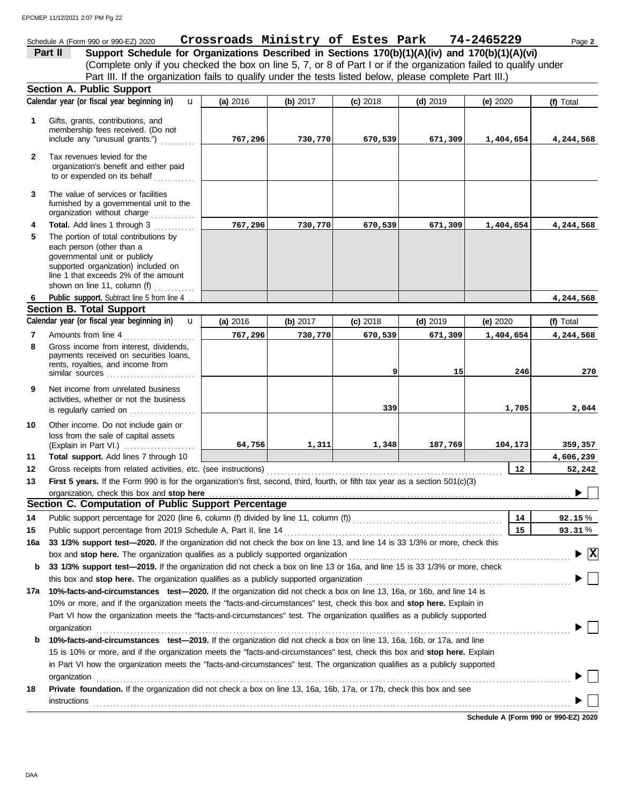## Schedule A (Form 990 or 990-EZ) 2020 Page **2 Crossroads Ministry of Estes Park 74-2465229**

(Complete only if you checked the box on line 5, 7, or 8 of Part I or if the organization failed to qualify under **Part II** Support Schedule for Organizations Described in Sections 170(b)(1)(A)(iv) and 170(b)(1)(A)(vi) Part III. If the organization fails to qualify under the tests listed below, please complete Part III.)

|              | <b>Section A. Public Support</b>                                                                                                                                                                                   |          |          |            |            |                                      |                     |
|--------------|--------------------------------------------------------------------------------------------------------------------------------------------------------------------------------------------------------------------|----------|----------|------------|------------|--------------------------------------|---------------------|
|              | Calendar year (or fiscal year beginning in)<br>$\mathbf{u}$                                                                                                                                                        | (a) 2016 | (b) 2017 | $(c)$ 2018 | $(d)$ 2019 | (e) 2020                             | (f) Total           |
| $\mathbf 1$  | Gifts, grants, contributions, and<br>membership fees received. (Do not<br>include any "unusual grants.")                                                                                                           | 767,296  | 730,770  | 670,539    | 671,309    | 1,404,654                            | 4,244,568           |
| $\mathbf{2}$ | Tax revenues levied for the<br>organization's benefit and either paid<br>to or expended on its behalf                                                                                                              |          |          |            |            |                                      |                     |
| 3            | The value of services or facilities<br>furnished by a governmental unit to the<br>organization without charge                                                                                                      |          |          |            |            |                                      |                     |
| 4            | Total. Add lines 1 through 3                                                                                                                                                                                       | 767,296  | 730,770  | 670,539    | 671,309    | 1,404,654                            | 4,244,568           |
| 5            | The portion of total contributions by<br>each person (other than a<br>governmental unit or publicly<br>supported organization) included on<br>line 1 that exceeds 2% of the amount<br>shown on line 11, column (f) |          |          |            |            |                                      |                     |
| 6            | Public support. Subtract line 5 from line 4                                                                                                                                                                        |          |          |            |            |                                      | 4,244,568           |
|              | <b>Section B. Total Support</b>                                                                                                                                                                                    |          |          |            |            |                                      |                     |
|              | Calendar year (or fiscal year beginning in)<br>$\mathbf{u}$                                                                                                                                                        | (a) 2016 | (b) 2017 | $(c)$ 2018 | $(d)$ 2019 | (e) 2020                             | (f) Total           |
| 7            | Amounts from line 4                                                                                                                                                                                                | 767,296  | 730,770  | 670,539    | 671,309    | 1,404,654                            | 4,244,568           |
| 8            | Gross income from interest, dividends,<br>payments received on securities loans,<br>rents, royalties, and income from<br>similar sources                                                                           |          |          | 9          | 15         | 246                                  | 270                 |
| 9            | Net income from unrelated business<br>activities, whether or not the business<br>is regularly carried on $\ldots$ , $\ldots$                                                                                       |          |          | 339        |            | 1,705                                | 2,044               |
| 10           | Other income. Do not include gain or<br>loss from the sale of capital assets<br>Total support. Add lines 7 through 10                                                                                              | 64,756   | 1,311    | 1,348      | 187,769    | 104,173                              | 359,357             |
| 11<br>12     | Gross receipts from related activities, etc. (see instructions)                                                                                                                                                    |          |          |            |            | 12                                   | 4,606,239<br>52,242 |
| 13           | First 5 years. If the Form 990 is for the organization's first, second, third, fourth, or fifth tax year as a section 501(c)(3)                                                                                    |          |          |            |            |                                      |                     |
|              | organization, check this box and stop here                                                                                                                                                                         |          |          |            |            |                                      |                     |
|              | Section C. Computation of Public Support Percentage                                                                                                                                                                |          |          |            |            |                                      |                     |
| 14           | Public support percentage for 2020 (line 6, column (f) divided by line 11, column (f)) [[[[[[[[[[[[[[[[[[[[[[                                                                                                      |          |          |            |            | 14                                   | 92.15%              |
| 15           |                                                                                                                                                                                                                    |          |          |            |            | 15                                   | 93.31%              |
| 16a          | 33 1/3% support test-2020. If the organization did not check the box on line 13, and line 14 is 33 1/3% or more, check this                                                                                        |          |          |            |            |                                      |                     |
|              | box and stop here. The organization qualifies as a publicly supported organization                                                                                                                                 |          |          |            |            |                                      | $ \mathbf{x} $      |
| b            | 33 1/3% support test-2019. If the organization did not check a box on line 13 or 16a, and line 15 is 33 1/3% or more, check                                                                                        |          |          |            |            |                                      |                     |
|              |                                                                                                                                                                                                                    |          |          |            |            |                                      |                     |
| 17a          | 10%-facts-and-circumstances test-2020. If the organization did not check a box on line 13, 16a, or 16b, and line 14 is                                                                                             |          |          |            |            |                                      |                     |
|              | 10% or more, and if the organization meets the "facts-and-circumstances" test, check this box and stop here. Explain in                                                                                            |          |          |            |            |                                      |                     |
|              | Part VI how the organization meets the "facts-and-circumstances" test. The organization qualifies as a publicly supported                                                                                          |          |          |            |            |                                      |                     |
|              | organization                                                                                                                                                                                                       |          |          |            |            |                                      |                     |
| b            | 10%-facts-and-circumstances test-2019. If the organization did not check a box on line 13, 16a, 16b, or 17a, and line                                                                                              |          |          |            |            |                                      |                     |
|              | 15 is 10% or more, and if the organization meets the "facts-and-circumstances" test, check this box and stop here. Explain                                                                                         |          |          |            |            |                                      |                     |
|              | in Part VI how the organization meets the "facts-and-circumstances" test. The organization qualifies as a publicly supported                                                                                       |          |          |            |            |                                      |                     |
|              | organization                                                                                                                                                                                                       |          |          |            |            |                                      |                     |
| 18           | Private foundation. If the organization did not check a box on line 13, 16a, 16b, 17a, or 17b, check this box and see                                                                                              |          |          |            |            |                                      |                     |
|              | instructions                                                                                                                                                                                                       |          |          |            |            |                                      |                     |
|              |                                                                                                                                                                                                                    |          |          |            |            | Schedule A (Form 990 or 990-EZ) 2020 |                     |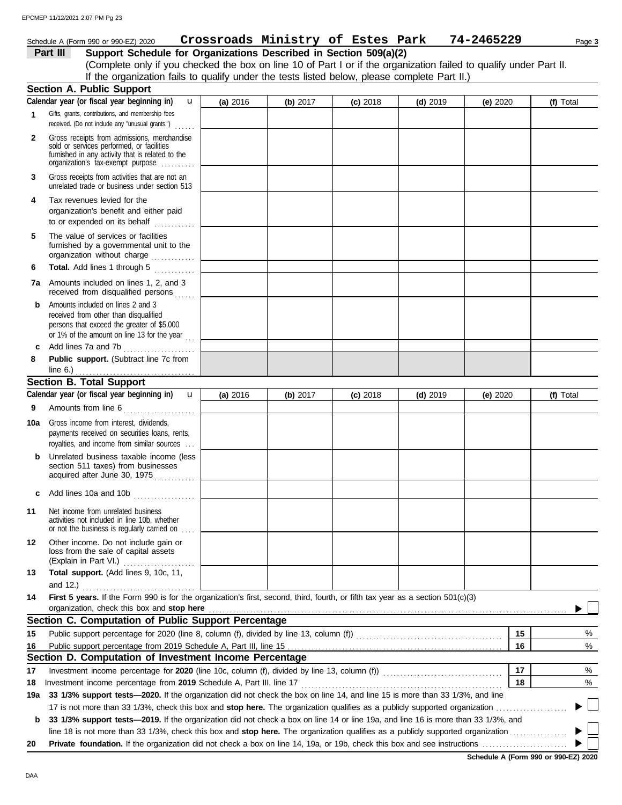#### **Section B. Total Support** unrelated trade or business under section 513 **Part III Support Schedule for Organizations Described in Section 509(a)(2)** (Complete only if you checked the box on line 10 of Part I or if the organization failed to qualify under Part II. **1 2 3 6 8** Schedule A (Form 990 or 990-EZ) 2020 Page **3 Crossroads Ministry of Estes Park 74-2465229** Gifts, grants, contributions, and membership fees received. (Do not include any "unusual grants.") . . . . . . **Public support.** (Subtract line 7c from Gross receipts from admissions, merchandise sold or services performed, or facilities furnished in any activity that is related to the Gross receipts from activities that are not an **Total.** Add lines 1 through 5 ............. **Section A. Public Support** organization's tax-exempt purpose .......... **4** Tax revenues levied for the organization's benefit and either paid to or expended on its behalf when  $\cdots$ organization without charge .............. furnished by a governmental unit to the **5** The value of services or facilities **7a** Amounts included on lines 1, 2, and 3 received from disqualified persons ...... **b** Amounts included on lines 2 and 3 received from other than disqualified persons that exceed the greater of \$5,000 or 1% of the amount on line 13 for the year  $\ldots$ **c** Add lines 7a and 7b . . . . . . . . . . . . . . . . . . . . . Amounts from line 6 . . . . . . . . . . . . . . . . . . . . . **9** royalties, and income from similar sources . . . payments received on securities loans, rents, **10a** Gross income from interest, dividends, **b** Unrelated business taxable income (less section 511 taxes) from businesses acquired after June 30, 1975 **c** Add lines 10a and 10b . . . . . . . . . . . . . . . . . . **(a)** 2016 **(b)** 2017 **(c)** 2018 **(d)** 2019 **(e)** 2020 **(f)** Total **(f)** Total line 6.) . . . . . . . . . . . . . . . . . . . . . . . . . . . . . . . . . . . **Calendar year (or fiscal year beginning in) Calendar year (or fiscal year beginning in)**  If the organization fails to qualify under the tests listed below, please complete Part II.) **(a)** 2016 **(b)** 2017 **(c)** 2018 **(d)** 2019 **(e)** 2020 u u EPCMEP 11/12/2021 2:07 PM Pg 23

|                  | activities not included in line 10b, whether<br>or not the business is regularly carried on                                       |  |  |    |  |
|------------------|-----------------------------------------------------------------------------------------------------------------------------------|--|--|----|--|
| 12 <sup>12</sup> | Other income. Do not include gain or<br>loss from the sale of capital assets                                                      |  |  |    |  |
| 13               | Total support. (Add lines 9, 10c, 11,<br>and 12.) $\ldots$                                                                        |  |  |    |  |
| 14               | First 5 years. If the Form 990 is for the organization's first, second, third, fourth, or fifth tax year as a section 501(c)(3)   |  |  |    |  |
|                  | Section C. Computation of Public Support Percentage                                                                               |  |  |    |  |
| 15               |                                                                                                                                   |  |  | 15 |  |
| 16               |                                                                                                                                   |  |  | 16 |  |
|                  | Section D. Computation of Investment Income Percentage                                                                            |  |  |    |  |
| 17               | Investment income percentage for 2020 (line 10c, column (f), divided by line 13, column (f)) [[[[[[[[[[[[[[[[                     |  |  | 17 |  |
| 18               | Investment income percentage from 2019 Schedule A, Part III, line 17                                                              |  |  | 18 |  |
| 19а              | 33 1/3% support tests—2020. If the organization did not check the box on line 14, and line 15 is more than 33 1/3%, and line      |  |  |    |  |
|                  | 17 is not more than 33 1/3%, check this box and stop here. The organization qualifies as a publicly supported organization        |  |  |    |  |
| b                | 33 1/3% support tests—2019. If the organization did not check a box on line 14 or line 19a, and line 16 is more than 33 1/3%, and |  |  |    |  |
|                  |                                                                                                                                   |  |  |    |  |

line 18 is not more than 33 1/3%, check this box and **stop here.** The organization qualifies as a publicly supported organization . . . . . . . . . . . . . . . . . **20 Private foundation.** If the organization did not check a box on line 14, 19a, or 19b, check this box and see instructions . . . . . . . . . . . . . . . . . . . . . . . . .

**Schedule A (Form 990 or 990-EZ) 2020**

% %

 $\blacktriangleright$   $\Box$ 

% %

▶

**11** Net income from unrelated business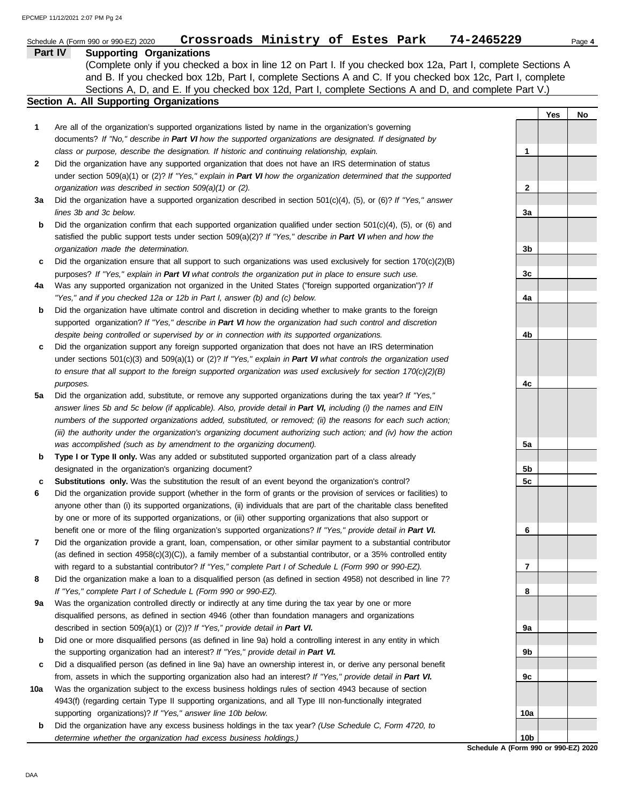|     | Crossroads Ministry of Estes Park<br>Schedule A (Form 990 or 990-EZ) 2020                                                                                                                                                  | 74-2465229      |     | Page 4 |
|-----|----------------------------------------------------------------------------------------------------------------------------------------------------------------------------------------------------------------------------|-----------------|-----|--------|
|     | Part IV<br><b>Supporting Organizations</b>                                                                                                                                                                                 |                 |     |        |
|     | (Complete only if you checked a box in line 12 on Part I. If you checked box 12a, Part I, complete Sections A                                                                                                              |                 |     |        |
|     | and B. If you checked box 12b, Part I, complete Sections A and C. If you checked box 12c, Part I, complete                                                                                                                 |                 |     |        |
|     | Sections A, D, and E. If you checked box 12d, Part I, complete Sections A and D, and complete Part V.)                                                                                                                     |                 |     |        |
|     | <b>Section A. All Supporting Organizations</b>                                                                                                                                                                             |                 |     |        |
|     |                                                                                                                                                                                                                            |                 | Yes | No     |
| 1   | Are all of the organization's supported organizations listed by name in the organization's governing                                                                                                                       |                 |     |        |
|     | documents? If "No," describe in Part VI how the supported organizations are designated. If designated by                                                                                                                   |                 |     |        |
|     | class or purpose, describe the designation. If historic and continuing relationship, explain.                                                                                                                              | 1               |     |        |
| 2   | Did the organization have any supported organization that does not have an IRS determination of status                                                                                                                     |                 |     |        |
|     | under section 509(a)(1) or (2)? If "Yes," explain in Part VI how the organization determined that the supported                                                                                                            |                 |     |        |
|     | organization was described in section 509(a)(1) or (2).                                                                                                                                                                    | $\mathbf{2}$    |     |        |
| За  | Did the organization have a supported organization described in section $501(c)(4)$ , (5), or (6)? If "Yes," answer                                                                                                        |                 |     |        |
|     | lines 3b and 3c below.                                                                                                                                                                                                     | 3a              |     |        |
| b   | Did the organization confirm that each supported organization qualified under section $501(c)(4)$ , $(5)$ , or $(6)$ and                                                                                                   |                 |     |        |
|     | satisfied the public support tests under section 509(a)(2)? If "Yes," describe in Part VI when and how the                                                                                                                 |                 |     |        |
|     | organization made the determination.                                                                                                                                                                                       | 3b              |     |        |
| c   | Did the organization ensure that all support to such organizations was used exclusively for section $170(c)(2)(B)$                                                                                                         |                 |     |        |
|     | purposes? If "Yes," explain in Part VI what controls the organization put in place to ensure such use.                                                                                                                     | 3c              |     |        |
| 4a  | Was any supported organization not organized in the United States ("foreign supported organization")? If                                                                                                                   |                 |     |        |
|     | "Yes," and if you checked 12a or 12b in Part I, answer (b) and (c) below.                                                                                                                                                  | 4a              |     |        |
| b   | Did the organization have ultimate control and discretion in deciding whether to make grants to the foreign                                                                                                                |                 |     |        |
|     | supported organization? If "Yes," describe in Part VI how the organization had such control and discretion                                                                                                                 |                 |     |        |
|     | despite being controlled or supervised by or in connection with its supported organizations.                                                                                                                               | 4b              |     |        |
| c   | Did the organization support any foreign supported organization that does not have an IRS determination                                                                                                                    |                 |     |        |
|     | under sections $501(c)(3)$ and $509(a)(1)$ or (2)? If "Yes," explain in Part VI what controls the organization used                                                                                                        |                 |     |        |
|     | to ensure that all support to the foreign supported organization was used exclusively for section $170(c)(2)(B)$                                                                                                           |                 |     |        |
|     | purposes.                                                                                                                                                                                                                  | 4c              |     |        |
| 5a  | Did the organization add, substitute, or remove any supported organizations during the tax year? If "Yes,"                                                                                                                 |                 |     |        |
|     | answer lines 5b and 5c below (if applicable). Also, provide detail in Part VI, including (i) the names and EIN                                                                                                             |                 |     |        |
|     | numbers of the supported organizations added, substituted, or removed; (ii) the reasons for each such action;                                                                                                              |                 |     |        |
|     | (iii) the authority under the organization's organizing document authorizing such action; and (iv) how the action                                                                                                          |                 |     |        |
|     | was accomplished (such as by amendment to the organizing document).                                                                                                                                                        | 5a              |     |        |
| b   | Type I or Type II only. Was any added or substituted supported organization part of a class already                                                                                                                        |                 |     |        |
|     | designated in the organization's organizing document?                                                                                                                                                                      | 5b              |     |        |
| c   | Substitutions only. Was the substitution the result of an event beyond the organization's control?                                                                                                                         | 5c              |     |        |
| 6   | Did the organization provide support (whether in the form of grants or the provision of services or facilities) to                                                                                                         |                 |     |        |
|     | anyone other than (i) its supported organizations, (ii) individuals that are part of the charitable class benefited                                                                                                        |                 |     |        |
|     | by one or more of its supported organizations, or (iii) other supporting organizations that also support or                                                                                                                |                 |     |        |
|     | benefit one or more of the filing organization's supported organizations? If "Yes," provide detail in Part VI.                                                                                                             | 6               |     |        |
| 7   | Did the organization provide a grant, loan, compensation, or other similar payment to a substantial contributor                                                                                                            |                 |     |        |
|     | (as defined in section 4958(c)(3)(C)), a family member of a substantial contributor, or a 35% controlled entity                                                                                                            | 7               |     |        |
| 8   | with regard to a substantial contributor? If "Yes," complete Part I of Schedule L (Form 990 or 990-EZ).<br>Did the organization make a loan to a disqualified person (as defined in section 4958) not described in line 7? |                 |     |        |
|     | If "Yes," complete Part I of Schedule L (Form 990 or 990-EZ).                                                                                                                                                              | 8               |     |        |
| 9а  | Was the organization controlled directly or indirectly at any time during the tax year by one or more                                                                                                                      |                 |     |        |
|     | disqualified persons, as defined in section 4946 (other than foundation managers and organizations                                                                                                                         |                 |     |        |
|     | described in section 509(a)(1) or (2))? If "Yes," provide detail in Part VI.                                                                                                                                               | 9a              |     |        |
| b   | Did one or more disqualified persons (as defined in line 9a) hold a controlling interest in any entity in which                                                                                                            |                 |     |        |
|     | the supporting organization had an interest? If "Yes," provide detail in Part VI.                                                                                                                                          | 9b              |     |        |
| c   | Did a disqualified person (as defined in line 9a) have an ownership interest in, or derive any personal benefit                                                                                                            |                 |     |        |
|     | from, assets in which the supporting organization also had an interest? If "Yes," provide detail in Part VI.                                                                                                               | 9с              |     |        |
| 10a | Was the organization subject to the excess business holdings rules of section 4943 because of section                                                                                                                      |                 |     |        |
|     | 4943(f) (regarding certain Type II supporting organizations, and all Type III non-functionally integrated                                                                                                                  |                 |     |        |
|     | supporting organizations)? If "Yes," answer line 10b below.                                                                                                                                                                | 10a             |     |        |
| b   | Did the organization have any excess business holdings in the tax year? (Use Schedule C, Form 4720, to                                                                                                                     |                 |     |        |
|     | determine whether the organization had excess business holdings.)                                                                                                                                                          | 10 <sub>b</sub> |     |        |
|     |                                                                                                                                                                                                                            |                 |     |        |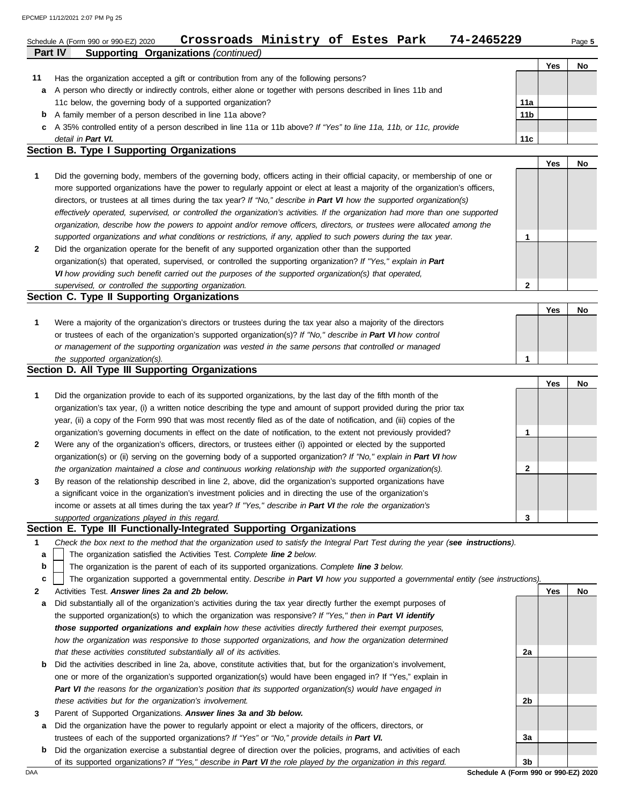| <b>Supporting Organizations (continued)</b><br>Part IV<br>Has the organization accepted a gift or contribution from any of the following persons?<br>A person who directly or indirectly controls, either alone or together with persons described in lines 11b and<br>11c below, the governing body of a supported organization?<br>A family member of a person described in line 11a above?<br>A 35% controlled entity of a person described in line 11a or 11b above? If "Yes" to line 11a, 11b, or 11c, provide<br>detail in Part VI.<br><b>Section B. Type I Supporting Organizations</b> | 11a<br>11 <sub>b</sub><br>11c                                                                                                                                                                                                                                                                                                                                                                                                                                                                                                                                                                                                                                                                                                                                                                                                                                                                                                                                                                                                                                                                                                                                                                                                                                                                                                                                                                                                                                                                            | Yes                                                                                                                                         | No |
|------------------------------------------------------------------------------------------------------------------------------------------------------------------------------------------------------------------------------------------------------------------------------------------------------------------------------------------------------------------------------------------------------------------------------------------------------------------------------------------------------------------------------------------------------------------------------------------------|----------------------------------------------------------------------------------------------------------------------------------------------------------------------------------------------------------------------------------------------------------------------------------------------------------------------------------------------------------------------------------------------------------------------------------------------------------------------------------------------------------------------------------------------------------------------------------------------------------------------------------------------------------------------------------------------------------------------------------------------------------------------------------------------------------------------------------------------------------------------------------------------------------------------------------------------------------------------------------------------------------------------------------------------------------------------------------------------------------------------------------------------------------------------------------------------------------------------------------------------------------------------------------------------------------------------------------------------------------------------------------------------------------------------------------------------------------------------------------------------------------|---------------------------------------------------------------------------------------------------------------------------------------------|----|
|                                                                                                                                                                                                                                                                                                                                                                                                                                                                                                                                                                                                |                                                                                                                                                                                                                                                                                                                                                                                                                                                                                                                                                                                                                                                                                                                                                                                                                                                                                                                                                                                                                                                                                                                                                                                                                                                                                                                                                                                                                                                                                                          |                                                                                                                                             |    |
|                                                                                                                                                                                                                                                                                                                                                                                                                                                                                                                                                                                                |                                                                                                                                                                                                                                                                                                                                                                                                                                                                                                                                                                                                                                                                                                                                                                                                                                                                                                                                                                                                                                                                                                                                                                                                                                                                                                                                                                                                                                                                                                          |                                                                                                                                             |    |
|                                                                                                                                                                                                                                                                                                                                                                                                                                                                                                                                                                                                |                                                                                                                                                                                                                                                                                                                                                                                                                                                                                                                                                                                                                                                                                                                                                                                                                                                                                                                                                                                                                                                                                                                                                                                                                                                                                                                                                                                                                                                                                                          |                                                                                                                                             |    |
|                                                                                                                                                                                                                                                                                                                                                                                                                                                                                                                                                                                                |                                                                                                                                                                                                                                                                                                                                                                                                                                                                                                                                                                                                                                                                                                                                                                                                                                                                                                                                                                                                                                                                                                                                                                                                                                                                                                                                                                                                                                                                                                          |                                                                                                                                             |    |
|                                                                                                                                                                                                                                                                                                                                                                                                                                                                                                                                                                                                |                                                                                                                                                                                                                                                                                                                                                                                                                                                                                                                                                                                                                                                                                                                                                                                                                                                                                                                                                                                                                                                                                                                                                                                                                                                                                                                                                                                                                                                                                                          |                                                                                                                                             |    |
|                                                                                                                                                                                                                                                                                                                                                                                                                                                                                                                                                                                                |                                                                                                                                                                                                                                                                                                                                                                                                                                                                                                                                                                                                                                                                                                                                                                                                                                                                                                                                                                                                                                                                                                                                                                                                                                                                                                                                                                                                                                                                                                          |                                                                                                                                             |    |
|                                                                                                                                                                                                                                                                                                                                                                                                                                                                                                                                                                                                |                                                                                                                                                                                                                                                                                                                                                                                                                                                                                                                                                                                                                                                                                                                                                                                                                                                                                                                                                                                                                                                                                                                                                                                                                                                                                                                                                                                                                                                                                                          |                                                                                                                                             |    |
|                                                                                                                                                                                                                                                                                                                                                                                                                                                                                                                                                                                                |                                                                                                                                                                                                                                                                                                                                                                                                                                                                                                                                                                                                                                                                                                                                                                                                                                                                                                                                                                                                                                                                                                                                                                                                                                                                                                                                                                                                                                                                                                          |                                                                                                                                             |    |
|                                                                                                                                                                                                                                                                                                                                                                                                                                                                                                                                                                                                |                                                                                                                                                                                                                                                                                                                                                                                                                                                                                                                                                                                                                                                                                                                                                                                                                                                                                                                                                                                                                                                                                                                                                                                                                                                                                                                                                                                                                                                                                                          | Yes                                                                                                                                         | No |
| Did the governing body, members of the governing body, officers acting in their official capacity, or membership of one or                                                                                                                                                                                                                                                                                                                                                                                                                                                                     |                                                                                                                                                                                                                                                                                                                                                                                                                                                                                                                                                                                                                                                                                                                                                                                                                                                                                                                                                                                                                                                                                                                                                                                                                                                                                                                                                                                                                                                                                                          |                                                                                                                                             |    |
| more supported organizations have the power to regularly appoint or elect at least a majority of the organization's officers,                                                                                                                                                                                                                                                                                                                                                                                                                                                                  |                                                                                                                                                                                                                                                                                                                                                                                                                                                                                                                                                                                                                                                                                                                                                                                                                                                                                                                                                                                                                                                                                                                                                                                                                                                                                                                                                                                                                                                                                                          |                                                                                                                                             |    |
|                                                                                                                                                                                                                                                                                                                                                                                                                                                                                                                                                                                                |                                                                                                                                                                                                                                                                                                                                                                                                                                                                                                                                                                                                                                                                                                                                                                                                                                                                                                                                                                                                                                                                                                                                                                                                                                                                                                                                                                                                                                                                                                          |                                                                                                                                             |    |
| effectively operated, supervised, or controlled the organization's activities. If the organization had more than one supported                                                                                                                                                                                                                                                                                                                                                                                                                                                                 |                                                                                                                                                                                                                                                                                                                                                                                                                                                                                                                                                                                                                                                                                                                                                                                                                                                                                                                                                                                                                                                                                                                                                                                                                                                                                                                                                                                                                                                                                                          |                                                                                                                                             |    |
| organization, describe how the powers to appoint and/or remove officers, directors, or trustees were allocated among the                                                                                                                                                                                                                                                                                                                                                                                                                                                                       |                                                                                                                                                                                                                                                                                                                                                                                                                                                                                                                                                                                                                                                                                                                                                                                                                                                                                                                                                                                                                                                                                                                                                                                                                                                                                                                                                                                                                                                                                                          |                                                                                                                                             |    |
| supported organizations and what conditions or restrictions, if any, applied to such powers during the tax year.                                                                                                                                                                                                                                                                                                                                                                                                                                                                               | 1                                                                                                                                                                                                                                                                                                                                                                                                                                                                                                                                                                                                                                                                                                                                                                                                                                                                                                                                                                                                                                                                                                                                                                                                                                                                                                                                                                                                                                                                                                        |                                                                                                                                             |    |
| Did the organization operate for the benefit of any supported organization other than the supported                                                                                                                                                                                                                                                                                                                                                                                                                                                                                            |                                                                                                                                                                                                                                                                                                                                                                                                                                                                                                                                                                                                                                                                                                                                                                                                                                                                                                                                                                                                                                                                                                                                                                                                                                                                                                                                                                                                                                                                                                          |                                                                                                                                             |    |
| organization(s) that operated, supervised, or controlled the supporting organization? If "Yes," explain in Part                                                                                                                                                                                                                                                                                                                                                                                                                                                                                |                                                                                                                                                                                                                                                                                                                                                                                                                                                                                                                                                                                                                                                                                                                                                                                                                                                                                                                                                                                                                                                                                                                                                                                                                                                                                                                                                                                                                                                                                                          |                                                                                                                                             |    |
| VI how providing such benefit carried out the purposes of the supported organization(s) that operated,                                                                                                                                                                                                                                                                                                                                                                                                                                                                                         |                                                                                                                                                                                                                                                                                                                                                                                                                                                                                                                                                                                                                                                                                                                                                                                                                                                                                                                                                                                                                                                                                                                                                                                                                                                                                                                                                                                                                                                                                                          |                                                                                                                                             |    |
| supervised, or controlled the supporting organization.                                                                                                                                                                                                                                                                                                                                                                                                                                                                                                                                         | $\overline{2}$                                                                                                                                                                                                                                                                                                                                                                                                                                                                                                                                                                                                                                                                                                                                                                                                                                                                                                                                                                                                                                                                                                                                                                                                                                                                                                                                                                                                                                                                                           |                                                                                                                                             |    |
| Section C. Type II Supporting Organizations                                                                                                                                                                                                                                                                                                                                                                                                                                                                                                                                                    |                                                                                                                                                                                                                                                                                                                                                                                                                                                                                                                                                                                                                                                                                                                                                                                                                                                                                                                                                                                                                                                                                                                                                                                                                                                                                                                                                                                                                                                                                                          |                                                                                                                                             |    |
|                                                                                                                                                                                                                                                                                                                                                                                                                                                                                                                                                                                                |                                                                                                                                                                                                                                                                                                                                                                                                                                                                                                                                                                                                                                                                                                                                                                                                                                                                                                                                                                                                                                                                                                                                                                                                                                                                                                                                                                                                                                                                                                          | Yes                                                                                                                                         | No |
| Were a majority of the organization's directors or trustees during the tax year also a majority of the directors                                                                                                                                                                                                                                                                                                                                                                                                                                                                               |                                                                                                                                                                                                                                                                                                                                                                                                                                                                                                                                                                                                                                                                                                                                                                                                                                                                                                                                                                                                                                                                                                                                                                                                                                                                                                                                                                                                                                                                                                          |                                                                                                                                             |    |
| or trustees of each of the organization's supported organization(s)? If "No," describe in Part VI how control                                                                                                                                                                                                                                                                                                                                                                                                                                                                                  |                                                                                                                                                                                                                                                                                                                                                                                                                                                                                                                                                                                                                                                                                                                                                                                                                                                                                                                                                                                                                                                                                                                                                                                                                                                                                                                                                                                                                                                                                                          |                                                                                                                                             |    |
| or management of the supporting organization was vested in the same persons that controlled or managed                                                                                                                                                                                                                                                                                                                                                                                                                                                                                         |                                                                                                                                                                                                                                                                                                                                                                                                                                                                                                                                                                                                                                                                                                                                                                                                                                                                                                                                                                                                                                                                                                                                                                                                                                                                                                                                                                                                                                                                                                          |                                                                                                                                             |    |
| the supported organization(s).                                                                                                                                                                                                                                                                                                                                                                                                                                                                                                                                                                 | 1                                                                                                                                                                                                                                                                                                                                                                                                                                                                                                                                                                                                                                                                                                                                                                                                                                                                                                                                                                                                                                                                                                                                                                                                                                                                                                                                                                                                                                                                                                        |                                                                                                                                             |    |
|                                                                                                                                                                                                                                                                                                                                                                                                                                                                                                                                                                                                |                                                                                                                                                                                                                                                                                                                                                                                                                                                                                                                                                                                                                                                                                                                                                                                                                                                                                                                                                                                                                                                                                                                                                                                                                                                                                                                                                                                                                                                                                                          |                                                                                                                                             |    |
|                                                                                                                                                                                                                                                                                                                                                                                                                                                                                                                                                                                                |                                                                                                                                                                                                                                                                                                                                                                                                                                                                                                                                                                                                                                                                                                                                                                                                                                                                                                                                                                                                                                                                                                                                                                                                                                                                                                                                                                                                                                                                                                          | Yes                                                                                                                                         | No |
|                                                                                                                                                                                                                                                                                                                                                                                                                                                                                                                                                                                                |                                                                                                                                                                                                                                                                                                                                                                                                                                                                                                                                                                                                                                                                                                                                                                                                                                                                                                                                                                                                                                                                                                                                                                                                                                                                                                                                                                                                                                                                                                          |                                                                                                                                             |    |
|                                                                                                                                                                                                                                                                                                                                                                                                                                                                                                                                                                                                |                                                                                                                                                                                                                                                                                                                                                                                                                                                                                                                                                                                                                                                                                                                                                                                                                                                                                                                                                                                                                                                                                                                                                                                                                                                                                                                                                                                                                                                                                                          |                                                                                                                                             |    |
|                                                                                                                                                                                                                                                                                                                                                                                                                                                                                                                                                                                                |                                                                                                                                                                                                                                                                                                                                                                                                                                                                                                                                                                                                                                                                                                                                                                                                                                                                                                                                                                                                                                                                                                                                                                                                                                                                                                                                                                                                                                                                                                          |                                                                                                                                             |    |
|                                                                                                                                                                                                                                                                                                                                                                                                                                                                                                                                                                                                |                                                                                                                                                                                                                                                                                                                                                                                                                                                                                                                                                                                                                                                                                                                                                                                                                                                                                                                                                                                                                                                                                                                                                                                                                                                                                                                                                                                                                                                                                                          |                                                                                                                                             |    |
|                                                                                                                                                                                                                                                                                                                                                                                                                                                                                                                                                                                                |                                                                                                                                                                                                                                                                                                                                                                                                                                                                                                                                                                                                                                                                                                                                                                                                                                                                                                                                                                                                                                                                                                                                                                                                                                                                                                                                                                                                                                                                                                          |                                                                                                                                             |    |
|                                                                                                                                                                                                                                                                                                                                                                                                                                                                                                                                                                                                |                                                                                                                                                                                                                                                                                                                                                                                                                                                                                                                                                                                                                                                                                                                                                                                                                                                                                                                                                                                                                                                                                                                                                                                                                                                                                                                                                                                                                                                                                                          |                                                                                                                                             |    |
|                                                                                                                                                                                                                                                                                                                                                                                                                                                                                                                                                                                                | z                                                                                                                                                                                                                                                                                                                                                                                                                                                                                                                                                                                                                                                                                                                                                                                                                                                                                                                                                                                                                                                                                                                                                                                                                                                                                                                                                                                                                                                                                                        |                                                                                                                                             |    |
|                                                                                                                                                                                                                                                                                                                                                                                                                                                                                                                                                                                                |                                                                                                                                                                                                                                                                                                                                                                                                                                                                                                                                                                                                                                                                                                                                                                                                                                                                                                                                                                                                                                                                                                                                                                                                                                                                                                                                                                                                                                                                                                          |                                                                                                                                             |    |
|                                                                                                                                                                                                                                                                                                                                                                                                                                                                                                                                                                                                |                                                                                                                                                                                                                                                                                                                                                                                                                                                                                                                                                                                                                                                                                                                                                                                                                                                                                                                                                                                                                                                                                                                                                                                                                                                                                                                                                                                                                                                                                                          |                                                                                                                                             |    |
|                                                                                                                                                                                                                                                                                                                                                                                                                                                                                                                                                                                                |                                                                                                                                                                                                                                                                                                                                                                                                                                                                                                                                                                                                                                                                                                                                                                                                                                                                                                                                                                                                                                                                                                                                                                                                                                                                                                                                                                                                                                                                                                          |                                                                                                                                             |    |
|                                                                                                                                                                                                                                                                                                                                                                                                                                                                                                                                                                                                |                                                                                                                                                                                                                                                                                                                                                                                                                                                                                                                                                                                                                                                                                                                                                                                                                                                                                                                                                                                                                                                                                                                                                                                                                                                                                                                                                                                                                                                                                                          |                                                                                                                                             |    |
|                                                                                                                                                                                                                                                                                                                                                                                                                                                                                                                                                                                                | directors, or trustees at all times during the tax year? If "No," describe in Part VI how the supported organization(s)<br>Section D. All Type III Supporting Organizations<br>Did the organization provide to each of its supported organizations, by the last day of the fifth month of the<br>organization's tax year, (i) a written notice describing the type and amount of support provided during the prior tax<br>year, (ii) a copy of the Form 990 that was most recently filed as of the date of notification, and (iii) copies of the<br>organization's governing documents in effect on the date of notification, to the extent not previously provided?<br>Were any of the organization's officers, directors, or trustees either (i) appointed or elected by the supported<br>organization(s) or (ii) serving on the governing body of a supported organization? If "No," explain in Part VI how<br>the organization maintained a close and continuous working relationship with the supported organization(s).<br>By reason of the relationship described in line 2, above, did the organization's supported organizations have<br>a significant voice in the organization's investment policies and in directing the use of the organization's<br>income or assets at all times during the tax year? If "Yes," describe in Part VI the role the organization's<br>supported organizations played in this regard.<br>Section E. Type III Functionally-Integrated Supporting Organizations | 1<br>3<br>Check the box next to the method that the organization used to satisfy the Integral Part Test during the year (see instructions). |    |

- The organization satisfied the Activities Test. *Complete line 2 below.* **a**
- The organization is the parent of each of its supported organizations. *Complete line 3 below.* **b**

The organization supported a governmental entity. *Describe in Part VI how you supported a governmental entity (see instructions).* **c**

- **2** Activities Test. *Answer lines 2a and 2b below.*
- **a** Did substantially all of the organization's activities during the tax year directly further the exempt purposes of the supported organization(s) to which the organization was responsive? *If "Yes," then in Part VI identify those supported organizations and explain how these activities directly furthered their exempt purposes, how the organization was responsive to those supported organizations, and how the organization determined that these activities constituted substantially all of its activities.*
- **b** Did the activities described in line 2a, above, constitute activities that, but for the organization's involvement, one or more of the organization's supported organization(s) would have been engaged in? If "Yes," explain in *Part VI the reasons for the organization's position that its supported organization(s) would have engaged in these activities but for the organization's involvement.*
- **3** Parent of Supported Organizations. *Answer lines 3a and 3b below.*
- **a** Did the organization have the power to regularly appoint or elect a majority of the officers, directors, or trustees of each of the supported organizations? *If "Yes" or "No," provide details in Part VI.*
- DAA **Schedule A (Form 990 or 990-EZ) 2020 b** Did the organization exercise a substantial degree of direction over the policies, programs, and activities of each of its supported organizations? *If "Yes," describe in Part VI the role played by the organization in this regard.*

**3b**

**2a**

**2b**

**3a**

**Yes No**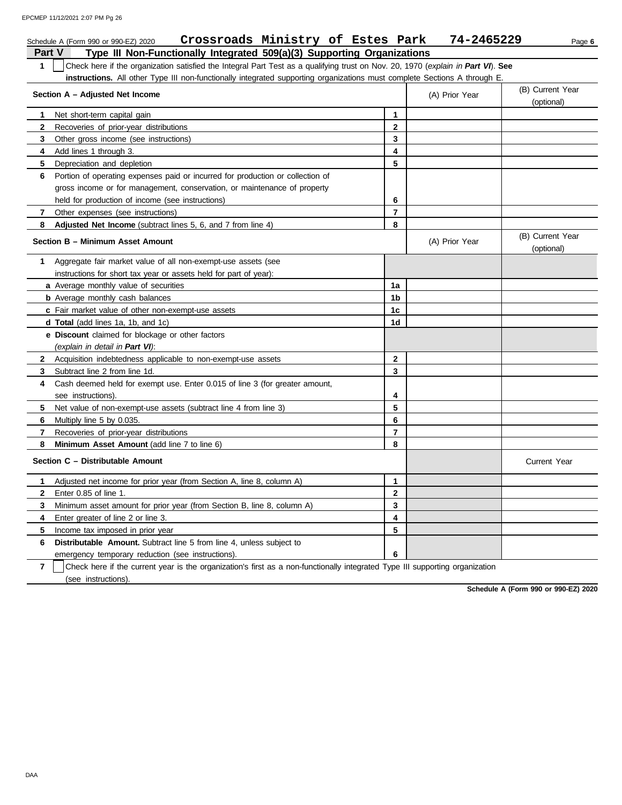EPCMEP 11/12/2021 2:07 PM Pg 26

|                | Crossroads Ministry of Estes Park<br>Schedule A (Form 990 or 990-EZ) 2020                                                        |                | 74-2465229     | Page 6                         |
|----------------|----------------------------------------------------------------------------------------------------------------------------------|----------------|----------------|--------------------------------|
| Part V         | Type III Non-Functionally Integrated 509(a)(3) Supporting Organizations                                                          |                |                |                                |
| $\mathbf{1}$   | Check here if the organization satisfied the Integral Part Test as a qualifying trust on Nov. 20, 1970 (explain in Part VI). See |                |                |                                |
|                | <b>instructions.</b> All other Type III non-functionally integrated supporting organizations must complete Sections A through E  |                |                |                                |
|                | Section A - Adjusted Net Income                                                                                                  |                | (A) Prior Year | (B) Current Year<br>(optional) |
| 1              | Net short-term capital gain                                                                                                      | 1              |                |                                |
| $\overline{2}$ | Recoveries of prior-year distributions                                                                                           | $\mathbf{2}$   |                |                                |
| 3              | Other gross income (see instructions)                                                                                            | 3              |                |                                |
| 4              | Add lines 1 through 3.                                                                                                           | 4              |                |                                |
| 5              | Depreciation and depletion                                                                                                       | 5              |                |                                |
| 6              | Portion of operating expenses paid or incurred for production or collection of                                                   |                |                |                                |
|                | gross income or for management, conservation, or maintenance of property                                                         |                |                |                                |
|                | held for production of income (see instructions)                                                                                 | 6              |                |                                |
| 7              | Other expenses (see instructions)                                                                                                | $\overline{7}$ |                |                                |
| 8              | Adjusted Net Income (subtract lines 5, 6, and 7 from line 4)                                                                     | 8              |                |                                |
|                | Section B - Minimum Asset Amount                                                                                                 |                | (A) Prior Year | (B) Current Year<br>(optional) |
| 1              | Aggregate fair market value of all non-exempt-use assets (see                                                                    |                |                |                                |
|                | instructions for short tax year or assets held for part of year):                                                                |                |                |                                |
|                | <b>a</b> Average monthly value of securities                                                                                     | 1a             |                |                                |
|                | <b>b</b> Average monthly cash balances                                                                                           | 1b             |                |                                |
|                | c Fair market value of other non-exempt-use assets                                                                               | 1 <sub>c</sub> |                |                                |
|                | d Total (add lines 1a, 1b, and 1c)                                                                                               | 1d             |                |                                |
|                | e Discount claimed for blockage or other factors                                                                                 |                |                |                                |
|                | (explain in detail in Part VI).                                                                                                  |                |                |                                |
|                | 2 Acquisition indebtedness applicable to non-exempt-use assets                                                                   | $\mathbf{2}$   |                |                                |
| 3              | Subtract line 2 from line 1d.                                                                                                    | $\mathbf{3}$   |                |                                |
| 4              | Cash deemed held for exempt use. Enter 0.015 of line 3 (for greater amount,                                                      |                |                |                                |
|                | see instructions).                                                                                                               | 4              |                |                                |
| 5              | Net value of non-exempt-use assets (subtract line 4 from line 3)                                                                 | 5              |                |                                |
| 6              | Multiply line 5 by 0.035.                                                                                                        | 6              |                |                                |
| 7              | Recoveries of prior-year distributions                                                                                           | $\overline{7}$ |                |                                |
| 8              | <b>Minimum Asset Amount</b> (add line 7 to line 6)                                                                               | 8              |                |                                |
|                | Section C - Distributable Amount                                                                                                 |                |                | <b>Current Year</b>            |
| 1              | Adjusted net income for prior year (from Section A, line 8, column A)                                                            | 1              |                |                                |
| $\mathbf{2}$   | Enter 0.85 of line 1.                                                                                                            | $\overline{2}$ |                |                                |
| 3              | Minimum asset amount for prior year (from Section B, line 8, column A)                                                           | 3              |                |                                |
| 4              | Enter greater of line 2 or line 3.                                                                                               | 4              |                |                                |
| 5              | Income tax imposed in prior year                                                                                                 | 5              |                |                                |
| 6              | Distributable Amount. Subtract line 5 from line 4, unless subject to                                                             |                |                |                                |
|                | emergency temporary reduction (see instructions)                                                                                 | 6              |                |                                |

**7** | Check here if the current year is the organization's first as a non-functionally integrated Type III supporting organization .<br>(see instructions).

**Schedule A (Form 990 or 990-EZ) 2020**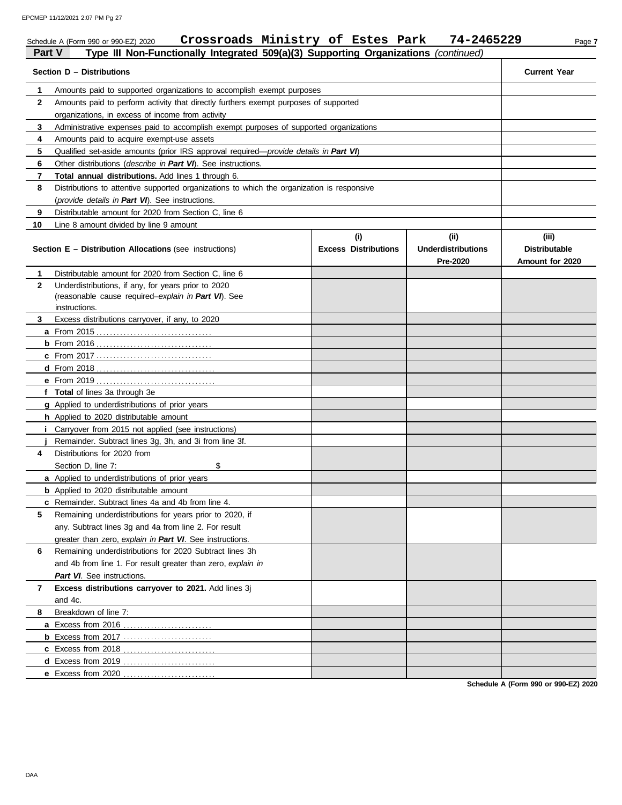|    | Crossroads Ministry of Estes Park<br>74-2465229<br>Schedule A (Form 990 or 990-EZ) 2020<br>Page 7<br>Type III Non-Functionally Integrated 509(a)(3) Supporting Organizations (continued)<br><b>Part V</b> |                                    |                                               |                                                  |  |  |  |  |  |  |
|----|-----------------------------------------------------------------------------------------------------------------------------------------------------------------------------------------------------------|------------------------------------|-----------------------------------------------|--------------------------------------------------|--|--|--|--|--|--|
|    | Section D - Distributions                                                                                                                                                                                 |                                    |                                               | <b>Current Year</b>                              |  |  |  |  |  |  |
| 1. | Amounts paid to supported organizations to accomplish exempt purposes                                                                                                                                     |                                    |                                               |                                                  |  |  |  |  |  |  |
| 2  | Amounts paid to perform activity that directly furthers exempt purposes of supported                                                                                                                      |                                    |                                               |                                                  |  |  |  |  |  |  |
|    | organizations, in excess of income from activity                                                                                                                                                          |                                    |                                               |                                                  |  |  |  |  |  |  |
| 3  |                                                                                                                                                                                                           |                                    |                                               |                                                  |  |  |  |  |  |  |
| 4  | Amounts paid to acquire exempt-use assets                                                                                                                                                                 |                                    |                                               |                                                  |  |  |  |  |  |  |
| 5  | Qualified set-aside amounts (prior IRS approval required—provide details in Part VI)                                                                                                                      |                                    |                                               |                                                  |  |  |  |  |  |  |
| 6  | Other distributions (describe in Part VI). See instructions.                                                                                                                                              |                                    |                                               |                                                  |  |  |  |  |  |  |
| 7  | Total annual distributions. Add lines 1 through 6.                                                                                                                                                        |                                    |                                               |                                                  |  |  |  |  |  |  |
| 8  | Distributions to attentive supported organizations to which the organization is responsive                                                                                                                |                                    |                                               |                                                  |  |  |  |  |  |  |
|    | (provide details in Part VI). See instructions.                                                                                                                                                           |                                    |                                               |                                                  |  |  |  |  |  |  |
| 9  | Distributable amount for 2020 from Section C, line 6                                                                                                                                                      |                                    |                                               |                                                  |  |  |  |  |  |  |
| 10 | Line 8 amount divided by line 9 amount                                                                                                                                                                    |                                    |                                               |                                                  |  |  |  |  |  |  |
|    | Section E - Distribution Allocations (see instructions)                                                                                                                                                   | (i)<br><b>Excess Distributions</b> | (ii)<br><b>Underdistributions</b><br>Pre-2020 | (iii)<br><b>Distributable</b><br>Amount for 2020 |  |  |  |  |  |  |
| 1  | Distributable amount for 2020 from Section C, line 6                                                                                                                                                      |                                    |                                               |                                                  |  |  |  |  |  |  |
| 2  | Underdistributions, if any, for years prior to 2020                                                                                                                                                       |                                    |                                               |                                                  |  |  |  |  |  |  |
|    | (reasonable cause required-explain in Part VI). See                                                                                                                                                       |                                    |                                               |                                                  |  |  |  |  |  |  |
|    | instructions.                                                                                                                                                                                             |                                    |                                               |                                                  |  |  |  |  |  |  |
| 3  | Excess distributions carryover, if any, to 2020                                                                                                                                                           |                                    |                                               |                                                  |  |  |  |  |  |  |
|    |                                                                                                                                                                                                           |                                    |                                               |                                                  |  |  |  |  |  |  |
|    |                                                                                                                                                                                                           |                                    |                                               |                                                  |  |  |  |  |  |  |
|    |                                                                                                                                                                                                           |                                    |                                               |                                                  |  |  |  |  |  |  |
|    |                                                                                                                                                                                                           |                                    |                                               |                                                  |  |  |  |  |  |  |
|    | f Total of lines 3a through 3e                                                                                                                                                                            |                                    |                                               |                                                  |  |  |  |  |  |  |
|    | g Applied to underdistributions of prior years                                                                                                                                                            |                                    |                                               |                                                  |  |  |  |  |  |  |
|    | h Applied to 2020 distributable amount                                                                                                                                                                    |                                    |                                               |                                                  |  |  |  |  |  |  |
|    | <i>i</i> Carryover from 2015 not applied (see instructions)                                                                                                                                               |                                    |                                               |                                                  |  |  |  |  |  |  |
|    | Remainder. Subtract lines 3g, 3h, and 3i from line 3f.                                                                                                                                                    |                                    |                                               |                                                  |  |  |  |  |  |  |
| 4  | Distributions for 2020 from                                                                                                                                                                               |                                    |                                               |                                                  |  |  |  |  |  |  |
|    | \$<br>Section D, line 7:                                                                                                                                                                                  |                                    |                                               |                                                  |  |  |  |  |  |  |
|    | a Applied to underdistributions of prior years                                                                                                                                                            |                                    |                                               |                                                  |  |  |  |  |  |  |
|    | <b>b</b> Applied to 2020 distributable amount                                                                                                                                                             |                                    |                                               |                                                  |  |  |  |  |  |  |
|    | <b>c</b> Remainder. Subtract lines 4a and 4b from line 4.                                                                                                                                                 |                                    |                                               |                                                  |  |  |  |  |  |  |
| 5  | Remaining underdistributions for years prior to 2020, if                                                                                                                                                  |                                    |                                               |                                                  |  |  |  |  |  |  |
|    | any. Subtract lines 3g and 4a from line 2. For result                                                                                                                                                     |                                    |                                               |                                                  |  |  |  |  |  |  |
|    | greater than zero, explain in Part VI. See instructions.                                                                                                                                                  |                                    |                                               |                                                  |  |  |  |  |  |  |
| 6  | Remaining underdistributions for 2020 Subtract lines 3h                                                                                                                                                   |                                    |                                               |                                                  |  |  |  |  |  |  |
|    | and 4b from line 1. For result greater than zero, explain in                                                                                                                                              |                                    |                                               |                                                  |  |  |  |  |  |  |
|    | Part VI. See instructions.                                                                                                                                                                                |                                    |                                               |                                                  |  |  |  |  |  |  |
| 7  | Excess distributions carryover to 2021. Add lines 3j<br>and 4c.                                                                                                                                           |                                    |                                               |                                                  |  |  |  |  |  |  |
| 8  | Breakdown of line 7:                                                                                                                                                                                      |                                    |                                               |                                                  |  |  |  |  |  |  |
|    |                                                                                                                                                                                                           |                                    |                                               |                                                  |  |  |  |  |  |  |
|    |                                                                                                                                                                                                           |                                    |                                               |                                                  |  |  |  |  |  |  |
|    |                                                                                                                                                                                                           |                                    |                                               |                                                  |  |  |  |  |  |  |
|    |                                                                                                                                                                                                           |                                    |                                               |                                                  |  |  |  |  |  |  |
|    |                                                                                                                                                                                                           |                                    |                                               |                                                  |  |  |  |  |  |  |

**Schedule A (Form 990 or 990-EZ) 2020**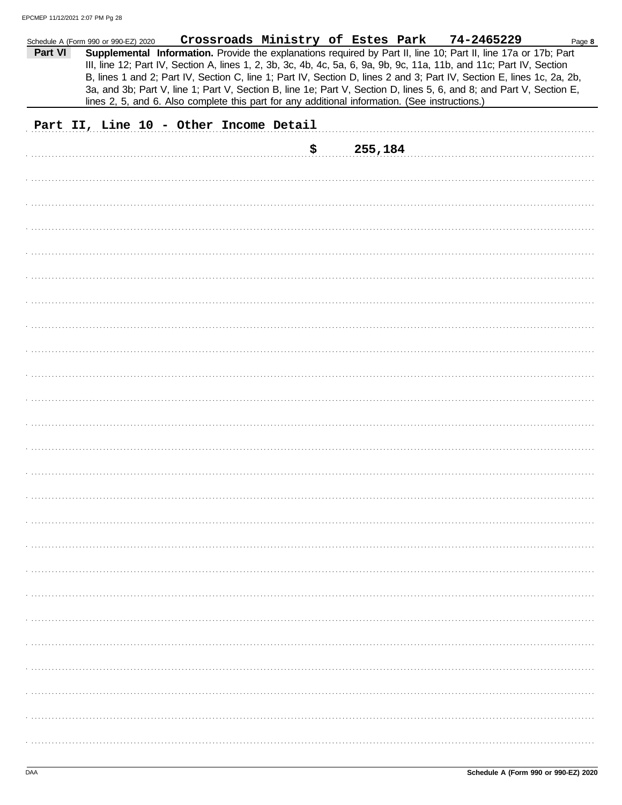|         | Schedule A (Form 990 or 990-EZ) 2020   |  |  |     | Crossroads Ministry of Estes Park                                                              | 74-2465229                                                                                                                                                                                                                                                                                                                                                        | Page 8 |
|---------|----------------------------------------|--|--|-----|------------------------------------------------------------------------------------------------|-------------------------------------------------------------------------------------------------------------------------------------------------------------------------------------------------------------------------------------------------------------------------------------------------------------------------------------------------------------------|--------|
| Part VI |                                        |  |  |     |                                                                                                | Supplemental Information. Provide the explanations required by Part II, line 10; Part II, line 17a or 17b; Part<br>III, line 12; Part IV, Section A, lines 1, 2, 3b, 3c, 4b, 4c, 5a, 6, 9a, 9b, 9c, 11a, 11b, and 11c; Part IV, Section<br>B, lines 1 and 2; Part IV, Section C, line 1; Part IV, Section D, lines 2 and 3; Part IV, Section E, lines 1c, 2a, 2b, |        |
|         |                                        |  |  |     | lines 2, 5, and 6. Also complete this part for any additional information. (See instructions.) | 3a, and 3b; Part V, line 1; Part V, Section B, line 1e; Part V, Section D, lines 5, 6, and 8; and Part V, Section E,                                                                                                                                                                                                                                              |        |
|         | Part II, Line 10 - Other Income Detail |  |  |     |                                                                                                |                                                                                                                                                                                                                                                                                                                                                                   |        |
|         |                                        |  |  | \$. | 255,184                                                                                        |                                                                                                                                                                                                                                                                                                                                                                   |        |
|         |                                        |  |  |     |                                                                                                |                                                                                                                                                                                                                                                                                                                                                                   |        |
|         |                                        |  |  |     |                                                                                                |                                                                                                                                                                                                                                                                                                                                                                   |        |
|         |                                        |  |  |     |                                                                                                |                                                                                                                                                                                                                                                                                                                                                                   |        |
|         |                                        |  |  |     |                                                                                                |                                                                                                                                                                                                                                                                                                                                                                   |        |
|         |                                        |  |  |     |                                                                                                |                                                                                                                                                                                                                                                                                                                                                                   |        |
|         |                                        |  |  |     |                                                                                                |                                                                                                                                                                                                                                                                                                                                                                   |        |
|         |                                        |  |  |     |                                                                                                |                                                                                                                                                                                                                                                                                                                                                                   |        |
|         |                                        |  |  |     |                                                                                                |                                                                                                                                                                                                                                                                                                                                                                   |        |
|         |                                        |  |  |     |                                                                                                |                                                                                                                                                                                                                                                                                                                                                                   |        |
|         |                                        |  |  |     |                                                                                                |                                                                                                                                                                                                                                                                                                                                                                   |        |
|         |                                        |  |  |     |                                                                                                |                                                                                                                                                                                                                                                                                                                                                                   |        |
|         |                                        |  |  |     |                                                                                                |                                                                                                                                                                                                                                                                                                                                                                   |        |
|         |                                        |  |  |     |                                                                                                |                                                                                                                                                                                                                                                                                                                                                                   |        |
|         |                                        |  |  |     |                                                                                                |                                                                                                                                                                                                                                                                                                                                                                   |        |
|         |                                        |  |  |     |                                                                                                |                                                                                                                                                                                                                                                                                                                                                                   |        |
|         |                                        |  |  |     |                                                                                                |                                                                                                                                                                                                                                                                                                                                                                   |        |
|         |                                        |  |  |     |                                                                                                |                                                                                                                                                                                                                                                                                                                                                                   |        |
|         |                                        |  |  |     |                                                                                                |                                                                                                                                                                                                                                                                                                                                                                   |        |
|         |                                        |  |  |     |                                                                                                |                                                                                                                                                                                                                                                                                                                                                                   |        |
|         |                                        |  |  |     |                                                                                                |                                                                                                                                                                                                                                                                                                                                                                   |        |
|         |                                        |  |  |     |                                                                                                |                                                                                                                                                                                                                                                                                                                                                                   |        |
|         |                                        |  |  |     |                                                                                                |                                                                                                                                                                                                                                                                                                                                                                   |        |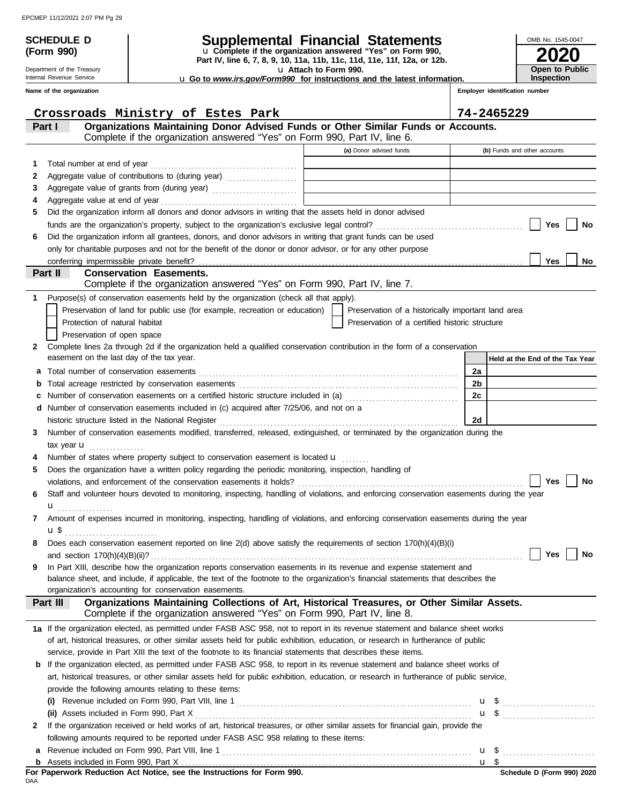## **SCHEDULE D Supplemental Financial Statements**

**Part IV, line 6, 7, 8, 9, 10, 11a, 11b, 11c, 11d, 11e, 11f, 12a, or 12b.** u **Complete if the organization answered "Yes" on Form 990,**

u **Attach to Form 990.** 

u **Go to** *www.irs.gov/Form990* **for instructions and the latest information.**

Internal Revenue Service **Name of the organization**

Department of the Treasury

**(Form 990)**

|    | Crossroads Ministry of Estes Park                                                                                                                                                                                                         |                                                    | 74-2465229                      |
|----|-------------------------------------------------------------------------------------------------------------------------------------------------------------------------------------------------------------------------------------------|----------------------------------------------------|---------------------------------|
|    | Organizations Maintaining Donor Advised Funds or Other Similar Funds or Accounts.<br>Part I                                                                                                                                               |                                                    |                                 |
|    | Complete if the organization answered "Yes" on Form 990, Part IV, line 6.                                                                                                                                                                 |                                                    |                                 |
|    |                                                                                                                                                                                                                                           | (a) Donor advised funds                            | (b) Funds and other accounts    |
| 1  | Total number at end of year<br>[11] matter continuous contract and of year<br>[12] matter contract and of year<br>[12] matter contract and of year<br>[12] matter contract and of year<br>[12] matter contract and of year<br>[13] matter |                                                    |                                 |
| 2  | Aggregate value of contributions to (during year) [[11][11][11][11][11] Aggregate value of contributions to (during year)                                                                                                                 |                                                    |                                 |
| З  |                                                                                                                                                                                                                                           |                                                    |                                 |
| 4  |                                                                                                                                                                                                                                           |                                                    |                                 |
| 5  | Did the organization inform all donors and donor advisors in writing that the assets held in donor advised                                                                                                                                |                                                    |                                 |
|    |                                                                                                                                                                                                                                           |                                                    | Yes<br>No                       |
| 6  | Did the organization inform all grantees, donors, and donor advisors in writing that grant funds can be used                                                                                                                              |                                                    |                                 |
|    | only for charitable purposes and not for the benefit of the donor or donor advisor, or for any other purpose                                                                                                                              |                                                    |                                 |
|    | conferring impermissible private benefit?                                                                                                                                                                                                 |                                                    | <b>Yes</b><br>No                |
|    | Part II<br><b>Conservation Easements.</b>                                                                                                                                                                                                 |                                                    |                                 |
|    | Complete if the organization answered "Yes" on Form 990, Part IV, line 7.                                                                                                                                                                 |                                                    |                                 |
| 1. | Purpose(s) of conservation easements held by the organization (check all that apply).                                                                                                                                                     |                                                    |                                 |
|    | Preservation of land for public use (for example, recreation or education)                                                                                                                                                                | Preservation of a historically important land area |                                 |
|    | Protection of natural habitat                                                                                                                                                                                                             | Preservation of a certified historic structure     |                                 |
|    | Preservation of open space                                                                                                                                                                                                                |                                                    |                                 |
| 2  | Complete lines 2a through 2d if the organization held a qualified conservation contribution in the form of a conservation<br>easement on the last day of the tax year.                                                                    |                                                    |                                 |
|    |                                                                                                                                                                                                                                           |                                                    | Held at the End of the Tax Year |
| a  |                                                                                                                                                                                                                                           |                                                    | 2a                              |
|    |                                                                                                                                                                                                                                           |                                                    | 2b<br>2c                        |
| c  |                                                                                                                                                                                                                                           |                                                    |                                 |
|    | d Number of conservation easements included in (c) acquired after 7/25/06, and not on a                                                                                                                                                   |                                                    | 2d                              |
| 3  | Number of conservation easements modified, transferred, released, extinguished, or terminated by the organization during the                                                                                                              |                                                    |                                 |
|    |                                                                                                                                                                                                                                           |                                                    |                                 |
| 4  | tax year $\mathbf u$<br>Number of states where property subject to conservation easement is located u                                                                                                                                     |                                                    |                                 |
| 5  | Does the organization have a written policy regarding the periodic monitoring, inspection, handling of                                                                                                                                    |                                                    |                                 |
|    |                                                                                                                                                                                                                                           |                                                    | Yes<br>No                       |
| 6  | Staff and volunteer hours devoted to monitoring, inspecting, handling of violations, and enforcing conservation easements during the year                                                                                                 |                                                    |                                 |
|    | $\mathbf{u}_{\text{}}$                                                                                                                                                                                                                    |                                                    |                                 |
| 7  | Amount of expenses incurred in monitoring, inspecting, handling of violations, and enforcing conservation easements during the year                                                                                                       |                                                    |                                 |
|    | ս \$                                                                                                                                                                                                                                      |                                                    |                                 |
| 8  | Does each conservation easement reported on line 2(d) above satisfy the requirements of section 170(h)(4)(B)(i)                                                                                                                           |                                                    |                                 |
|    |                                                                                                                                                                                                                                           |                                                    | Yes<br>No                       |
| 9  | In Part XIII, describe how the organization reports conservation easements in its revenue and expense statement and                                                                                                                       |                                                    |                                 |
|    | balance sheet, and include, if applicable, the text of the footnote to the organization's financial statements that describes the                                                                                                         |                                                    |                                 |
|    | organization's accounting for conservation easements.                                                                                                                                                                                     |                                                    |                                 |
|    | Organizations Maintaining Collections of Art, Historical Treasures, or Other Similar Assets.<br>Part III                                                                                                                                  |                                                    |                                 |
|    | Complete if the organization answered "Yes" on Form 990, Part IV, line 8.                                                                                                                                                                 |                                                    |                                 |
|    | 1a If the organization elected, as permitted under FASB ASC 958, not to report in its revenue statement and balance sheet works                                                                                                           |                                                    |                                 |
|    | of art, historical treasures, or other similar assets held for public exhibition, education, or research in furtherance of public                                                                                                         |                                                    |                                 |
|    | service, provide in Part XIII the text of the footnote to its financial statements that describes these items.                                                                                                                            |                                                    |                                 |
|    | <b>b</b> If the organization elected, as permitted under FASB ASC 958, to report in its revenue statement and balance sheet works of                                                                                                      |                                                    |                                 |
|    | art, historical treasures, or other similar assets held for public exhibition, education, or research in furtherance of public service,                                                                                                   |                                                    |                                 |
|    | provide the following amounts relating to these items:                                                                                                                                                                                    |                                                    |                                 |
|    |                                                                                                                                                                                                                                           |                                                    | $\mathbf{u}$ \$                 |
|    |                                                                                                                                                                                                                                           |                                                    | $\mathbf{u}$ \$                 |
| 2  | If the organization received or held works of art, historical treasures, or other similar assets for financial gain, provide the                                                                                                          |                                                    |                                 |
|    | following amounts required to be reported under FASB ASC 958 relating to these items:                                                                                                                                                     |                                                    |                                 |
| a  |                                                                                                                                                                                                                                           |                                                    |                                 |
|    |                                                                                                                                                                                                                                           |                                                    |                                 |

**2020**

**Open to Public Inspection**

OMB No. 1545-0047

**Employer identification number**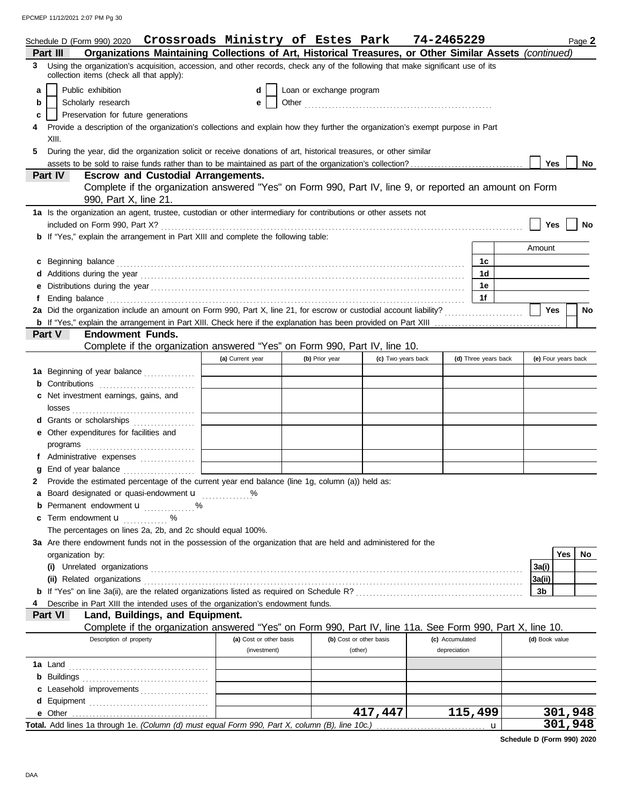EPCMEP 11/12/2021 2:07 PM Pg 30

|   | Schedule D (Form 990) 2020 Crossroads Ministry of Estes Park                                                                                                                                                                         |                         |                          |                         | 74-2465229      |                      | Page 2              |
|---|--------------------------------------------------------------------------------------------------------------------------------------------------------------------------------------------------------------------------------------|-------------------------|--------------------------|-------------------------|-----------------|----------------------|---------------------|
|   | Organizations Maintaining Collections of Art, Historical Treasures, or Other Similar Assets (continued)<br>Part III                                                                                                                  |                         |                          |                         |                 |                      |                     |
|   | 3 Using the organization's acquisition, accession, and other records, check any of the following that make significant use of its<br>collection items (check all that apply):                                                        |                         |                          |                         |                 |                      |                     |
| a | Public exhibition                                                                                                                                                                                                                    | d                       | Loan or exchange program |                         |                 |                      |                     |
| b | Scholarly research                                                                                                                                                                                                                   | е                       |                          |                         |                 |                      |                     |
| c | Preservation for future generations                                                                                                                                                                                                  |                         |                          |                         |                 |                      |                     |
|   | Provide a description of the organization's collections and explain how they further the organization's exempt purpose in Part                                                                                                       |                         |                          |                         |                 |                      |                     |
|   | XIII.                                                                                                                                                                                                                                |                         |                          |                         |                 |                      |                     |
| 5 | During the year, did the organization solicit or receive donations of art, historical treasures, or other similar                                                                                                                    |                         |                          |                         |                 |                      |                     |
|   |                                                                                                                                                                                                                                      |                         |                          |                         |                 |                      | Yes<br>No           |
|   | <b>Escrow and Custodial Arrangements.</b><br>Part IV                                                                                                                                                                                 |                         |                          |                         |                 |                      |                     |
|   | Complete if the organization answered "Yes" on Form 990, Part IV, line 9, or reported an amount on Form                                                                                                                              |                         |                          |                         |                 |                      |                     |
|   | 990, Part X, line 21.                                                                                                                                                                                                                |                         |                          |                         |                 |                      |                     |
|   | 1a Is the organization an agent, trustee, custodian or other intermediary for contributions or other assets not                                                                                                                      |                         |                          |                         |                 |                      |                     |
|   |                                                                                                                                                                                                                                      |                         |                          |                         |                 |                      | Yes<br>No           |
|   | <b>b</b> If "Yes," explain the arrangement in Part XIII and complete the following table:                                                                                                                                            |                         |                          |                         |                 |                      |                     |
|   |                                                                                                                                                                                                                                      |                         |                          |                         |                 |                      | Amount              |
|   | c Beginning balance <b>contract to the contract of the set of the contract of the contract of the contract of the contract of the contract of the contract of the contract of the contract of the contract of the contract of th</b> |                         |                          |                         |                 | 1c                   |                     |
|   |                                                                                                                                                                                                                                      |                         |                          |                         |                 | 1d                   |                     |
|   |                                                                                                                                                                                                                                      |                         |                          |                         |                 | 1e                   |                     |
|   |                                                                                                                                                                                                                                      |                         |                          |                         |                 | 1f                   |                     |
|   |                                                                                                                                                                                                                                      |                         |                          |                         |                 |                      | Yes<br>No           |
|   |                                                                                                                                                                                                                                      |                         |                          |                         |                 |                      |                     |
|   | <b>Part V</b><br><b>Endowment Funds.</b>                                                                                                                                                                                             |                         |                          |                         |                 |                      |                     |
|   | Complete if the organization answered "Yes" on Form 990, Part IV, line 10.                                                                                                                                                           |                         |                          |                         |                 |                      |                     |
|   |                                                                                                                                                                                                                                      | (a) Current year        | (b) Prior year           | (c) Two years back      |                 | (d) Three years back | (e) Four years back |
|   | 1a Beginning of year balance                                                                                                                                                                                                         |                         |                          |                         |                 |                      |                     |
|   | <b>b</b> Contributions <b>contributions</b>                                                                                                                                                                                          |                         |                          |                         |                 |                      |                     |
|   | c Net investment earnings, gains, and                                                                                                                                                                                                |                         |                          |                         |                 |                      |                     |
|   |                                                                                                                                                                                                                                      |                         |                          |                         |                 |                      |                     |
|   | d Grants or scholarships                                                                                                                                                                                                             |                         |                          |                         |                 |                      |                     |
|   | e Other expenditures for facilities and                                                                                                                                                                                              |                         |                          |                         |                 |                      |                     |
|   |                                                                                                                                                                                                                                      |                         |                          |                         |                 |                      |                     |
|   | f Administrative expenses                                                                                                                                                                                                            |                         |                          |                         |                 |                      |                     |
|   |                                                                                                                                                                                                                                      |                         |                          |                         |                 |                      |                     |
|   | Provide the estimated percentage of the current year end balance (line 1g, column (a)) held as:                                                                                                                                      |                         |                          |                         |                 |                      |                     |
|   | a Board designated or quasi-endowment u                                                                                                                                                                                              |                         |                          |                         |                 |                      |                     |
|   | <b>b</b> Permanent endowment <b>u</b> %                                                                                                                                                                                              |                         |                          |                         |                 |                      |                     |
|   | c Term endowment <b>u</b> %                                                                                                                                                                                                          |                         |                          |                         |                 |                      |                     |
|   | The percentages on lines 2a, 2b, and 2c should equal 100%.                                                                                                                                                                           |                         |                          |                         |                 |                      |                     |
|   | 3a Are there endowment funds not in the possession of the organization that are held and administered for the                                                                                                                        |                         |                          |                         |                 |                      |                     |
|   | organization by:                                                                                                                                                                                                                     |                         |                          |                         |                 |                      | Yes<br>No           |
|   |                                                                                                                                                                                                                                      |                         |                          |                         |                 |                      | 3a(i)               |
|   |                                                                                                                                                                                                                                      |                         |                          |                         |                 |                      | 3a(ii)              |
|   |                                                                                                                                                                                                                                      |                         |                          |                         |                 |                      | 3b                  |
|   | Describe in Part XIII the intended uses of the organization's endowment funds.                                                                                                                                                       |                         |                          |                         |                 |                      |                     |
|   | Land, Buildings, and Equipment.<br><b>Part VI</b><br>Complete if the organization answered "Yes" on Form 990, Part IV, line 11a. See Form 990, Part X, line 10.                                                                      |                         |                          |                         |                 |                      |                     |
|   | Description of property                                                                                                                                                                                                              | (a) Cost or other basis |                          | (b) Cost or other basis | (c) Accumulated |                      | (d) Book value      |
|   |                                                                                                                                                                                                                                      | (investment)            |                          | (other)                 | depreciation    |                      |                     |
|   |                                                                                                                                                                                                                                      |                         |                          |                         |                 |                      |                     |
|   |                                                                                                                                                                                                                                      |                         |                          |                         |                 |                      |                     |
|   | c Leasehold improvements                                                                                                                                                                                                             |                         |                          |                         |                 |                      |                     |
|   |                                                                                                                                                                                                                                      |                         |                          |                         |                 |                      |                     |
|   |                                                                                                                                                                                                                                      |                         |                          | 417,447                 |                 | 115,499              | 301,948             |
|   | Total. Add lines 1a through 1e. (Column (d) must equal Form 990, Part X, column (B), line 10c.)                                                                                                                                      |                         |                          |                         |                 | $\mathbf u$          | 301,948             |
|   |                                                                                                                                                                                                                                      |                         |                          |                         |                 |                      |                     |

**Schedule D (Form 990) 2020**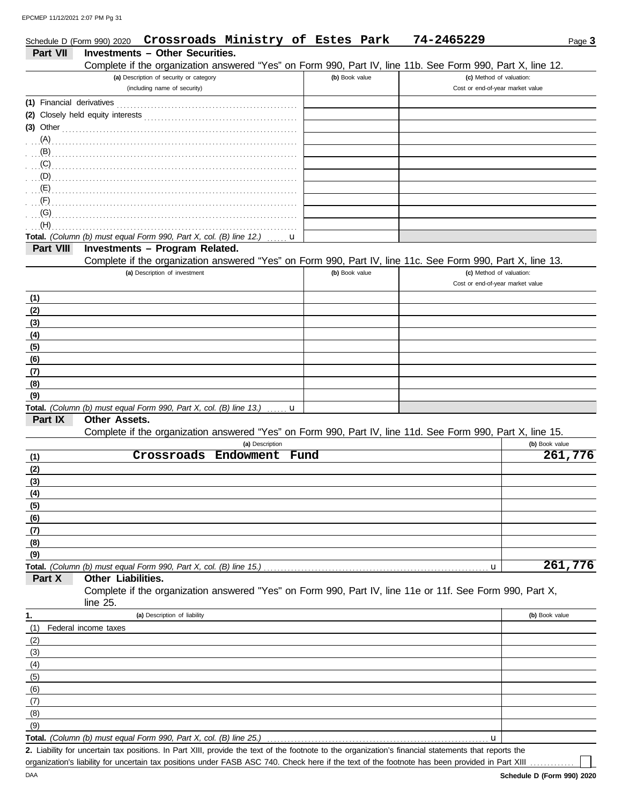|                          | Crossroads Ministry of Estes Park<br>Schedule D (Form 990) 2020                                            |                 |      |                | 74-2465229 | Page 3                           |
|--------------------------|------------------------------------------------------------------------------------------------------------|-----------------|------|----------------|------------|----------------------------------|
| Part VII                 | <b>Investments - Other Securities.</b>                                                                     |                 |      |                |            |                                  |
|                          | Complete if the organization answered "Yes" on Form 990, Part IV, line 11b. See Form 990, Part X, line 12. |                 |      |                |            |                                  |
|                          | (a) Description of security or category                                                                    |                 |      | (b) Book value |            | (c) Method of valuation:         |
|                          | (including name of security)                                                                               |                 |      |                |            | Cost or end-of-year market value |
|                          |                                                                                                            |                 |      |                |            |                                  |
|                          |                                                                                                            |                 |      |                |            |                                  |
|                          | $(3)$ Other                                                                                                |                 |      |                |            |                                  |
|                          | $(A)$ (A)                                                                                                  |                 |      |                |            |                                  |
|                          |                                                                                                            |                 |      |                |            |                                  |
|                          | $(C)$ (C)                                                                                                  |                 |      |                |            |                                  |
|                          |                                                                                                            |                 |      |                |            |                                  |
| $\mathbf{E}(\mathsf{E})$ |                                                                                                            |                 |      |                |            |                                  |
| (F)                      |                                                                                                            |                 |      |                |            |                                  |
| $\overline{G}(G)$        |                                                                                                            |                 |      |                |            |                                  |
| (H)                      |                                                                                                            |                 |      |                |            |                                  |
|                          | Total. (Column (b) must equal Form 990, Part X, col. (B) line 12.)                                         |                 | u    |                |            |                                  |
| Part VIII                | Investments - Program Related.                                                                             |                 |      |                |            |                                  |
|                          | Complete if the organization answered "Yes" on Form 990, Part IV, line 11c. See Form 990, Part X, line 13. |                 |      |                |            |                                  |
|                          | (a) Description of investment                                                                              |                 |      | (b) Book value |            | (c) Method of valuation:         |
|                          |                                                                                                            |                 |      |                |            | Cost or end-of-year market value |
|                          |                                                                                                            |                 |      |                |            |                                  |
| (1)                      |                                                                                                            |                 |      |                |            |                                  |
| (2)                      |                                                                                                            |                 |      |                |            |                                  |
| (3)                      |                                                                                                            |                 |      |                |            |                                  |
| (4)                      |                                                                                                            |                 |      |                |            |                                  |
| (5)                      |                                                                                                            |                 |      |                |            |                                  |
| (6)                      |                                                                                                            |                 |      |                |            |                                  |
| (7)                      |                                                                                                            |                 |      |                |            |                                  |
| (8)                      |                                                                                                            |                 |      |                |            |                                  |
| (9)                      |                                                                                                            |                 |      |                |            |                                  |
|                          | Total. (Column (b) must equal Form 990, Part X, col. (B) line 13.)                                         |                 | u    |                |            |                                  |
| Part IX                  | <b>Other Assets.</b>                                                                                       |                 |      |                |            |                                  |
|                          | Complete if the organization answered "Yes" on Form 990, Part IV, line 11d. See Form 990, Part X, line 15. |                 |      |                |            |                                  |
|                          |                                                                                                            | (a) Description |      |                |            | (b) Book value                   |
| (1)                      | Crossroads Endowment                                                                                       |                 | Fund |                |            | 261,776                          |
| (2)                      |                                                                                                            |                 |      |                |            |                                  |
| (3)                      |                                                                                                            |                 |      |                |            |                                  |
| (4)                      |                                                                                                            |                 |      |                |            |                                  |
| (5)                      |                                                                                                            |                 |      |                |            |                                  |
| (6)                      |                                                                                                            |                 |      |                |            |                                  |
| (7)                      |                                                                                                            |                 |      |                |            |                                  |
| (8)                      |                                                                                                            |                 |      |                |            |                                  |
| (9)                      |                                                                                                            |                 |      |                |            |                                  |
|                          | Total. (Column (b) must equal Form 990, Part X, col. (B) line 15.)                                         |                 |      |                |            | 261,776<br>u                     |
| Part X                   | Other Liabilities.                                                                                         |                 |      |                |            |                                  |
|                          | Complete if the organization answered "Yes" on Form 990, Part IV, line 11e or 11f. See Form 990, Part X,   |                 |      |                |            |                                  |
|                          | line 25.                                                                                                   |                 |      |                |            |                                  |
| 1.                       | (a) Description of liability                                                                               |                 |      |                |            | (b) Book value                   |
| (1)                      | Federal income taxes                                                                                       |                 |      |                |            |                                  |
| (2)                      |                                                                                                            |                 |      |                |            |                                  |
| (3)                      |                                                                                                            |                 |      |                |            |                                  |
| (4)                      |                                                                                                            |                 |      |                |            |                                  |
| (5)                      |                                                                                                            |                 |      |                |            |                                  |
| (6)                      |                                                                                                            |                 |      |                |            |                                  |
| (7)                      |                                                                                                            |                 |      |                |            |                                  |
| (8)                      |                                                                                                            |                 |      |                |            |                                  |
| (9)                      |                                                                                                            |                 |      |                |            |                                  |
|                          |                                                                                                            |                 |      |                |            |                                  |

**Total.** *(Column (b) must equal Form 990, Part X, col. (B) line 25.)* . . . . . . . . . . . . . . . . . . . . . . . . . . . . . . . . . . . . . . . . . . . . . . . . . . . . . . . . . . . . . . . . . u

Liability for uncertain tax positions. In Part XIII, provide the text of the footnote to the organization's financial statements that reports the **2.** organization's liability for uncertain tax positions under FASB ASC 740. Check here if the text of the footnote has been provided in Part XIII .........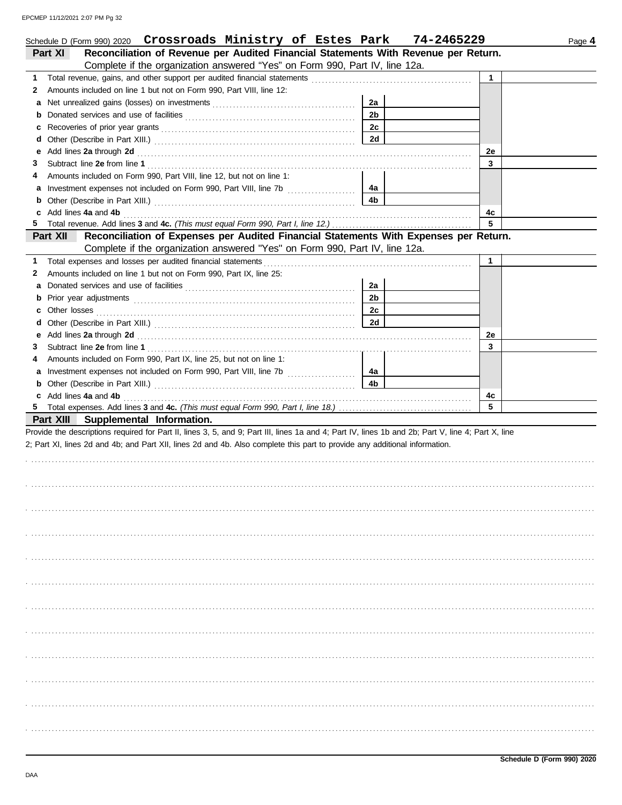|   | Schedule D (Form 990) 2020 Crossroads Ministry of Estes Park                                                                                                                                                                  |                | 74-2465229 |              | Page 4 |
|---|-------------------------------------------------------------------------------------------------------------------------------------------------------------------------------------------------------------------------------|----------------|------------|--------------|--------|
|   | Reconciliation of Revenue per Audited Financial Statements With Revenue per Return.<br>Part XI                                                                                                                                |                |            |              |        |
|   | Complete if the organization answered "Yes" on Form 990, Part IV, line 12a.                                                                                                                                                   |                |            |              |        |
| 1 |                                                                                                                                                                                                                               |                |            | $\mathbf{1}$ |        |
| 2 | Amounts included on line 1 but not on Form 990, Part VIII, line 12:                                                                                                                                                           |                |            |              |        |
| а |                                                                                                                                                                                                                               | 2a             |            |              |        |
| b |                                                                                                                                                                                                                               | 2 <sub>b</sub> |            |              |        |
| с |                                                                                                                                                                                                                               | 2c             |            |              |        |
| d |                                                                                                                                                                                                                               | 2d             |            |              |        |
| е | Add lines 2a through 2d [11] and the contract of the contract of the contract of the contract of the contract of the contract of the contract of the contract of the contract of the contract of the contract of the contract |                |            | 2e           |        |
| З |                                                                                                                                                                                                                               |                |            | 3            |        |
| 4 | Amounts included on Form 990, Part VIII, line 12, but not on line 1:                                                                                                                                                          |                |            |              |        |
| а |                                                                                                                                                                                                                               | 4a             |            |              |        |
| b |                                                                                                                                                                                                                               | 4 <sub>b</sub> |            |              |        |
| c | Add lines 4a and 4b                                                                                                                                                                                                           |                |            | 4c           |        |
| 5 |                                                                                                                                                                                                                               |                |            | 5            |        |
|   | Reconciliation of Expenses per Audited Financial Statements With Expenses per Return.<br><b>Part XII</b>                                                                                                                      |                |            |              |        |
|   | Complete if the organization answered "Yes" on Form 990, Part IV, line 12a.                                                                                                                                                   |                |            |              |        |
| 1 | Total expenses and losses per audited financial statements                                                                                                                                                                    |                |            | 1            |        |
| 2 | Amounts included on line 1 but not on Form 990, Part IX, line 25:                                                                                                                                                             |                |            |              |        |
| а |                                                                                                                                                                                                                               | 2a             |            |              |        |
| b |                                                                                                                                                                                                                               | 2 <sub>b</sub> |            |              |        |
| с |                                                                                                                                                                                                                               | 2c             |            |              |        |
| d |                                                                                                                                                                                                                               | 2d             |            |              |        |
| е | Add lines 2a through 2d [11] and the contract of the contract of the contract of the contract of the contract of the contract of the contract of the contract of the contract of the contract of the contract of the contract |                |            | 2e           |        |
| З |                                                                                                                                                                                                                               |                |            | 3            |        |
| 4 | Amounts included on Form 990, Part IX, line 25, but not on line 1:                                                                                                                                                            |                |            |              |        |
| а | Investment expenses not included on Form 990, Part VIII, line 7b [                                                                                                                                                            | 4а             |            |              |        |
| b |                                                                                                                                                                                                                               | 4 <sub>b</sub> |            |              |        |
| c | Add lines 4a and 4b                                                                                                                                                                                                           |                |            | 4c           |        |
| 5 |                                                                                                                                                                                                                               |                |            | 5            |        |
|   | Part XIII Supplemental Information.                                                                                                                                                                                           |                |            |              |        |
|   | Provide the descriptions required for Part II, lines 3, 5, and 9; Part III, lines 1a and 4; Part IV, lines 1b and 2b; Part V, line 4; Part X, line                                                                            |                |            |              |        |
|   | 2; Part XI, lines 2d and 4b; and Part XII, lines 2d and 4b. Also complete this part to provide any additional information.                                                                                                    |                |            |              |        |
|   |                                                                                                                                                                                                                               |                |            |              |        |
|   |                                                                                                                                                                                                                               |                |            |              |        |
|   |                                                                                                                                                                                                                               |                |            |              |        |
|   |                                                                                                                                                                                                                               |                |            |              |        |
|   |                                                                                                                                                                                                                               |                |            |              |        |
|   |                                                                                                                                                                                                                               |                |            |              |        |
|   |                                                                                                                                                                                                                               |                |            |              |        |
|   |                                                                                                                                                                                                                               |                |            |              |        |
|   |                                                                                                                                                                                                                               |                |            |              |        |
|   |                                                                                                                                                                                                                               |                |            |              |        |
|   |                                                                                                                                                                                                                               |                |            |              |        |
|   |                                                                                                                                                                                                                               |                |            |              |        |
|   |                                                                                                                                                                                                                               |                |            |              |        |
|   |                                                                                                                                                                                                                               |                |            |              |        |
|   |                                                                                                                                                                                                                               |                |            |              |        |
|   |                                                                                                                                                                                                                               |                |            |              |        |
|   |                                                                                                                                                                                                                               |                |            |              |        |
|   |                                                                                                                                                                                                                               |                |            |              |        |
|   |                                                                                                                                                                                                                               |                |            |              |        |
|   |                                                                                                                                                                                                                               |                |            |              |        |
|   |                                                                                                                                                                                                                               |                |            |              |        |
|   |                                                                                                                                                                                                                               |                |            |              |        |
|   |                                                                                                                                                                                                                               |                |            |              |        |
|   |                                                                                                                                                                                                                               |                |            |              |        |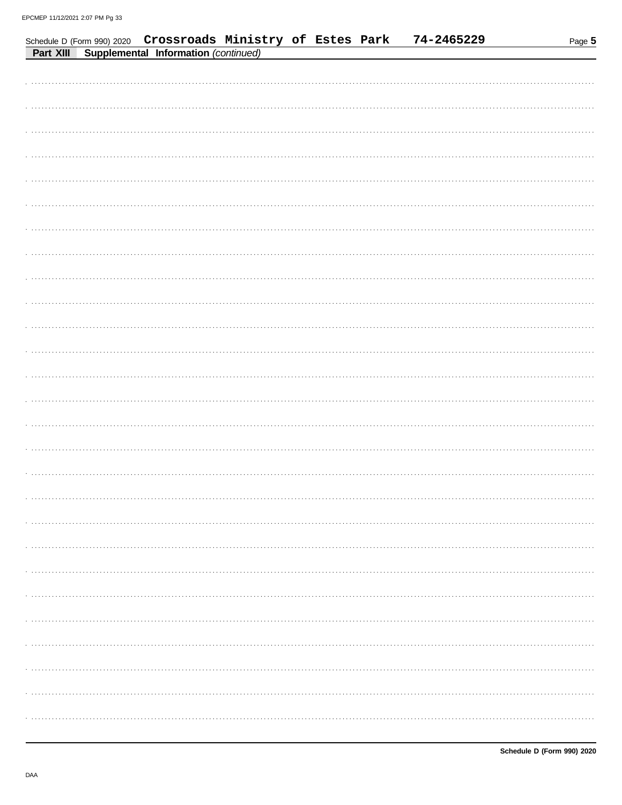|  | Schedule D (Form 990) 2020 Crossroads Ministry of Estes Park<br>Part XIII Supplemental Information (continued) |  | 74-2465229 | Page 5 |
|--|----------------------------------------------------------------------------------------------------------------|--|------------|--------|
|  |                                                                                                                |  |            |        |
|  |                                                                                                                |  |            |        |
|  |                                                                                                                |  |            |        |
|  |                                                                                                                |  |            |        |
|  |                                                                                                                |  |            |        |
|  |                                                                                                                |  |            |        |
|  |                                                                                                                |  |            |        |
|  |                                                                                                                |  |            |        |
|  |                                                                                                                |  |            |        |
|  |                                                                                                                |  |            |        |
|  |                                                                                                                |  |            |        |
|  |                                                                                                                |  |            |        |
|  |                                                                                                                |  |            |        |
|  |                                                                                                                |  |            |        |
|  |                                                                                                                |  |            |        |
|  |                                                                                                                |  |            |        |
|  |                                                                                                                |  |            |        |
|  |                                                                                                                |  |            |        |
|  |                                                                                                                |  |            |        |
|  |                                                                                                                |  |            |        |
|  |                                                                                                                |  |            |        |
|  |                                                                                                                |  |            |        |
|  |                                                                                                                |  |            |        |
|  |                                                                                                                |  |            |        |
|  |                                                                                                                |  |            |        |
|  |                                                                                                                |  |            |        |
|  |                                                                                                                |  |            |        |
|  |                                                                                                                |  |            |        |
|  |                                                                                                                |  |            |        |
|  |                                                                                                                |  |            |        |
|  |                                                                                                                |  |            |        |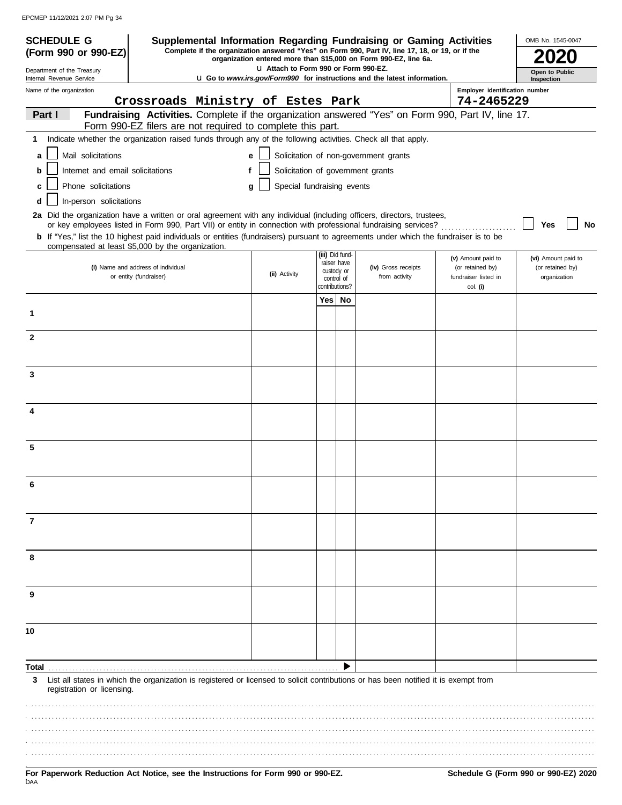EPCMEP 11/12/2021 2:07 PM Pg 34

| <b>SCHEDULE G</b>                                      | Supplemental Information Regarding Fundraising or Gaming Activities                                                                                                                                                                                     |                                       |                 |                          |                                                                                 |                                        | OMB No. 1545-0047                       |
|--------------------------------------------------------|---------------------------------------------------------------------------------------------------------------------------------------------------------------------------------------------------------------------------------------------------------|---------------------------------------|-----------------|--------------------------|---------------------------------------------------------------------------------|----------------------------------------|-----------------------------------------|
| (Form 990 or 990-EZ)                                   | Complete if the organization answered "Yes" on Form 990, Part IV, line 17, 18, or 19, or if the                                                                                                                                                         |                                       |                 |                          | organization entered more than \$15,000 on Form 990-EZ, line 6a.                |                                        |                                         |
| Department of the Treasury<br>Internal Revenue Service |                                                                                                                                                                                                                                                         | La Attach to Form 990 or Form 990-EZ. |                 |                          | <b>u</b> Go to www.irs.gov/Form990 for instructions and the latest information. |                                        | Open to Public<br>Inspection            |
| Name of the organization                               |                                                                                                                                                                                                                                                         |                                       |                 |                          |                                                                                 | Employer identification number         |                                         |
| Part I                                                 | Crossroads Ministry of Estes Park<br>Fundraising Activities. Complete if the organization answered "Yes" on Form 990, Part IV, line 17.                                                                                                                 |                                       |                 |                          |                                                                                 | 74-2465229                             |                                         |
|                                                        | Form 990-EZ filers are not required to complete this part.                                                                                                                                                                                              |                                       |                 |                          |                                                                                 |                                        |                                         |
| 1                                                      | Indicate whether the organization raised funds through any of the following activities. Check all that apply.                                                                                                                                           |                                       |                 |                          |                                                                                 |                                        |                                         |
| Mail solicitations<br>a                                |                                                                                                                                                                                                                                                         | e                                     |                 |                          | Solicitation of non-government grants                                           |                                        |                                         |
| Internet and email solicitations<br>b                  | f                                                                                                                                                                                                                                                       |                                       |                 |                          | Solicitation of government grants                                               |                                        |                                         |
| Phone solicitations<br>c                               |                                                                                                                                                                                                                                                         | Special fundraising events<br>q       |                 |                          |                                                                                 |                                        |                                         |
| In-person solicitations<br>d                           |                                                                                                                                                                                                                                                         |                                       |                 |                          |                                                                                 |                                        |                                         |
|                                                        | 2a Did the organization have a written or oral agreement with any individual (including officers, directors, trustees,                                                                                                                                  |                                       |                 |                          |                                                                                 |                                        |                                         |
|                                                        | or key employees listed in Form 990, Part VII) or entity in connection with professional fundraising services?<br>b If "Yes," list the 10 highest paid individuals or entities (fundraisers) pursuant to agreements under which the fundraiser is to be |                                       |                 |                          |                                                                                 |                                        | <b>No</b><br>Yes                        |
|                                                        | compensated at least \$5,000 by the organization.                                                                                                                                                                                                       |                                       |                 |                          |                                                                                 |                                        |                                         |
|                                                        | (i) Name and address of individual                                                                                                                                                                                                                      |                                       | (iii) Did fund- | raiser have              | (iv) Gross receipts                                                             | (v) Amount paid to<br>(or retained by) | (vi) Amount paid to<br>(or retained by) |
|                                                        | or entity (fundraiser)                                                                                                                                                                                                                                  | (ii) Activity                         |                 | custody or<br>control of | from activity                                                                   | fundraiser listed in                   | organization                            |
|                                                        |                                                                                                                                                                                                                                                         |                                       | contributions?  |                          |                                                                                 | col. (i)                               |                                         |
| 1                                                      |                                                                                                                                                                                                                                                         |                                       | Yes   No        |                          |                                                                                 |                                        |                                         |
|                                                        |                                                                                                                                                                                                                                                         |                                       |                 |                          |                                                                                 |                                        |                                         |
| $\mathbf{2}$                                           |                                                                                                                                                                                                                                                         |                                       |                 |                          |                                                                                 |                                        |                                         |
|                                                        |                                                                                                                                                                                                                                                         |                                       |                 |                          |                                                                                 |                                        |                                         |
| 3                                                      |                                                                                                                                                                                                                                                         |                                       |                 |                          |                                                                                 |                                        |                                         |
|                                                        |                                                                                                                                                                                                                                                         |                                       |                 |                          |                                                                                 |                                        |                                         |
|                                                        |                                                                                                                                                                                                                                                         |                                       |                 |                          |                                                                                 |                                        |                                         |
| 4                                                      |                                                                                                                                                                                                                                                         |                                       |                 |                          |                                                                                 |                                        |                                         |
|                                                        |                                                                                                                                                                                                                                                         |                                       |                 |                          |                                                                                 |                                        |                                         |
| 5                                                      |                                                                                                                                                                                                                                                         |                                       |                 |                          |                                                                                 |                                        |                                         |
|                                                        |                                                                                                                                                                                                                                                         |                                       |                 |                          |                                                                                 |                                        |                                         |
|                                                        |                                                                                                                                                                                                                                                         |                                       |                 |                          |                                                                                 |                                        |                                         |
|                                                        |                                                                                                                                                                                                                                                         |                                       |                 |                          |                                                                                 |                                        |                                         |
|                                                        |                                                                                                                                                                                                                                                         |                                       |                 |                          |                                                                                 |                                        |                                         |
| 7                                                      |                                                                                                                                                                                                                                                         |                                       |                 |                          |                                                                                 |                                        |                                         |
|                                                        |                                                                                                                                                                                                                                                         |                                       |                 |                          |                                                                                 |                                        |                                         |
| 8                                                      |                                                                                                                                                                                                                                                         |                                       |                 |                          |                                                                                 |                                        |                                         |
|                                                        |                                                                                                                                                                                                                                                         |                                       |                 |                          |                                                                                 |                                        |                                         |
|                                                        |                                                                                                                                                                                                                                                         |                                       |                 |                          |                                                                                 |                                        |                                         |
| 9                                                      |                                                                                                                                                                                                                                                         |                                       |                 |                          |                                                                                 |                                        |                                         |
|                                                        |                                                                                                                                                                                                                                                         |                                       |                 |                          |                                                                                 |                                        |                                         |
| 10                                                     |                                                                                                                                                                                                                                                         |                                       |                 |                          |                                                                                 |                                        |                                         |
|                                                        |                                                                                                                                                                                                                                                         |                                       |                 |                          |                                                                                 |                                        |                                         |
| Total                                                  |                                                                                                                                                                                                                                                         |                                       |                 |                          |                                                                                 |                                        |                                         |
| 3                                                      | List all states in which the organization is registered or licensed to solicit contributions or has been notified it is exempt from                                                                                                                     |                                       |                 |                          |                                                                                 |                                        |                                         |
| registration or licensing.                             |                                                                                                                                                                                                                                                         |                                       |                 |                          |                                                                                 |                                        |                                         |
|                                                        |                                                                                                                                                                                                                                                         |                                       |                 |                          |                                                                                 |                                        |                                         |
|                                                        |                                                                                                                                                                                                                                                         |                                       |                 |                          |                                                                                 |                                        |                                         |
|                                                        |                                                                                                                                                                                                                                                         |                                       |                 |                          |                                                                                 |                                        |                                         |
|                                                        |                                                                                                                                                                                                                                                         |                                       |                 |                          |                                                                                 |                                        |                                         |
|                                                        |                                                                                                                                                                                                                                                         |                                       |                 |                          |                                                                                 |                                        |                                         |

For Paperwork Reduction Act Notice, see the Instructions for Form 990 or 990-EZ. Schedule G (Form 990 or 990-EZ) 2020<br><sup>DAA</sup>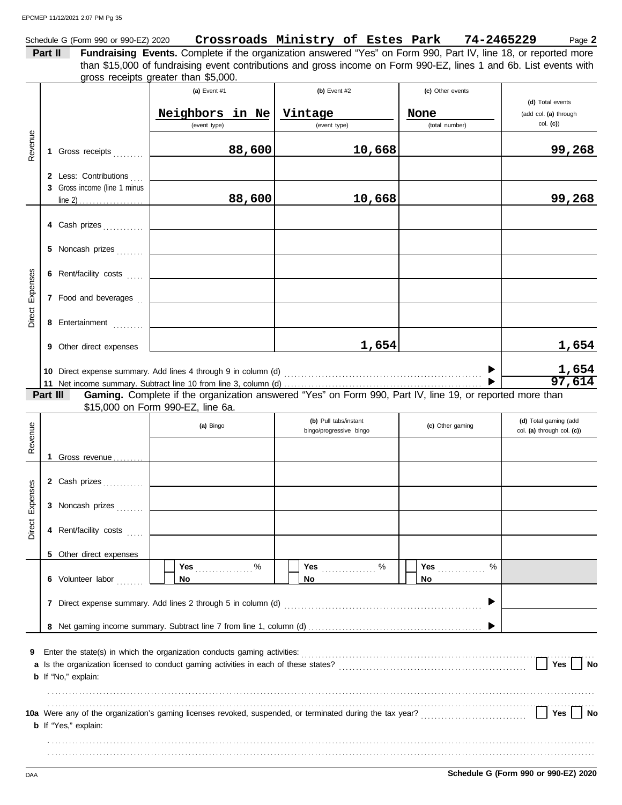Schedule G (Form 990 or 990-EZ) 2020 Page **2 Crossroads Ministry of Estes Park 74-2465229**

**Part II Fundraising Events.** Complete if the organization answered "Yes" on Form 990, Part IV, line 18, or reported more gross receipts greater than \$5,000. than \$15,000 of fundraising event contributions and gross income on Form 990-EZ, lines 1 and 6b. List events with

| Revenue         |          | 1 Gross receipts<br>2 Less: Contributions<br>3 Gross income (line 1 minus                             | (a) Event $#1$<br>Neighbors<br>(event type) | in Ne<br>88,600<br>88,600 | (b) Event $#2$<br>Vintage<br>(event type)<br>10,668<br>10,668                                                     | (c) Other events<br>None<br>(total number) | (d) Total events<br>(add col. (a) through<br>$col.$ (c))<br>99,268<br>99,268 |
|-----------------|----------|-------------------------------------------------------------------------------------------------------|---------------------------------------------|---------------------------|-------------------------------------------------------------------------------------------------------------------|--------------------------------------------|------------------------------------------------------------------------------|
| Direct Expenses |          | 4 Cash prizes<br>5 Noncash prizes<br>6 Rent/facility costs<br>7 Food and beverages<br>8 Entertainment |                                             |                           |                                                                                                                   |                                            |                                                                              |
|                 | Part III | 9 Other direct expenses<br>10 Direct expense summary. Add lines 4 through 9 in column (d)             |                                             |                           | 1,654<br>Gaming. Complete if the organization answered "Yes" on Form 990, Part IV, line 19, or reported more than |                                            | 1,654<br>1,654<br>97,614                                                     |
|                 |          |                                                                                                       | \$15,000 on Form 990-EZ, line 6a.           |                           |                                                                                                                   |                                            |                                                                              |
| Revenue         |          |                                                                                                       | (a) Bingo                                   |                           | (b) Pull tabs/instant<br>bingo/progressive bingo                                                                  | (c) Other gaming                           | (d) Total gaming (add<br>col. (a) through col. (c))                          |
| Direct Expenses |          | 1 Gross revenue<br>2 Cash prizes<br>3 Noncash prizes<br>4 Rent/facility costs                         |                                             |                           |                                                                                                                   |                                            |                                                                              |
|                 |          | 5 Other direct expenses<br>6 Volunteer labor                                                          | No                                          |                           | No                                                                                                                | %<br><b>Yes <i>CONSTRUCTER</i></b><br>No   |                                                                              |
| 9               |          | <b>b</b> If "No," explain:                                                                            |                                             |                           |                                                                                                                   |                                            | Yes<br>No                                                                    |
|                 |          | <b>b</b> If "Yes," explain:                                                                           |                                             |                           |                                                                                                                   |                                            | Yes<br>No                                                                    |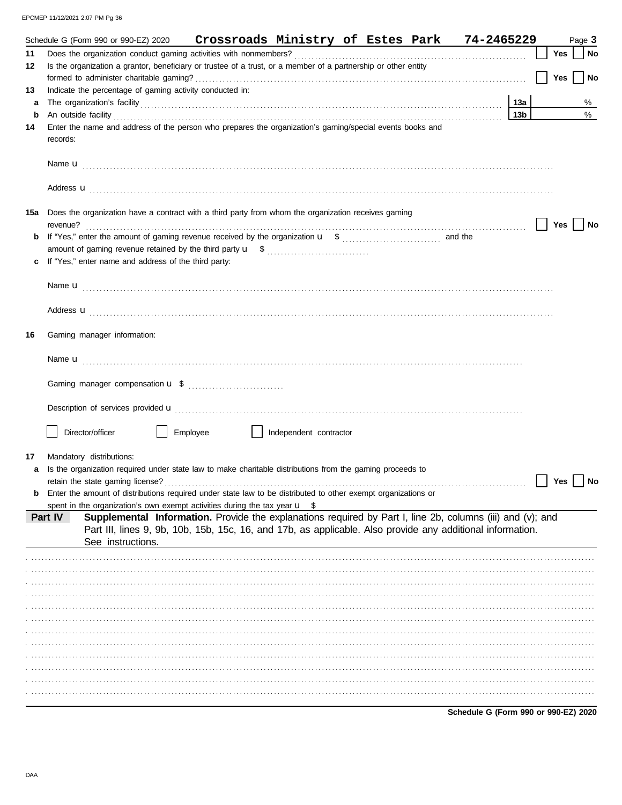EPCMEP 11/12/2021 2:07 PM Pg 36

|     | Crossroads Ministry of Estes Park 74-2465229<br>Schedule G (Form 990 or 990-EZ) 2020                                  |     |     | Page 3 |    |
|-----|-----------------------------------------------------------------------------------------------------------------------|-----|-----|--------|----|
| 11  |                                                                                                                       |     | Yes |        | No |
| 12  | Is the organization a grantor, beneficiary or trustee of a trust, or a member of a partnership or other entity        |     |     |        |    |
|     |                                                                                                                       |     | Yes |        | No |
| 13  | Indicate the percentage of gaming activity conducted in:                                                              |     |     |        |    |
| a   |                                                                                                                       | 13а |     |        | %  |
| b   |                                                                                                                       | 13b |     |        | %  |
| 14  | Enter the name and address of the person who prepares the organization's gaming/special events books and<br>records:  |     |     |        |    |
|     |                                                                                                                       |     |     |        |    |
|     | Address <b>u</b>                                                                                                      |     |     |        |    |
| 15a | Does the organization have a contract with a third party from whom the organization receives gaming<br>revenue?       |     | Yes |        | No |
| b   |                                                                                                                       |     |     |        |    |
|     |                                                                                                                       |     |     |        |    |
|     | If "Yes," enter name and address of the third party:                                                                  |     |     |        |    |
|     |                                                                                                                       |     |     |        |    |
|     |                                                                                                                       |     |     |        |    |
|     |                                                                                                                       |     |     |        |    |
| 16  | Gaming manager information:                                                                                           |     |     |        |    |
|     |                                                                                                                       |     |     |        |    |
|     |                                                                                                                       |     |     |        |    |
|     |                                                                                                                       |     |     |        |    |
|     | Director/officer<br>Employee<br>Independent contractor                                                                |     |     |        |    |
| 17  | Mandatory distributions:                                                                                              |     |     |        |    |
|     | Is the organization required under state law to make charitable distributions from the gaming proceeds to             |     |     |        |    |
|     | retain the state gaming license?                                                                                      |     | Yes |        | No |
|     | Enter the amount of distributions required under state law to be distributed to other exempt organizations or         |     |     |        |    |
|     | spent in the organization's own exempt activities during the tax year $\mathbf{u}$ \$                                 |     |     |        |    |
|     | Supplemental Information. Provide the explanations required by Part I, line 2b, columns (iii) and (v); and<br>Part IV |     |     |        |    |
|     | Part III, lines 9, 9b, 10b, 15b, 15c, 16, and 17b, as applicable. Also provide any additional information.            |     |     |        |    |
|     | See instructions.                                                                                                     |     |     |        |    |
|     |                                                                                                                       |     |     |        |    |
|     |                                                                                                                       |     |     |        |    |
|     |                                                                                                                       |     |     |        |    |
|     |                                                                                                                       |     |     |        |    |
|     |                                                                                                                       |     |     |        |    |
|     |                                                                                                                       |     |     |        |    |
|     |                                                                                                                       |     |     |        |    |
|     |                                                                                                                       |     |     |        |    |
|     |                                                                                                                       |     |     |        |    |
|     |                                                                                                                       |     |     |        |    |
|     |                                                                                                                       |     |     |        |    |
|     |                                                                                                                       |     |     |        |    |

Schedule G (Form 990 or 990-EZ) 2020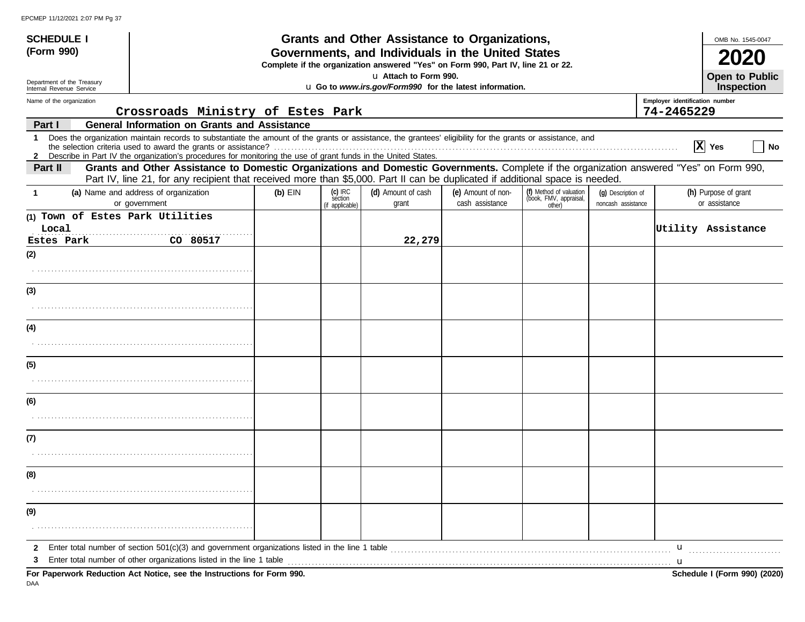| <b>SCHEDULE I</b>                                      |                                                                                                                                                                                                                   |           | Grants and Other Assistance to Organizations, |                                                                                                                                       |                                                                                                                     |                                                             |                                          |                                |                                       |  |  |
|--------------------------------------------------------|-------------------------------------------------------------------------------------------------------------------------------------------------------------------------------------------------------------------|-----------|-----------------------------------------------|---------------------------------------------------------------------------------------------------------------------------------------|---------------------------------------------------------------------------------------------------------------------|-------------------------------------------------------------|------------------------------------------|--------------------------------|---------------------------------------|--|--|
| (Form 990)                                             |                                                                                                                                                                                                                   |           |                                               | Governments, and Individuals in the United States<br>Complete if the organization answered "Yes" on Form 990, Part IV, line 21 or 22. |                                                                                                                     |                                                             |                                          |                                |                                       |  |  |
|                                                        |                                                                                                                                                                                                                   |           |                                               | u Attach to Form 990.                                                                                                                 |                                                                                                                     |                                                             |                                          |                                | Open to Public                        |  |  |
| Department of the Treasury<br>Internal Revenue Service |                                                                                                                                                                                                                   |           |                                               | u Go to www.irs.gov/Form990 for the latest information.                                                                               |                                                                                                                     |                                                             |                                          |                                | Inspection                            |  |  |
| Name of the organization                               |                                                                                                                                                                                                                   |           |                                               |                                                                                                                                       |                                                                                                                     |                                                             |                                          | Employer identification number |                                       |  |  |
|                                                        | Crossroads Ministry of Estes Park                                                                                                                                                                                 |           |                                               |                                                                                                                                       |                                                                                                                     |                                                             |                                          | 74-2465229                     |                                       |  |  |
| Part I                                                 | <b>General Information on Grants and Assistance</b><br>Does the organization maintain records to substantiate the amount of the grants or assistance, the grantees' eligibility for the grants or assistance, and |           |                                               |                                                                                                                                       |                                                                                                                     |                                                             |                                          |                                |                                       |  |  |
| $\mathbf 1$                                            | the selection criteria used to award the grants or assistance?<br>2 Describe in Part IV the organization's procedures for monitoring the use of grant funds in the United States.                                 |           |                                               |                                                                                                                                       |                                                                                                                     |                                                             |                                          |                                | $ \mathbf{X} $ Yes<br>  No            |  |  |
| Part II                                                | Grants and Other Assistance to Domestic Organizations and Domestic Governments. Complete if the organization answered "Yes" on Form 990,                                                                          |           |                                               |                                                                                                                                       |                                                                                                                     |                                                             |                                          |                                |                                       |  |  |
|                                                        | Part IV, line 21, for any recipient that received more than \$5,000. Part II can be duplicated if additional space is needed.                                                                                     |           |                                               |                                                                                                                                       |                                                                                                                     |                                                             |                                          |                                |                                       |  |  |
| 1                                                      | (a) Name and address of organization<br>or government                                                                                                                                                             | $(b)$ EIN | $(c)$ IRC<br>section<br>(if applicable)       | (d) Amount of cash<br>grant                                                                                                           | (e) Amount of non-<br>cash assistance                                                                               | (f) Method of valuation<br>(book, FMV, appraisal,<br>other) | (g) Description of<br>noncash assistance |                                | (h) Purpose of grant<br>or assistance |  |  |
| (1) Town of Estes Park Utilities                       |                                                                                                                                                                                                                   |           |                                               |                                                                                                                                       |                                                                                                                     |                                                             |                                          |                                |                                       |  |  |
| Local                                                  |                                                                                                                                                                                                                   |           |                                               |                                                                                                                                       |                                                                                                                     |                                                             |                                          |                                | Utility Assistance                    |  |  |
| Estes Park                                             | CO 80517                                                                                                                                                                                                          |           |                                               | 22,279                                                                                                                                |                                                                                                                     |                                                             |                                          |                                |                                       |  |  |
| (2)                                                    |                                                                                                                                                                                                                   |           |                                               |                                                                                                                                       |                                                                                                                     |                                                             |                                          |                                |                                       |  |  |
|                                                        |                                                                                                                                                                                                                   |           |                                               |                                                                                                                                       |                                                                                                                     |                                                             |                                          |                                |                                       |  |  |
| (3)                                                    |                                                                                                                                                                                                                   |           |                                               |                                                                                                                                       |                                                                                                                     |                                                             |                                          |                                |                                       |  |  |
|                                                        |                                                                                                                                                                                                                   |           |                                               |                                                                                                                                       |                                                                                                                     |                                                             |                                          |                                |                                       |  |  |
| (4)                                                    |                                                                                                                                                                                                                   |           |                                               |                                                                                                                                       |                                                                                                                     |                                                             |                                          |                                |                                       |  |  |
|                                                        |                                                                                                                                                                                                                   |           |                                               |                                                                                                                                       |                                                                                                                     |                                                             |                                          |                                |                                       |  |  |
| (5)                                                    |                                                                                                                                                                                                                   |           |                                               |                                                                                                                                       |                                                                                                                     |                                                             |                                          |                                |                                       |  |  |
|                                                        |                                                                                                                                                                                                                   |           |                                               |                                                                                                                                       |                                                                                                                     |                                                             |                                          |                                |                                       |  |  |
| (6)                                                    |                                                                                                                                                                                                                   |           |                                               |                                                                                                                                       |                                                                                                                     |                                                             |                                          |                                |                                       |  |  |
|                                                        |                                                                                                                                                                                                                   |           |                                               |                                                                                                                                       |                                                                                                                     |                                                             |                                          |                                |                                       |  |  |
| (7)                                                    |                                                                                                                                                                                                                   |           |                                               |                                                                                                                                       |                                                                                                                     |                                                             |                                          |                                |                                       |  |  |
|                                                        |                                                                                                                                                                                                                   |           |                                               |                                                                                                                                       |                                                                                                                     |                                                             |                                          |                                |                                       |  |  |
| (8)                                                    |                                                                                                                                                                                                                   |           |                                               |                                                                                                                                       |                                                                                                                     |                                                             |                                          |                                |                                       |  |  |
|                                                        |                                                                                                                                                                                                                   |           |                                               |                                                                                                                                       |                                                                                                                     |                                                             |                                          |                                |                                       |  |  |
| (9)                                                    |                                                                                                                                                                                                                   |           |                                               |                                                                                                                                       |                                                                                                                     |                                                             |                                          |                                |                                       |  |  |
|                                                        |                                                                                                                                                                                                                   |           |                                               |                                                                                                                                       |                                                                                                                     |                                                             |                                          |                                |                                       |  |  |
| $\mathbf{2}$                                           | Enter total number of section 501(c)(3) and government organizations listed in the line 1 table                                                                                                                   |           |                                               |                                                                                                                                       | and the contract of the contract of the contract of the contract of the contract of the contract of the contract of |                                                             |                                          | u                              |                                       |  |  |
| 3                                                      | Enter total number of other organizations listed in the line 1 table                                                                                                                                              |           |                                               |                                                                                                                                       |                                                                                                                     |                                                             |                                          | u                              |                                       |  |  |
|                                                        | For Paperwork Reduction Act Notice, see the Instructions for Form 990.                                                                                                                                            |           |                                               |                                                                                                                                       |                                                                                                                     |                                                             |                                          |                                | Schedule I (Form 990) (2020)          |  |  |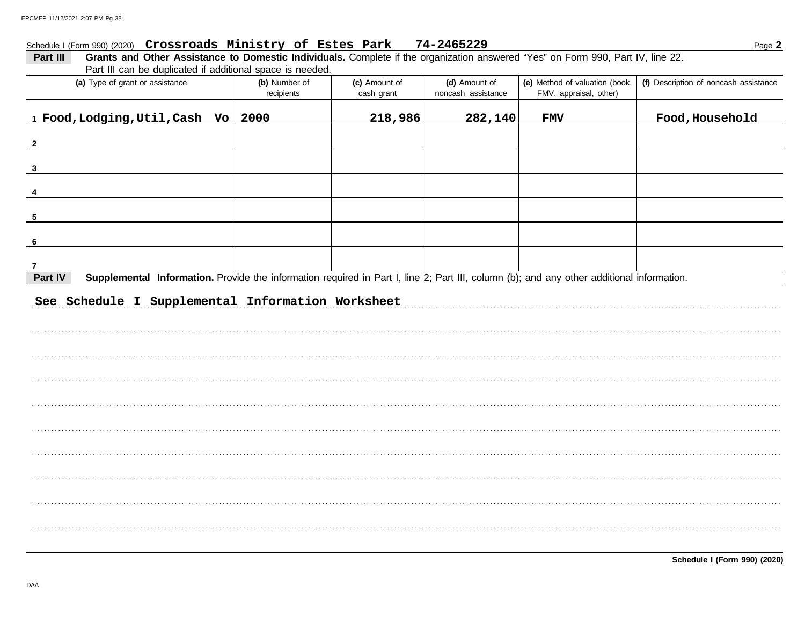#### Schedule I (Form 990) (2020) Crossroads Ministry of Estes Park 74-2465229

| Grants and Other Assistance to Domestic Individuals. Complete if the organization answered "Yes" on Form 990, Part IV, line 22.<br>Part III<br>Part III can be duplicated if additional space is needed. |                             |                             |                                     |                                                          |                                       |  |  |  |  |  |
|----------------------------------------------------------------------------------------------------------------------------------------------------------------------------------------------------------|-----------------------------|-----------------------------|-------------------------------------|----------------------------------------------------------|---------------------------------------|--|--|--|--|--|
| (a) Type of grant or assistance                                                                                                                                                                          | (b) Number of<br>recipients | (c) Amount of<br>cash grant | (d) Amount of<br>noncash assistance | (e) Method of valuation (book,<br>FMV, appraisal, other) | (f) Description of noncash assistance |  |  |  |  |  |
| 1 Food, Lodging, Util, Cash Vo   2000                                                                                                                                                                    |                             | 218,986                     | 282,140                             | <b>FMV</b>                                               | Food, Household                       |  |  |  |  |  |
| $\overline{\mathbf{2}}$                                                                                                                                                                                  |                             |                             |                                     |                                                          |                                       |  |  |  |  |  |
| $\mathbf{3}$                                                                                                                                                                                             |                             |                             |                                     |                                                          |                                       |  |  |  |  |  |
|                                                                                                                                                                                                          |                             |                             |                                     |                                                          |                                       |  |  |  |  |  |
| 5                                                                                                                                                                                                        |                             |                             |                                     |                                                          |                                       |  |  |  |  |  |
| - 6                                                                                                                                                                                                      |                             |                             |                                     |                                                          |                                       |  |  |  |  |  |
| 7                                                                                                                                                                                                        |                             |                             |                                     |                                                          |                                       |  |  |  |  |  |
| Supplemental Information. Provide the information required in Part I, line 2; Part III, column (b); and any other additional information.<br>Part IV                                                     |                             |                             |                                     |                                                          |                                       |  |  |  |  |  |
| See Schedule I Supplemental Information Worksheet                                                                                                                                                        |                             |                             |                                     |                                                          |                                       |  |  |  |  |  |
|                                                                                                                                                                                                          |                             |                             |                                     |                                                          |                                       |  |  |  |  |  |
|                                                                                                                                                                                                          |                             |                             |                                     |                                                          |                                       |  |  |  |  |  |
|                                                                                                                                                                                                          |                             |                             |                                     |                                                          |                                       |  |  |  |  |  |
|                                                                                                                                                                                                          |                             |                             |                                     |                                                          |                                       |  |  |  |  |  |
|                                                                                                                                                                                                          |                             |                             |                                     |                                                          |                                       |  |  |  |  |  |
|                                                                                                                                                                                                          |                             |                             |                                     |                                                          |                                       |  |  |  |  |  |
|                                                                                                                                                                                                          |                             |                             |                                     |                                                          |                                       |  |  |  |  |  |

Page 2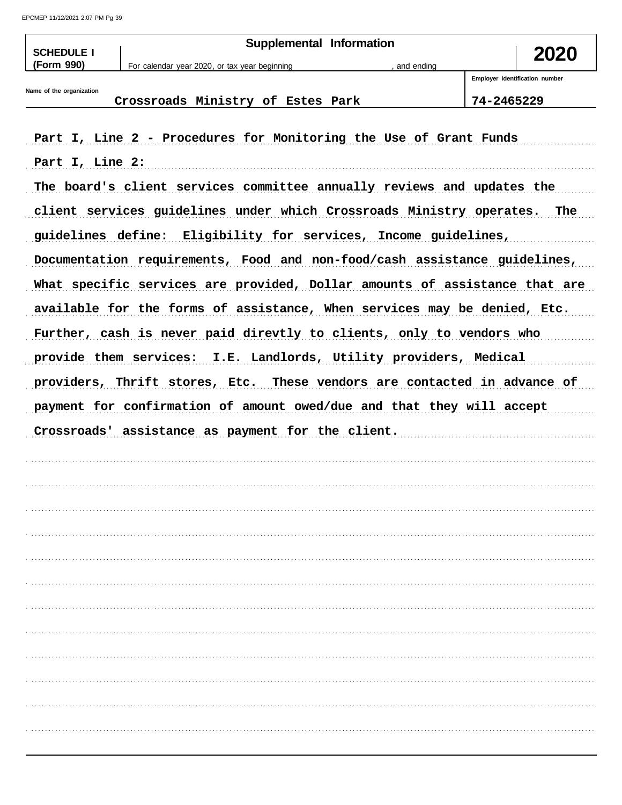EPCMEP 11/12/2021 2:07 PM Pg 39

| <b>SCHEDULE I</b>        | Supplemental Information                                                 |              | 2020                           |
|--------------------------|--------------------------------------------------------------------------|--------------|--------------------------------|
| (Form 990)               | For calendar year 2020, or tax year beginning                            | , and ending |                                |
|                          |                                                                          |              | Employer identification number |
| Name of the organization | Crossroads Ministry of Estes Park                                        |              | 74-2465229                     |
|                          |                                                                          |              |                                |
|                          | Part I, Line 2 - Procedures for Monitoring the Use of Grant Funds        |              |                                |
| Part I, Line 2:          |                                                                          |              |                                |
|                          | The board's client services committee annually reviews and updates the   |              |                                |
|                          | client services guidelines under which Crossroads Ministry operates. The |              |                                |
|                          | guidelines define: Eligibility for services, Income guidelines,          |              |                                |
|                          |                                                                          |              |                                |

Documentation requirements, Food and non-food/cash assistance guidelines, What specific services are provided, Dollar amounts of assistance that are available for the forms of assistance, When services may be denied, Etc. Further, cash is never paid direvtly to clients, only to vendors who provide them services: I.E. Landlords, Utility providers, Medical providers, Thrift stores, Etc. These vendors are contacted in advance of payment for confirmation of amount owed/due and that they will accept Crossroads' assistance as payment for the client.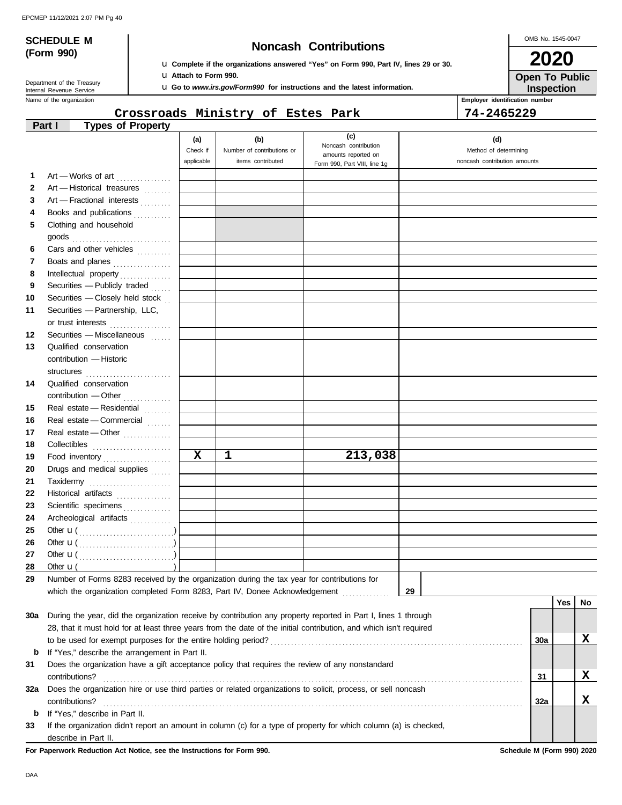# **(Form 990)**

## **SCHEDULE M Noncash Contributions**

u **Complete if the organizations answered "Yes" on Form 990, Part IV, lines 29 or 30.** u **Attach to Form 990.**

u **Go to** *www.irs.gov/Form990* **for instructions and the latest information.**

Name of the organization **Employer identification number Employer identification number** Department of the Treasury<br>Internal Revenue Service

#### **Crossroads Ministry of Estes Park 74-2465229**

OMB No. 1545-0047

**Inspection Open To Public 2020**

|     | <b>Types of Property</b><br>Part I                                                                                 |             |                            |                                             |                              |     |     |    |
|-----|--------------------------------------------------------------------------------------------------------------------|-------------|----------------------------|---------------------------------------------|------------------------------|-----|-----|----|
|     |                                                                                                                    | (a)         | (b)                        | (c)                                         | (d)                          |     |     |    |
|     |                                                                                                                    | Check if    | Number of contributions or | Noncash contribution<br>amounts reported on | Method of determining        |     |     |    |
|     |                                                                                                                    | applicable  | items contributed          | Form 990, Part VIII, line 1g                | noncash contribution amounts |     |     |    |
| 1   | Art - Works of art                                                                                                 |             |                            |                                             |                              |     |     |    |
| 2   | Art - Historical treasures                                                                                         |             |                            |                                             |                              |     |     |    |
| 3   | Art - Fractional interests                                                                                         |             |                            |                                             |                              |     |     |    |
| 4   | Books and publications                                                                                             |             |                            |                                             |                              |     |     |    |
| 5   | Clothing and household                                                                                             |             |                            |                                             |                              |     |     |    |
|     |                                                                                                                    |             |                            |                                             |                              |     |     |    |
| 6   | Cars and other vehicles                                                                                            |             |                            |                                             |                              |     |     |    |
| 7   | Boats and planes                                                                                                   |             |                            |                                             |                              |     |     |    |
| 8   |                                                                                                                    |             |                            |                                             |                              |     |     |    |
| 9   | Securities - Publicly traded                                                                                       |             |                            |                                             |                              |     |     |    |
| 10  | Securities - Closely held stock                                                                                    |             |                            |                                             |                              |     |     |    |
| 11  | Securities - Partnership, LLC,                                                                                     |             |                            |                                             |                              |     |     |    |
|     | or trust interests                                                                                                 |             |                            |                                             |                              |     |     |    |
| 12  | Securities - Miscellaneous                                                                                         |             |                            |                                             |                              |     |     |    |
| 13  | Qualified conservation                                                                                             |             |                            |                                             |                              |     |     |    |
|     | contribution - Historic                                                                                            |             |                            |                                             |                              |     |     |    |
|     |                                                                                                                    |             |                            |                                             |                              |     |     |    |
| 14  | Qualified conservation                                                                                             |             |                            |                                             |                              |     |     |    |
|     | contribution - Other                                                                                               |             |                            |                                             |                              |     |     |    |
| 15  | Real estate - Residential                                                                                          |             |                            |                                             |                              |     |     |    |
| 16  | Real estate - Commercial                                                                                           |             |                            |                                             |                              |     |     |    |
| 17  | Real estate - Other                                                                                                |             |                            |                                             |                              |     |     |    |
| 18  |                                                                                                                    |             |                            |                                             |                              |     |     |    |
| 19  | Food inventory                                                                                                     | $\mathbf x$ | ı                          | 213,038                                     |                              |     |     |    |
| 20  | Drugs and medical supplies                                                                                         |             |                            |                                             |                              |     |     |    |
| 21  | Taxidermy                                                                                                          |             |                            |                                             |                              |     |     |    |
| 22  | Historical artifacts                                                                                               |             |                            |                                             |                              |     |     |    |
| 23  | Scientific specimens                                                                                               |             |                            |                                             |                              |     |     |    |
| 24  | Archeological artifacts                                                                                            |             |                            |                                             |                              |     |     |    |
| 25  | Other $\mathbf{u}(\dots, \dots, \dots, \dots, \dots)$                                                              |             |                            |                                             |                              |     |     |    |
| 26  |                                                                                                                    |             |                            |                                             |                              |     |     |    |
| 27  |                                                                                                                    |             |                            |                                             |                              |     |     |    |
| 28  | Other $\mathbf{u}$ (                                                                                               |             |                            |                                             |                              |     |     |    |
| 29  | Number of Forms 8283 received by the organization during the tax year for contributions for                        |             |                            |                                             |                              |     |     |    |
|     | which the organization completed Form 8283, Part IV, Donee Acknowledgement                                         |             |                            |                                             | 29                           |     |     |    |
|     |                                                                                                                    |             |                            |                                             |                              |     | Yes | No |
| 30a | During the year, did the organization receive by contribution any property reported in Part I, lines 1 through     |             |                            |                                             |                              |     |     |    |
|     | 28, that it must hold for at least three years from the date of the initial contribution, and which isn't required |             |                            |                                             |                              |     |     |    |
|     |                                                                                                                    |             |                            |                                             |                              | 30a |     | x  |
| b   | If "Yes," describe the arrangement in Part II.                                                                     |             |                            |                                             |                              |     |     |    |
| 31  | Does the organization have a gift acceptance policy that requires the review of any nonstandard                    |             |                            |                                             |                              |     |     |    |
|     | contributions?                                                                                                     |             |                            |                                             |                              | 31  |     | X  |
| 32a | Does the organization hire or use third parties or related organizations to solicit, process, or sell noncash      |             |                            |                                             |                              |     |     |    |
|     | contributions?                                                                                                     |             |                            |                                             |                              | 32a |     | X  |
| b   | If "Yes," describe in Part II.                                                                                     |             |                            |                                             |                              |     |     |    |
| 33  | If the organization didn't report an amount in column (c) for a type of property for which column (a) is checked,  |             |                            |                                             |                              |     |     |    |
|     | describe in Part II.                                                                                               |             |                            |                                             |                              |     |     |    |

**For Paperwork Reduction Act Notice, see the Instructions for Form 990. Schedule M (Form 990) 2020**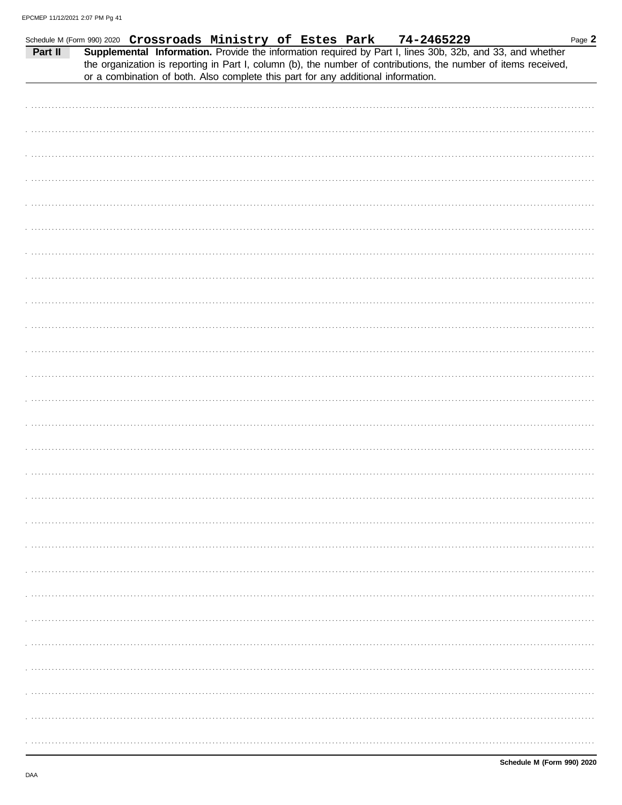| Part II | Schedule M (Form 990) 2020 Crossroads Ministry of Estes Park |  | 74-2465229<br>or a combination of both. Also complete this part for any additional information. | Supplemental Information. Provide the information required by Part I, lines 30b, 32b, and 33, and whether<br>the organization is reporting in Part I, column (b), the number of contributions, the number of items received, | Page 2 |
|---------|--------------------------------------------------------------|--|-------------------------------------------------------------------------------------------------|------------------------------------------------------------------------------------------------------------------------------------------------------------------------------------------------------------------------------|--------|
|         |                                                              |  |                                                                                                 |                                                                                                                                                                                                                              |        |
|         |                                                              |  |                                                                                                 |                                                                                                                                                                                                                              |        |
|         |                                                              |  |                                                                                                 |                                                                                                                                                                                                                              |        |
|         |                                                              |  |                                                                                                 |                                                                                                                                                                                                                              |        |
|         |                                                              |  |                                                                                                 |                                                                                                                                                                                                                              |        |
|         |                                                              |  |                                                                                                 |                                                                                                                                                                                                                              |        |
|         |                                                              |  |                                                                                                 |                                                                                                                                                                                                                              |        |
|         |                                                              |  |                                                                                                 |                                                                                                                                                                                                                              |        |
|         |                                                              |  |                                                                                                 |                                                                                                                                                                                                                              |        |
|         |                                                              |  |                                                                                                 |                                                                                                                                                                                                                              |        |
|         |                                                              |  |                                                                                                 |                                                                                                                                                                                                                              |        |
|         |                                                              |  |                                                                                                 |                                                                                                                                                                                                                              |        |
|         |                                                              |  |                                                                                                 |                                                                                                                                                                                                                              |        |
|         |                                                              |  |                                                                                                 |                                                                                                                                                                                                                              |        |
|         |                                                              |  |                                                                                                 |                                                                                                                                                                                                                              |        |
|         |                                                              |  |                                                                                                 |                                                                                                                                                                                                                              |        |
|         |                                                              |  |                                                                                                 |                                                                                                                                                                                                                              |        |
|         |                                                              |  |                                                                                                 |                                                                                                                                                                                                                              |        |
|         |                                                              |  |                                                                                                 |                                                                                                                                                                                                                              |        |
|         |                                                              |  |                                                                                                 |                                                                                                                                                                                                                              |        |
|         |                                                              |  |                                                                                                 |                                                                                                                                                                                                                              |        |
|         |                                                              |  |                                                                                                 |                                                                                                                                                                                                                              |        |
|         |                                                              |  |                                                                                                 |                                                                                                                                                                                                                              |        |
|         |                                                              |  |                                                                                                 |                                                                                                                                                                                                                              |        |
|         |                                                              |  |                                                                                                 |                                                                                                                                                                                                                              |        |
|         |                                                              |  |                                                                                                 |                                                                                                                                                                                                                              |        |
|         |                                                              |  |                                                                                                 |                                                                                                                                                                                                                              |        |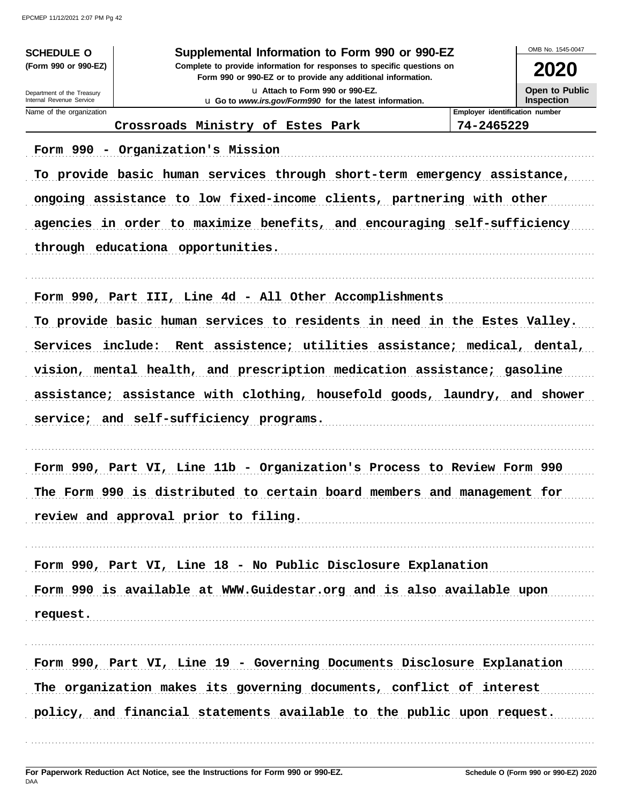**SCHEDULE O** (Form 990 or 990-EZ)

Department of the Treasury<br>Internal Revenue Service

#### Supplemental Information to Form 990 or 990-EZ

Complete to provide information for responses to specific questions on Form 990 or 990-EZ or to provide any additional information.

> u Attach to Form 990 or 990-EZ. u Go to www.irs.gov/Form990 for the latest information.

OMB No 1545-0047 2020

Open to Public Inspection

| Name of the organization |  |
|--------------------------|--|

Employer identification number

Crossroads Ministry of Estes Park 74-2465229 Form 990 - Organization's Mission To provide basic human services through short-term emergency assistance, ongoing assistance to low fixed-income clients, partnering with other agencies in order to maximize benefits, and encouraging self-sufficiency through educationa opportunities. Form 990, Part III, Line 4d - All Other Accomplishments To provide basic human services to residents in need in the Estes Valley. Services include: Rent assistence; utilities assistance; medical, dental, vision, mental health, and prescription medication assistance; gasoline assistance; assistance with clothing, housefold goods, laundry, and shower service; and self-sufficiency programs. Form 990, Part VI, Line 11b - Organization's Process to Review Form 990 The Form 990 is distributed to certain board members and management for review and approval prior to filing. Form 990, Part VI, Line 18 - No Public Disclosure Explanation Form 990 is available at WWW.Guidestar.org and is also available upon request. Form 990, Part VI, Line 19 - Governing Documents Disclosure Explanation The organization makes its governing documents, conflict of interest policy, and financial statements available to the public upon request.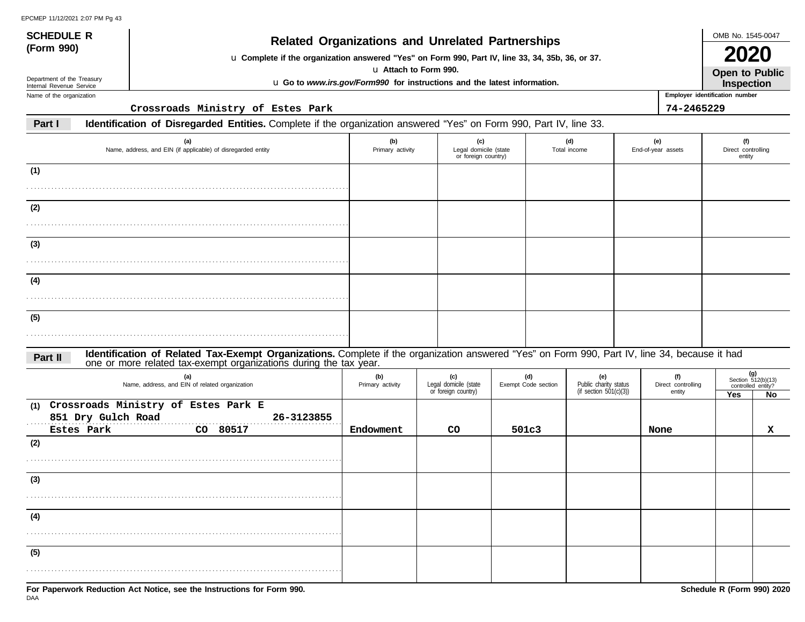## **(Form 990) Related Organizations and Unrelated Partnerships**

u **Complete if the organization answered "Yes" on Form 990, Part IV, line 33, 34, 35b, 36, or 37.**

u **Attach to Form 990.**

u **Go to** *www.irs.gov/Form990* **for instructions and the latest information.**

Department of the Treasury Internal Revenue Service Name of the organization

**(5)**

**SCHEDULE R**

**Crossroads Ministry of Estes Park 74-2465229**

#### **Part I Identification of Disregarded Entities.** Complete if the organization answered "Yes" on Form 990, Part IV, line 33.

| (a)<br>Name, address, and EIN (if applicable) of disregarded entity                                                                                                                                                        | (b)<br>Primary activity | (c)<br>Legal domicile (state<br>or foreign country) |                            | (d)<br>Total income                                       | (e)<br>End-of-year assets           | (f)<br>Direct controlling<br>entity |                                                         |
|----------------------------------------------------------------------------------------------------------------------------------------------------------------------------------------------------------------------------|-------------------------|-----------------------------------------------------|----------------------------|-----------------------------------------------------------|-------------------------------------|-------------------------------------|---------------------------------------------------------|
| (1)                                                                                                                                                                                                                        |                         |                                                     |                            |                                                           |                                     |                                     |                                                         |
| (2)                                                                                                                                                                                                                        |                         |                                                     |                            |                                                           |                                     |                                     |                                                         |
| (3)                                                                                                                                                                                                                        |                         |                                                     |                            |                                                           |                                     |                                     |                                                         |
| (4)                                                                                                                                                                                                                        |                         |                                                     |                            |                                                           |                                     |                                     |                                                         |
| (5)                                                                                                                                                                                                                        |                         |                                                     |                            |                                                           |                                     |                                     |                                                         |
| Identification of Related Tax-Exempt Organizations. Complete if the organization answered "Yes" on Form 990, Part IV, line 34, because it had one or more related tax-exempt organizations during the tax year.<br>Part II |                         |                                                     |                            |                                                           |                                     |                                     |                                                         |
| (a)<br>Name, address, and EIN of related organization                                                                                                                                                                      | (b)<br>Primary activity | (c)<br>Legal domicile (state<br>or foreign country) | (d)<br>Exempt Code section | (e)<br>Public charity status<br>(if section $501(c)(3)$ ) | (f)<br>Direct controlling<br>entity | <b>Yes</b>                          | $(g)$<br>Section 512(b)(13)<br>controlled entity?<br>No |
| (1) Crossroads Ministry of Estes Park E<br>851 Dry Gulch Road<br>26-3123855<br>Estes Park<br>CO 80517                                                                                                                      | Endowment               | CO                                                  | 501c3                      |                                                           | None                                |                                     | $\mathbf{x}$                                            |
| (2)                                                                                                                                                                                                                        |                         |                                                     |                            |                                                           |                                     |                                     |                                                         |
| (3)                                                                                                                                                                                                                        |                         |                                                     |                            |                                                           |                                     |                                     |                                                         |
| (4)                                                                                                                                                                                                                        |                         |                                                     |                            |                                                           |                                     |                                     |                                                         |

. . . . . . . . . . . . . . . . . . . . . . . . . . . . . . . . . . . . . . . . . . . . . . . . . . . . . . . . . . . . . . . . . . . . . . . . . . . . . . . . . . . . . . . . . . . .



OMB No. 1545-0047

**Open to Public 2020**

**Employer identification number Inspection**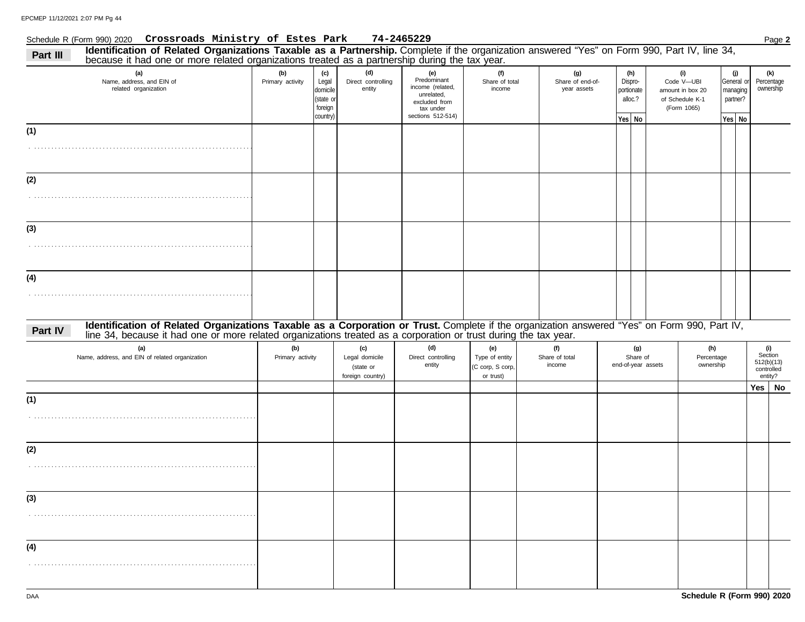#### Schedule R (Form 990) 2020 Page **2 Crossroads Ministry of Estes Park 74-2465229**

|                   | because it had one or more related organizations treated as a partnership during the tax year.<br>(a)                                                                                                                                                            | (b)                     | (c)                                                   | (d)                                                    | (e)                                                                                              | (f)                                                    | (g)                             | (h)                                          | (i)                                                              |                    | (j)                    |                                                       | (k) |
|-------------------|------------------------------------------------------------------------------------------------------------------------------------------------------------------------------------------------------------------------------------------------------------------|-------------------------|-------------------------------------------------------|--------------------------------------------------------|--------------------------------------------------------------------------------------------------|--------------------------------------------------------|---------------------------------|----------------------------------------------|------------------------------------------------------------------|--------------------|------------------------|-------------------------------------------------------|-----|
|                   | Name, address, and EIN of<br>related organization                                                                                                                                                                                                                | Primary activity        | Legal<br>domicile<br>(state or<br>foreign<br>country) | Direct controlling<br>entity                           | Predominant<br>income (related,<br>unrelated,<br>excluded from<br>tax under<br>sections 512-514) | Share of total<br>income                               | Share of end-of-<br>year assets | Dispro-<br>portionate<br>alloc.?<br>Yes   No | Code V-UBI<br>amount in box 20<br>of Schedule K-1<br>(Form 1065) | partner?<br>Yes No | General or<br>managing | Percentage<br>ownership                               |     |
| (1)               |                                                                                                                                                                                                                                                                  |                         |                                                       |                                                        |                                                                                                  |                                                        |                                 |                                              |                                                                  |                    |                        |                                                       |     |
|                   |                                                                                                                                                                                                                                                                  |                         |                                                       |                                                        |                                                                                                  |                                                        |                                 |                                              |                                                                  |                    |                        |                                                       |     |
| (2)               |                                                                                                                                                                                                                                                                  |                         |                                                       |                                                        |                                                                                                  |                                                        |                                 |                                              |                                                                  |                    |                        |                                                       |     |
|                   |                                                                                                                                                                                                                                                                  |                         |                                                       |                                                        |                                                                                                  |                                                        |                                 |                                              |                                                                  |                    |                        |                                                       |     |
| (3)               |                                                                                                                                                                                                                                                                  |                         |                                                       |                                                        |                                                                                                  |                                                        |                                 |                                              |                                                                  |                    |                        |                                                       |     |
|                   |                                                                                                                                                                                                                                                                  |                         |                                                       |                                                        |                                                                                                  |                                                        |                                 |                                              |                                                                  |                    |                        |                                                       |     |
| (4)               |                                                                                                                                                                                                                                                                  |                         |                                                       |                                                        |                                                                                                  |                                                        |                                 |                                              |                                                                  |                    |                        |                                                       |     |
|                   |                                                                                                                                                                                                                                                                  |                         |                                                       |                                                        |                                                                                                  |                                                        |                                 |                                              |                                                                  |                    |                        |                                                       |     |
| Part IV           | Identification of Related Organizations Taxable as a Corporation or Trust. Complete if the organization answered "Yes" on Form 990, Part IV,<br>line 34, because it had one or more related organizations treated as a corporation or trust during the tax year. |                         |                                                       |                                                        |                                                                                                  |                                                        |                                 |                                              |                                                                  |                    |                        |                                                       |     |
|                   |                                                                                                                                                                                                                                                                  |                         |                                                       |                                                        |                                                                                                  |                                                        |                                 |                                              |                                                                  |                    |                        |                                                       |     |
|                   | (a)<br>Name, address, and EIN of related organization                                                                                                                                                                                                            | (b)<br>Primary activity |                                                       | (c)<br>Legal domicile<br>(state or<br>foreign country) | (d)<br>Direct controlling<br>entity                                                              | (e)<br>Type of entity<br>(C corp, S corp,<br>or trust) | (f)<br>Share of total<br>income | (g)<br>Share of<br>end-of-year assets        | (h)<br>Percentage<br>ownership                                   |                    |                        | (i)<br>Section<br>512(b)(13)<br>controlled<br>entity? |     |
|                   |                                                                                                                                                                                                                                                                  |                         |                                                       |                                                        |                                                                                                  |                                                        |                                 |                                              |                                                                  |                    |                        | Yes                                                   | No  |
|                   |                                                                                                                                                                                                                                                                  |                         |                                                       |                                                        |                                                                                                  |                                                        |                                 |                                              |                                                                  |                    |                        |                                                       |     |
|                   |                                                                                                                                                                                                                                                                  |                         |                                                       |                                                        |                                                                                                  |                                                        |                                 |                                              |                                                                  |                    |                        |                                                       |     |
|                   |                                                                                                                                                                                                                                                                  |                         |                                                       |                                                        |                                                                                                  |                                                        |                                 |                                              |                                                                  |                    |                        |                                                       |     |
|                   |                                                                                                                                                                                                                                                                  |                         |                                                       |                                                        |                                                                                                  |                                                        |                                 |                                              |                                                                  |                    |                        |                                                       |     |
| (3)               |                                                                                                                                                                                                                                                                  |                         |                                                       |                                                        |                                                                                                  |                                                        |                                 |                                              |                                                                  |                    |                        |                                                       |     |
|                   |                                                                                                                                                                                                                                                                  |                         |                                                       |                                                        |                                                                                                  |                                                        |                                 |                                              |                                                                  |                    |                        |                                                       |     |
| (1)<br>(2)<br>(4) |                                                                                                                                                                                                                                                                  |                         |                                                       |                                                        |                                                                                                  |                                                        |                                 |                                              |                                                                  |                    |                        |                                                       |     |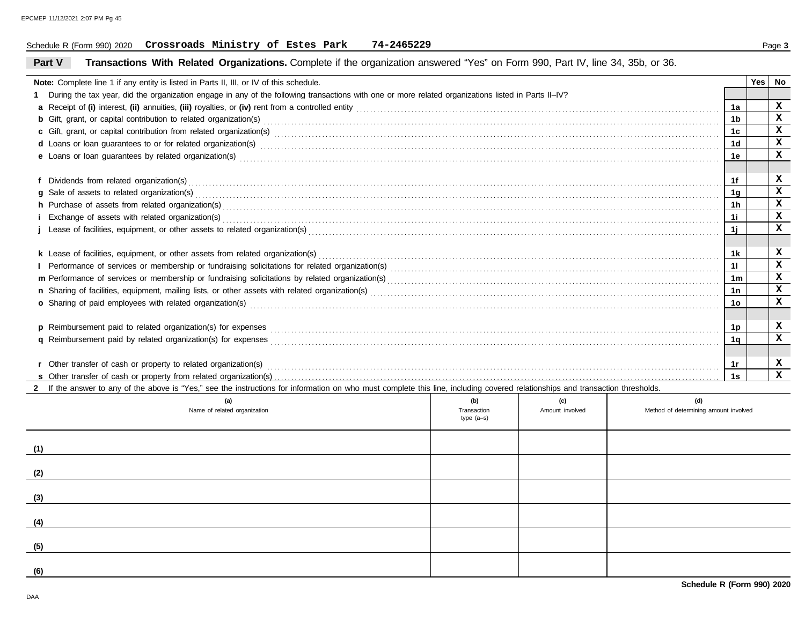#### Schedule R (Form 990) 2020 Page **3 Crossroads Ministry of Estes Park 74-2465229**

#### **Part V Transactions With Related Organizations.** Complete if the organization answered "Yes" on Form 990, Part IV, line 34, 35b, or 36.

|     | <b>Note:</b> Complete line 1 if any entity is listed in Parts II, III, or IV of this schedule.                                                                                                                                      |              |                 |                                       |                 | <b>Yes</b> | No           |
|-----|-------------------------------------------------------------------------------------------------------------------------------------------------------------------------------------------------------------------------------------|--------------|-----------------|---------------------------------------|-----------------|------------|--------------|
|     | During the tax year, did the organization engage in any of the following transactions with one or more related organizations listed in Parts II–IV?                                                                                 |              |                 |                                       |                 |            |              |
|     |                                                                                                                                                                                                                                     |              |                 |                                       | 1a              |            | x            |
|     |                                                                                                                                                                                                                                     |              |                 |                                       | 1b              |            | $\mathbf{x}$ |
|     |                                                                                                                                                                                                                                     |              |                 |                                       | 1c              |            | x            |
|     | d Loans or loan guarantees to or for related organization(s) encourance contained and contained a contained and contained a contained a contained and contained a contact or for related organization(s) encourance and contac      |              |                 |                                       | 1d              |            | x            |
|     |                                                                                                                                                                                                                                     |              |                 |                                       | 1е              |            | x            |
|     |                                                                                                                                                                                                                                     |              |                 |                                       |                 |            |              |
|     |                                                                                                                                                                                                                                     |              |                 |                                       | 1f              |            | x            |
|     |                                                                                                                                                                                                                                     |              |                 |                                       | 1g              |            | x            |
|     |                                                                                                                                                                                                                                     |              |                 |                                       | 1h              |            | $\mathbf x$  |
|     |                                                                                                                                                                                                                                     |              |                 |                                       | 1i.             |            | x            |
|     |                                                                                                                                                                                                                                     |              |                 |                                       | 1i.             |            | x            |
|     |                                                                                                                                                                                                                                     |              |                 |                                       |                 |            |              |
|     | k Lease of facilities, equipment, or other assets from related organization(s)                                                                                                                                                      |              |                 |                                       | 1k              |            | x            |
|     |                                                                                                                                                                                                                                     |              |                 |                                       | 11              |            | x            |
|     |                                                                                                                                                                                                                                     |              |                 |                                       | 1m              |            | X            |
|     |                                                                                                                                                                                                                                     |              |                 |                                       | 1n              |            | x            |
|     | o Sharing of paid employees with related organization(s) encounteral contracts and contact the contract or sharing of paid employees with related organization(s)                                                                   |              |                 |                                       | 10 <sub>o</sub> |            | x            |
|     |                                                                                                                                                                                                                                     |              |                 |                                       |                 |            |              |
|     | p Reimbursement paid to related organization(s) for expenses                                                                                                                                                                        |              |                 |                                       | 1p              |            | x            |
|     | q Reimbursement paid by related organization(s) for expenses <b>conserved and all anonymount conserved</b> and anonymount conserved and anonymount conserved and anonymount of Reimbursement paid by related organization(s) for ex |              |                 |                                       | 1a              |            | $\mathbf{x}$ |
|     |                                                                                                                                                                                                                                     |              |                 |                                       |                 |            |              |
|     |                                                                                                                                                                                                                                     |              |                 |                                       | 1r              |            | x            |
|     |                                                                                                                                                                                                                                     |              |                 |                                       | 1s              |            | $\mathbf x$  |
|     | 2 If the answer to any of the above is "Yes," see the instructions for information on who must complete this line, including covered relationships and transaction thresholds.                                                      |              |                 |                                       |                 |            |              |
|     | (a)                                                                                                                                                                                                                                 | (b)          | (c)             | (d)                                   |                 |            |              |
|     | Name of related organization                                                                                                                                                                                                        | Transaction  | Amount involved | Method of determining amount involved |                 |            |              |
|     |                                                                                                                                                                                                                                     | type $(a-s)$ |                 |                                       |                 |            |              |
|     |                                                                                                                                                                                                                                     |              |                 |                                       |                 |            |              |
| (1) |                                                                                                                                                                                                                                     |              |                 |                                       |                 |            |              |
|     |                                                                                                                                                                                                                                     |              |                 |                                       |                 |            |              |
| (2) |                                                                                                                                                                                                                                     |              |                 |                                       |                 |            |              |
|     |                                                                                                                                                                                                                                     |              |                 |                                       |                 |            |              |
| (3) |                                                                                                                                                                                                                                     |              |                 |                                       |                 |            |              |
|     |                                                                                                                                                                                                                                     |              |                 |                                       |                 |            |              |
| (4) |                                                                                                                                                                                                                                     |              |                 |                                       |                 |            |              |
|     |                                                                                                                                                                                                                                     |              |                 |                                       |                 |            |              |
| (5) |                                                                                                                                                                                                                                     |              |                 |                                       |                 |            |              |
|     |                                                                                                                                                                                                                                     |              |                 |                                       |                 |            |              |
| (6) |                                                                                                                                                                                                                                     |              |                 |                                       |                 |            |              |
|     |                                                                                                                                                                                                                                     |              |                 |                                       |                 |            |              |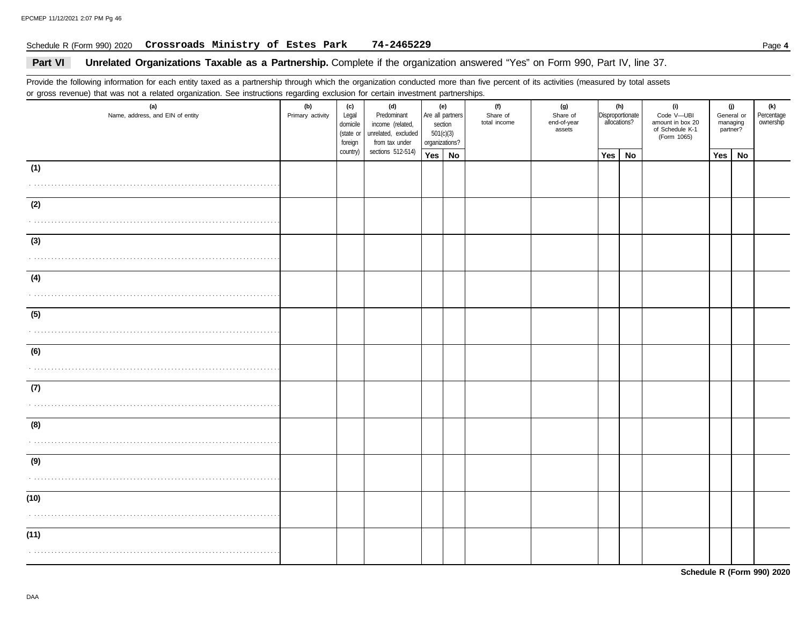#### Schedule R (Form 990) 2020 Page **4 Crossroads Ministry of Estes Park 74-2465229**

#### Part VI **Unrelated Organizations Taxable as a Partnership.** Complete if the organization answered "Yes" on Form 990, Part IV, line 37.

Provide the following information for each entity taxed as a partnership through which the organization conducted more than five percent of its activities (measured by total assets or gross revenue) that was not a related organization. See instructions regarding exclusion for certain investment partnerships.

| $\tilde{\phantom{a}}$<br>(a)<br>Name, address, and EIN of entity | ັ<br>(b)<br>Primary activity | (c)<br>Legal<br>domicile<br>(state or<br>foreign | (d)<br>Predominant<br>income (related,<br>unrelated, excluded<br>from tax under | section<br>501(c)(3)<br>organizations? | (e)<br>Are all partners | (f)<br>Share of<br>total income | (g)<br>Share of<br>end-of-year<br>assets |     | (h)<br>Disproportionate<br>allocations? | (i)<br>Code V-UBI<br>amount in box 20<br>of Schedule K-1<br>(Form 1065) | partner? | (j)<br>General or<br>managing | (k)<br>Percentage<br>ownership |
|------------------------------------------------------------------|------------------------------|--------------------------------------------------|---------------------------------------------------------------------------------|----------------------------------------|-------------------------|---------------------------------|------------------------------------------|-----|-----------------------------------------|-------------------------------------------------------------------------|----------|-------------------------------|--------------------------------|
|                                                                  |                              | country)                                         | sections 512-514)                                                               | Yes                                    | No                      |                                 |                                          | Yes | No                                      |                                                                         | Yes      | <b>No</b>                     |                                |
| (1)                                                              |                              |                                                  |                                                                                 |                                        |                         |                                 |                                          |     |                                         |                                                                         |          |                               |                                |
|                                                                  |                              |                                                  |                                                                                 |                                        |                         |                                 |                                          |     |                                         |                                                                         |          |                               |                                |
| (2)                                                              |                              |                                                  |                                                                                 |                                        |                         |                                 |                                          |     |                                         |                                                                         |          |                               |                                |
|                                                                  |                              |                                                  |                                                                                 |                                        |                         |                                 |                                          |     |                                         |                                                                         |          |                               |                                |
| (3)                                                              |                              |                                                  |                                                                                 |                                        |                         |                                 |                                          |     |                                         |                                                                         |          |                               |                                |
|                                                                  |                              |                                                  |                                                                                 |                                        |                         |                                 |                                          |     |                                         |                                                                         |          |                               |                                |
|                                                                  |                              |                                                  |                                                                                 |                                        |                         |                                 |                                          |     |                                         |                                                                         |          |                               |                                |
| (4)                                                              |                              |                                                  |                                                                                 |                                        |                         |                                 |                                          |     |                                         |                                                                         |          |                               |                                |
|                                                                  |                              |                                                  |                                                                                 |                                        |                         |                                 |                                          |     |                                         |                                                                         |          |                               |                                |
| (5)                                                              |                              |                                                  |                                                                                 |                                        |                         |                                 |                                          |     |                                         |                                                                         |          |                               |                                |
|                                                                  |                              |                                                  |                                                                                 |                                        |                         |                                 |                                          |     |                                         |                                                                         |          |                               |                                |
| (6)                                                              |                              |                                                  |                                                                                 |                                        |                         |                                 |                                          |     |                                         |                                                                         |          |                               |                                |
|                                                                  |                              |                                                  |                                                                                 |                                        |                         |                                 |                                          |     |                                         |                                                                         |          |                               |                                |
| (7)                                                              |                              |                                                  |                                                                                 |                                        |                         |                                 |                                          |     |                                         |                                                                         |          |                               |                                |
|                                                                  |                              |                                                  |                                                                                 |                                        |                         |                                 |                                          |     |                                         |                                                                         |          |                               |                                |
|                                                                  |                              |                                                  |                                                                                 |                                        |                         |                                 |                                          |     |                                         |                                                                         |          |                               |                                |
| (8)                                                              |                              |                                                  |                                                                                 |                                        |                         |                                 |                                          |     |                                         |                                                                         |          |                               |                                |
|                                                                  |                              |                                                  |                                                                                 |                                        |                         |                                 |                                          |     |                                         |                                                                         |          |                               |                                |
| (9)                                                              |                              |                                                  |                                                                                 |                                        |                         |                                 |                                          |     |                                         |                                                                         |          |                               |                                |
|                                                                  |                              |                                                  |                                                                                 |                                        |                         |                                 |                                          |     |                                         |                                                                         |          |                               |                                |
| (10)                                                             |                              |                                                  |                                                                                 |                                        |                         |                                 |                                          |     |                                         |                                                                         |          |                               |                                |
|                                                                  |                              |                                                  |                                                                                 |                                        |                         |                                 |                                          |     |                                         |                                                                         |          |                               |                                |
|                                                                  |                              |                                                  |                                                                                 |                                        |                         |                                 |                                          |     |                                         |                                                                         |          |                               |                                |
| (11)                                                             |                              |                                                  |                                                                                 |                                        |                         |                                 |                                          |     |                                         |                                                                         |          |                               |                                |
|                                                                  |                              |                                                  |                                                                                 |                                        |                         |                                 |                                          |     |                                         |                                                                         |          |                               |                                |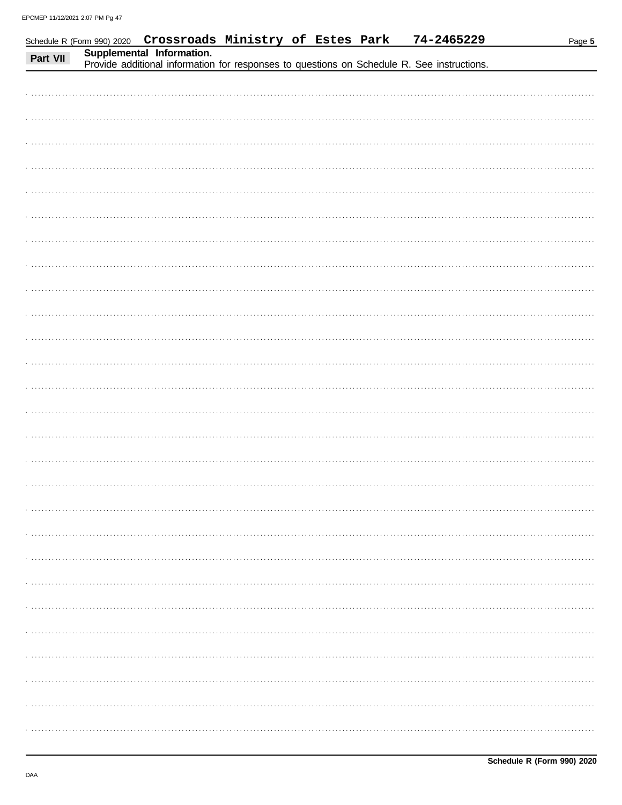|          |                           | Schedule R (Form 990) 2020 Crossroads Ministry of Estes Park | 74-2465229                                                                                 | Page 5 |
|----------|---------------------------|--------------------------------------------------------------|--------------------------------------------------------------------------------------------|--------|
| Part VII | Supplemental Information. |                                                              | Provide additional information for responses to questions on Schedule R. See instructions. |        |
|          |                           |                                                              |                                                                                            |        |
|          |                           |                                                              |                                                                                            |        |
|          |                           |                                                              |                                                                                            |        |
|          |                           |                                                              |                                                                                            |        |
|          |                           |                                                              |                                                                                            |        |
|          |                           |                                                              |                                                                                            |        |
|          |                           |                                                              |                                                                                            |        |
|          |                           |                                                              |                                                                                            |        |
|          |                           |                                                              |                                                                                            |        |
|          |                           |                                                              |                                                                                            |        |
|          |                           |                                                              |                                                                                            |        |
|          |                           |                                                              |                                                                                            |        |
|          |                           |                                                              |                                                                                            |        |
|          |                           |                                                              |                                                                                            |        |
|          |                           |                                                              |                                                                                            |        |
|          |                           |                                                              |                                                                                            |        |
|          |                           |                                                              |                                                                                            |        |
|          |                           |                                                              |                                                                                            |        |
|          |                           |                                                              |                                                                                            |        |
|          |                           |                                                              |                                                                                            |        |
|          |                           |                                                              |                                                                                            |        |
|          |                           |                                                              |                                                                                            |        |
|          |                           |                                                              |                                                                                            |        |
|          |                           |                                                              |                                                                                            |        |
|          |                           |                                                              |                                                                                            |        |
|          |                           |                                                              |                                                                                            |        |
|          |                           |                                                              |                                                                                            |        |
|          |                           |                                                              |                                                                                            |        |
|          |                           |                                                              |                                                                                            |        |
|          |                           |                                                              |                                                                                            |        |
|          |                           |                                                              |                                                                                            |        |
|          |                           |                                                              |                                                                                            |        |
|          |                           |                                                              |                                                                                            |        |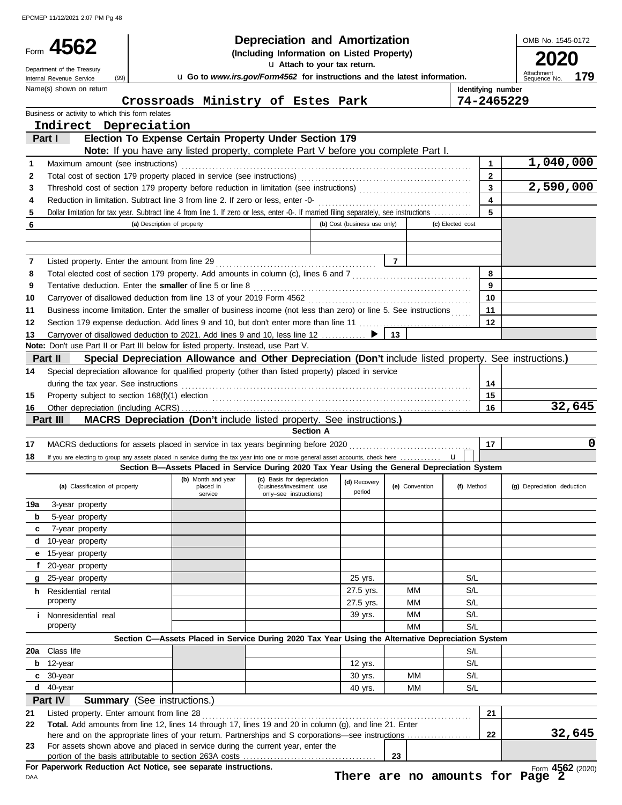EPCMEP 11/12/2021 2:07 PM Pg 48

|          | 4562                                                                                |                                    |                                                                | <b>Depreciation and Amortization</b><br>(Including Information on Listed Property)<br>u Attach to your tax return.                                                                                                                 |                              |                                 |                  |                    | OMB No. 1545-0172                 |
|----------|-------------------------------------------------------------------------------------|------------------------------------|----------------------------------------------------------------|------------------------------------------------------------------------------------------------------------------------------------------------------------------------------------------------------------------------------------|------------------------------|---------------------------------|------------------|--------------------|-----------------------------------|
|          | Department of the Treasury<br>(99)<br>Internal Revenue Service                      |                                    |                                                                | u Go to www.irs.gov/Form4562 for instructions and the latest information.                                                                                                                                                          |                              |                                 |                  |                    | Attachment<br>179<br>Sequence No. |
|          | Name(s) shown on return                                                             |                                    |                                                                |                                                                                                                                                                                                                                    |                              |                                 |                  | Identifying number |                                   |
|          |                                                                                     |                                    |                                                                | Crossroads Ministry of Estes Park                                                                                                                                                                                                  |                              |                                 |                  | 74-2465229         |                                   |
|          | Business or activity to which this form relates                                     |                                    |                                                                |                                                                                                                                                                                                                                    |                              |                                 |                  |                    |                                   |
|          | Indirect Depreciation                                                               |                                    |                                                                |                                                                                                                                                                                                                                    |                              |                                 |                  |                    |                                   |
|          | Part I                                                                              |                                    |                                                                | Election To Expense Certain Property Under Section 179<br>Note: If you have any listed property, complete Part V before you complete Part I.                                                                                       |                              |                                 |                  |                    |                                   |
| 1        | Maximum amount (see instructions)                                                   |                                    |                                                                |                                                                                                                                                                                                                                    |                              |                                 |                  | 1                  | 1,040,000                         |
| 2        |                                                                                     |                                    |                                                                |                                                                                                                                                                                                                                    |                              |                                 |                  | $\overline{2}$     |                                   |
| 3        |                                                                                     |                                    |                                                                |                                                                                                                                                                                                                                    |                              |                                 |                  |                    | 2,590,000                         |
| 4        |                                                                                     |                                    |                                                                |                                                                                                                                                                                                                                    |                              |                                 |                  | $\blacktriangle$   |                                   |
| 5        |                                                                                     |                                    |                                                                | Dollar limitation for tax year. Subtract line 4 from line 1. If zero or less, enter -0-. If married filing separately, see instructions                                                                                            |                              |                                 |                  | 5                  |                                   |
| 6        |                                                                                     | (a) Description of property        |                                                                |                                                                                                                                                                                                                                    | (b) Cost (business use only) |                                 | (c) Elected cost |                    |                                   |
|          |                                                                                     |                                    |                                                                |                                                                                                                                                                                                                                    |                              |                                 |                  |                    |                                   |
|          |                                                                                     |                                    |                                                                |                                                                                                                                                                                                                                    |                              |                                 |                  |                    |                                   |
| 7        |                                                                                     |                                    |                                                                |                                                                                                                                                                                                                                    |                              |                                 |                  |                    |                                   |
| 8        |                                                                                     |                                    |                                                                |                                                                                                                                                                                                                                    |                              |                                 |                  | 8                  |                                   |
| 9        |                                                                                     |                                    |                                                                |                                                                                                                                                                                                                                    |                              |                                 |                  | 9                  |                                   |
| 10       |                                                                                     |                                    |                                                                |                                                                                                                                                                                                                                    |                              |                                 |                  | 10                 |                                   |
| 11<br>12 |                                                                                     |                                    |                                                                | Business income limitation. Enter the smaller of business income (not less than zero) or line 5. See instructions                                                                                                                  |                              |                                 |                  | 11<br>12           |                                   |
| 13       |                                                                                     |                                    |                                                                | Carryover of disallowed deduction to 2021. Add lines 9 and 10, less line 12  ▶                                                                                                                                                     |                              | 13                              |                  |                    |                                   |
|          | Note: Don't use Part II or Part III below for listed property. Instead, use Part V. |                                    |                                                                |                                                                                                                                                                                                                                    |                              |                                 |                  |                    |                                   |
|          | Part II                                                                             |                                    |                                                                | Special Depreciation Allowance and Other Depreciation (Don't include listed property. See instructions.)                                                                                                                           |                              |                                 |                  |                    |                                   |
| 14       |                                                                                     |                                    |                                                                | Special depreciation allowance for qualified property (other than listed property) placed in service                                                                                                                               |                              |                                 |                  |                    |                                   |
|          | during the tax year. See instructions                                               |                                    |                                                                |                                                                                                                                                                                                                                    |                              |                                 |                  | 14                 |                                   |
| 15       |                                                                                     |                                    |                                                                | Property subject to section 168(f)(1) election <i>manufacture content content and section</i> 168(f)(1) election manufacture content and and and and and and anti-                                                                 |                              |                                 |                  | 15                 |                                   |
| 16       |                                                                                     |                                    |                                                                |                                                                                                                                                                                                                                    |                              |                                 |                  | 16                 | 32,645                            |
|          | Part III                                                                            |                                    |                                                                | MACRS Depreciation (Don't include listed property. See instructions.)                                                                                                                                                              |                              |                                 |                  |                    |                                   |
|          |                                                                                     |                                    |                                                                | <b>Section A</b>                                                                                                                                                                                                                   |                              |                                 |                  |                    |                                   |
| 17       |                                                                                     |                                    |                                                                |                                                                                                                                                                                                                                    |                              |                                 |                  | 17                 | 0                                 |
| 18       |                                                                                     |                                    |                                                                | If you are electing to group any assets placed in service during the tax year into one or more general asset accounts, check here<br>Section B-Assets Placed in Service During 2020 Tax Year Using the General Depreciation System |                              |                                 | $\mathbf{u}$     |                    |                                   |
|          |                                                                                     |                                    | (b) Month and year                                             | (c) Basis for depreciation                                                                                                                                                                                                         | (d) Recovery                 |                                 |                  |                    |                                   |
|          | (a) Classification of property                                                      |                                    | placed in<br>service                                           | (business/investment use<br>only-see instructions)                                                                                                                                                                                 | period                       | (e) Convention                  | (f) Method       |                    | (g) Depreciation deduction        |
| 19a      | 3-year property                                                                     |                                    |                                                                |                                                                                                                                                                                                                                    |                              |                                 |                  |                    |                                   |
| b        | 5-year property                                                                     |                                    |                                                                |                                                                                                                                                                                                                                    |                              |                                 |                  |                    |                                   |
| c        | 7-year property                                                                     |                                    |                                                                |                                                                                                                                                                                                                                    |                              |                                 |                  |                    |                                   |
| d        | 10-year property                                                                    |                                    |                                                                |                                                                                                                                                                                                                                    |                              |                                 |                  |                    |                                   |
| е        | 15-year property                                                                    |                                    |                                                                |                                                                                                                                                                                                                                    |                              |                                 |                  |                    |                                   |
| f        | 20-year property                                                                    |                                    |                                                                |                                                                                                                                                                                                                                    |                              |                                 |                  |                    |                                   |
| g        | 25-year property                                                                    |                                    |                                                                |                                                                                                                                                                                                                                    | 25 yrs.<br>27.5 yrs.         | ΜМ                              | S/L<br>S/L       |                    |                                   |
| h.       | Residential rental<br>property                                                      |                                    |                                                                |                                                                                                                                                                                                                                    | 27.5 yrs.                    | MМ                              | S/L              |                    |                                   |
|          | <i>i</i> Nonresidential real                                                        |                                    |                                                                |                                                                                                                                                                                                                                    | 39 yrs.                      | MМ                              | S/L              |                    |                                   |
|          | property                                                                            |                                    |                                                                |                                                                                                                                                                                                                                    |                              | MМ                              | S/L              |                    |                                   |
|          |                                                                                     |                                    |                                                                | Section C-Assets Placed in Service During 2020 Tax Year Using the Alternative Depreciation System                                                                                                                                  |                              |                                 |                  |                    |                                   |
| 20a l    | Class life                                                                          |                                    |                                                                |                                                                                                                                                                                                                                    |                              |                                 | S/L              |                    |                                   |
| b        | 12-year                                                                             |                                    |                                                                |                                                                                                                                                                                                                                    | 12 yrs.                      |                                 | S/L              |                    |                                   |
| C        | 30-year                                                                             |                                    |                                                                |                                                                                                                                                                                                                                    | 30 yrs.                      | ΜМ                              | S/L              |                    |                                   |
| d        | 40-year                                                                             |                                    |                                                                |                                                                                                                                                                                                                                    | 40 yrs.                      | MМ                              | S/L              |                    |                                   |
|          | Part IV                                                                             | <b>Summary</b> (See instructions.) |                                                                |                                                                                                                                                                                                                                    |                              |                                 |                  |                    |                                   |
| 21       | Listed property. Enter amount from line 28                                          |                                    |                                                                |                                                                                                                                                                                                                                    |                              |                                 |                  | 21                 |                                   |
| 22       |                                                                                     |                                    |                                                                | Total. Add amounts from line 12, lines 14 through 17, lines 19 and 20 in column (g), and line 21. Enter                                                                                                                            |                              |                                 |                  | 22                 | 32,645                            |
| 23       |                                                                                     |                                    |                                                                | For assets shown above and placed in service during the current year, enter the                                                                                                                                                    |                              |                                 |                  |                    |                                   |
|          |                                                                                     |                                    |                                                                |                                                                                                                                                                                                                                    |                              | 23                              |                  |                    |                                   |
|          |                                                                                     |                                    | For Paperwork Reduction Act Notice, see separate instructions. |                                                                                                                                                                                                                                    |                              |                                 |                  |                    | Form 4562 (2020)                  |
| DAA      |                                                                                     |                                    |                                                                |                                                                                                                                                                                                                                    |                              | There are no amounts for Page 2 |                  |                    |                                   |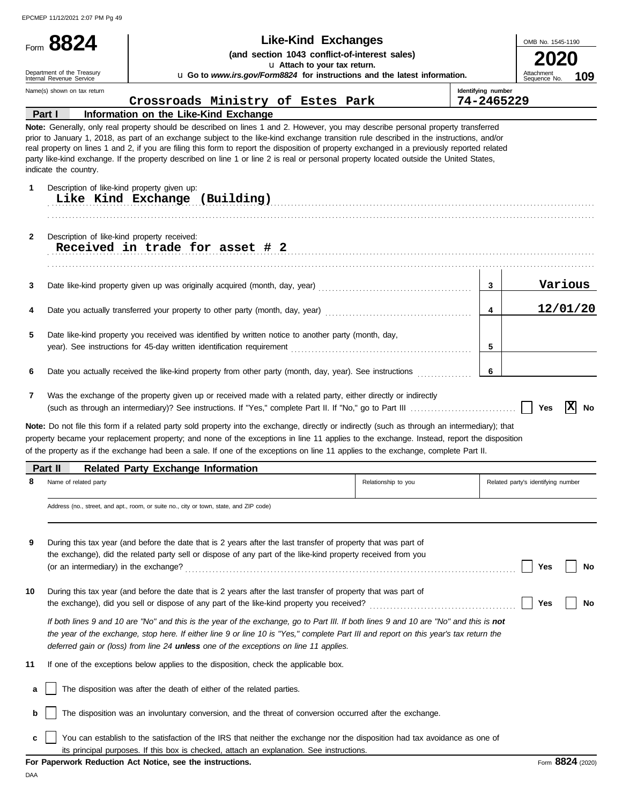| Form 8824                                              | <b>Like-Kind Exchanges</b>                                                                                                                                                                                                                                                                                                                                                                                                                                                                                          |                    | OMB No. 1545-1190                  |     |
|--------------------------------------------------------|---------------------------------------------------------------------------------------------------------------------------------------------------------------------------------------------------------------------------------------------------------------------------------------------------------------------------------------------------------------------------------------------------------------------------------------------------------------------------------------------------------------------|--------------------|------------------------------------|-----|
|                                                        | (and section 1043 conflict-of-interest sales)                                                                                                                                                                                                                                                                                                                                                                                                                                                                       |                    |                                    |     |
| Department of the Treasury<br>Internal Revenue Service | u Attach to your tax return.<br>u Go to www.irs.gov/Form8824 for instructions and the latest information.                                                                                                                                                                                                                                                                                                                                                                                                           |                    | Attachment<br>Sequence No.         | 109 |
| Name(s) shown on tax return                            |                                                                                                                                                                                                                                                                                                                                                                                                                                                                                                                     | Identifying number |                                    |     |
|                                                        | Crossroads Ministry of Estes Park                                                                                                                                                                                                                                                                                                                                                                                                                                                                                   | 74-2465229         |                                    |     |
| Part I                                                 | Information on the Like-Kind Exchange<br>Note: Generally, only real property should be described on lines 1 and 2. However, you may describe personal property transferred                                                                                                                                                                                                                                                                                                                                          |                    |                                    |     |
| indicate the country.<br>1                             | prior to January 1, 2018, as part of an exchange subject to the like-kind exchange transition rule described in the instructions, and/or<br>real property on lines 1 and 2, if you are filing this form to report the disposition of property exchanged in a previously reported related<br>party like-kind exchange. If the property described on line 1 or line 2 is real or personal property located outside the United States,<br>Description of like-kind property given up:<br>Like Kind Exchange (Building) |                    |                                    |     |
|                                                        |                                                                                                                                                                                                                                                                                                                                                                                                                                                                                                                     |                    |                                    |     |
| $\mathbf{2}$                                           | Description of like-kind property received:<br>Received in trade for asset # 2                                                                                                                                                                                                                                                                                                                                                                                                                                      |                    |                                    |     |
| 3                                                      |                                                                                                                                                                                                                                                                                                                                                                                                                                                                                                                     | $\mathbf{3}$       | Various                            |     |
|                                                        |                                                                                                                                                                                                                                                                                                                                                                                                                                                                                                                     |                    |                                    |     |
| 4                                                      |                                                                                                                                                                                                                                                                                                                                                                                                                                                                                                                     | 4                  | 12/01/20                           |     |
| 5                                                      | Date like-kind property you received was identified by written notice to another party (month, day,                                                                                                                                                                                                                                                                                                                                                                                                                 | 5                  |                                    |     |
|                                                        |                                                                                                                                                                                                                                                                                                                                                                                                                                                                                                                     |                    |                                    |     |
| 6                                                      | Date you actually received the like-kind property from other party (month, day, year). See instructions                                                                                                                                                                                                                                                                                                                                                                                                             | 6                  |                                    |     |
| 7                                                      | Was the exchange of the property given up or received made with a related party, either directly or indirectly                                                                                                                                                                                                                                                                                                                                                                                                      |                    | ΙX<br>Yes                          |     |
|                                                        | Note: Do not file this form if a related party sold property into the exchange, directly or indirectly (such as through an intermediary); that<br>property became your replacement property; and none of the exceptions in line 11 applies to the exchange. Instead, report the disposition<br>of the property as if the exchange had been a sale. If one of the exceptions on line 11 applies to the exchange, complete Part II.                                                                                   |                    |                                    |     |
| Part II                                                | <b>Related Party Exchange Information</b>                                                                                                                                                                                                                                                                                                                                                                                                                                                                           |                    |                                    | No  |
| 8<br>Name of related party                             | Relationship to you                                                                                                                                                                                                                                                                                                                                                                                                                                                                                                 |                    | Related party's identifying number |     |
|                                                        | Address (no., street, and apt., room, or suite no., city or town, state, and ZIP code)                                                                                                                                                                                                                                                                                                                                                                                                                              |                    |                                    |     |
| 9<br>(or an intermediary) in the exchange?             | During this tax year (and before the date that is 2 years after the last transfer of property that was part of<br>the exchange), did the related party sell or dispose of any part of the like-kind property received from you                                                                                                                                                                                                                                                                                      |                    | Yes                                |     |
| 10                                                     | During this tax year (and before the date that is 2 years after the last transfer of property that was part of<br>the exchange), did you sell or dispose of any part of the like-kind property you received?                                                                                                                                                                                                                                                                                                        |                    | Yes                                | No  |
|                                                        | If both lines 9 and 10 are "No" and this is the year of the exchange, go to Part III. If both lines 9 and 10 are "No" and this is not<br>the year of the exchange, stop here. If either line 9 or line 10 is "Yes," complete Part III and report on this year's tax return the<br>deferred gain or (loss) from line 24 unless one of the exceptions on line 11 applies.                                                                                                                                             |                    |                                    |     |
| 11                                                     | If one of the exceptions below applies to the disposition, check the applicable box.                                                                                                                                                                                                                                                                                                                                                                                                                                |                    |                                    |     |
| а                                                      | The disposition was after the death of either of the related parties.                                                                                                                                                                                                                                                                                                                                                                                                                                               |                    |                                    | No  |

**c** You can establish to the satisfaction of the IRS that neither the exchange nor the disposition had tax avoidance as one of its principal purposes. If this box is checked, attach an explanation. See instructions.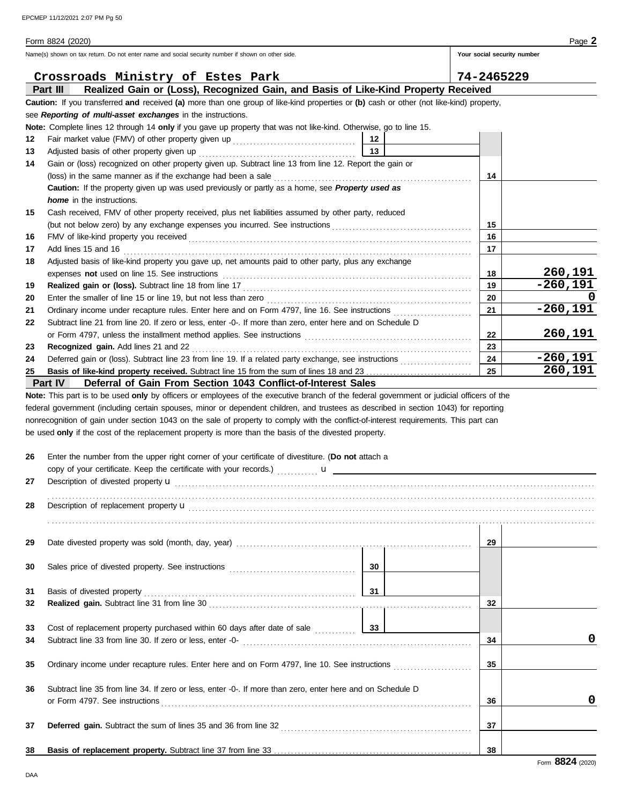|          | Name(s) shown on tax return. Do not enter name and social security number if shown on other side.                                                                                                                              |                 | Your social security number |            |
|----------|--------------------------------------------------------------------------------------------------------------------------------------------------------------------------------------------------------------------------------|-----------------|-----------------------------|------------|
|          | Crossroads Ministry of Estes Park                                                                                                                                                                                              |                 | 74-2465229                  |            |
|          | Realized Gain or (Loss), Recognized Gain, and Basis of Like-Kind Property Received<br>Part III                                                                                                                                 |                 |                             |            |
|          | Caution: If you transferred and received (a) more than one group of like-kind properties or (b) cash or other (not like-kind) property,                                                                                        |                 |                             |            |
|          | see Reporting of multi-asset exchanges in the instructions.                                                                                                                                                                    |                 |                             |            |
|          | Note: Complete lines 12 through 14 only if you gave up property that was not like-kind. Otherwise, go to line 15.                                                                                                              |                 |                             |            |
| 12       |                                                                                                                                                                                                                                | 12              |                             |            |
| 13       |                                                                                                                                                                                                                                | 13              |                             |            |
| 14       | Gain or (loss) recognized on other property given up. Subtract line 13 from line 12. Report the gain or                                                                                                                        |                 |                             |            |
|          |                                                                                                                                                                                                                                |                 | 14                          |            |
|          | Caution: If the property given up was used previously or partly as a home, see Property used as<br><i>home</i> in the instructions.                                                                                            |                 |                             |            |
| 15       | Cash received, FMV of other property received, plus net liabilities assumed by other party, reduced                                                                                                                            |                 |                             |            |
|          | (but not below zero) by any exchange expenses you incurred. See instructions                                                                                                                                                   |                 | 15                          |            |
| 16       |                                                                                                                                                                                                                                |                 | 16                          |            |
| 17       | Add lines 15 and 16                                                                                                                                                                                                            |                 | 17                          |            |
| 18       | Adjusted basis of like-kind property you gave up, net amounts paid to other party, plus any exchange                                                                                                                           |                 |                             |            |
|          |                                                                                                                                                                                                                                |                 | 18                          | 260,191    |
| 19       |                                                                                                                                                                                                                                |                 | 19                          | $-260,191$ |
| 20       |                                                                                                                                                                                                                                |                 | 20                          |            |
| 21       |                                                                                                                                                                                                                                |                 | 21                          | $-260,191$ |
| 22       | Subtract line 21 from line 20. If zero or less, enter -0-. If more than zero, enter here and on Schedule D                                                                                                                     |                 |                             |            |
|          | or Form 4797, unless the installment method applies. See instructions [11] contains and the set of the set of the set of the set of the set of the set of the set of the set of the set of the set of the set of the set of th |                 | 22                          | 260,191    |
| 23       | Recognized gain. Add lines 21 and 22                                                                                                                                                                                           |                 | 23                          |            |
| 24       |                                                                                                                                                                                                                                |                 | 24                          | $-260,191$ |
| 25       |                                                                                                                                                                                                                                |                 | 25                          | 260,191    |
|          | Part IV<br>Deferral of Gain From Section 1043 Conflict-of-Interest Sales                                                                                                                                                       |                 |                             |            |
| 26       | Enter the number from the upper right corner of your certificate of divestiture. (Do not attach a                                                                                                                              |                 |                             |            |
|          |                                                                                                                                                                                                                                |                 |                             |            |
| 27       |                                                                                                                                                                                                                                |                 |                             |            |
| 28       | Description of replacement property <b>u</b>                                                                                                                                                                                   |                 |                             |            |
|          |                                                                                                                                                                                                                                |                 |                             |            |
|          |                                                                                                                                                                                                                                |                 |                             |            |
| 29       |                                                                                                                                                                                                                                |                 | 29                          |            |
|          |                                                                                                                                                                                                                                |                 |                             |            |
| 30       |                                                                                                                                                                                                                                | 30 <sup>1</sup> |                             |            |
|          |                                                                                                                                                                                                                                |                 |                             |            |
| 31       |                                                                                                                                                                                                                                |                 |                             |            |
| 32       |                                                                                                                                                                                                                                |                 | 32                          |            |
|          |                                                                                                                                                                                                                                |                 |                             |            |
| 33<br>34 |                                                                                                                                                                                                                                |                 | 34                          | 0          |
|          |                                                                                                                                                                                                                                |                 |                             |            |
| 35       | Ordinary income under recapture rules. Enter here and on Form 4797, line 10. See instructions <i>mimimimimimimimim</i>                                                                                                         |                 | 35                          |            |
|          |                                                                                                                                                                                                                                |                 |                             |            |
| 36       | Subtract line 35 from line 34. If zero or less, enter -0-. If more than zero, enter here and on Schedule D                                                                                                                     |                 |                             |            |
|          |                                                                                                                                                                                                                                |                 | 36                          | 0          |
|          |                                                                                                                                                                                                                                |                 |                             |            |
| 37       |                                                                                                                                                                                                                                |                 | 37                          |            |
|          |                                                                                                                                                                                                                                |                 |                             |            |
|          |                                                                                                                                                                                                                                |                 | 38                          |            |
| 38       |                                                                                                                                                                                                                                |                 |                             |            |

DAA

Form 8824 (2020) Page **2**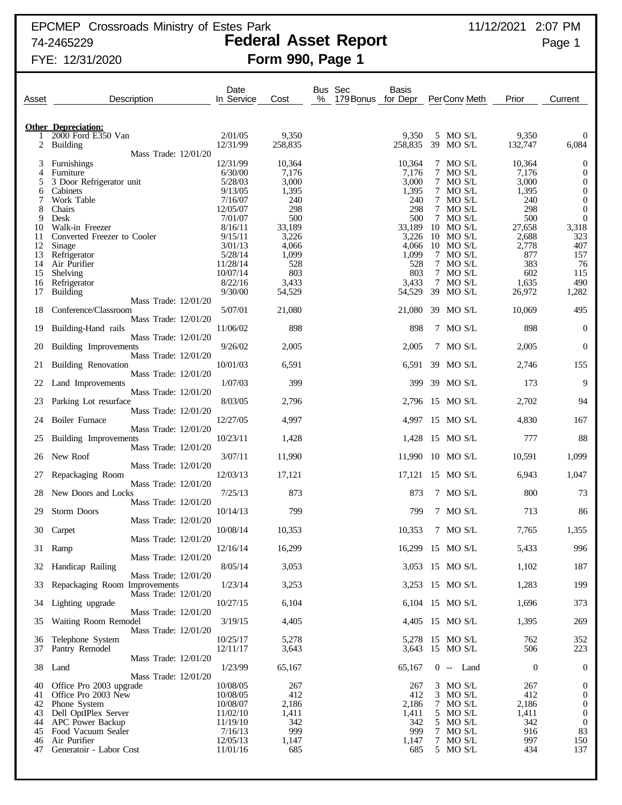# EPCMEP Crossroads Ministry of Estes Park 11/12/2021 2:07 PM

## 74-2465229 **Federal Asset Report** Page 1 FYE: 12/31/2020 **Form 990, Page 1**

| Asset    | Description                                           | Date<br>In Service   | Cost          | Bus Sec<br>Basis<br>%<br>179 Bonus<br>for Depr |               | PerConv Meth             | Prior            | Current                              |
|----------|-------------------------------------------------------|----------------------|---------------|------------------------------------------------|---------------|--------------------------|------------------|--------------------------------------|
|          | <b>Other Depreciation:</b>                            |                      |               |                                                |               |                          |                  |                                      |
|          | 2000 Ford E350 Van                                    | 2/01/05              | 9,350         |                                                | 9,350         | 5 MO S/L                 | 9,350            | 0                                    |
| 2        | <b>Building</b>                                       | 12/31/99             | 258,835       |                                                | 258,835       | 39 MO S/L                | 132,747          | 6,084                                |
| 3        | Mass Trade: 12/01/20<br>Furnishings                   | 12/31/99             | 10,364        |                                                | 10,364        | 7 MO S/L                 | 10,364           | $\boldsymbol{0}$                     |
| 4        | Furniture                                             | 6/30/00              | 7,176         |                                                | 7,176         | 7 MO S/L                 | 7,176            | $\boldsymbol{0}$                     |
| 5        | 3 Door Refrigerator unit                              | 5/28/03              | 3,000         |                                                | 3,000         | 7 MO S/L                 | 3,000            | $\boldsymbol{0}$                     |
| 6        | Cabinets                                              | 9/13/05              | 1,395         |                                                | 1,395         | 7 MO S/L                 | 1,395            | $\boldsymbol{0}$                     |
| 7        | Work Table                                            | 7/16/07              | 240           |                                                | 240           | 7 MO S/L                 | 240              | $\mathbf 0$                          |
| 8        | Chairs                                                | 12/05/07             | 298           |                                                | 298           | 7 MO S/L                 | 298              | $\boldsymbol{0}$                     |
| 9<br>10  | Desk<br>Walk-in Freezer                               | 7/01/07<br>8/16/11   | 500<br>33,189 |                                                | 500<br>33,189 | 7 MO S/L<br>10 MO S/L    | 500<br>27,658    | $\boldsymbol{0}$<br>3,318            |
| 11       | Converted Freezer to Cooler                           | 9/15/11              | 3,226         |                                                | 3,226         | 10 MO S/L                | 2,688            | 323                                  |
| 12       | Sinage                                                | 3/01/13              | 4,066         |                                                | 4,066         | 10 MO S/L                | 2,778            | 407                                  |
| 13       | Refrigerator                                          | 5/28/14              | 1,099         |                                                | 1,099         | 7 MO S/L                 | 877              | 157                                  |
| 14       | Air Purifier                                          | 11/28/14             | 528           |                                                | 528           | 7 MO S/L                 | 383              | 76                                   |
| 15<br>16 | Shelving<br>Refrigerator                              | 10/07/14<br>8/22/16  | 803<br>3,433  |                                                | 803<br>3,433  | 7 MO S/L<br>7 MO S/L     | 602<br>1,635     | 115<br>490                           |
| 17       | <b>Building</b>                                       | 9/30/00              | 54,529        |                                                | 54,529        | 39 MO S/L                | 26,972           | 1,282                                |
|          | Mass Trade: 12/01/20                                  |                      |               |                                                |               |                          |                  |                                      |
| 18       | Conference/Classroom                                  | 5/07/01              | 21,080        |                                                | 21,080        | 39 MO S/L                | 10,069           | 495                                  |
|          | Mass Trade: 12/01/20<br>Building-Hand rails           | 11/06/02             | 898           |                                                | 898           | 7 MO S/L                 | 898              | $\mathbf{0}$                         |
| 19       | Mass Trade: 12/01/20                                  |                      |               |                                                |               |                          |                  |                                      |
| 20       | Building Improvements                                 | 9/26/02              | 2,005         |                                                | 2,005         | 7 MO S/L                 | 2,005            | $\boldsymbol{0}$                     |
|          | Mass Trade: 12/01/20                                  |                      |               |                                                |               |                          |                  |                                      |
| 21       | <b>Building Renovation</b>                            | 10/01/03             | 6,591         |                                                | 6,591         | 39 MO S/L                | 2,746            | 155                                  |
|          | Mass Trade: 12/01/20                                  | 1/07/03              | 399           |                                                | 399           | 39 MO S/L                | 173              | 9                                    |
| 22       | Land Improvements<br>Mass Trade: 12/01/20             |                      |               |                                                |               |                          |                  |                                      |
| 23       | Parking Lot resurface                                 | 8/03/05              | 2,796         |                                                | 2,796         | 15 MO S/L                | 2,702            | 94                                   |
|          | Mass Trade: 12/01/20                                  |                      |               |                                                |               |                          |                  |                                      |
| 24       | Boiler Furnace                                        | 12/27/05             | 4,997         |                                                | 4,997         | 15 MO S/L                | 4,830            | 167                                  |
| 25       | Mass Trade: 12/01/20<br>Building Improvements         | 10/23/11             | 1,428         |                                                | 1,428         | 15 MO S/L                | 777              | 88                                   |
|          | Mass Trade: 12/01/20                                  |                      |               |                                                |               |                          |                  |                                      |
| 26       | New Roof                                              | 3/07/11              | 11,990        |                                                | 11,990        | $10$ MO S/L              | 10,591           | 1,099                                |
|          | Mass Trade: 12/01/20                                  |                      |               |                                                |               |                          |                  |                                      |
| 27       | Repackaging Room<br>Mass Trade: 12/01/20              | 12/03/13             | 17,121        |                                                | 17,121        | 15 MO S/L                | 6,943            | 1,047                                |
| 28       | New Doors and Locks                                   | 7/25/13              | 873           |                                                | 873           | 7 MO S/L                 | 800              | 73                                   |
|          | Mass Trade: 12/01/20                                  |                      |               |                                                |               |                          |                  |                                      |
| 29       | Storm Doors                                           | 10/14/13             | 799           |                                                | 799           | 7 MO S/L                 | 713              | 86                                   |
|          | Mass Trade: 12/01/20                                  |                      |               |                                                |               | 7 MO S/L                 |                  |                                      |
| 30       | Carpet<br>Mass Trade: 12/01/20                        | 10/08/14             | 10,353        |                                                | 10,353        |                          | 7,765            | 1,355                                |
|          | 31 Ramp                                               | 12/16/14             | 16,299        |                                                |               | 16,299 15 MO S/L         | 5,433            | 996                                  |
|          | Mass Trade: 12/01/20                                  |                      |               |                                                |               |                          |                  |                                      |
| 32       | Handicap Railing                                      | 8/05/14              | 3,053         |                                                |               | 3,053 15 MO S/L          | 1,102            | 187                                  |
| 33       | Mass Trade: 12/01/20<br>Repackaging Room Improvements | 1/23/14              | 3,253         |                                                |               | 3,253 15 MO S/L          | 1,283            | 199                                  |
|          | Mass Trade: 12/01/20                                  |                      |               |                                                |               |                          |                  |                                      |
| 34       | Lighting upgrade                                      | 10/27/15             | 6,104         |                                                |               | 6,104 15 MO S/L          | 1,696            | 373                                  |
|          | Mass Trade: 12/01/20                                  |                      |               |                                                |               |                          |                  |                                      |
| 35       | Waiting Room Remodel                                  | 3/19/15              | 4,405         |                                                |               | 4,405 15 MO S/L          | 1,395            | 269                                  |
| 36       | Mass Trade: 12/01/20<br>Telephone System              | 10/25/17             | 5,278         |                                                |               | 5,278 15 MO S/L          | 762              | 352                                  |
|          | 37 Pantry Remodel                                     | 12/11/17             | 3,643         |                                                |               | 3,643 15 MO S/L          | 506              | 223                                  |
|          | Mass Trade: 12/01/20                                  |                      |               |                                                |               |                          |                  |                                      |
|          | 38 Land                                               | 1/23/99              | 65,167        |                                                | 65,167        | $0 -$ Land               | $\boldsymbol{0}$ | $\mathbf{0}$                         |
|          | Mass Trade: 12/01/20                                  |                      |               |                                                |               |                          |                  |                                      |
| 40<br>41 | Office Pro 2003 upgrade<br>Office Pro 2003 New        | 10/08/05<br>10/08/05 | 267<br>412    |                                                | 267<br>412    | $3$ MO S/L<br>$3$ MO S/L | 267<br>412       | $\boldsymbol{0}$<br>$\boldsymbol{0}$ |
| 42       | Phone System                                          | 10/08/07             | 2,186         |                                                | 2,186         | 7 MO S/L                 | 2,186            | $\mathbf{0}$                         |
| 43       | Dell OptIPlex Server                                  | 11/02/10             | 1,411         |                                                | 1,411         | 5 MO S/L                 | 1,411            | $\mathbf 0$                          |
| 44       | <b>APC</b> Power Backup                               | 11/19/10             | 342           |                                                | 342           | 5 MO S/L                 | 342              | $\boldsymbol{0}$                     |
| 45<br>46 | Food Vacuum Sealer<br>Air Purifier                    | 7/16/13<br>12/05/13  | 999<br>1,147  |                                                | 999<br>1,147  | 7 MO S/L<br>7 MO S/L     | 916<br>997       | 83<br>150                            |
| 47       | Generatoir - Labor Cost                               | 11/01/16             | 685           |                                                | 685           | 5 MO S/L                 | 434              | 137                                  |
|          |                                                       |                      |               |                                                |               |                          |                  |                                      |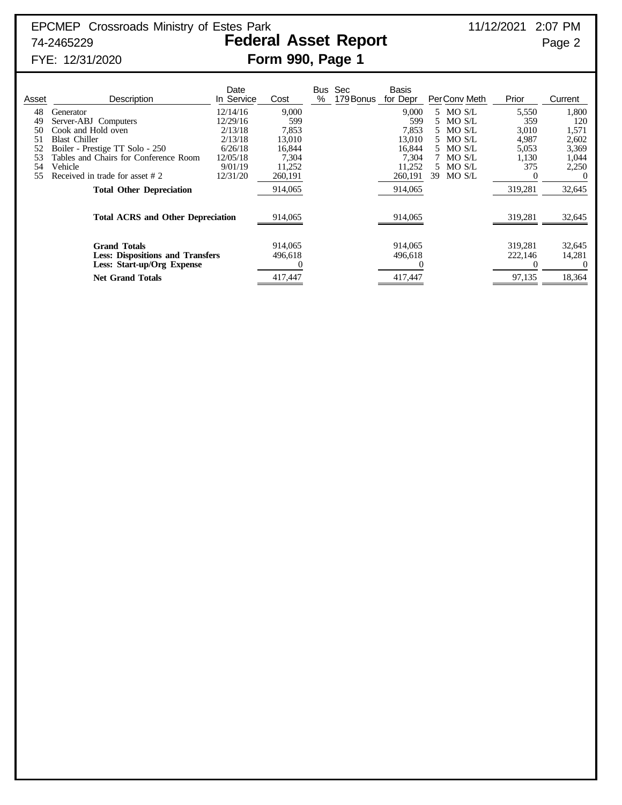# FYE: 12/31/2020 **Form 990, Page 1**

| Asset                             | Description                                                                                                                                                            | Date<br>In Service                                                           | Cost                                                         | <b>Bus</b><br>$\%$ | Sec<br>179 Bonus | Basis<br>for Depr                                            | PerConv Meth                                                                   | Prior                                                   | Current                                                   |
|-----------------------------------|------------------------------------------------------------------------------------------------------------------------------------------------------------------------|------------------------------------------------------------------------------|--------------------------------------------------------------|--------------------|------------------|--------------------------------------------------------------|--------------------------------------------------------------------------------|---------------------------------------------------------|-----------------------------------------------------------|
| 48<br>49<br>50<br>.51<br>52<br>54 | Generator<br>Server-ABJ Computers<br>Cook and Hold oven<br><b>Blast Chiller</b><br>Boiler - Prestige TT Solo - 250<br>Tables and Chairs for Conference Room<br>Vehicle | 12/14/16<br>12/29/16<br>2/13/18<br>2/13/18<br>6/26/18<br>12/05/18<br>9/01/19 | 9,000<br>599<br>7,853<br>13,010<br>16,844<br>7,304<br>11,252 |                    |                  | 9,000<br>599<br>7.853<br>13,010<br>16.844<br>7.304<br>11,252 | 5 MO S/L<br>5 MO S/L<br>5 MO S/L<br>5 MO S/L<br>5 MO S/L<br>MO S/L<br>5 MO S/L | 5,550<br>359<br>3,010<br>4,987<br>5,053<br>1,130<br>375 | 1,800<br>120<br>1,571<br>2,602<br>3,369<br>1,044<br>2,250 |
| 55                                | Received in trade for asset #2<br><b>Total Other Depreciation</b>                                                                                                      | 12/31/20                                                                     | 260,191<br>914,065                                           |                    |                  | 260,191<br>914,065                                           | 39<br>MO S/L                                                                   | $\Omega$<br>319,281                                     | 32,645                                                    |
|                                   | <b>Total ACRS and Other Depreciation</b><br><b>Grand Totals</b>                                                                                                        |                                                                              | 914,065<br>914,065                                           |                    |                  | 914,065<br>914,065                                           |                                                                                | 319,281<br>319,281                                      | 32,645<br>32,645                                          |
|                                   | <b>Less: Dispositions and Transfers</b><br>Less: Start-up/Org Expense<br><b>Net Grand Totals</b>                                                                       |                                                                              | 496,618<br>417,447                                           |                    |                  | 496,618<br>417,447                                           |                                                                                | 222,146<br>$\theta$<br>97,135                           | 14,281<br>18,364                                          |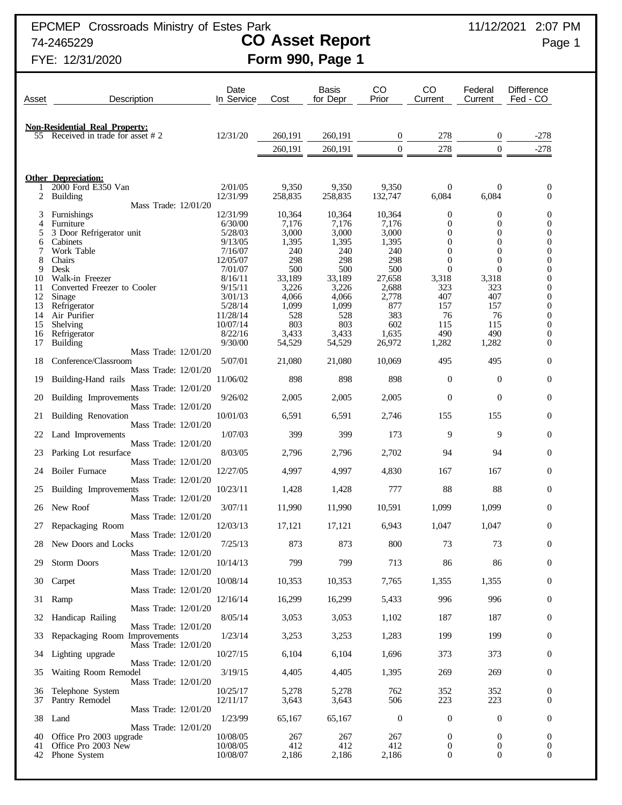EPCMEP Crossroads Ministry of Estes Park 11/12/2021 2:07 PM

# 74-2465229 **CO Asset Report** Page 1 FYE: 12/31/2020 **Form 990, Page 1**

| Asset    | Description                                                             | Date<br>In Service   | Cost             | <b>Basis</b><br>for Depr | CO<br>Prior      | CO<br>Current                  | Federal<br>Current       | <b>Difference</b><br>Fed - CO        |
|----------|-------------------------------------------------------------------------|----------------------|------------------|--------------------------|------------------|--------------------------------|--------------------------|--------------------------------------|
|          |                                                                         |                      |                  |                          |                  |                                |                          |                                      |
| 55       | <b>Non-Residential Real Property:</b><br>Received in trade for asset #2 | 12/31/20             | 260,191          | 260,191                  | $\boldsymbol{0}$ | 278                            | $\bf{0}$                 | $-278$                               |
|          |                                                                         |                      | 260,191          | 260,191                  | $\boldsymbol{0}$ | 278                            | $\Omega$                 | $-278$                               |
|          |                                                                         |                      |                  |                          |                  |                                |                          |                                      |
|          | <b>Other Depreciation:</b>                                              |                      |                  |                          |                  |                                |                          |                                      |
| 2        | 2000 Ford E350 Van<br><b>Building</b>                                   | 2/01/05<br>12/31/99  | 9,350<br>258,835 | 9,350<br>258,835         | 9,350<br>132,747 | 0<br>6,084                     | $\theta$<br>6,084        | $\mathbf{0}$<br>$\overline{0}$       |
|          | Mass Trade: 12/01/20                                                    |                      |                  |                          |                  |                                |                          |                                      |
| 3        | Furnishings                                                             | 12/31/99             | 10,364           | 10,364                   | 10,364           | 0                              | $\boldsymbol{0}$         | 0                                    |
| 4<br>5   | Furniture<br>3 Door Refrigerator unit                                   | 6/30/00<br>5/28/03   | 7,176<br>3,000   | 7,176<br>3,000           | 7,176<br>3,000   | $\overline{0}$<br>$\theta$     | $\theta$<br>$\theta$     | $\overline{0}$<br>0                  |
| 6        | Cabinets                                                                | 9/13/05              | 1,395            | 1,395                    | 1,395            | 0                              | 0                        | 0                                    |
| 7        | Work Table                                                              | 7/16/07              | 240              | 240                      | 240              | $\theta$                       | $\theta$                 | 0                                    |
| 8<br>9   | Chairs<br>Desk                                                          | 12/05/07<br>7/01/07  | 298<br>500       | 298<br>500               | 298<br>500       | $\overline{0}$<br>$\mathbf{0}$ | $\theta$<br>$\Omega$     | 0<br>$\boldsymbol{0}$                |
| 10       | Walk-in Freezer                                                         | 8/16/11              | 33,189           | 33,189                   | 27,658           | 3,318                          | 3,318                    | $\overline{0}$                       |
| 11       | Converted Freezer to Cooler                                             | 9/15/11              | 3,226            | 3,226                    | 2,688            | 323                            | 323                      | $\boldsymbol{0}$                     |
| 12<br>13 | Sinage<br>Refrigerator                                                  | 3/01/13<br>5/28/14   | 4,066<br>1,099   | 4,066<br>1,099           | 2,778<br>877     | 407<br>157                     | 407<br>157               | $\overline{0}$<br>$\boldsymbol{0}$   |
| 14       | Air Purifier                                                            | 11/28/14             | 528              | 528                      | 383              | 76                             | 76                       | $\overline{0}$                       |
| 15       | Shelving                                                                | 10/07/14             | 803              | 803                      | 602              | 115                            | 115                      | $\boldsymbol{0}$                     |
| 16<br>17 | Refrigerator<br><b>Building</b>                                         | 8/22/16<br>9/30/00   | 3,433<br>54,529  | 3,433<br>54,529          | 1,635<br>26,972  | 490<br>1,282                   | 490<br>1,282             | $\overline{0}$<br>0                  |
|          | Mass Trade: 12/01/20                                                    |                      |                  |                          |                  |                                |                          |                                      |
| 18       | Conference/Classroom                                                    | 5/07/01              | 21,080           | 21,080                   | 10,069           | 495                            | 495                      | $\mathbf{0}$                         |
| 19       | Mass Trade: 12/01/20<br>Building-Hand rails                             | 11/06/02             | 898              | 898                      | 898              | $\boldsymbol{0}$               | $\mathbf{0}$             | $\boldsymbol{0}$                     |
| 20       | Mass Trade: 12/01/20<br>Building Improvements                           | 9/26/02              | 2,005            | 2,005                    | 2,005            | $\mathbf{0}$                   | $\overline{0}$           | $\mathbf{0}$                         |
| 21       | Mass Trade: 12/01/20<br>Building Renovation                             | 10/01/03             | 6,591            | 6,591                    | 2,746            | 155                            | 155                      | $\boldsymbol{0}$                     |
| 22       | Mass Trade: 12/01/20<br>Land Improvements                               | 1/07/03              | 399              | 399                      | 173              | 9                              | 9                        | $\boldsymbol{0}$                     |
| 23       | Mass Trade: 12/01/20<br>Parking Lot resurface                           | 8/03/05              | 2,796            | 2,796                    | 2,702            | 94                             | 94                       | $\boldsymbol{0}$                     |
| 24       | Mass Trade: 12/01/20<br>Boiler Furnace                                  | 12/27/05             | 4,997            | 4,997                    | 4,830            | 167                            | 167                      | $\mathbf{0}$                         |
| 25       | Mass Trade: 12/01/20<br>Building Improvements                           | 10/23/11             | 1,428            | 1,428                    | 777              | 88                             | 88                       | $\mathbf{0}$                         |
| 26       | Mass Trade: 12/01/20<br>New Roof                                        | 3/07/11              | 11,990           | 11,990                   | 10,591           | 1,099                          | 1,099                    | $\mathbf{0}$                         |
| 27       | Mass Trade: 12/01/20<br>Repackaging Room                                | 12/03/13             | 17,121           | 17,121                   | 6,943            | 1,047                          | 1,047                    | $\boldsymbol{0}$                     |
|          | Mass Trade: 12/01/20<br>28 New Doors and Locks                          | 7/25/13              | 873              | 873                      | $800\,$          | 73                             | 73                       | $\boldsymbol{0}$                     |
|          | Mass Trade: 12/01/20                                                    |                      |                  |                          |                  |                                |                          |                                      |
| 29       | Storm Doors<br>Mass Trade: 12/01/20                                     | 10/14/13             | 799              | 799                      | 713              | 86                             | 86                       | $\boldsymbol{0}$                     |
| 30       | Carpet<br>Mass Trade: 12/01/20                                          | 10/08/14             | 10,353           | 10,353                   | 7,765            | 1,355                          | 1,355                    | $\boldsymbol{0}$                     |
| 31       | Ramp<br>Mass Trade: 12/01/20                                            | 12/16/14             | 16,299           | 16,299                   | 5,433            | 996                            | 996                      | $\boldsymbol{0}$                     |
| 32       | Handicap Railing<br>Mass Trade: 12/01/20                                | 8/05/14              | 3,053            | 3,053                    | 1,102            | 187                            | 187                      | $\boldsymbol{0}$                     |
| 33       | Repackaging Room Improvements<br>Mass Trade: 12/01/20                   | 1/23/14              | 3,253            | 3,253                    | 1,283            | 199                            | 199                      | $\boldsymbol{0}$                     |
| 34       | Lighting upgrade<br>Mass Trade: 12/01/20                                | 10/27/15             | 6,104            | 6,104                    | 1,696            | 373                            | 373                      | $\boldsymbol{0}$                     |
| 35       | Waiting Room Remodel<br>Mass Trade: 12/01/20                            | 3/19/15              | 4,405            | 4,405                    | 1,395            | 269                            | 269                      | $\mathbf{0}$                         |
| 36       | Telephone System                                                        | 10/25/17             | 5,278            | 5,278                    | 762              | 352                            | 352                      | $\boldsymbol{0}$                     |
| 37       | Pantry Remodel<br>Mass Trade: 12/01/20                                  | 12/11/17             | 3,643            | 3,643                    | 506              | 223                            | 223                      | $\mathbf{0}$                         |
| 38       | Land<br>Mass Trade: 12/01/20                                            | 1/23/99              | 65,167           | 65,167                   | $\boldsymbol{0}$ | $\boldsymbol{0}$               | $\mathbf{0}$             | $\boldsymbol{0}$                     |
| 40       | Office Pro 2003 upgrade                                                 | 10/08/05             | 267              | 267                      | 267              | 0                              | $\mathbf{0}$             | $\boldsymbol{0}$                     |
| 41<br>42 | Office Pro 2003 New<br>Phone System                                     | 10/08/05<br>10/08/07 | 412<br>2,186     | 412<br>2,186             | 412<br>2,186     | 0<br>$\boldsymbol{0}$          | $\bf{0}$<br>$\mathbf{0}$ | $\boldsymbol{0}$<br>$\boldsymbol{0}$ |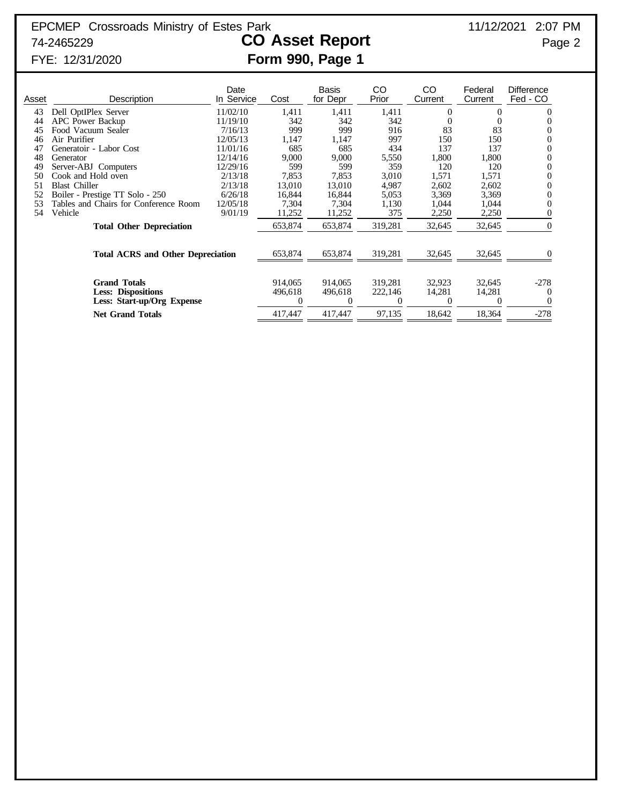# FYE: 12/31/2020 **Form 990, Page 1**

| Asset | Description                                                                    | Date<br>In Service | Cost                    | Basis<br>for Depr  | CO<br>Prior        | CO.<br>Current   | Federal<br>Current    | <b>Difference</b><br>Fed - CO  |
|-------|--------------------------------------------------------------------------------|--------------------|-------------------------|--------------------|--------------------|------------------|-----------------------|--------------------------------|
| 43    | Dell OptIPlex Server                                                           | 11/02/10           | 1,411                   | 1,411              | 1,411              | $\Omega$         | 0                     | $\Omega$                       |
| 44    | <b>APC</b> Power Backup                                                        | 11/19/10           | 342                     | 342                | 342                | $\Omega$         |                       | $\Omega$                       |
| 45    | Food Vacuum Sealer                                                             | 7/16/13            | 999                     | 999                | 916                | 83               | 83                    | 0                              |
| 46    | Air Purifier                                                                   | 12/05/13           | 1,147                   | 1,147              | 997                | 150              | 150                   | $\theta$                       |
|       | Generatoir - Labor Cost                                                        | 11/01/16           | 685                     | 685                | 434                | 137              | 137                   | $\overline{0}$                 |
| 48    | Generator                                                                      | 12/14/16           | 9,000                   | 9,000              | 5,550              | 1,800            | 1,800                 | 0                              |
| 49    | Server-ABJ Computers                                                           | 12/29/16           | 599                     | 599                | 359                | 120              | 120                   | 0                              |
| 50    | Cook and Hold oven                                                             | 2/13/18            | 7,853                   | 7,853              | 3,010              | 1,571            | 1,571                 | 0                              |
| 51    | <b>Blast Chiller</b>                                                           | 2/13/18            | 13,010                  | 13,010             | 4,987              | 2,602            | 2,602                 | $\Omega$                       |
| 52    | Boiler - Prestige TT Solo - 250                                                | 6/26/18            | 16,844                  | 16,844             | 5,053              | 3,369            | 3,369                 | 0                              |
| 53    | Tables and Chairs for Conference Room                                          | 12/05/18           | 7,304                   | 7,304              | 1,130              | 1,044            | 1,044                 | $\theta$                       |
| 54    | Vehicle                                                                        | 9/01/19            | 11,252                  | 11,252             | 375                | 2,250            | 2,250                 |                                |
|       | <b>Total Other Depreciation</b>                                                |                    | 653,874                 | 653,874            | 319,281            | 32,645           | 32,645                | $\Omega$                       |
|       | <b>Total ACRS and Other Depreciation</b>                                       |                    | 653,874                 | 653,874            | 319,281            | 32,645           | 32,645                |                                |
|       | <b>Grand Totals</b><br><b>Less: Dispositions</b><br>Less: Start-up/Org Expense |                    | 914,065<br>496,618<br>0 | 914,065<br>496,618 | 319,281<br>222,146 | 32,923<br>14,281 | 32,645<br>14,281<br>0 | $-278$<br>$\theta$<br>$\theta$ |
|       | <b>Net Grand Totals</b>                                                        |                    | 417,447                 | 417,447            | 97,135             | 18,642           | 18,364                | $-278$                         |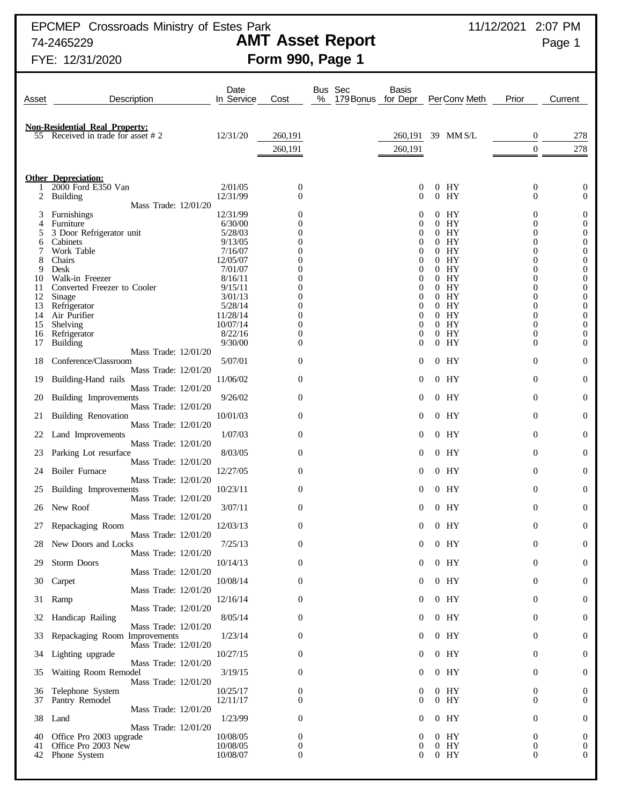EPCMEP Crossroads Ministry of Estes Park 11/12/2021 2:07 PM

## 74-2465229 **AMT Asset Report** Page 1 FYE: 12/31/2020 **Form 990, Page 1**

| Asset    | Description                                                                | Date<br>In Service   | Cost                                 | Bus Sec<br>%<br>179 Bonus | Basis<br>for Depr    | PerConv Meth              | Prior                            | Current                              |
|----------|----------------------------------------------------------------------------|----------------------|--------------------------------------|---------------------------|----------------------|---------------------------|----------------------------------|--------------------------------------|
|          |                                                                            |                      |                                      |                           |                      |                           |                                  |                                      |
|          | <b>Non-Residential Real Property:</b><br>55 Received in trade for asset #2 | 12/31/20             | 260,191                              |                           | 260,191              | 39 MM S/L                 | 0                                | 278                                  |
|          |                                                                            |                      | 260,191                              |                           | 260,191              |                           | $\theta$                         | 278                                  |
|          |                                                                            |                      |                                      |                           |                      |                           |                                  |                                      |
|          | <b>Other Depreciation:</b>                                                 |                      |                                      |                           |                      |                           |                                  |                                      |
| 2        | 2000 Ford E350 Van<br><b>Building</b>                                      | 2/01/05<br>12/31/99  | $\boldsymbol{0}$<br>$\boldsymbol{0}$ |                           | 0<br>$\bf{0}$        | HY<br>$^{(1)}$<br>HY<br>0 | $\boldsymbol{0}$<br>$\mathbf{0}$ | $\mathbf 0$<br>$\mathbf{0}$          |
|          | Mass Trade: 12/01/20                                                       |                      |                                      |                           |                      |                           |                                  |                                      |
| 3        | <b>Furnishings</b><br>Furniture                                            | 12/31/99<br>6/30/00  | 0<br>0                               |                           | $\theta$             | $0$ HY<br>HY<br>$^{(1)}$  | 0<br>$\mathbf{0}$                | $\mathbf 0$<br>$\boldsymbol{0}$      |
| 4<br>5   | 3 Door Refrigerator unit                                                   | 5/28/03              | 0                                    |                           |                      | HY<br>$\Omega$            | $\mathbf{0}$                     | $\boldsymbol{0}$                     |
| 6        | Cabinets                                                                   | 9/13/05              | 0                                    |                           |                      | HY                        | 0                                | $\boldsymbol{0}$                     |
| 8        | Work Table<br>Chairs                                                       | 7/16/07<br>12/05/07  | 0<br>0                               |                           | $\theta$             | HY<br>$^{(1)}$<br>HY      | 0<br>0                           | $\boldsymbol{0}$<br>$\boldsymbol{0}$ |
| 9        | Desk                                                                       | 7/01/07              | 0                                    |                           |                      | HY                        | 0                                | $\boldsymbol{0}$                     |
| 10       | Walk-in Freezer                                                            | 8/16/11              | 0<br>0                               |                           | $\theta$             | HY                        | 0<br>$\mathbf{0}$                | $\boldsymbol{0}$                     |
| 11<br>12 | Converted Freezer to Cooler<br>Sinage                                      | 9/15/11<br>3/01/13   | 0                                    |                           | $\theta$<br>$\theta$ | HY<br>$^{(1)}$<br>HY      | $\overline{0}$                   | $\boldsymbol{0}$<br>$\boldsymbol{0}$ |
| 13       | Refrigerator                                                               | 5/28/14              | 0                                    |                           | $\theta$             | HY                        | $\mathbf{0}$                     | $\boldsymbol{0}$                     |
| 14<br>15 | Air Purifier<br>Shelving                                                   | 11/28/14<br>10/07/14 | 0<br>0                               |                           | $\theta$<br>$\theta$ | HY<br>HY<br>$\Omega$      | $\overline{0}$<br>$\mathbf{0}$   | $\boldsymbol{0}$<br>$\boldsymbol{0}$ |
| 16       | Refrigerator                                                               | 8/22/16              | 0                                    |                           | $\theta$             | HY                        | $\mathbf{0}$                     | $\boldsymbol{0}$                     |
| 17       | <b>Building</b>                                                            | 9/30/00              | $\overline{0}$                       |                           | 0                    | HY<br>0                   | $\Omega$                         | $\boldsymbol{0}$                     |
| 18       | Mass Trade: 12/01/20<br>Conference/Classroom                               | 5/07/01              | $\boldsymbol{0}$                     |                           | 0                    | $0$ HY                    | $\theta$                         | $\boldsymbol{0}$                     |
|          | Mass Trade: 12/01/20                                                       |                      |                                      |                           |                      |                           |                                  |                                      |
| 19       | Building-Hand rails<br>Mass Trade: 12/01/20                                | 11/06/02             | $\boldsymbol{0}$                     |                           | 0                    | $0$ HY                    | 0                                | $\boldsymbol{0}$                     |
| 20       | Building Improvements<br>Mass Trade: 12/01/20                              | 9/26/02              | $\boldsymbol{0}$                     |                           | 0                    | $0$ HY                    | $\theta$                         | $\mathbf{0}$                         |
| 21       | Building Renovation<br>Mass Trade: 12/01/20                                | 10/01/03             | $\boldsymbol{0}$                     |                           | $\bf{0}$             | $0$ HY                    | $\theta$                         | $\mathbf{0}$                         |
| 22       | Land Improvements                                                          | 1/07/03              | $\overline{0}$                       |                           | $\overline{0}$       | $0$ HY                    | $\theta$                         | $\theta$                             |
| 23       | Mass Trade: 12/01/20<br>Parking Lot resurface                              | 8/03/05              | $\boldsymbol{0}$                     |                           | $\overline{0}$       | $0$ HY                    | $\theta$                         | $\theta$                             |
| 24       | Mass Trade: 12/01/20<br>Boiler Furnace                                     | 12/27/05             | $\overline{0}$                       |                           | $\overline{0}$       | $0$ HY                    | $\theta$                         | $\theta$                             |
| 25       | Mass Trade: 12/01/20<br>Building Improvements                              | 10/23/11             | $\boldsymbol{0}$                     |                           | $\overline{0}$       | $0$ HY                    | $\theta$                         | $\theta$                             |
| 26       | Mass Trade: 12/01/20<br>New Roof                                           | 3/07/11              | $\overline{0}$                       |                           | $\theta$             | $0$ HY                    | $\theta$                         | $\theta$                             |
| 27       | Mass Trade: 12/01/20<br>Repackaging Room                                   | 12/03/13             | $\overline{0}$                       |                           | $\theta$             | $0$ HY                    | $\mathbf{0}$                     | $\theta$                             |
| 28       | Mass Trade: 12/01/20<br>New Doors and Locks                                | 7/25/13              | 0                                    |                           | $\mathbf{0}$         | $0$ HY                    | 0                                | $\mathbf{0}$                         |
| 29       | Mass Trade: 12/01/20<br>Storm Doors                                        | 10/14/13             | $\boldsymbol{0}$                     |                           | 0                    | $0$ HY                    | 0                                | $\boldsymbol{0}$                     |
| 30       | Mass Trade: 12/01/20<br>Carpet                                             | 10/08/14             | $\boldsymbol{0}$                     |                           | 0                    | $0$ HY                    | 0                                | $\boldsymbol{0}$                     |
|          | Mass Trade: 12/01/20<br>31 Ramp                                            | 12/16/14             | $\boldsymbol{0}$                     |                           | $\bf{0}$             | $0$ HY                    | $\bf{0}$                         | $\mathbf{0}$                         |
|          | Mass Trade: 12/01/20                                                       | 8/05/14              | $\boldsymbol{0}$                     |                           | $\bf{0}$             | $0$ HY                    | 0                                | $\mathbf{0}$                         |
| 32       | Handicap Railing<br>Mass Trade: 12/01/20                                   | 1/23/14              |                                      |                           |                      | $0$ HY                    |                                  |                                      |
| 33       | Repackaging Room Improvements<br>Mass Trade: 12/01/20                      |                      | $\boldsymbol{0}$                     |                           | $\bf{0}$             |                           | $\bf{0}$                         | $\mathbf{0}$                         |
| 34       | Lighting upgrade<br>Mass Trade: 12/01/20                                   | 10/27/15             | $\boldsymbol{0}$                     |                           | $\bf{0}$             | $0$ HY                    | 0                                | $\boldsymbol{0}$                     |
| 35       | Waiting Room Remodel<br>Mass Trade: 12/01/20                               | 3/19/15              | $\boldsymbol{0}$                     |                           | $\bf{0}$             | $0$ HY                    | 0                                | $\mathbf{0}$                         |
| 36<br>37 | Telephone System<br>Pantry Remodel                                         | 10/25/17<br>12/11/17 | $\boldsymbol{0}$<br>$\boldsymbol{0}$ |                           | $\theta$<br>0        | $0$ HY<br>$0$ HY          | 0<br>$\theta$                    | $\boldsymbol{0}$<br>$\mathbf{0}$     |
|          | Mass Trade: 12/01/20                                                       |                      |                                      |                           |                      |                           |                                  |                                      |
| 38       | Land<br>Mass Trade: 12/01/20                                               | 1/23/99              | $\boldsymbol{0}$                     |                           | $\theta$             | $0$ HY                    | 0                                | $\boldsymbol{0}$                     |
| 40       | Office Pro 2003 upgrade                                                    | 10/08/05             | $\boldsymbol{0}$                     |                           | 0                    | $0$ HY                    | $\boldsymbol{0}$                 | $\boldsymbol{0}$                     |
| 41       | Office Pro 2003 New<br>42 Phone System                                     | 10/08/05<br>10/08/07 | $\boldsymbol{0}$<br>$\boldsymbol{0}$ |                           | 0<br>$\bf{0}$        | $0$ HY<br>$0$ HY          | $\boldsymbol{0}$<br>0            | $\boldsymbol{0}$<br>$\theta$         |
|          |                                                                            |                      |                                      |                           |                      |                           |                                  |                                      |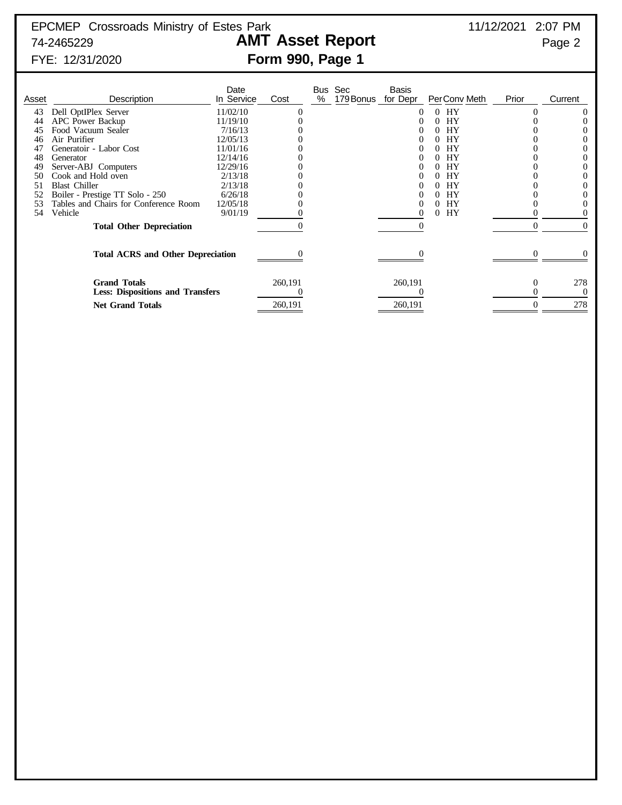# FYE: 12/31/2020 **Form 990, Page 1**

| Asset | Description                                                    | Date<br>In Service | Cost    | % | Bus Sec<br>179 Bonus | <b>Basis</b><br>for Depr | Per Conv Meth  | Prior  | Current         |
|-------|----------------------------------------------------------------|--------------------|---------|---|----------------------|--------------------------|----------------|--------|-----------------|
| 43    | Dell OptIPlex Server                                           | 11/02/10           |         |   |                      |                          | HY<br>$\Omega$ |        |                 |
| 44    | <b>APC</b> Power Backup                                        | 11/19/10           |         |   |                      |                          | HY             |        |                 |
| 45    | Food Vacuum Sealer                                             | 7/16/13            |         |   |                      |                          | HY             |        |                 |
| 46    | Air Purifier                                                   | 12/05/13           |         |   |                      |                          | <b>HY</b>      |        |                 |
| 47    | Generatoir - Labor Cost                                        | 11/01/16           |         |   |                      |                          | <b>HY</b>      |        |                 |
| 48    | Generator                                                      | 12/14/16           |         |   |                      |                          | <b>HY</b>      |        |                 |
| 49    | Server-ABJ Computers                                           | 12/29/16           |         |   |                      |                          | HY             |        |                 |
| 50    | Cook and Hold oven                                             | 2/13/18            |         |   |                      |                          | <b>HY</b>      |        |                 |
| 51    | <b>Blast Chiller</b>                                           | 2/13/18            |         |   |                      |                          | <b>HY</b>      |        |                 |
|       | Boiler - Prestige TT Solo - 250                                | 6/26/18            |         |   |                      |                          | <b>HY</b>      |        |                 |
| 53    | Tables and Chairs for Conference Room                          | 12/05/18           |         |   |                      |                          | HY<br>$\theta$ |        |                 |
| 54    | Vehicle                                                        | 9/01/19            |         |   |                      |                          | HY<br>0        |        |                 |
|       | <b>Total Other Depreciation</b>                                |                    |         |   |                      |                          |                | $_{0}$ | $\Omega$        |
|       | <b>Total ACRS and Other Depreciation</b>                       |                    |         |   |                      |                          |                |        |                 |
|       | <b>Grand Totals</b><br><b>Less: Dispositions and Transfers</b> |                    | 260,191 |   |                      | 260,191                  |                |        | 278<br>$\Omega$ |
|       | <b>Net Grand Totals</b>                                        |                    | 260,191 |   |                      | 260,191                  |                |        | 278             |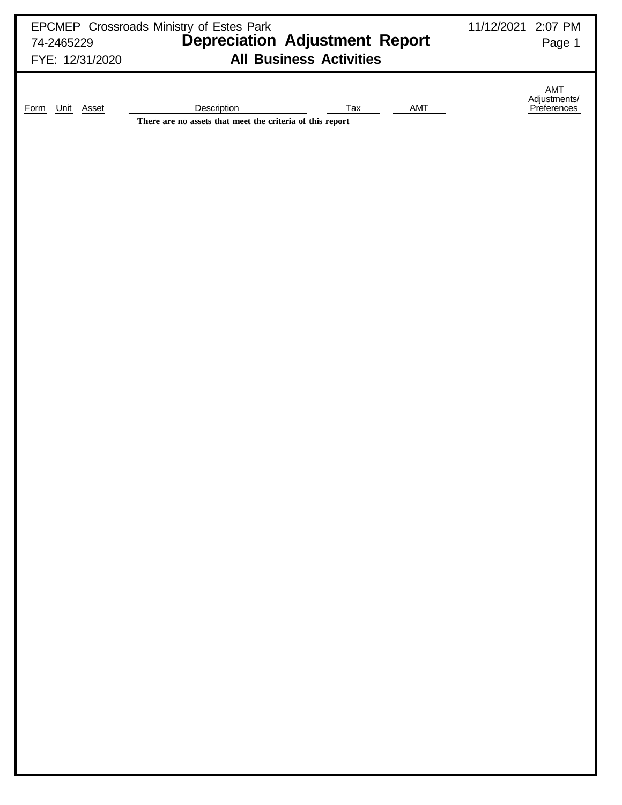| 74-2465229<br>FYE: 12/31/2020 | EPCMEP Crossroads Ministry of Estes Park<br>Depreciation Adjustment Report<br><b>All Business Activities</b> | 11/12/2021 2:07 PM<br>Page 1       |
|-------------------------------|--------------------------------------------------------------------------------------------------------------|------------------------------------|
| Unit Asset<br>Form            | Description<br>Tax<br>AMT<br>There are no assets that meet the criteria of this report                       | AMT<br>Adjustments/<br>Preferences |
|                               |                                                                                                              |                                    |
|                               |                                                                                                              |                                    |
|                               |                                                                                                              |                                    |
|                               |                                                                                                              |                                    |
|                               |                                                                                                              |                                    |
|                               |                                                                                                              |                                    |
|                               |                                                                                                              |                                    |
|                               |                                                                                                              |                                    |
|                               |                                                                                                              |                                    |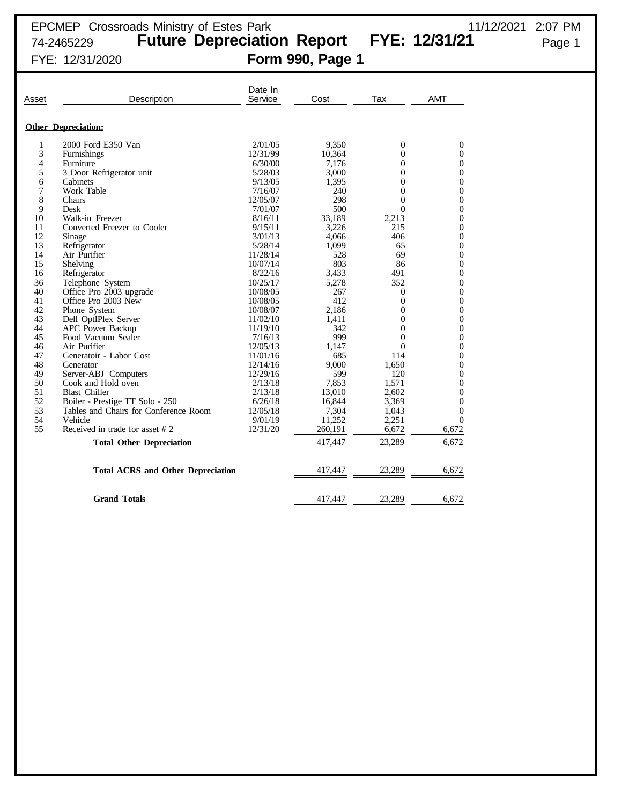| Asset | Description                              | Date In<br>Service | Cost    | Tax              | <b>AMT</b>       |
|-------|------------------------------------------|--------------------|---------|------------------|------------------|
|       |                                          |                    |         |                  |                  |
|       | <b>Other Depreciation:</b>               |                    |         |                  |                  |
| 1     | 2000 Ford E350 Van                       | 2/01/05            | 9,350   | $\boldsymbol{0}$ | $\mathbf{0}$     |
| 3     | Furnishings                              | 12/31/99           | 10,364  | $\theta$         | $\theta$         |
| 4     | Furniture                                | 6/30/00            | 7,176   | $\mathbf{0}$     | $\mathbf{0}$     |
| 5     | 3 Door Refrigerator unit                 | 5/28/03            | 3,000   | $\overline{0}$   | $\mathbf{0}$     |
| 6     | Cabinets                                 | 9/13/05            | 1,395   | $\theta$         | $\boldsymbol{0}$ |
| 7     | Work Table                               | 7/16/07            | 240     | $\theta$         | $\theta$         |
| 8     | Chairs                                   | 12/05/07           | 298     | $\overline{0}$   | $\overline{0}$   |
| 9     | Desk                                     | 7/01/07            | 500     | $\Omega$         | $\mathbf{0}$     |
| 10    | Walk-in Freezer                          | 8/16/11            | 33,189  | 2,213            | $\overline{0}$   |
| 11    | Converted Freezer to Cooler              | 9/15/11            | 3,226   | 215              | $\Omega$         |
| 12    | Sinage                                   | 3/01/13            | 4,066   | 406              | $\boldsymbol{0}$ |
| 13    | Refrigerator                             | 5/28/14            | 1,099   | 65               | $\mathbf{0}$     |
| 14    | Air Purifier                             | 11/28/14           | 528     | 69               | $\theta$         |
| 15    | Shelving                                 | 10/07/14           | 803     | 86               | $\mathbf{0}$     |
| 16    | Refrigerator                             | 8/22/16            | 3,433   | 491              | $\mathbf{0}$     |
| 36    | Telephone System                         | 10/25/17           | 5,278   | 352              | $\boldsymbol{0}$ |
| 40    | Office Pro 2003 upgrade                  | 10/08/05           | 267     | $\mathbf{0}$     | $\theta$         |
| 41    | Office Pro 2003 New                      | 10/08/05           | 412     | $\theta$         | $\overline{0}$   |
| 42    | Phone System                             | 10/08/07           | 2,186   | $\theta$         | $\mathbf{0}$     |
| 43    | Dell OptIPlex Server                     | 11/02/10           | 1,411   | $\overline{0}$   | $\overline{0}$   |
| 44    | APC Power Backup                         | 11/19/10           | 342     | $\Omega$         | $\Omega$         |
| 45    | Food Vacuum Sealer                       | 7/16/13            | 999     | $\theta$         | $\boldsymbol{0}$ |
| 46    | Air Purifier                             | 12/05/13           | 1,147   | $\Omega$         | $\mathbf{0}$     |
| 47    | Generatoir - Labor Cost                  | 11/01/16           | 685     | 114              | $\Omega$         |
| 48    | Generator                                | 12/14/16           | 9,000   | 1,650            | $\mathbf{0}$     |
| 49    | Server-ABJ Computers                     | 12/29/16           | 599     | 120              | $\mathbf{0}$     |
| 50    | Cook and Hold oven                       | 2/13/18            | 7,853   | 1,571            | $\theta$         |
| 51    | <b>Blast Chiller</b>                     | 2/13/18            | 13,010  | 2,602            | $\overline{0}$   |
| 52    | Boiler - Prestige TT Solo - 250          | 6/26/18            | 16,844  | 3,369            | $\Omega$         |
| 53    | Tables and Chairs for Conference Room    | 12/05/18           | 7,304   | 1,043            | $\mathbf{0}$     |
| 54    | Vehicle                                  | 9/01/19            | 11,252  | 2,251            | $\Omega$         |
| 55    | Received in trade for asset #2           | 12/31/20           | 260,191 | 6,672            | 6,672            |
|       | <b>Total Other Depreciation</b>          |                    | 417,447 | 23,289           | 6,672            |
|       | <b>Total ACRS and Other Depreciation</b> |                    | 417,447 | 23,289           | 6,672            |
|       |                                          |                    |         |                  |                  |
|       | <b>Grand Totals</b>                      |                    | 417,447 | 23,289           | 6.672            |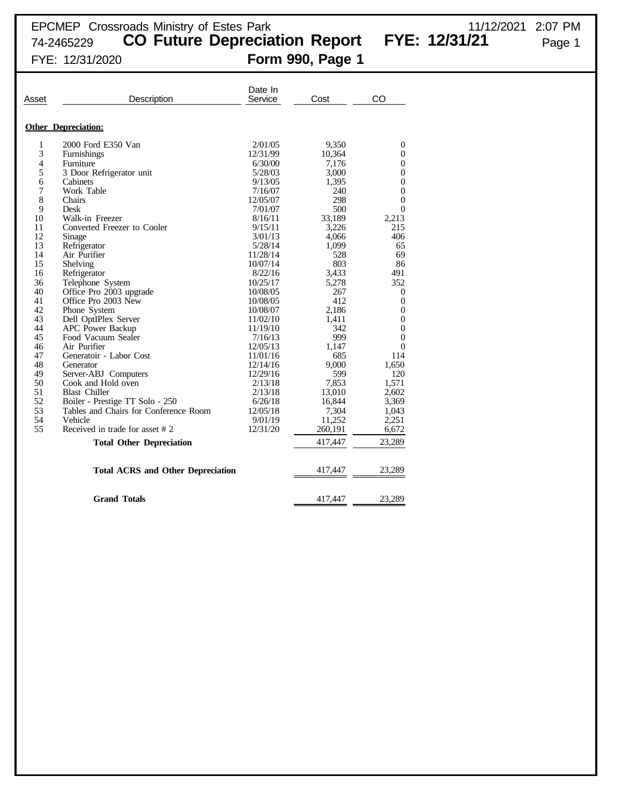74-2465229 **CO Future Depreciation Report FYE: 12/31/21** Page 1

## FYE: 12/31/2020 **Form 990, Page 1**

| Asset | Description                              | Date In<br>Service | Cost    | CO               |
|-------|------------------------------------------|--------------------|---------|------------------|
|       |                                          |                    |         |                  |
|       | <b>Other Depreciation:</b>               |                    |         |                  |
| 1     | 2000 Ford E350 Van                       | 2/01/05            | 9,350   | $\mathbf{0}$     |
| 3     | Furnishings                              | 12/31/99           | 10,364  | $\boldsymbol{0}$ |
| 4     | Furniture                                | 6/30/00            | 7,176   | $\boldsymbol{0}$ |
| 5     | 3 Door Refrigerator unit                 | 5/28/03            | 3,000   | $\boldsymbol{0}$ |
| 6     | Cabinets                                 | 9/13/05            | 1,395   | $\boldsymbol{0}$ |
| 7     | Work Table                               | 7/16/07            | 240     | $\mathbf{0}$     |
| 8     | Chairs                                   | 12/05/07           | 298     | $\overline{0}$   |
| 9     | Desk                                     | 7/01/07            | 500     | $\overline{0}$   |
| 10    | Walk-in Freezer                          | 8/16/11            | 33,189  | 2,213            |
| 11    | Converted Freezer to Cooler              | 9/15/11            | 3,226   | 215              |
| 12    | Sinage                                   | 3/01/13            | 4,066   | 406              |
| 13    | Refrigerator                             | 5/28/14            | 1,099   | 65               |
| 14    | Air Purifier                             | 11/28/14           | 528     | 69               |
| 15    | Shelving                                 | 10/07/14           | 803     | 86               |
| 16    | Refrigerator                             | 8/22/16            | 3,433   | 491              |
| 36    | Telephone System                         | 10/25/17           | 5,278   | 352              |
| 40    | Office Pro 2003 upgrade                  | 10/08/05           | 267     | $\mathbf{0}$     |
| 41    | Office Pro 2003 New                      | 10/08/05           | 412     | $\mathbf{0}$     |
| 42    | Phone System                             | 10/08/07           | 2,186   | $\boldsymbol{0}$ |
| 43    | Dell OptIPlex Server                     | 11/02/10           | 1,411   | $\boldsymbol{0}$ |
| 44    | <b>APC Power Backup</b>                  | 11/19/10           | 342     | $\theta$         |
| 45    | Food Vacuum Sealer                       | 7/16/13            | 999     | $\mathbf{0}$     |
| 46    | Air Purifier                             | 12/05/13           | 1,147   | $\theta$         |
| 47    | Generatoir - Labor Cost                  | 11/01/16           | 685     | 114              |
| 48    | Generator                                | 12/14/16           | 9,000   | 1,650            |
| 49    | Server-ABJ Computers                     | 12/29/16           | 599     | 120              |
| 50    | Cook and Hold oven                       | 2/13/18            | 7,853   | 1,571            |
| 51    | <b>Blast Chiller</b>                     | 2/13/18            | 13,010  | 2,602            |
| 52    | Boiler - Prestige TT Solo - 250          | 6/26/18            | 16.844  | 3,369            |
| 53    | Tables and Chairs for Conference Room    | 12/05/18           | 7,304   | 1,043            |
| 54    | Vehicle                                  | 9/01/19            | 11,252  | 2,251            |
| 55    | Received in trade for asset #2           | 12/31/20           | 260,191 | 6,672            |
|       | <b>Total Other Depreciation</b>          |                    | 417,447 | 23,289           |
|       |                                          |                    |         |                  |
|       | <b>Total ACRS and Other Depreciation</b> |                    | 417,447 | 23,289           |
|       | <b>Grand Totals</b>                      |                    | 417,447 | 23,289           |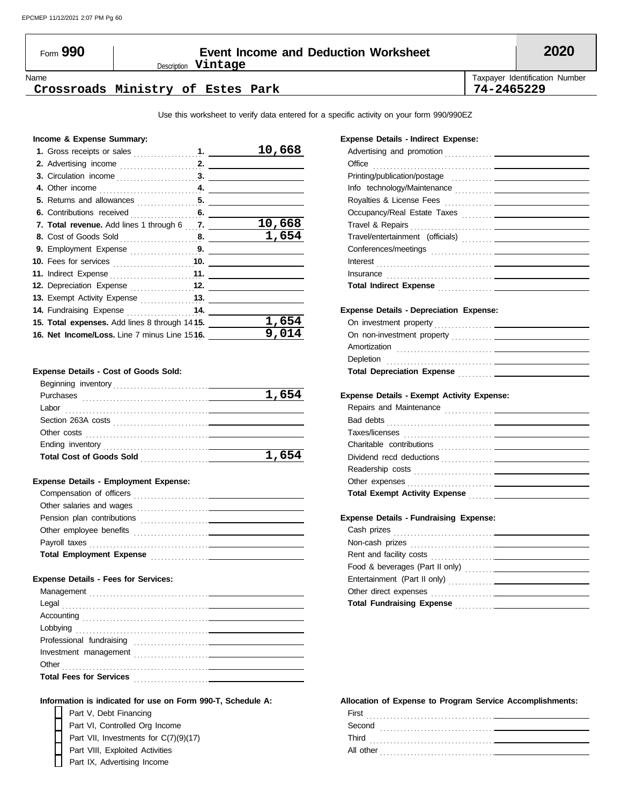### Description **Vintage** Form **990 Event Income and Deduction Worksheet 2020**

Name Taxpayer Identification Number

#### **Crossroads Ministry of Estes Park 74-2465229**

Use this worksheet to verify data entered for a specific activity on your form 990/990EZ

#### **Income & Expense Summary:**

|                                               | 10,668 |
|-----------------------------------------------|--------|
|                                               |        |
|                                               |        |
|                                               |        |
|                                               |        |
|                                               |        |
| 7. Total revenue. Add lines 1 through 6 7.    | 10,668 |
|                                               | 1,654  |
| 9. Employment Expense 9.                      |        |
|                                               |        |
|                                               |        |
| 12. Depreciation Expense 12.                  |        |
|                                               |        |
| 14. Fundraising Expense  14.                  |        |
| 15. Total expenses. Add lines 8 through 1415. | 1,654  |
| 16. Net Income/Loss. Line 7 minus Line 1516.  | 9,014  |
|                                               |        |

#### **Expense Details - Cost of Goods Sold:**

| Beginning inventory             |       |
|---------------------------------|-------|
| Purchases                       | 1,654 |
| Labor                           |       |
| Section 263A costs              |       |
| Other costs                     |       |
| Ending inventory                |       |
| <b>Total Cost of Goods Sold</b> | 1,654 |
|                                 |       |

#### **Expense Details - Employment Expense:**

| Compensation of officers<br><u>and the control of the control of the control of the control of the control of the control of the control of the control of the control of the control of the control of the control of the control of the control of the con</u> |
|------------------------------------------------------------------------------------------------------------------------------------------------------------------------------------------------------------------------------------------------------------------|
| Other salaries and wages                                                                                                                                                                                                                                         |
| Pension plan contributions                                                                                                                                                                                                                                       |
| Other employee benefits<br>the contract of the contract of the contract of the contract of the contract of                                                                                                                                                       |
| Payroll taxes                                                                                                                                                                                                                                                    |
| <b>Total Employment Expense</b><br>the contract of the contract of the contract of the                                                                                                                                                                           |

#### **Expense Details - Fees for Services:**

| Management                     |                                                                                 |
|--------------------------------|---------------------------------------------------------------------------------|
| Legal                          |                                                                                 |
|                                |                                                                                 |
|                                |                                                                                 |
| Professional fundraising       |                                                                                 |
| Investment management          | the contract of the contract of the contract of the contract of the contract of |
| Other                          |                                                                                 |
| <b>Total Fees for Services</b> |                                                                                 |
|                                |                                                                                 |

#### **Information is indicated for use on Form 990-T, Schedule A:**

Part V, Debt Financing Part IX, Advertising Income Part VIII, Exploited Activities Part VI, Controlled Org Income Part VII, Investments for C(7)(9)(17)

#### **Expense Details - Indirect Expense:**

| Office                                                                                                                                                                                                                              |  |
|-------------------------------------------------------------------------------------------------------------------------------------------------------------------------------------------------------------------------------------|--|
|                                                                                                                                                                                                                                     |  |
|                                                                                                                                                                                                                                     |  |
|                                                                                                                                                                                                                                     |  |
|                                                                                                                                                                                                                                     |  |
|                                                                                                                                                                                                                                     |  |
|                                                                                                                                                                                                                                     |  |
|                                                                                                                                                                                                                                     |  |
|                                                                                                                                                                                                                                     |  |
|                                                                                                                                                                                                                                     |  |
| Total Indirect Expense <b>Community</b> and the contract of the contract of the contract of the contract of the contract of the contract of the contract of the contract of the contract of the contract of the contract of the con |  |
|                                                                                                                                                                                                                                     |  |
| <b>Expense Details - Depreciation Expense:</b>                                                                                                                                                                                      |  |
|                                                                                                                                                                                                                                     |  |
|                                                                                                                                                                                                                                     |  |
|                                                                                                                                                                                                                                     |  |
|                                                                                                                                                                                                                                     |  |
| Total Depreciation Expense <b>Manual Accept Contract Contract Property</b>                                                                                                                                                          |  |
|                                                                                                                                                                                                                                     |  |
| <b>Expense Details - Exempt Activity Expense:</b>                                                                                                                                                                                   |  |
|                                                                                                                                                                                                                                     |  |
|                                                                                                                                                                                                                                     |  |
|                                                                                                                                                                                                                                     |  |
|                                                                                                                                                                                                                                     |  |
|                                                                                                                                                                                                                                     |  |
|                                                                                                                                                                                                                                     |  |
|                                                                                                                                                                                                                                     |  |
| Total Exempt Activity Expense <b>Constant Construct Constant Constant Constant Constant Constant</b>                                                                                                                                |  |
|                                                                                                                                                                                                                                     |  |
| <b>Expense Details - Fundraising Expense:</b>                                                                                                                                                                                       |  |
|                                                                                                                                                                                                                                     |  |
|                                                                                                                                                                                                                                     |  |
|                                                                                                                                                                                                                                     |  |
|                                                                                                                                                                                                                                     |  |
|                                                                                                                                                                                                                                     |  |
|                                                                                                                                                                                                                                     |  |
|                                                                                                                                                                                                                                     |  |
| Total Fundraising Expense <b>Constanting Total Fundraising</b>                                                                                                                                                                      |  |

#### **Allocation of Expense to Program Service Accomplishments:**

| First<br>.     |  |
|----------------|--|
| Second         |  |
| Third<br>.     |  |
| All other<br>. |  |
|                |  |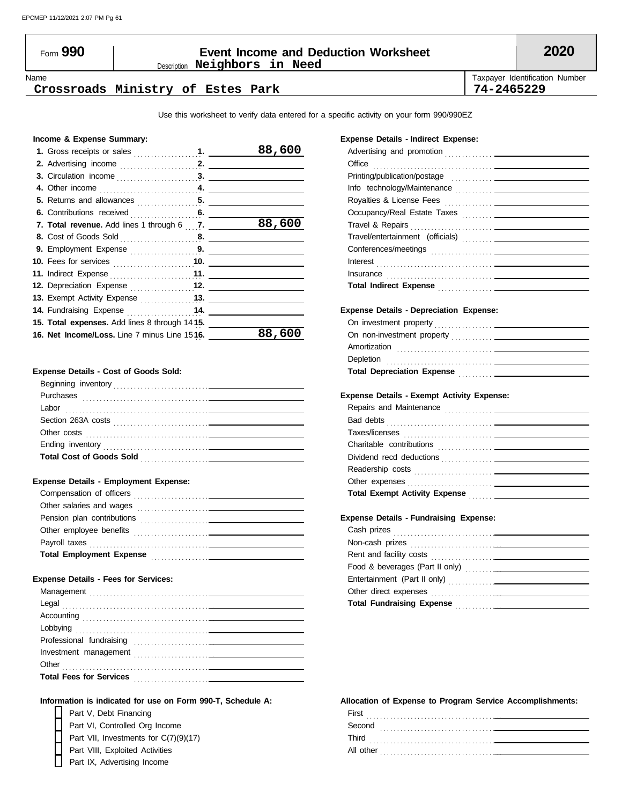### Description **Neighbors in Need** Form **990 Event Income and Deduction Worksheet 2020**

Name Taxpayer Identification Number

#### **Crossroads Ministry of Estes Park 74-2465229**

Use this worksheet to verify data entered for a specific activity on your form 990/990EZ

#### **Income & Expense Summary:**

|                                                       | 88,600 |
|-------------------------------------------------------|--------|
|                                                       |        |
|                                                       |        |
|                                                       |        |
|                                                       |        |
|                                                       |        |
| 7. Total revenue. Add lines 1 through 6 7.            | 88,600 |
|                                                       |        |
|                                                       |        |
| <b>10.</b> Fees for services <b>container and 10.</b> |        |
| 11. Indirect Expense <b>Fig. 11.</b> 11.              |        |
| 12. Depreciation Expense 12.                          |        |
| 13. Exempt Activity Expense 13.                       |        |
| 14. Fundraising Expense 14.                           |        |
| 15. Total expenses. Add lines 8 through 1415.         |        |
| 16. Net Income/Loss. Line 7 minus Line 1516.          | 88,60  |

#### **Expense Details - Cost of Goods Sold:**

| Beginning inventory             |  |
|---------------------------------|--|
| Purchases                       |  |
| Labor                           |  |
| Section 263A costs              |  |
| Other costs                     |  |
| Ending inventory                |  |
| <b>Total Cost of Goods Sold</b> |  |
|                                 |  |

#### **Expense Details - Employment Expense:**

| Compensation of officers<br><u>and the state of the state of the state of the state of the state of the state of the state of the state of th</u> |
|---------------------------------------------------------------------------------------------------------------------------------------------------|
| Other salaries and wages                                                                                                                          |
| Pension plan contributions                                                                                                                        |
| Other employee benefits                                                                                                                           |
| Payroll taxes                                                                                                                                     |
| <b>Total Employment Expense</b><br>the contract of the contract of the contract of the contract of                                                |

#### **Expense Details - Fees for Services:**

| Management                     |  |
|--------------------------------|--|
| Legal                          |  |
|                                |  |
|                                |  |
| Professional fundraising       |  |
| Investment management          |  |
| Other                          |  |
| <b>Total Fees for Services</b> |  |
|                                |  |

#### **Information is indicated for use on Form 990-T, Schedule A:**

Part V, Debt Financing Part IX, Advertising Income Part VIII, Exploited Activities Part VI, Controlled Org Income Part VII, Investments for C(7)(9)(17)

#### **Expense Details - Indirect Expense:**

| Office                                                                                                                                                                                                                              |  |
|-------------------------------------------------------------------------------------------------------------------------------------------------------------------------------------------------------------------------------------|--|
| Printing/publication/postage entitled and the control of the control of the control of the control of the control of                                                                                                                |  |
|                                                                                                                                                                                                                                     |  |
|                                                                                                                                                                                                                                     |  |
|                                                                                                                                                                                                                                     |  |
|                                                                                                                                                                                                                                     |  |
|                                                                                                                                                                                                                                     |  |
|                                                                                                                                                                                                                                     |  |
|                                                                                                                                                                                                                                     |  |
|                                                                                                                                                                                                                                     |  |
| Total Indirect Expense <b>contained</b> and the contact of the contact of the contact of the contact of the contact of the contact of the contact of the contact of the contact of the contact of the contact of the contact of the |  |
|                                                                                                                                                                                                                                     |  |
| <b>Expense Details - Depreciation Expense:</b>                                                                                                                                                                                      |  |
|                                                                                                                                                                                                                                     |  |
|                                                                                                                                                                                                                                     |  |
|                                                                                                                                                                                                                                     |  |
|                                                                                                                                                                                                                                     |  |
|                                                                                                                                                                                                                                     |  |
| <b>Expense Details - Exempt Activity Expense:</b>                                                                                                                                                                                   |  |
|                                                                                                                                                                                                                                     |  |
|                                                                                                                                                                                                                                     |  |
|                                                                                                                                                                                                                                     |  |
|                                                                                                                                                                                                                                     |  |
|                                                                                                                                                                                                                                     |  |
|                                                                                                                                                                                                                                     |  |
|                                                                                                                                                                                                                                     |  |
|                                                                                                                                                                                                                                     |  |
|                                                                                                                                                                                                                                     |  |
|                                                                                                                                                                                                                                     |  |
| <b>Expense Details - Fundraising Expense:</b>                                                                                                                                                                                       |  |
|                                                                                                                                                                                                                                     |  |
|                                                                                                                                                                                                                                     |  |
|                                                                                                                                                                                                                                     |  |
|                                                                                                                                                                                                                                     |  |
|                                                                                                                                                                                                                                     |  |
| Total Fundraising Expense                                                                                                                                                                                                           |  |

#### **Allocation of Expense to Program Service Accomplishments:**

| First<br>.     |
|----------------|
| Second<br>.    |
| Third<br>.     |
| All other<br>. |
|                |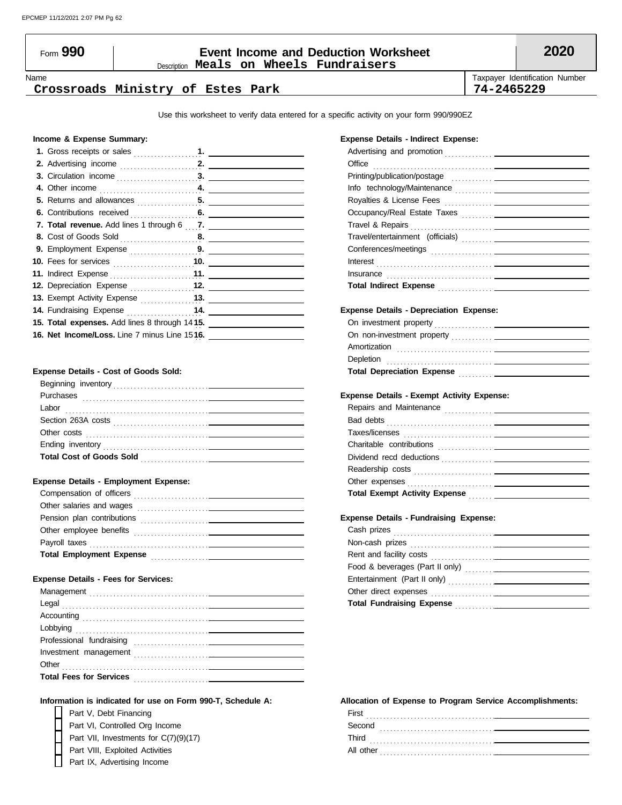#### Description **Meals on Wheels Fundraisers** Form **990 Event Income and Deduction Worksheet 2020**

#### **Crossroads Ministry of Estes Park 74-2465229**

Name **Taxpayer Identification Number** Number 1, 1999, 1999, 1999, 1999, 1999, 1999, 1999, 1999, 1999, 1999, 1999, 1999, 1999, 1999, 1999, 1999, 1999, 1999, 1999, 1999, 1999, 1999, 1999, 1999, 1999, 1999, 1999, 1999, 1999,

Use this worksheet to verify data entered for a specific activity on your form 990/990EZ

#### **Income & Expense Summary:**

| 12. Depreciation Expense 12.                                 |  |
|--------------------------------------------------------------|--|
|                                                              |  |
|                                                              |  |
| <b>15. Total expenses.</b> Add lines 8 through 14 <b>15.</b> |  |
| 16. Net Income/Loss. Line 7 minus Line 1516.                 |  |
|                                                              |  |

#### **Expense Details - Cost of Goods Sold:**

| Beginning inventory             |
|---------------------------------|
| Purchases                       |
| Labor                           |
| Section 263A costs              |
| Other costs                     |
| Ending inventory                |
| <b>Total Cost of Goods Sold</b> |
|                                 |

#### **Expense Details - Employment Expense:**

| Compensation of officers                                                                                                                          |  |
|---------------------------------------------------------------------------------------------------------------------------------------------------|--|
| Other salaries and wages<br><u>and the state of the state of the state of the state of the state of the state of the state of the state of th</u> |  |
| Pension plan contributions                                                                                                                        |  |
| Other employee benefits                                                                                                                           |  |
| Payroll taxes                                                                                                                                     |  |
| <b>Total Employment Expense</b><br>the contract of the contract of the contract of the contract of the contract of                                |  |

#### **Expense Details - Fees for Services:**

| Professional fundraising       |  |
|--------------------------------|--|
|                                |  |
| Other                          |  |
| <b>Total Fees for Services</b> |  |
|                                |  |

#### **Information is indicated for use on Form 990-T, Schedule A:**

| Part V, Debt Financing                |
|---------------------------------------|
| Part VI, Controlled Org Income        |
| Part VII, Investments for C(7)(9)(17) |
| Part VIII, Exploited Activities       |
| Part IX, Advertising Income           |

#### **Expense Details - Indirect Expense:**

| Office                                                                                                |
|-------------------------------------------------------------------------------------------------------|
|                                                                                                       |
|                                                                                                       |
|                                                                                                       |
|                                                                                                       |
|                                                                                                       |
|                                                                                                       |
|                                                                                                       |
|                                                                                                       |
|                                                                                                       |
| Total Indirect Expense <b>Community</b> and Total Indirect Expense <b>Community</b> and Total Indians |
|                                                                                                       |
| <b>Expense Details - Depreciation Expense:</b>                                                        |
|                                                                                                       |
|                                                                                                       |
|                                                                                                       |
|                                                                                                       |
| Total Depreciation Expense <b>Construction</b>                                                        |
|                                                                                                       |
| <b>Expense Details - Exempt Activity Expense:</b>                                                     |
|                                                                                                       |
|                                                                                                       |
|                                                                                                       |
|                                                                                                       |
|                                                                                                       |
|                                                                                                       |
|                                                                                                       |
| Total Exempt Activity Expense <b>Fig. 1.1.1.1.</b>                                                    |
|                                                                                                       |
|                                                                                                       |
| <b>Expense Details - Fundraising Expense:</b>                                                         |
|                                                                                                       |
|                                                                                                       |
|                                                                                                       |
|                                                                                                       |
|                                                                                                       |
|                                                                                                       |

#### **Allocation of Expense to Program Service Accomplishments:**

**Total Fundraising Expense** . . . . . . . . . . . . . .

| First<br>.<br>. |
|-----------------|
| Second<br>.     |
| Third<br>.      |
| All other<br>.  |
|                 |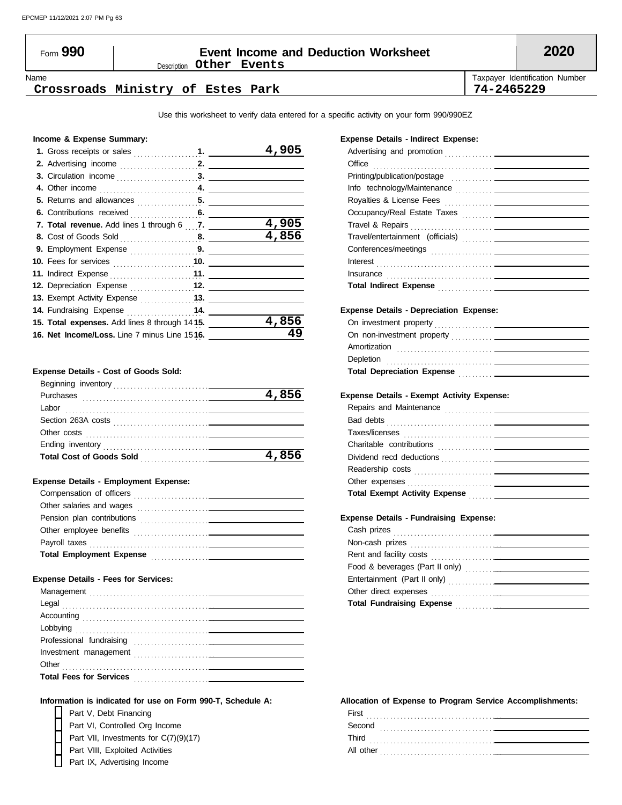### Description **Other Events** Form **990 Event Income and Deduction Worksheet 2020**

Name Taxpayer Identification Number

#### **Crossroads Ministry of Estes Park 74-2465229**

Use this worksheet to verify data entered for a specific activity on your form 990/990EZ

#### **Income & Expense Summary:**

|                                               |       | 4,905 |
|-----------------------------------------------|-------|-------|
|                                               |       |       |
|                                               |       |       |
|                                               |       |       |
|                                               |       |       |
|                                               |       |       |
| 7. Total revenue. Add lines 1 through 6 7.    |       | 4,905 |
|                                               |       | 4,856 |
| <b>9.</b> Employment Expense $\ldots$         |       |       |
|                                               |       |       |
|                                               |       |       |
| 12. Depreciation Expense 12.                  |       |       |
|                                               |       |       |
| 14. Fundraising Expense  14.                  |       |       |
| 15. Total expenses. Add lines 8 through 1415. | 4,856 |       |
| 16. Net Income/Loss. Line 7 minus Line 1516.  | 49    |       |
|                                               |       |       |

#### **Expense Details - Cost of Goods Sold:**

| Beginning inventory             |       |
|---------------------------------|-------|
| Purchases                       | 4,856 |
| Labor                           |       |
| Section 263A costs              |       |
| Other costs                     |       |
| Ending inventory                |       |
| <b>Total Cost of Goods Sold</b> | 4,856 |
|                                 |       |

#### **Expense Details - Employment Expense:**

| Compensation of officers<br><u>and the control of the control of the control of the control of the control of the control of the control of the control of the control of the control of the control of the control of the control of the control of the con</u> |
|------------------------------------------------------------------------------------------------------------------------------------------------------------------------------------------------------------------------------------------------------------------|
| Other salaries and wages                                                                                                                                                                                                                                         |
| Pension plan contributions                                                                                                                                                                                                                                       |
| Other employee benefits<br>the contract of the contract of the contract of the contract of the contract of                                                                                                                                                       |
| Payroll taxes                                                                                                                                                                                                                                                    |
| <b>Total Employment Expense</b><br>the contract of the contract of the contract of the                                                                                                                                                                           |

#### **Expense Details - Fees for Services:**

#### **Information is indicated for use on Form 990-T, Schedule A:**

Part V, Debt Financing Part IX, Advertising Income Part VIII, Exploited Activities Part VI, Controlled Org Income Part VII, Investments for C(7)(9)(17)

#### **Expense Details - Indirect Expense:**

| Office                                                                                                                  |  |
|-------------------------------------------------------------------------------------------------------------------------|--|
|                                                                                                                         |  |
|                                                                                                                         |  |
|                                                                                                                         |  |
|                                                                                                                         |  |
|                                                                                                                         |  |
| Travel/entertainment (officials)                                                                                        |  |
|                                                                                                                         |  |
|                                                                                                                         |  |
|                                                                                                                         |  |
| Total Indirect Expense <b>Committee Committee Committee Committee Committee Committee Committee Committee Committee</b> |  |
|                                                                                                                         |  |
| <b>Expense Details - Depreciation Expense:</b>                                                                          |  |
|                                                                                                                         |  |
|                                                                                                                         |  |
|                                                                                                                         |  |
|                                                                                                                         |  |
| Total Depreciation Expense <b>Manual Accept Contract Contract Property</b>                                              |  |
|                                                                                                                         |  |
| <b>Expense Details - Exempt Activity Expense:</b>                                                                       |  |
|                                                                                                                         |  |
|                                                                                                                         |  |
|                                                                                                                         |  |
|                                                                                                                         |  |
|                                                                                                                         |  |
|                                                                                                                         |  |
|                                                                                                                         |  |
| Total Exempt Activity Expense <b>Fig. 1.1.1.1.1.</b> [1997]                                                             |  |
|                                                                                                                         |  |
| <b>Expense Details - Fundraising Expense:</b>                                                                           |  |
|                                                                                                                         |  |
|                                                                                                                         |  |
|                                                                                                                         |  |
|                                                                                                                         |  |
|                                                                                                                         |  |
|                                                                                                                         |  |
| Total Fundraising Expense Manuel Allen Manuel Manuel Manuel Manuel Manuel Manuel Manuel Manuel Manuel Manuel M          |  |

#### **Allocation of Expense to Program Service Accomplishments:**

| First<br>.     |
|----------------|
| Second<br>.    |
| Third<br>.     |
| All other<br>. |
|                |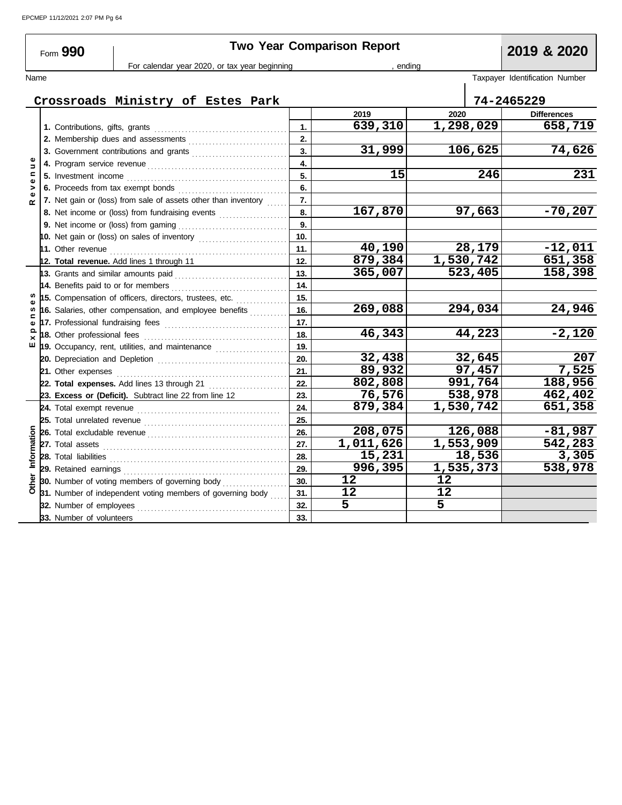| <b>Two Year Comparison Report</b><br>Form 990 |                                                           |                                     |                                                                                                                        |    |     | 2019 & 2020                    |           |                    |
|-----------------------------------------------|-----------------------------------------------------------|-------------------------------------|------------------------------------------------------------------------------------------------------------------------|----|-----|--------------------------------|-----------|--------------------|
|                                               | For calendar year 2020, or tax year beginning<br>, ending |                                     |                                                                                                                        |    |     |                                |           |                    |
| Name                                          |                                                           |                                     |                                                                                                                        |    |     | Taxpayer Identification Number |           |                    |
|                                               |                                                           |                                     | Crossroads Ministry of Estes Park                                                                                      |    |     |                                |           | 74-2465229         |
|                                               |                                                           |                                     |                                                                                                                        |    |     | 2019                           | 2020      | <b>Differences</b> |
|                                               |                                                           |                                     |                                                                                                                        |    | 1.  | 639,310                        | 1,298,029 | 658,719            |
|                                               |                                                           |                                     |                                                                                                                        | 2. |     |                                |           |                    |
|                                               |                                                           |                                     |                                                                                                                        |    | 3.  | 31,999                         | 106,625   | 74,626             |
| $\Rightarrow$                                 |                                                           |                                     |                                                                                                                        |    | 4.  |                                |           |                    |
| c                                             |                                                           | 5. Investment income                |                                                                                                                        |    | 5.  | 15                             | 246       | 231                |
| >                                             |                                                           |                                     |                                                                                                                        |    | 6.  |                                |           |                    |
| $\omega$<br>œ                                 |                                                           |                                     | 7. Net gain or (loss) from sale of assets other than inventory                                                         |    | 7.  |                                |           |                    |
|                                               |                                                           |                                     | 8. Net income or (loss) from fundraising events                                                                        |    | 8.  | 167,870                        | 97,663    | $-70,207$          |
|                                               |                                                           |                                     |                                                                                                                        |    | 9.  |                                |           |                    |
|                                               |                                                           |                                     |                                                                                                                        |    | 10. |                                |           |                    |
|                                               |                                                           |                                     |                                                                                                                        |    | 11. | 40,190                         | 28,179    | $-12,011$          |
|                                               |                                                           |                                     | 12. Total revenue. Add lines 1 through 11                                                                              |    | 12. | 879,384                        | 1,530,742 | 651,358            |
|                                               |                                                           |                                     | 13. Grants and similar amounts paid <b>constants</b> or an intervent and set and set and set and set all the set and s |    | 13. | 365,007                        | 523,405   | 158,398            |
|                                               |                                                           | 14. Benefits paid to or for members |                                                                                                                        |    | 14. |                                |           |                    |
|                                               |                                                           |                                     | 15. Compensation of officers, directors, trustees, etc.                                                                |    | 15. |                                |           |                    |
| <b>SC</b>                                     |                                                           |                                     | 16. Salaries, other compensation, and employee benefits $\ldots$                                                       |    | 16. | 269,088                        | 294,034   | 24,946             |
| ω                                             |                                                           |                                     |                                                                                                                        |    | 17. |                                |           |                    |
| $\times$                                      |                                                           |                                     |                                                                                                                        |    | 18. | 46,343                         | 44,223    | $-2,120$           |
| ш                                             |                                                           |                                     | 19. Occupancy, rent, utilities, and maintenance                                                                        |    | 19. |                                |           |                    |
|                                               |                                                           |                                     |                                                                                                                        |    | 20. | 32,438                         | 32,645    | 207                |
|                                               |                                                           | 21. Other expenses                  |                                                                                                                        |    | 21. | 89,932                         | 97,457    | 7,525              |
|                                               |                                                           |                                     | 22. Total expenses. Add lines 13 through 21                                                                            |    | 22. | 802,808                        | 991,764   | 188,956            |
|                                               |                                                           |                                     | 23. Excess or (Deficit). Subtract line 22 from line 12                                                                 |    | 23. | 76,576                         | 538,978   | 462,402            |
|                                               |                                                           |                                     |                                                                                                                        |    | 24. | 879,384                        | 1,530,742 | 651,358            |
|                                               |                                                           |                                     |                                                                                                                        |    | 25. |                                |           |                    |
|                                               |                                                           |                                     |                                                                                                                        |    | 26. | 208,075                        | 126,088   | $-81,987$          |
|                                               |                                                           |                                     |                                                                                                                        |    | 27. | 1,011,626                      | 1,553,909 | 542,283            |
| Information                                   |                                                           | 28. Total liabilities               |                                                                                                                        |    | 28. | 15,231                         | 18,536    | 3,305              |
|                                               |                                                           |                                     |                                                                                                                        |    | 29. | 996,395                        | 1,535,373 | 538,978            |
|                                               |                                                           |                                     | 30. Number of voting members of governing body                                                                         |    | 30. | 12                             | 12        |                    |
|                                               |                                                           |                                     | 31. Number of independent voting members of governing body                                                             |    | 31. | 12                             | 12        |                    |
|                                               |                                                           | 32. Number of employees             |                                                                                                                        |    | 32. | 5                              | 5         |                    |
|                                               |                                                           | 33. Number of volunteers            |                                                                                                                        |    | 33. |                                |           |                    |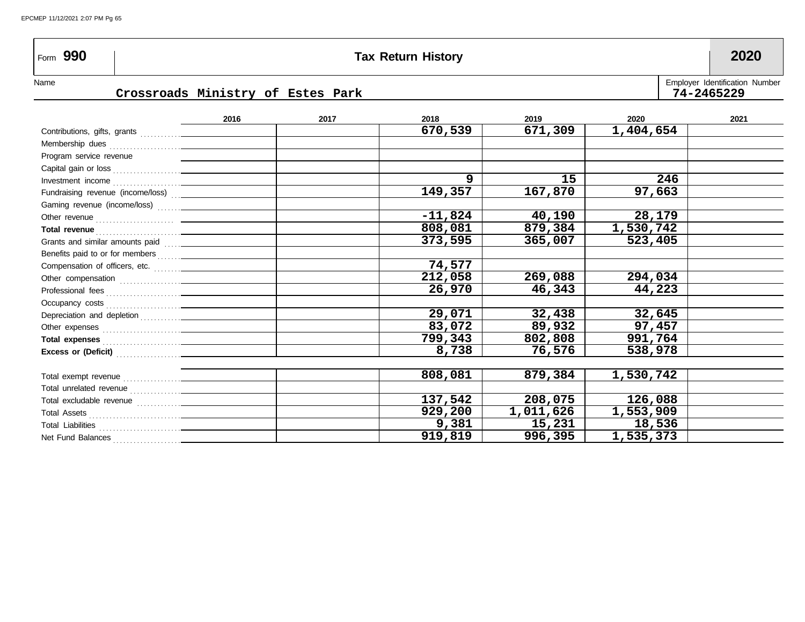## Form **990 Tax Return History 2020**

Name **Employer Identification Number** Name **Name is a set of the set of the set of the set of the set of the set of the set of the set of the set of the set of the set of the set of the set of the set of the set of the set** 

### **Crossroads Ministry of Estes Park 74-2465229**

|  | Employer Identification Numbe |  |
|--|-------------------------------|--|
|  | 74-2465229                    |  |

|                                                                                                                                                                                                                                     | 2016 | 2017 | 2018      | 2019      | 2020      | 2021 |
|-------------------------------------------------------------------------------------------------------------------------------------------------------------------------------------------------------------------------------------|------|------|-----------|-----------|-----------|------|
|                                                                                                                                                                                                                                     |      |      | 670,539   | 671,309   | 1,404,654 |      |
|                                                                                                                                                                                                                                     |      |      |           |           |           |      |
| Program service revenue                                                                                                                                                                                                             |      |      |           |           |           |      |
|                                                                                                                                                                                                                                     |      |      |           |           |           |      |
|                                                                                                                                                                                                                                     |      |      | 9         | 15        | 246       |      |
| Fundraising revenue (income/loss)  ________________                                                                                                                                                                                 |      |      | 149,357   | 167,870   | 97,663    |      |
|                                                                                                                                                                                                                                     |      |      |           |           |           |      |
|                                                                                                                                                                                                                                     |      |      | $-11,824$ | 40,190    | 28,179    |      |
|                                                                                                                                                                                                                                     |      |      | 808,081   | 879,384   | 1,530,742 |      |
|                                                                                                                                                                                                                                     |      |      | 373,595   | 365,007   | 523,405   |      |
|                                                                                                                                                                                                                                     |      |      |           |           |           |      |
|                                                                                                                                                                                                                                     |      |      | 74,577    |           |           |      |
|                                                                                                                                                                                                                                     |      |      | 212,058   | 269,088   | 294,034   |      |
|                                                                                                                                                                                                                                     |      |      | 26,970    | 46,343    | 44,223    |      |
|                                                                                                                                                                                                                                     |      |      |           |           |           |      |
|                                                                                                                                                                                                                                     |      |      | 29,071    | 32,438    | 32,645    |      |
|                                                                                                                                                                                                                                     |      |      | 83,072    | 89,932    | 97,457    |      |
| Total expenses <b>contained</b> and the contact of the contact of the contact of the contact of the contact of the contact of the contact of the contact of the contact of the contact of the contact of the contact of the contact |      |      | 799,343   | 802,808   | 991,764   |      |
|                                                                                                                                                                                                                                     |      |      | 8,738     | 76,576    | 538,978   |      |
|                                                                                                                                                                                                                                     |      |      |           |           |           |      |
|                                                                                                                                                                                                                                     |      |      | 808,081   | 879,384   | 1,530,742 |      |
|                                                                                                                                                                                                                                     |      |      |           |           |           |      |
|                                                                                                                                                                                                                                     |      |      | 137,542   | 208,075   | 126,088   |      |
|                                                                                                                                                                                                                                     |      |      | 929,200   | 1,011,626 | 1,553,909 |      |
|                                                                                                                                                                                                                                     |      |      | 9,381     | 15,231    | 18,536    |      |
| Net Fund Balances                                                                                                                                                                                                                   |      |      | 919,819   | 996,395   | 1,535,373 |      |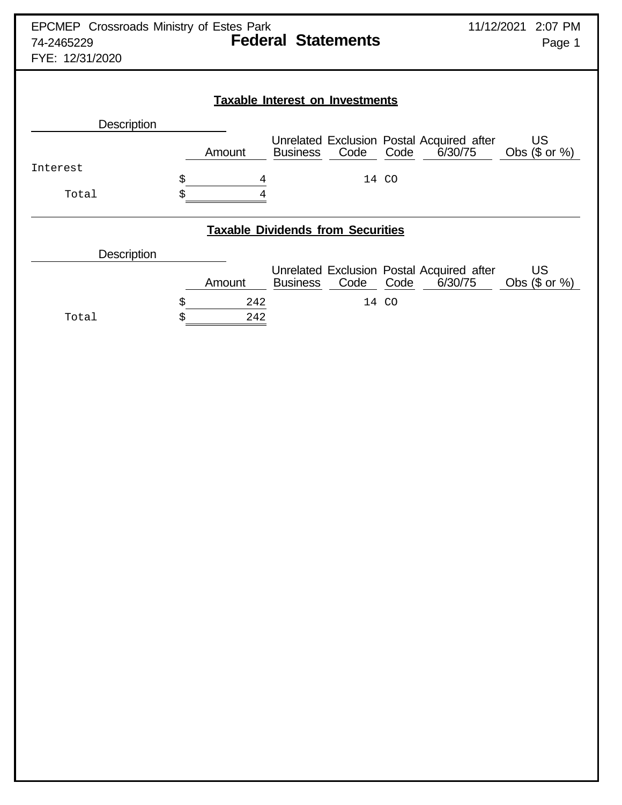| <b>EPCMEP</b> Crossroads Ministry of Estes Park<br><b>Federal Statements</b><br>74-2465229<br>FYE: 12/31/2020 |                        |                 |       |                                                              | 11/12/2021 2:07 PM<br>Page 1 |  |  |
|---------------------------------------------------------------------------------------------------------------|------------------------|-----------------|-------|--------------------------------------------------------------|------------------------------|--|--|
| <b>Taxable Interest on Investments</b>                                                                        |                        |                 |       |                                                              |                              |  |  |
| <b>Description</b>                                                                                            |                        |                 |       |                                                              |                              |  |  |
|                                                                                                               | Amount                 | <b>Business</b> | Code  | Unrelated Exclusion Postal Acquired after<br>Code<br>6/30/75 | US.<br>Obs $($$ or $\%)$     |  |  |
| Interest                                                                                                      |                        |                 |       |                                                              |                              |  |  |
| Total                                                                                                         | \$<br>4<br>Ś<br>4      |                 | 14 CO |                                                              |                              |  |  |
| <b>Taxable Dividends from Securities</b>                                                                      |                        |                 |       |                                                              |                              |  |  |
| Description                                                                                                   |                        |                 |       |                                                              |                              |  |  |
|                                                                                                               | Amount                 | <b>Business</b> | Code  | Unrelated Exclusion Postal Acquired after<br>Code<br>6/30/75 | US.<br>Obs $($ or  %)$       |  |  |
| Total                                                                                                         | \$<br>242<br>242<br>\$ |                 | 14    | <b>CO</b>                                                    |                              |  |  |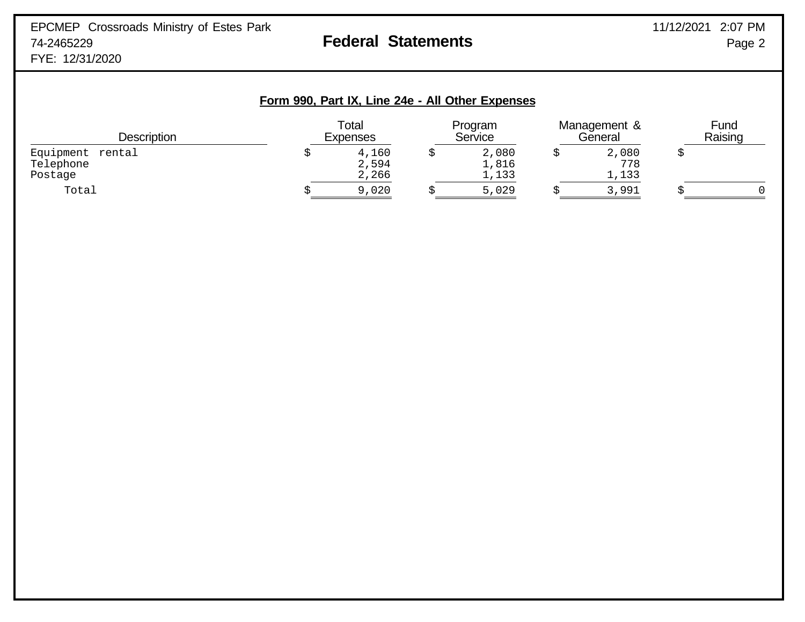| Form 990, Part IX, Line 24e - All Other Expenses |  |                          |  |                         |  |                         |  |                 |
|--------------------------------------------------|--|--------------------------|--|-------------------------|--|-------------------------|--|-----------------|
| <b>Description</b>                               |  | Total<br><b>Expenses</b> |  | Program<br>Service      |  | Management &<br>General |  | Fund<br>Raising |
| Equipment rental<br>Telephone<br>Postage         |  | 4,160<br>2,594<br>2,266  |  | 2,080<br>1,816<br>1,133 |  | 2,080<br>778<br>1,133   |  |                 |
| Total                                            |  | 9,020                    |  | 5,029                   |  | 3,991                   |  |                 |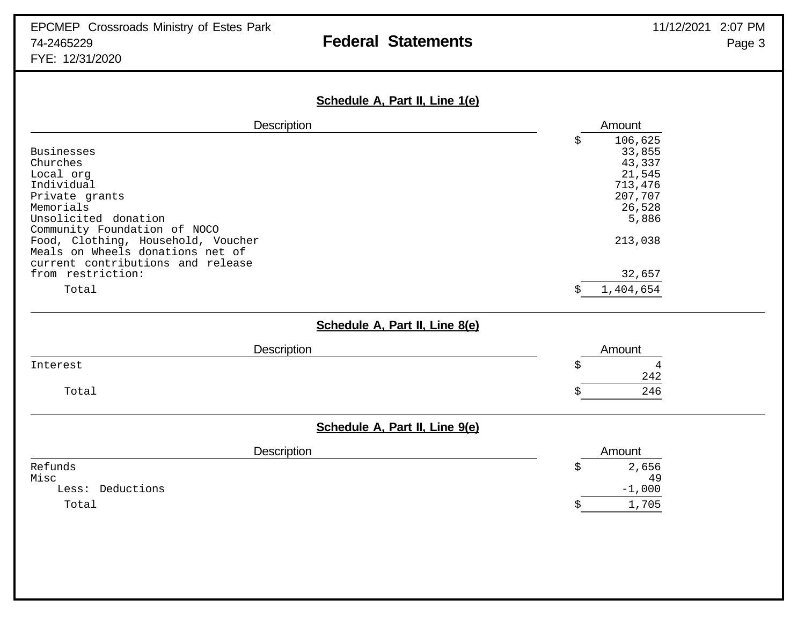| Schedule A, Part II, Line 1(e)     |                     |
|------------------------------------|---------------------|
| Description                        | Amount              |
|                                    | 106,625<br>Ś        |
| <b>Businesses</b>                  | 33,855              |
| Churches<br>Local org              | 43,337<br>21,545    |
| Individual                         | 713,476             |
| Private grants                     | 207,707             |
| Memorials                          | 26,528              |
| Unsolicited donation               | 5,886               |
| Community Foundation of NOCO       |                     |
| Food, Clothing, Household, Voucher | 213,038             |
| Meals on Wheels donations net of   |                     |
| current contributions and release  |                     |
| from restriction:                  | 32,657              |
| Total                              | 1,404,654<br>S      |
| Schedule A, Part II, Line 8(e)     |                     |
| Description                        | Amount              |
| Interest                           | $\overline{4}$<br>Ś |
|                                    | 242                 |
| Total                              | 246                 |
|                                    |                     |
| Schedule A, Part II, Line 9(e)     |                     |
| Description                        | Amount              |
| Refunds                            | 2,656<br>\$         |
| Misc                               | 49                  |
| Less: Deductions                   | $-1,000$            |
| Total                              | 1,705               |